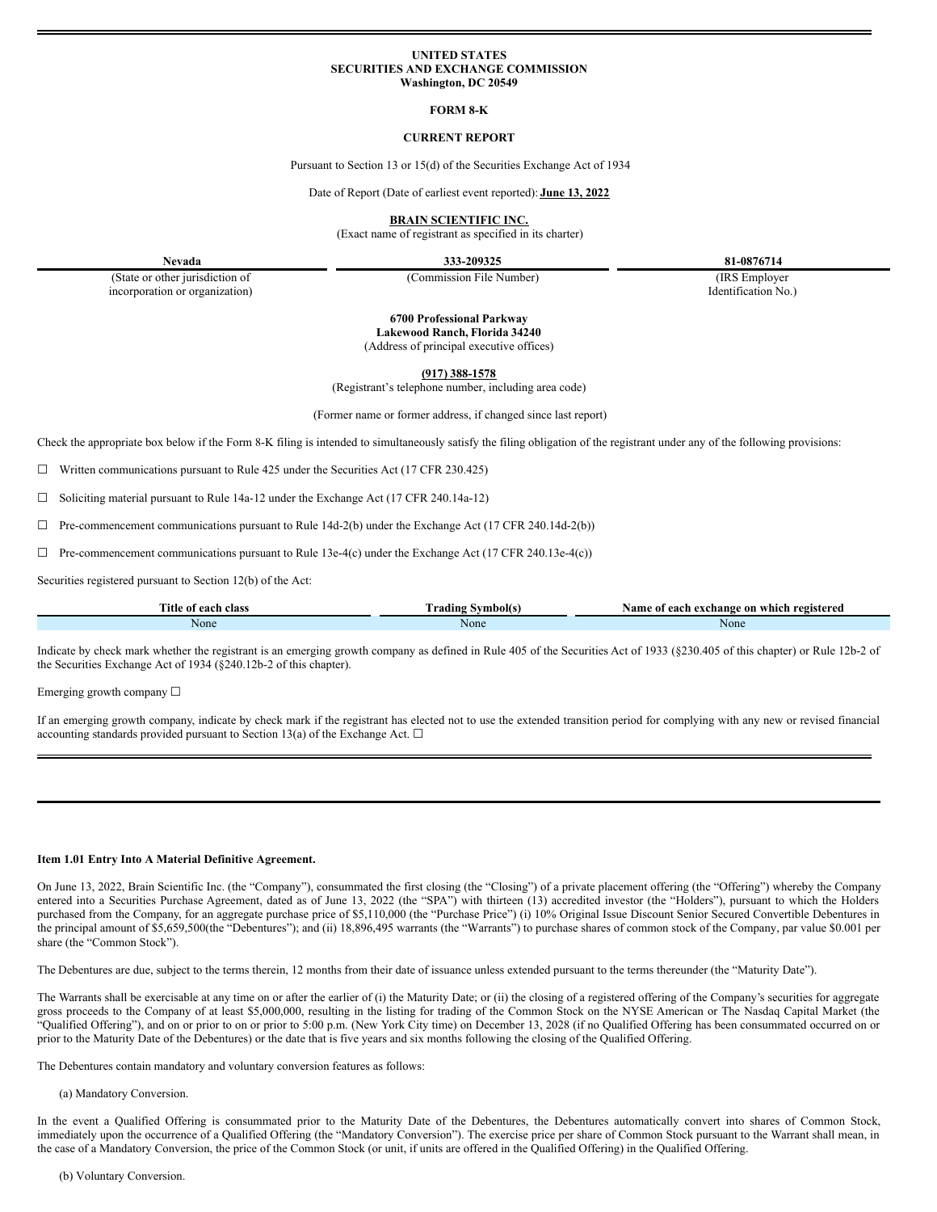### **UNITED STATES SECURITIES AND EXCHANGE COMMISSION Washington, DC 20549**

### **FORM 8-K**

## **CURRENT REPORT**

Pursuant to Section 13 or 15(d) of the Securities Exchange Act of 1934

Date of Report (Date of earliest event reported): **June 13, 2022**

**BRAIN SCIENTIFIC INC.**

(Exact name of registrant as specified in its charter)

**Nevada 333-209325 81-0876714**

(State or other jurisdiction of incorporation or organization) (Commission File Number) (IRS Employer

Identification No.)

**6700 Professional Parkway**

**Lakewood Ranch, Florida 34240** (Address of principal executive offices)

**(917) 388-1578**

(Registrant's telephone number, including area code)

(Former name or former address, if changed since last report)

Check the appropriate box below if the Form 8-K filing is intended to simultaneously satisfy the filing obligation of the registrant under any of the following provisions:

 $\Box$  Written communications pursuant to Rule 425 under the Securities Act (17 CFR 230.425)

☐ Soliciting material pursuant to Rule 14a-12 under the Exchange Act (17 CFR 240.14a-12)

 $\Box$  Pre-commencement communications pursuant to Rule 14d-2(b) under the Exchange Act (17 CFR 240.14d-2(b))

 $\Box$  Pre-commencement communications pursuant to Rule 13e-4(c) under the Exchange Act (17 CFR 240.13e-4(c))

Securities registered pursuant to Section 12(b) of the Act:

| <b>Title</b> :<br>class<br>each<br>-01 | `radino<br>Symbol(s | ı exchange on<br>registered<br>Name of<br>each<br>. which |
|----------------------------------------|---------------------|-----------------------------------------------------------|
| None                                   | None                | None                                                      |

Indicate by check mark whether the registrant is an emerging growth company as defined in Rule 405 of the Securities Act of 1933 (§230.405 of this chapter) or Rule 12b-2 of the Securities Exchange Act of 1934 (§240.12b-2 of this chapter).

Emerging growth company ☐

If an emerging growth company, indicate by check mark if the registrant has elected not to use the extended transition period for complying with any new or revised financial accounting standards provided pursuant to Section 13(a) of the Exchange Act.  $\Box$ 

#### **Item 1.01 Entry Into A Material Definitive Agreement.**

On June 13, 2022, Brain Scientific Inc. (the "Company"), consummated the first closing (the "Closing") of a private placement offering (the "Offering") whereby the Company entered into a Securities Purchase Agreement, dated as of June 13, 2022 (the "SPA") with thirteen (13) accredited investor (the "Holders"), pursuant to which the Holders purchased from the Company, for an aggregate purchase price of \$5,110,000 (the "Purchase Price") (i) 10% Original Issue Discount Senior Secured Convertible Debentures in the principal amount of \$5,659,500(the "Debentures"); and (ii) 18,896,495 warrants (the "Warrants") to purchase shares of common stock of the Company, par value \$0.001 per share (the "Common Stock").

The Debentures are due, subject to the terms therein, 12 months from their date of issuance unless extended pursuant to the terms thereunder (the "Maturity Date").

The Warrants shall be exercisable at any time on or after the earlier of (i) the Maturity Date; or (ii) the closing of a registered offering of the Company's securities for aggregate gross proceeds to the Company of at least \$5,000,000, resulting in the listing for trading of the Common Stock on the NYSE American or The Nasdaq Capital Market (the "Qualified Offering"), and on or prior to on or prior to 5:00 p.m. (New York City time) on December 13, 2028 (if no Qualified Offering has been consummated occurred on or prior to the Maturity Date of the Debentures) or the date that is five years and six months following the closing of the Qualified Offering.

The Debentures contain mandatory and voluntary conversion features as follows:

#### (a) Mandatory Conversion.

In the event a Qualified Offering is consummated prior to the Maturity Date of the Debentures, the Debentures automatically convert into shares of Common Stock, immediately upon the occurrence of a Qualified Offering (the "Mandatory Conversion"). The exercise price per share of Common Stock pursuant to the Warrant shall mean, in the case of a Mandatory Conversion, the price of the Common Stock (or unit, if units are offered in the Qualified Offering) in the Qualified Offering.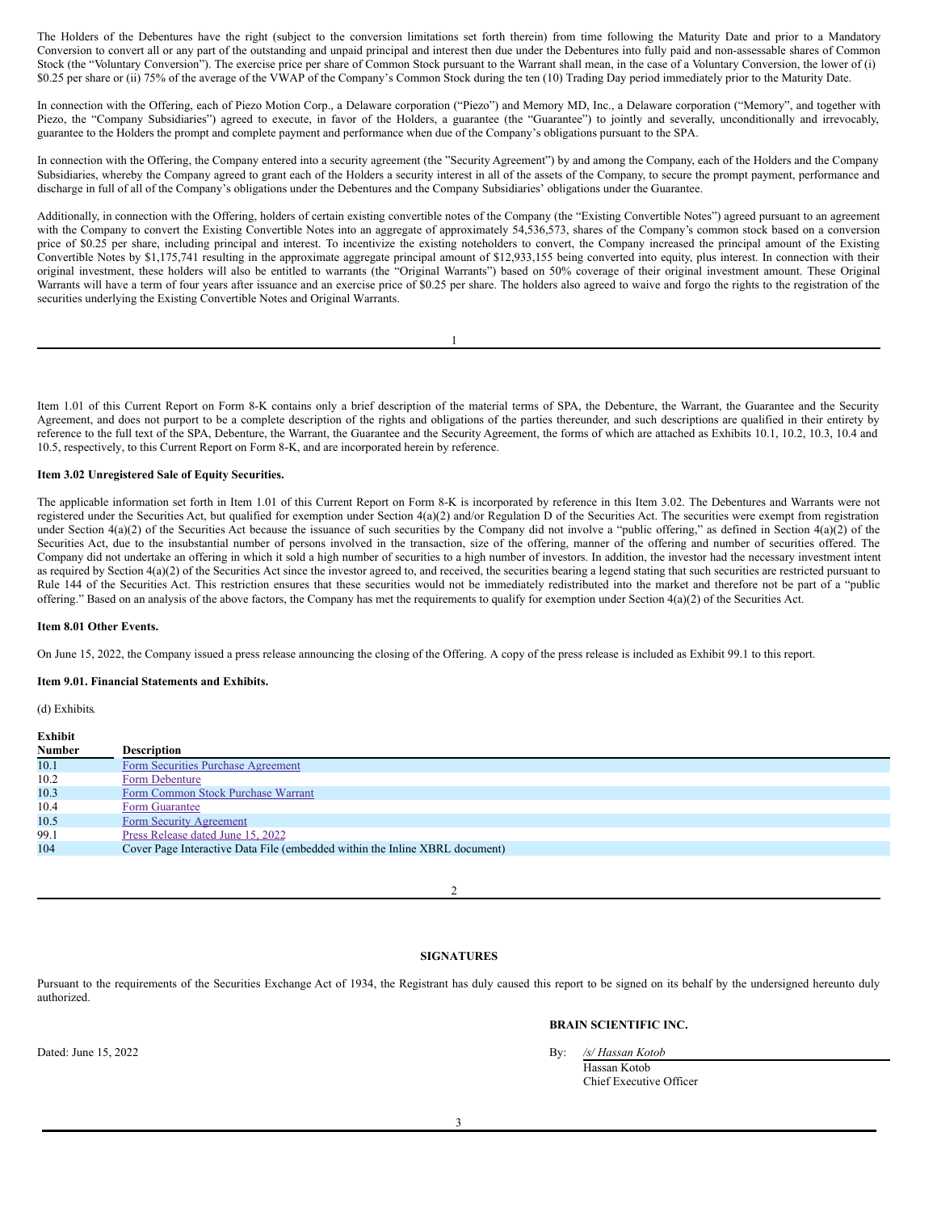The Holders of the Debentures have the right (subject to the conversion limitations set forth therein) from time following the Maturity Date and prior to a Mandatory Conversion to convert all or any part of the outstanding and unpaid principal and interest then due under the Debentures into fully paid and non-assessable shares of Common Stock (the "Voluntary Conversion"). The exercise price per share of Common Stock pursuant to the Warrant shall mean, in the case of a Voluntary Conversion, the lower of (i) \$0.25 per share or (ii) 75% of the average of the VWAP of the Company's Common Stock during the ten (10) Trading Day period immediately prior to the Maturity Date.

In connection with the Offering, each of Piezo Motion Corp., a Delaware corporation ("Piezo") and Memory MD, Inc., a Delaware corporation ("Memory", and together with Piezo, the "Company Subsidiaries") agreed to execute, in favor of the Holders, a guarantee (the "Guarantee") to jointly and severally, unconditionally and irrevocably, guarantee to the Holders the prompt and complete payment and performance when due of the Company's obligations pursuant to the SPA.

In connection with the Offering, the Company entered into a security agreement (the "Security Agreement") by and among the Company, each of the Holders and the Company Subsidiaries, whereby the Company agreed to grant each of the Holders a security interest in all of the assets of the Company, to secure the prompt payment, performance and discharge in full of all of the Company's obligations under the Debentures and the Company Subsidiaries' obligations under the Guarantee.

Additionally, in connection with the Offering, holders of certain existing convertible notes of the Company (the "Existing Convertible Notes") agreed pursuant to an agreement with the Company to convert the Existing Convertible Notes into an aggregate of approximately 54,536,573, shares of the Company's common stock based on a conversion price of \$0.25 per share, including principal and interest. To incentivize the existing noteholders to convert, the Company increased the principal amount of the Existing Convertible Notes by \$1,175,741 resulting in the approximate aggregate principal amount of \$12,933,155 being converted into equity, plus interest. In connection with their original investment, these holders will also be entitled to warrants (the "Original Warrants") based on 50% coverage of their original investment amount. These Original Warrants will have a term of four years after issuance and an exercise price of \$0.25 per share. The holders also agreed to waive and forgo the rights to the registration of the securities underlying the Existing Convertible Notes and Original Warrants.

1

Item 1.01 of this Current Report on Form 8-K contains only a brief description of the material terms of SPA, the Debenture, the Warrant, the Guarantee and the Security Agreement, and does not purport to be a complete description of the rights and obligations of the parties thereunder, and such descriptions are qualified in their entirety by reference to the full text of the SPA, Debenture, the Warrant, the Guarantee and the Security Agreement, the forms of which are attached as Exhibits 10.1, 10.2, 10.3, 10.4 and 10.5, respectively, to this Current Report on Form 8-K, and are incorporated herein by reference.

## **Item 3.02 Unregistered Sale of Equity Securities.**

The applicable information set forth in Item 1.01 of this Current Report on Form 8-K is incorporated by reference in this Item 3.02. The Debentures and Warrants were not registered under the Securities Act, but qualified for exemption under Section 4(a)(2) and/or Regulation D of the Securities Act. The securities were exempt from registration under Section  $4(a)(2)$  of the Securities Act because the issuance of such securities by the Company did not involve a "public offering," as defined in Section  $4(a)(2)$  of the Securities Act, due to the insubstantial number of persons involved in the transaction, size of the offering, manner of the offering and number of securities offered. The Company did not undertake an offering in which it sold a high number of securities to a high number of investors. In addition, the investor had the necessary investment intent as required by Section 4(a)(2) of the Securities Act since the investor agreed to, and received, the securities bearing a legend stating that such securities are restricted pursuant to Rule 144 of the Securities Act. This restriction ensures that these securities would not be immediately redistributed into the market and therefore not be part of a "public offering." Based on an analysis of the above factors, the Company has met the requirements to qualify for exemption under Section 4(a)(2) of the Securities Act.

## **Item 8.01 Other Events.**

On June 15, 2022, the Company issued a press release announcing the closing of the Offering. A copy of the press release is included as Exhibit 99.1 to this report.

#### **Item 9.01. Financial Statements and Exhibits.**

(d) Exhibits*.*

| Exhibit       |                                                                             |
|---------------|-----------------------------------------------------------------------------|
| <b>Number</b> | <b>Description</b>                                                          |
| 10.1          | Form Securities Purchase Agreement                                          |
| 10.2          | Form Debenture                                                              |
| 10.3          | Form Common Stock Purchase Warrant                                          |
| 10.4          | Form Guarantee                                                              |
| 10.5          | Form Security Agreement                                                     |
| 99.1          | Press Release dated June 15, 2022                                           |
| 104           | Cover Page Interactive Data File (embedded within the Inline XBRL document) |

 $\mathcal{D}$ 

## **SIGNATURES**

Pursuant to the requirements of the Securities Exchange Act of 1934, the Registrant has duly caused this report to be signed on its behalf by the undersigned hereunto duly authorized.

## **BRAIN SCIENTIFIC INC.**

Dated: June 15, 2022 By: */s/ Hassan Kotob*

Hassan Kotob Chief Executive Officer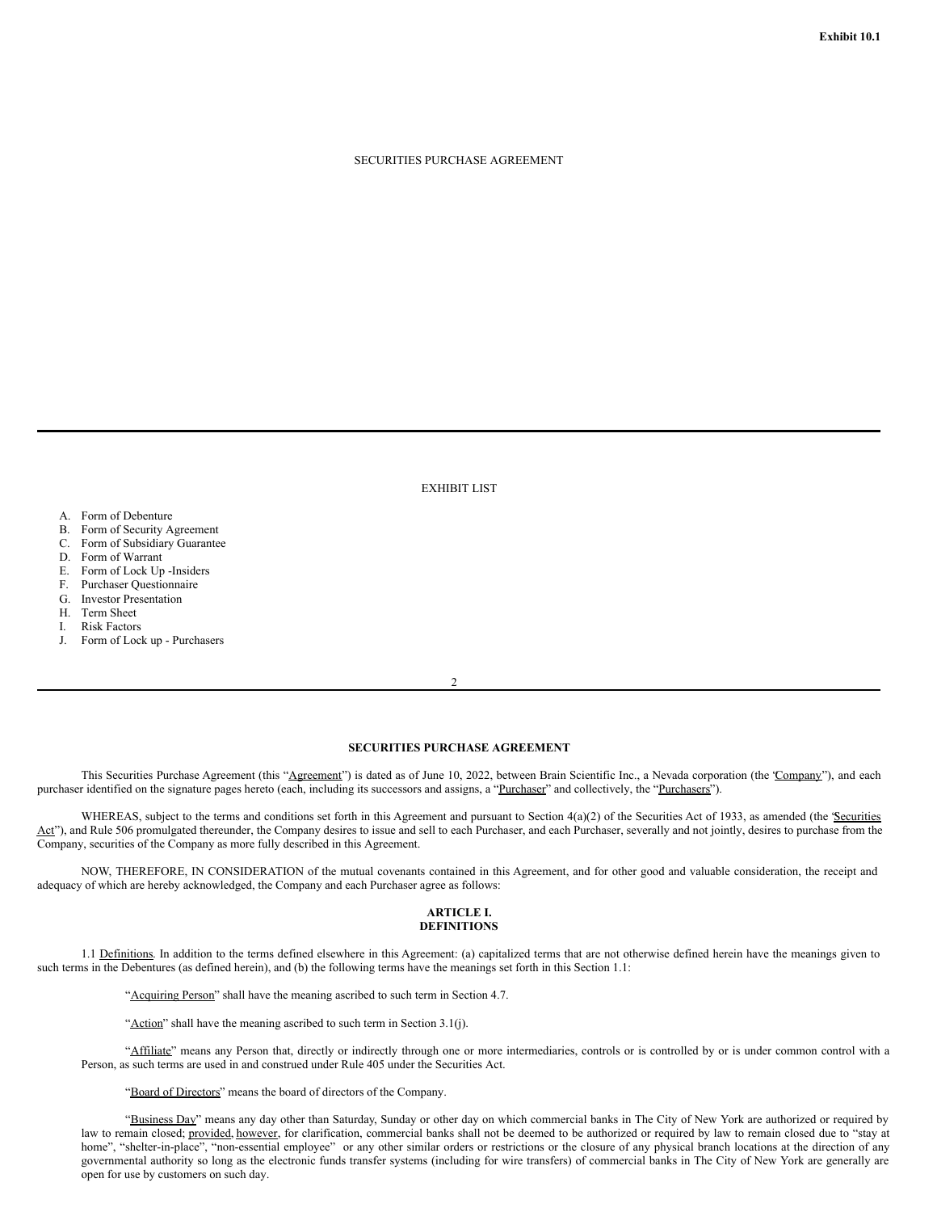### SECURITIES PURCHASE AGREEMENT

EXHIBIT LIST

- A. Form of Debenture
- B. Form of Security Agreement
- C. Form of Subsidiary Guarantee
- D. Form of Warrant
- E. Form of Lock Up -Insiders
- F. Purchaser Questionnaire
- G. Investor Presentation
- H. Term Sheet
- I. Risk Factors
- J. Form of Lock up Purchasers

2

## **SECURITIES PURCHASE AGREEMENT**

This Securities Purchase Agreement (this "Agreement") is dated as of June 10, 2022, between Brain Scientific Inc., a Nevada corporation (the 'Company"), and each purchaser identified on the signature pages hereto (each, including its successors and assigns, a "Purchaser" and collectively, the "Purchasers").

WHEREAS, subject to the terms and conditions set forth in this Agreement and pursuant to Section 4(a)(2) of the Securities Act of 1933, as amended (the 'Securities Act"), and Rule 506 promulgated thereunder, the Company desires to issue and sell to each Purchaser, and each Purchaser, severally and not jointly, desires to purchase from the Company, securities of the Company as more fully described in this Agreement.

NOW, THEREFORE, IN CONSIDERATION of the mutual covenants contained in this Agreement, and for other good and valuable consideration, the receipt and adequacy of which are hereby acknowledged, the Company and each Purchaser agree as follows:

#### **ARTICLE I. DEFINITIONS**

1.1 Definitions. In addition to the terms defined elsewhere in this Agreement: (a) capitalized terms that are not otherwise defined herein have the meanings given to such terms in the Debentures (as defined herein), and (b) the following terms have the meanings set forth in this Section 1.1:

"Acquiring Person" shall have the meaning ascribed to such term in Section 4.7.

"Action" shall have the meaning ascribed to such term in Section 3.1(j).

"Affiliate" means any Person that, directly or indirectly through one or more intermediaries, controls or is controlled by or is under common control with a Person, as such terms are used in and construed under Rule 405 under the Securities Act.

"Board of Directors" means the board of directors of the Company.

"Business Day" means any day other than Saturday, Sunday or other day on which commercial banks in The City of New York are authorized or required by law to remain closed; provided, however, for clarification, commercial banks shall not be deemed to be authorized or required by law to remain closed due to "stay at home", "shelter-in-place", "non-essential employee" or any other similar orders or restrictions or the closure of any physical branch locations at the direction of any governmental authority so long as the electronic funds transfer systems (including for wire transfers) of commercial banks in The City of New York are generally are open for use by customers on such day.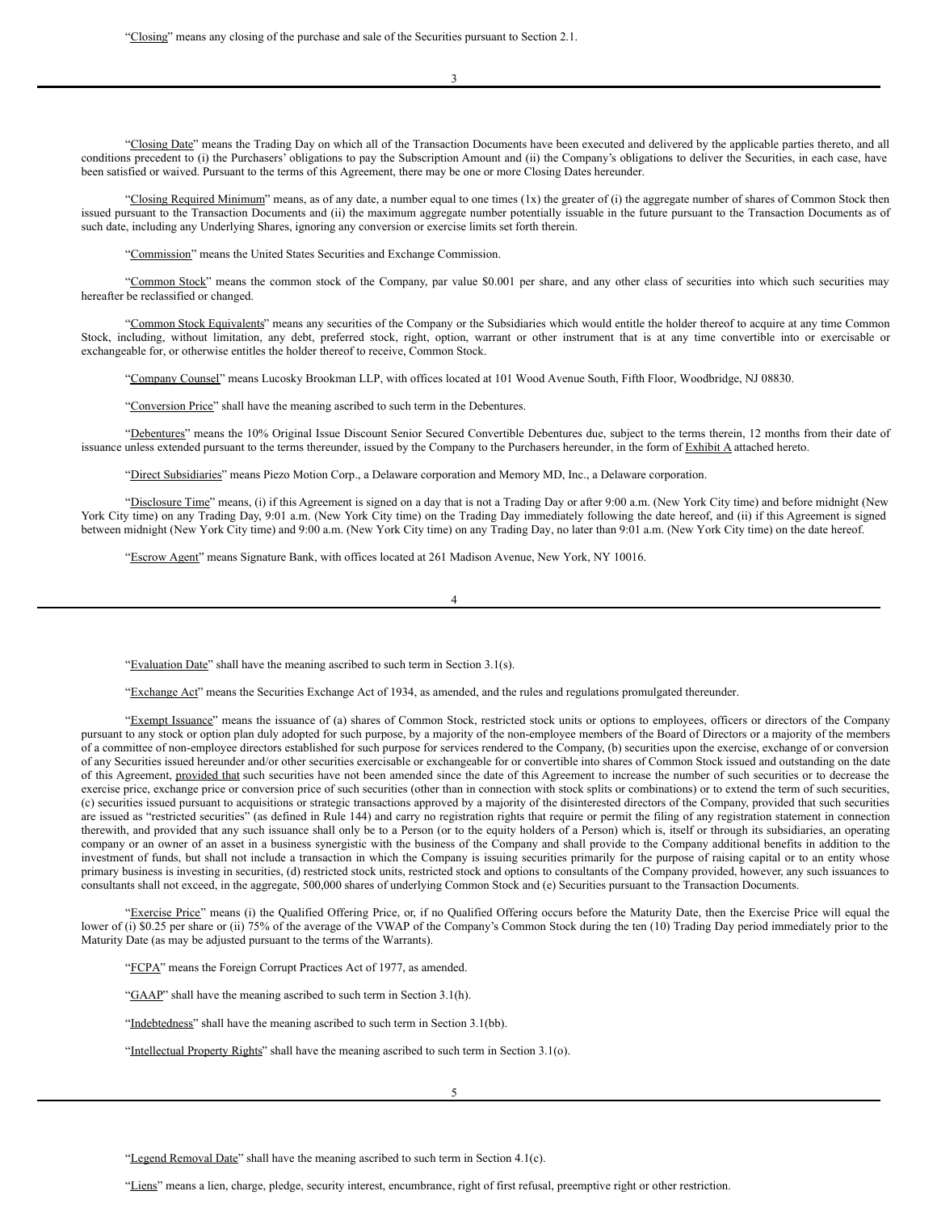3

"Closing Date" means the Trading Day on which all of the Transaction Documents have been executed and delivered by the applicable parties thereto, and all conditions precedent to (i) the Purchasers' obligations to pay the Subscription Amount and (ii) the Company's obligations to deliver the Securities, in each case, have been satisfied or waived. Pursuant to the terms of this Agreement, there may be one or more Closing Dates hereunder.

"Closing Required Minimum" means, as of any date, a number equal to one times (1x) the greater of (i) the aggregate number of shares of Common Stock then issued pursuant to the Transaction Documents and (ii) the maximum aggregate number potentially issuable in the future pursuant to the Transaction Documents as of such date, including any Underlying Shares, ignoring any conversion or exercise limits set forth therein.

"Commission" means the United States Securities and Exchange Commission.

"Common Stock" means the common stock of the Company, par value \$0.001 per share, and any other class of securities into which such securities may hereafter be reclassified or changed.

"Common Stock Equivalents" means any securities of the Company or the Subsidiaries which would entitle the holder thereof to acquire at any time Common Stock, including, without limitation, any debt, preferred stock, right, option, warrant or other instrument that is at any time convertible into or exercisable or exchangeable for, or otherwise entitles the holder thereof to receive, Common Stock.

"Company Counsel" means Lucosky Brookman LLP, with offices located at 101 Wood Avenue South, Fifth Floor, Woodbridge, NJ 08830.

"Conversion Price" shall have the meaning ascribed to such term in the Debentures.

"Debentures" means the 10% Original Issue Discount Senior Secured Convertible Debentures due, subject to the terms therein, 12 months from their date of issuance unless extended pursuant to the terms thereunder, issued by the Company to the Purchasers hereunder, in the form of Exhibit A attached hereto.

"Direct Subsidiaries" means Piezo Motion Corp., a Delaware corporation and Memory MD, Inc., a Delaware corporation.

"Disclosure Time" means, (i) if this Agreement is signed on a day that is not a Trading Day or after 9:00 a.m. (New York City time) and before midnight (New York City time) on any Trading Day, 9:01 a.m. (New York City time) on the Trading Day immediately following the date hereof, and (ii) if this Agreement is signed between midnight (New York City time) and 9:00 a.m. (New York City time) on any Trading Day, no later than 9:01 a.m. (New York City time) on the date hereof.

"Escrow Agent" means Signature Bank, with offices located at 261 Madison Avenue, New York, NY 10016.

4

"Evaluation Date" shall have the meaning ascribed to such term in Section 3.1(s).

"Exchange Act" means the Securities Exchange Act of 1934, as amended, and the rules and regulations promulgated thereunder.

"Exempt Issuance" means the issuance of (a) shares of Common Stock, restricted stock units or options to employees, officers or directors of the Company pursuant to any stock or option plan duly adopted for such purpose, by a majority of the non-employee members of the Board of Directors or a majority of the members of a committee of non-employee directors established for such purpose for services rendered to the Company, (b) securities upon the exercise, exchange of or conversion of any Securities issued hereunder and/or other securities exercisable or exchangeable for or convertible into shares of Common Stock issued and outstanding on the date of this Agreement, provided that such securities have not been amended since the date of this Agreement to increase the number of such securities or to decrease the exercise price, exchange price or conversion price of such securities (other than in connection with stock splits or combinations) or to extend the term of such securities, (c) securities issued pursuant to acquisitions or strategic transactions approved by a majority of the disinterested directors of the Company, provided that such securities are issued as "restricted securities" (as defined in Rule 144) and carry no registration rights that require or permit the filing of any registration statement in connection therewith, and provided that any such issuance shall only be to a Person (or to the equity holders of a Person) which is, itself or through its subsidiaries, an operating company or an owner of an asset in a business synergistic with the business of the Company and shall provide to the Company additional benefits in addition to the investment of funds, but shall not include a transaction in which the Company is issuing securities primarily for the purpose of raising capital or to an entity whose primary business is investing in securities, (d) restricted stock units, restricted stock and options to consultants of the Company provided, however, any such issuances to consultants shall not exceed, in the aggregate, 500,000 shares of underlying Common Stock and (e) Securities pursuant to the Transaction Documents.

"Exercise Price" means (i) the Qualified Offering Price, or, if no Qualified Offering occurs before the Maturity Date, then the Exercise Price will equal the lower of (i) \$0.25 per share or (ii) 75% of the average of the VWAP of the Company's Common Stock during the ten (10) Trading Day period immediately prior to the Maturity Date (as may be adjusted pursuant to the terms of the Warrants).

"FCPA" means the Foreign Corrupt Practices Act of 1977, as amended.

"GAAP" shall have the meaning ascribed to such term in Section 3.1(h).

"Indebtedness" shall have the meaning ascribed to such term in Section 3.1(bb).

"Intellectual Property Rights" shall have the meaning ascribed to such term in Section 3.1(o).

"Legend Removal Date" shall have the meaning ascribed to such term in Section 4.1(c).

"Liens" means a lien, charge, pledge, security interest, encumbrance, right of first refusal, preemptive right or other restriction.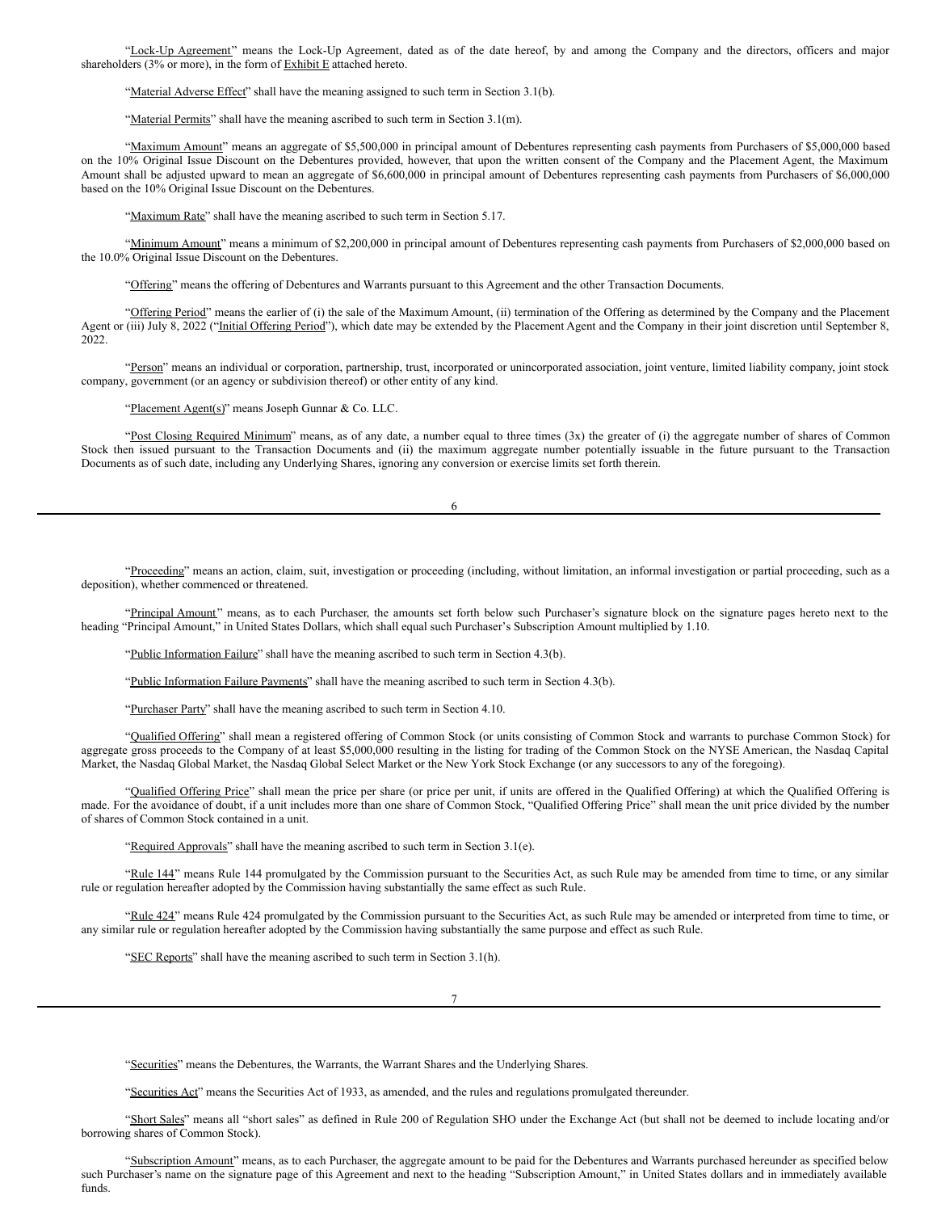"Lock-Up Agreement" means the Lock-Up Agreement, dated as of the date hereof, by and among the Company and the directors, officers and major shareholders (3% or more), in the form of  $\overline{\text{Exhibit E}}$  attached hereto.

"Material Adverse Effect" shall have the meaning assigned to such term in Section 3.1(b).

"Material Permits" shall have the meaning ascribed to such term in Section 3.1(m).

"Maximum Amount" means an aggregate of \$5,500,000 in principal amount of Debentures representing cash payments from Purchasers of \$5,000,000 based on the 10% Original Issue Discount on the Debentures provided, however, that upon the written consent of the Company and the Placement Agent, the Maximum Amount shall be adjusted upward to mean an aggregate of \$6,600,000 in principal amount of Debentures representing cash payments from Purchasers of \$6,000,000 based on the 10% Original Issue Discount on the Debentures.

"Maximum Rate" shall have the meaning ascribed to such term in Section 5.17.

"Minimum Amount" means a minimum of \$2,200,000 in principal amount of Debentures representing cash payments from Purchasers of \$2,000,000 based on the 10.0% Original Issue Discount on the Debentures.

"Offering" means the offering of Debentures and Warrants pursuant to this Agreement and the other Transaction Documents.

"Offering Period" means the earlier of (i) the sale of the Maximum Amount, (ii) termination of the Offering as determined by the Company and the Placement Agent or (iii) July 8, 2022 ("Initial Offering Period"), which date may be extended by the Placement Agent and the Company in their joint discretion until September 8, 2022.

"Person" means an individual or corporation, partnership, trust, incorporated or unincorporated association, joint venture, limited liability company, joint stock company, government (or an agency or subdivision thereof) or other entity of any kind.

"Placement Agent(s)" means Joseph Gunnar & Co. LLC.

"Post Closing Required Minimum" means, as of any date, a number equal to three times (3x) the greater of (i) the aggregate number of shares of Common Stock then issued pursuant to the Transaction Documents and (ii) the maximum aggregate number potentially issuable in the future pursuant to the Transaction Documents as of such date, including any Underlying Shares, ignoring any conversion or exercise limits set forth therein.

6

"Proceeding" means an action, claim, suit, investigation or proceeding (including, without limitation, an informal investigation or partial proceeding, such as a deposition), whether commenced or threatened.

"Principal Amount" means, as to each Purchaser, the amounts set forth below such Purchaser's signature block on the signature pages hereto next to the heading "Principal Amount," in United States Dollars, which shall equal such Purchaser's Subscription Amount multiplied by 1.10.

"Public Information Failure" shall have the meaning ascribed to such term in Section 4.3(b).

"Public Information Failure Payments" shall have the meaning ascribed to such term in Section 4.3(b).

"Purchaser Party" shall have the meaning ascribed to such term in Section 4.10.

"Qualified Offering" shall mean a registered offering of Common Stock (or units consisting of Common Stock and warrants to purchase Common Stock) for aggregate gross proceeds to the Company of at least \$5,000,000 resulting in the listing for trading of the Common Stock on the NYSE American, the Nasdaq Capital Market, the Nasdaq Global Market, the Nasdaq Global Select Market or the New York Stock Exchange (or any successors to any of the foregoing).

"Qualified Offering Price" shall mean the price per share (or price per unit, if units are offered in the Qualified Offering) at which the Qualified Offering is made. For the avoidance of doubt, if a unit includes more than one share of Common Stock, "Qualified Offering Price" shall mean the unit price divided by the number of shares of Common Stock contained in a unit.

"Required Approvals" shall have the meaning ascribed to such term in Section 3.1(e).

"Rule 144" means Rule 144 promulgated by the Commission pursuant to the Securities Act, as such Rule may be amended from time to time, or any similar rule or regulation hereafter adopted by the Commission having substantially the same effect as such Rule.

"Rule 424" means Rule 424 promulgated by the Commission pursuant to the Securities Act, as such Rule may be amended or interpreted from time to time, or any similar rule or regulation hereafter adopted by the Commission having substantially the same purpose and effect as such Rule.

"SEC Reports" shall have the meaning ascribed to such term in Section 3.1(h).

7

"Securities" means the Debentures, the Warrants, the Warrant Shares and the Underlying Shares.

"Securities Act" means the Securities Act of 1933, as amended, and the rules and regulations promulgated thereunder.

"Short Sales" means all "short sales" as defined in Rule 200 of Regulation SHO under the Exchange Act (but shall not be deemed to include locating and/or borrowing shares of Common Stock).

'Subscription Amount' means, as to each Purchaser, the aggregate amount to be paid for the Debentures and Warrants purchased hereunder as specified below such Purchaser's name on the signature page of this Agreement and next to the heading "Subscription Amount," in United States dollars and in immediately available funds.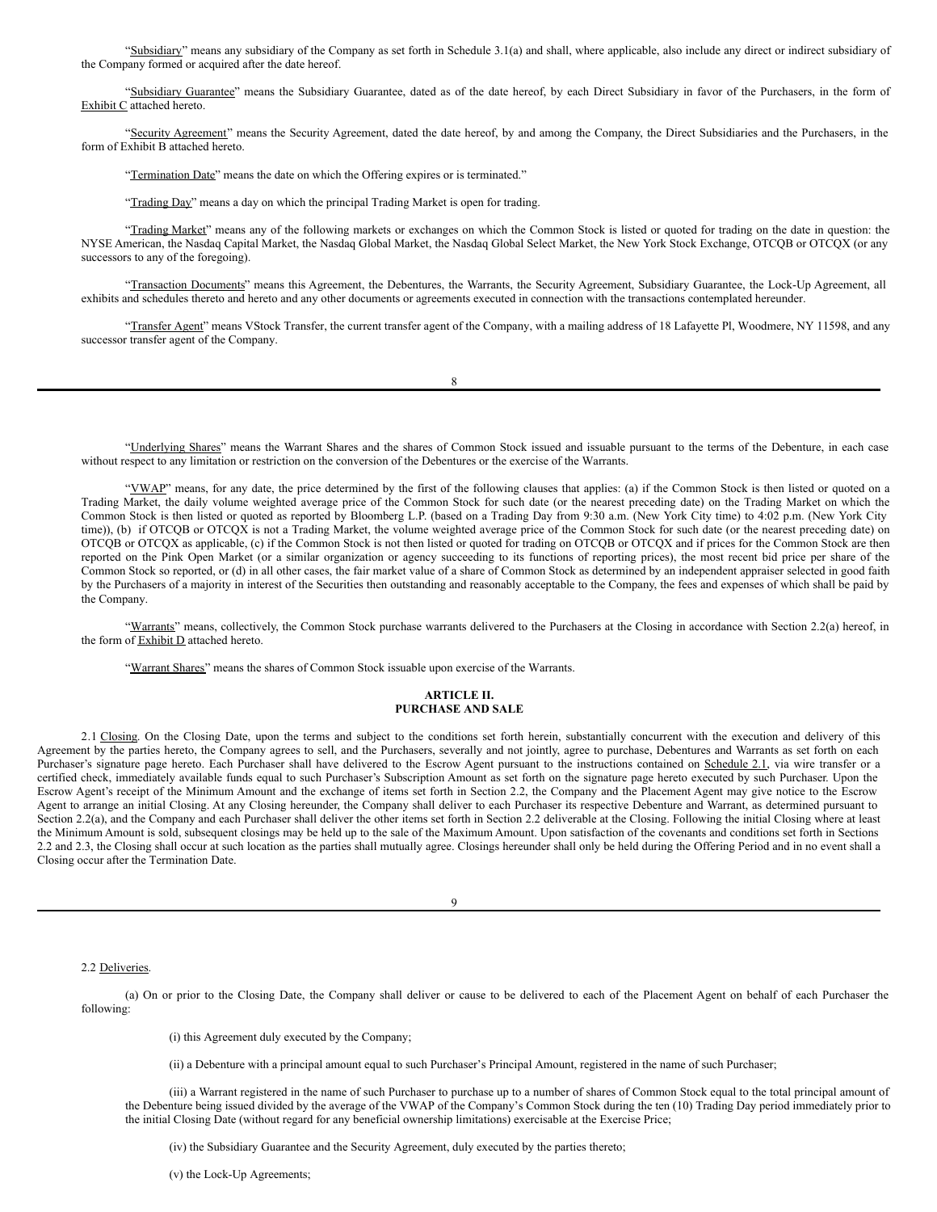"Subsidiary" means any subsidiary of the Company as set forth in Schedule 3.1(a) and shall, where applicable, also include any direct or indirect subsidiary of the Company formed or acquired after the date hereof.

"Subsidiary Guarantee" means the Subsidiary Guarantee, dated as of the date hereof, by each Direct Subsidiary in favor of the Purchasers, in the form of Exhibit C attached hereto.

"Security Agreement" means the Security Agreement, dated the date hereof, by and among the Company, the Direct Subsidiaries and the Purchasers, in the form of Exhibit B attached hereto.

"Termination Date" means the date on which the Offering expires or is terminated."

"Trading Day" means a day on which the principal Trading Market is open for trading.

"Trading Market" means any of the following markets or exchanges on which the Common Stock is listed or quoted for trading on the date in question: the NYSE American, the Nasdaq Capital Market, the Nasdaq Global Market, the Nasdaq Global Select Market, the New York Stock Exchange, OTCQB or OTCQX (or any successors to any of the foregoing).

"Transaction Documents" means this Agreement, the Debentures, the Warrants, the Security Agreement, Subsidiary Guarantee, the Lock-Up Agreement, all exhibits and schedules thereto and hereto and any other documents or agreements executed in connection with the transactions contemplated hereunder.

"Transfer Agent" means VStock Transfer, the current transfer agent of the Company, with a mailing address of 18 Lafayette Pl, Woodmere, NY 11598, and any successor transfer agent of the Company.

|        | I |  |
|--------|---|--|
| I      |   |  |
| ï<br>× |   |  |

"Underlying Shares" means the Warrant Shares and the shares of Common Stock issued and issuable pursuant to the terms of the Debenture, in each case without respect to any limitation or restriction on the conversion of the Debentures or the exercise of the Warrants.

"VWAP" means, for any date, the price determined by the first of the following clauses that applies: (a) if the Common Stock is then listed or quoted on a Trading Market, the daily volume weighted average price of the Common Stock for such date (or the nearest preceding date) on the Trading Market on which the Common Stock is then listed or quoted as reported by Bloomberg L.P. (based on a Trading Day from 9:30 a.m. (New York City time) to 4:02 p.m. (New York City time)), (b) if OTCQB or OTCQX is not a Trading Market, the volume weighted average price of the Common Stock for such date (or the nearest preceding date) on OTCQB or OTCQX as applicable, (c) if the Common Stock is not then listed or quoted for trading on OTCQB or OTCQX and if prices for the Common Stock are then reported on the Pink Open Market (or a similar organization or agency succeeding to its functions of reporting prices), the most recent bid price per share of the Common Stock so reported, or (d) in all other cases, the fair market value of a share of Common Stock as determined by an independent appraiser selected in good faith by the Purchasers of a majority in interest of the Securities then outstanding and reasonably acceptable to the Company, the fees and expenses of which shall be paid by the Company.

"Warrants" means, collectively, the Common Stock purchase warrants delivered to the Purchasers at the Closing in accordance with Section 2.2(a) hereof, in the form of Exhibit D attached hereto.

"Warrant Shares" means the shares of Common Stock issuable upon exercise of the Warrants.

## **ARTICLE II. PURCHASE AND SALE**

2.1 Closing. On the Closing Date, upon the terms and subject to the conditions set forth herein, substantially concurrent with the execution and delivery of this Agreement by the parties hereto, the Company agrees to sell, and the Purchasers, severally and not jointly, agree to purchase, Debentures and Warrants as set forth on each Purchaser's signature page hereto. Each Purchaser shall have delivered to the Escrow Agent pursuant to the instructions contained on Schedule 2.1, via wire transfer or a certified check, immediately available funds equal to such Purchaser's Subscription Amount as set forth on the signature page hereto executed by such Purchaser. Upon the Escrow Agent's receipt of the Minimum Amount and the exchange of items set forth in Section 2.2, the Company and the Placement Agent may give notice to the Escrow Agent to arrange an initial Closing. At any Closing hereunder, the Company shall deliver to each Purchaser its respective Debenture and Warrant, as determined pursuant to Section 2.2(a), and the Company and each Purchaser shall deliver the other items set forth in Section 2.2 deliverable at the Closing. Following the initial Closing where at least the Minimum Amount is sold, subsequent closings may be held up to the sale of the Maximum Amount. Upon satisfaction of the covenants and conditions set forth in Sections 2.2 and 2.3, the Closing shall occur at such location as the parties shall mutually agree. Closings hereunder shall only be held during the Offering Period and in no event shall a Closing occur after the Termination Date.

2.2 Deliveries.

(a) On or prior to the Closing Date, the Company shall deliver or cause to be delivered to each of the Placement Agent on behalf of each Purchaser the following:

(i) this Agreement duly executed by the Company;

(ii) a Debenture with a principal amount equal to such Purchaser's Principal Amount, registered in the name of such Purchaser;

(iii) a Warrant registered in the name of such Purchaser to purchase up to a number of shares of Common Stock equal to the total principal amount of the Debenture being issued divided by the average of the VWAP of the Company's Common Stock during the ten (10) Trading Day period immediately prior to the initial Closing Date (without regard for any beneficial ownership limitations) exercisable at the Exercise Price;

(iv) the Subsidiary Guarantee and the Security Agreement, duly executed by the parties thereto;

(v) the Lock-Up Agreements;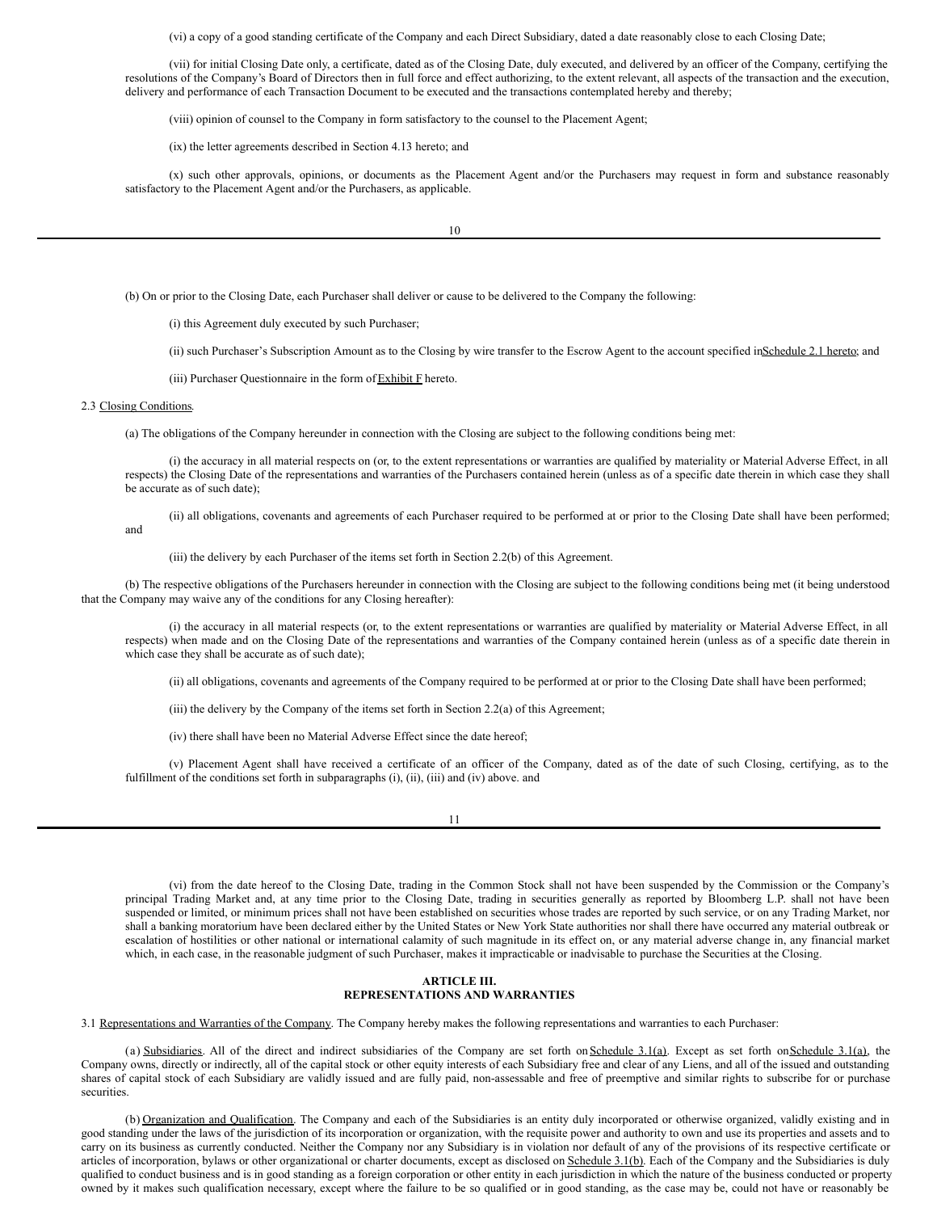(vi) a copy of a good standing certificate of the Company and each Direct Subsidiary, dated a date reasonably close to each Closing Date;

(vii) for initial Closing Date only, a certificate, dated as of the Closing Date, duly executed, and delivered by an officer of the Company, certifying the resolutions of the Company's Board of Directors then in full force and effect authorizing, to the extent relevant, all aspects of the transaction and the execution, delivery and performance of each Transaction Document to be executed and the transactions contemplated hereby and thereby;

(viii) opinion of counsel to the Company in form satisfactory to the counsel to the Placement Agent;

(ix) the letter agreements described in Section 4.13 hereto; and

(x) such other approvals, opinions, or documents as the Placement Agent and/or the Purchasers may request in form and substance reasonably satisfactory to the Placement Agent and/or the Purchasers, as applicable.

10

(b) On or prior to the Closing Date, each Purchaser shall deliver or cause to be delivered to the Company the following:

(i) this Agreement duly executed by such Purchaser;

(ii) such Purchaser's Subscription Amount as to the Closing by wire transfer to the Escrow Agent to the account specified in Schedule 2.1 hereto; and

(iii) Purchaser Questionnaire in the form of  $Exhibit F$  hereto.

#### 2.3 Closing Conditions.

(a) The obligations of the Company hereunder in connection with the Closing are subject to the following conditions being met:

(i) the accuracy in all material respects on (or, to the extent representations or warranties are qualified by materiality or Material Adverse Effect, in all respects) the Closing Date of the representations and warranties of the Purchasers contained herein (unless as of a specific date therein in which case they shall be accurate as of such date);

(ii) all obligations, covenants and agreements of each Purchaser required to be performed at or prior to the Closing Date shall have been performed; and

(iii) the delivery by each Purchaser of the items set forth in Section 2.2(b) of this Agreement.

(b) The respective obligations of the Purchasers hereunder in connection with the Closing are subject to the following conditions being met (it being understood that the Company may waive any of the conditions for any Closing hereafter):

(i) the accuracy in all material respects (or, to the extent representations or warranties are qualified by materiality or Material Adverse Effect, in all respects) when made and on the Closing Date of the representations and warranties of the Company contained herein (unless as of a specific date therein in which case they shall be accurate as of such date);

(ii) all obligations, covenants and agreements of the Company required to be performed at or prior to the Closing Date shall have been performed;

(iii) the delivery by the Company of the items set forth in Section 2.2(a) of this Agreement;

(iv) there shall have been no Material Adverse Effect since the date hereof;

(v) Placement Agent shall have received a certificate of an officer of the Company, dated as of the date of such Closing, certifying, as to the fulfillment of the conditions set forth in subparagraphs (i), (ii), (iii) and (iv) above. and

11

(vi) from the date hereof to the Closing Date, trading in the Common Stock shall not have been suspended by the Commission or the Company's principal Trading Market and, at any time prior to the Closing Date, trading in securities generally as reported by Bloomberg L.P. shall not have been suspended or limited, or minimum prices shall not have been established on securities whose trades are reported by such service, or on any Trading Market, nor shall a banking moratorium have been declared either by the United States or New York State authorities nor shall there have occurred any material outbreak or escalation of hostilities or other national or international calamity of such magnitude in its effect on, or any material adverse change in, any financial market which, in each case, in the reasonable judgment of such Purchaser, makes it impracticable or inadvisable to purchase the Securities at the Closing.

## **ARTICLE III. REPRESENTATIONS AND WARRANTIES**

3.1 Representations and Warranties of the Company. The Company hereby makes the following representations and warranties to each Purchaser:

(a) Subsidiaries. All of the direct and indirect subsidiaries of the Company are set forth on Schedule 3.1(a). Except as set forth onSchedule 3.1(a), the Company owns, directly or indirectly, all of the capital stock or other equity interests of each Subsidiary free and clear of any Liens, and all of the issued and outstanding shares of capital stock of each Subsidiary are validly issued and are fully paid, non-assessable and free of preemptive and similar rights to subscribe for or purchase **securities** 

(b) Organization and Qualification. The Company and each of the Subsidiaries is an entity duly incorporated or otherwise organized, validly existing and in good standing under the laws of the jurisdiction of its incorporation or organization, with the requisite power and authority to own and use its properties and assets and to carry on its business as currently conducted. Neither the Company nor any Subsidiary is in violation nor default of any of the provisions of its respective certificate or articles of incorporation, bylaws or other organizational or charter documents, except as disclosed on Schedule 3.1(b). Each of the Company and the Subsidiaries is duly qualified to conduct business and is in good standing as a foreign corporation or other entity in each jurisdiction in which the nature of the business conducted or property owned by it makes such qualification necessary, except where the failure to be so qualified or in good standing, as the case may be, could not have or reasonably be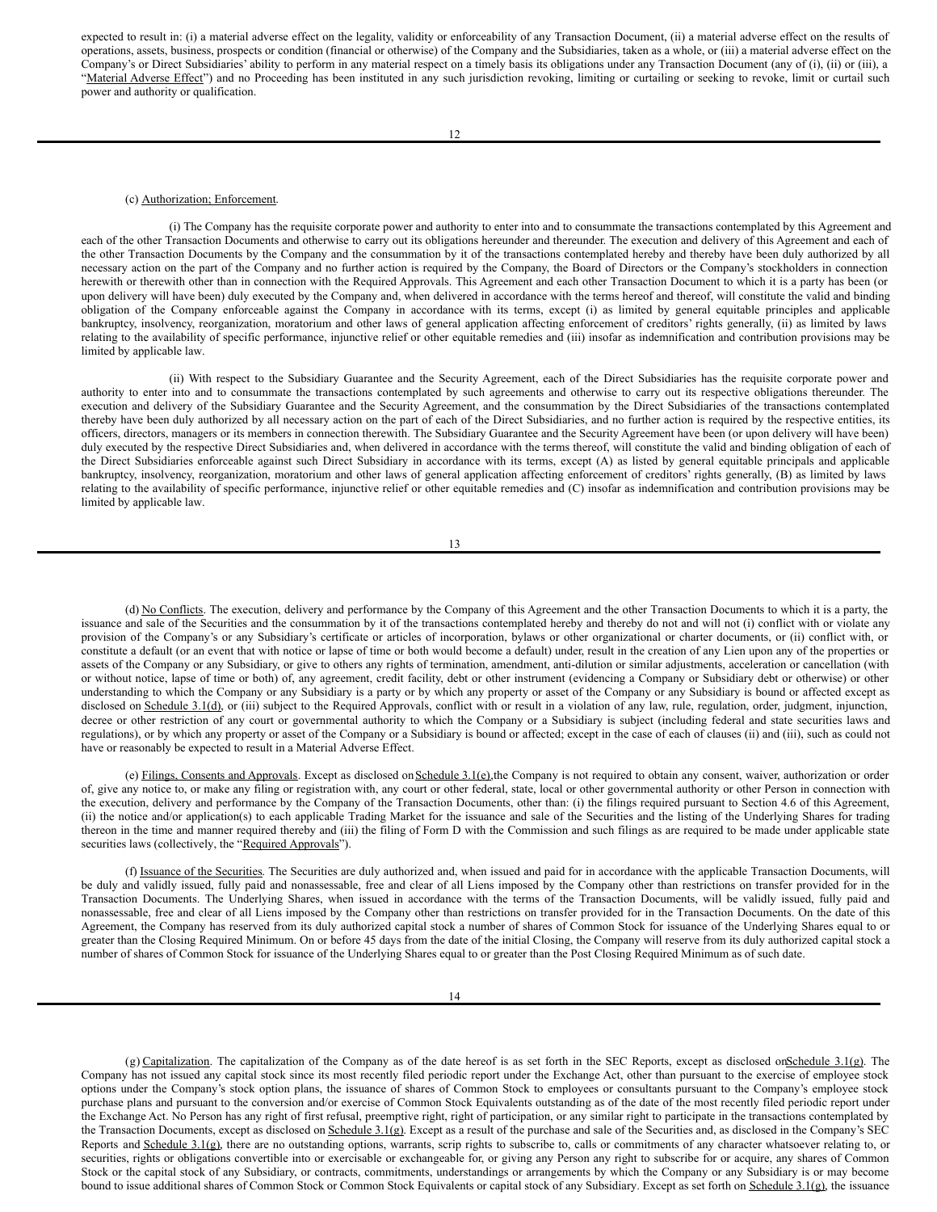expected to result in: (i) a material adverse effect on the legality, validity or enforceability of any Transaction Document, (ii) a material adverse effect on the results of operations, assets, business, prospects or condition (financial or otherwise) of the Company and the Subsidiaries, taken as a whole, or (iii) a material adverse effect on the Company's or Direct Subsidiaries' ability to perform in any material respect on a timely basis its obligations under any Transaction Document (any of (i), (ii) or (iii), a "Material Adverse Effect") and no Proceeding has been instituted in any such jurisdiction revoking, limiting or curtailing or seeking to revoke, limit or curtail such power and authority or qualification.

### (c) Authorization; Enforcement.

(i) The Company has the requisite corporate power and authority to enter into and to consummate the transactions contemplated by this Agreement and each of the other Transaction Documents and otherwise to carry out its obligations hereunder and thereunder. The execution and delivery of this Agreement and each of the other Transaction Documents by the Company and the consummation by it of the transactions contemplated hereby and thereby have been duly authorized by all necessary action on the part of the Company and no further action is required by the Company, the Board of Directors or the Company's stockholders in connection herewith or therewith other than in connection with the Required Approvals. This Agreement and each other Transaction Document to which it is a party has been (or upon delivery will have been) duly executed by the Company and, when delivered in accordance with the terms hereof and thereof, will constitute the valid and binding obligation of the Company enforceable against the Company in accordance with its terms, except (i) as limited by general equitable principles and applicable bankruptcy, insolvency, reorganization, moratorium and other laws of general application affecting enforcement of creditors' rights generally, (ii) as limited by laws relating to the availability of specific performance, injunctive relief or other equitable remedies and (iii) insofar as indemnification and contribution provisions may be limited by applicable law.

(ii) With respect to the Subsidiary Guarantee and the Security Agreement, each of the Direct Subsidiaries has the requisite corporate power and authority to enter into and to consummate the transactions contemplated by such agreements and otherwise to carry out its respective obligations thereunder. The execution and delivery of the Subsidiary Guarantee and the Security Agreement, and the consummation by the Direct Subsidiaries of the transactions contemplated thereby have been duly authorized by all necessary action on the part of each of the Direct Subsidiaries, and no further action is required by the respective entities, its officers, directors, managers or its members in connection therewith. The Subsidiary Guarantee and the Security Agreement have been (or upon delivery will have been) duly executed by the respective Direct Subsidiaries and, when delivered in accordance with the terms thereof, will constitute the valid and binding obligation of each of the Direct Subsidiaries enforceable against such Direct Subsidiary in accordance with its terms, except (A) as listed by general equitable principals and applicable bankruptcy, insolvency, reorganization, moratorium and other laws of general application affecting enforcement of creditors' rights generally, (B) as limited by laws relating to the availability of specific performance, injunctive relief or other equitable remedies and (C) insofar as indemnification and contribution provisions may be limited by applicable law.

13

(d) No Conflicts. The execution, delivery and performance by the Company of this Agreement and the other Transaction Documents to which it is a party, the issuance and sale of the Securities and the consummation by it of the transactions contemplated hereby and thereby do not and will not (i) conflict with or violate any provision of the Company's or any Subsidiary's certificate or articles of incorporation, bylaws or other organizational or charter documents, or (ii) conflict with, or constitute a default (or an event that with notice or lapse of time or both would become a default) under, result in the creation of any Lien upon any of the properties or assets of the Company or any Subsidiary, or give to others any rights of termination, amendment, anti-dilution or similar adjustments, acceleration or cancellation (with or without notice, lapse of time or both) of, any agreement, credit facility, debt or other instrument (evidencing a Company or Subsidiary debt or otherwise) or other understanding to which the Company or any Subsidiary is a party or by which any property or asset of the Company or any Subsidiary is bound or affected except as disclosed on Schedule 3.1(d), or (iii) subject to the Required Approvals, conflict with or result in a violation of any law, rule, regulation, order, judgment, injunction, decree or other restriction of any court or governmental authority to which the Company or a Subsidiary is subject (including federal and state securities laws and regulations), or by which any property or asset of the Company or a Subsidiary is bound or affected; except in the case of each of clauses (ii) and (iii), such as could not have or reasonably be expected to result in a Material Adverse Effect.

(e) Filings, Consents and Approvals. Except as disclosed on Schedule 3.1(e),the Company is not required to obtain any consent, waiver, authorization or order of, give any notice to, or make any filing or registration with, any court or other federal, state, local or other governmental authority or other Person in connection with the execution, delivery and performance by the Company of the Transaction Documents, other than: (i) the filings required pursuant to Section 4.6 of this Agreement, (ii) the notice and/or application(s) to each applicable Trading Market for the issuance and sale of the Securities and the listing of the Underlying Shares for trading thereon in the time and manner required thereby and (iii) the filing of Form D with the Commission and such filings as are required to be made under applicable state securities laws (collectively, the "Required Approvals").

(f) Issuance of the Securities. The Securities are duly authorized and, when issued and paid for in accordance with the applicable Transaction Documents, will be duly and validly issued, fully paid and nonassessable, free and clear of all Liens imposed by the Company other than restrictions on transfer provided for in the Transaction Documents. The Underlying Shares, when issued in accordance with the terms of the Transaction Documents, will be validly issued, fully paid and nonassessable, free and clear of all Liens imposed by the Company other than restrictions on transfer provided for in the Transaction Documents. On the date of this Agreement, the Company has reserved from its duly authorized capital stock a number of shares of Common Stock for issuance of the Underlying Shares equal to or greater than the Closing Required Minimum. On or before 45 days from the date of the initial Closing, the Company will reserve from its duly authorized capital stock a number of shares of Common Stock for issuance of the Underlying Shares equal to or greater than the Post Closing Required Minimum as of such date.

 $(g)$  Capitalization. The capitalization of the Company as of the date hereof is as set forth in the SEC Reports, except as disclosed on Schedule 3.1(g). The Company has not issued any capital stock since its most recently filed periodic report under the Exchange Act, other than pursuant to the exercise of employee stock options under the Company's stock option plans, the issuance of shares of Common Stock to employees or consultants pursuant to the Company's employee stock purchase plans and pursuant to the conversion and/or exercise of Common Stock Equivalents outstanding as of the date of the most recently filed periodic report under the Exchange Act. No Person has any right of first refusal, preemptive right, right of participation, or any similar right to participate in the transactions contemplated by the Transaction Documents, except as disclosed on Schedule 3.1(g). Except as a result of the purchase and sale of the Securities and, as disclosed in the Company's SEC Reports and Schedule 3.1(g), there are no outstanding options, warrants, scrip rights to subscribe to, calls or commitments of any character whatsoever relating to, or securities, rights or obligations convertible into or exercisable or exchangeable for, or giving any Person any right to subscribe for or acquire, any shares of Common Stock or the capital stock of any Subsidiary, or contracts, commitments, understandings or arrangements by which the Company or any Subsidiary is or may become bound to issue additional shares of Common Stock or Common Stock Equivalents or capital stock of any Subsidiary. Except as set forth on Schedule 3.1(g), the issuance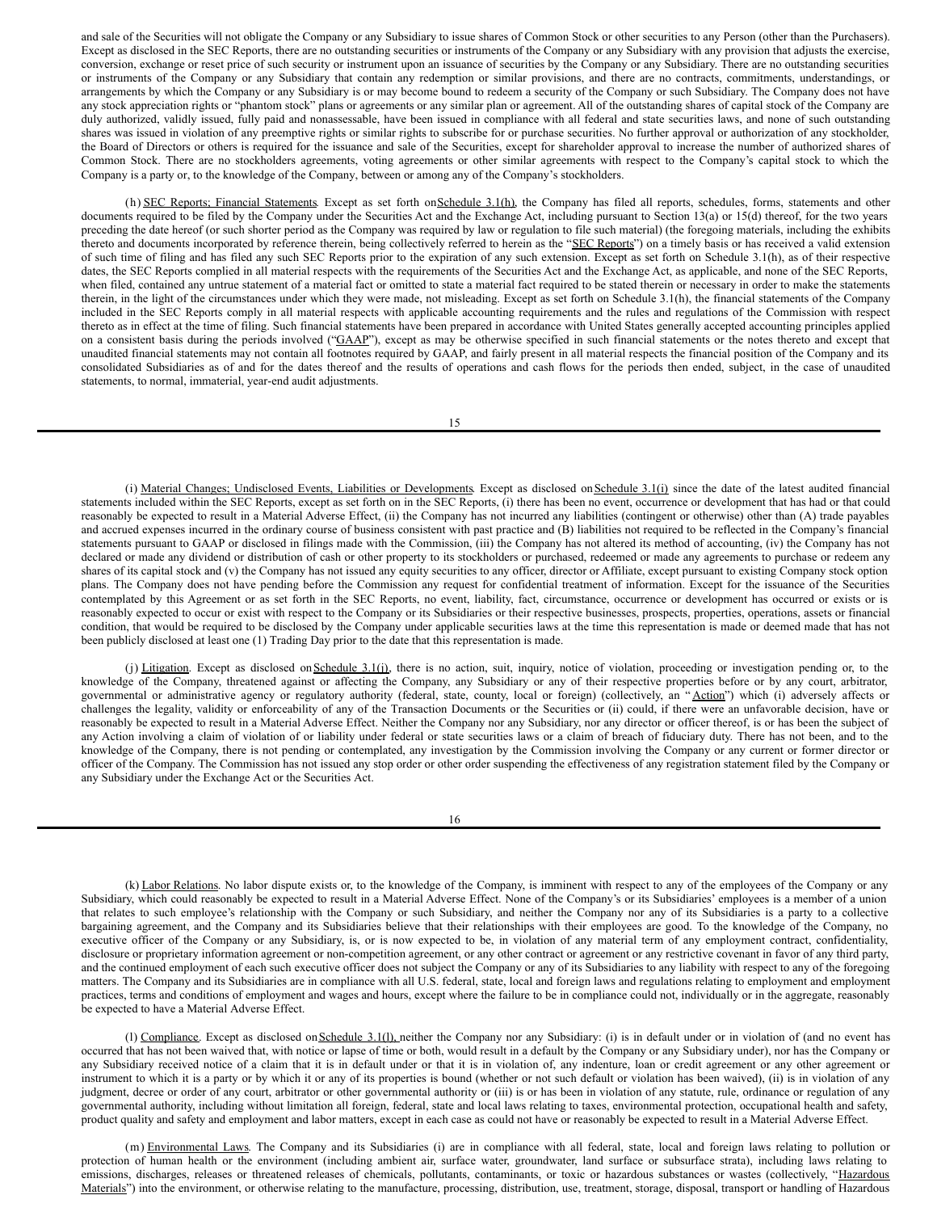and sale of the Securities will not obligate the Company or any Subsidiary to issue shares of Common Stock or other securities to any Person (other than the Purchasers). Except as disclosed in the SEC Reports, there are no outstanding securities or instruments of the Company or any Subsidiary with any provision that adjusts the exercise, conversion, exchange or reset price of such security or instrument upon an issuance of securities by the Company or any Subsidiary. There are no outstanding securities or instruments of the Company or any Subsidiary that contain any redemption or similar provisions, and there are no contracts, commitments, understandings, or arrangements by which the Company or any Subsidiary is or may become bound to redeem a security of the Company or such Subsidiary. The Company does not have any stock appreciation rights or "phantom stock" plans or agreements or any similar plan or agreement. All of the outstanding shares of capital stock of the Company are duly authorized, validly issued, fully paid and nonassessable, have been issued in compliance with all federal and state securities laws, and none of such outstanding shares was issued in violation of any preemptive rights or similar rights to subscribe for or purchase securities. No further approval or authorization of any stockholder, the Board of Directors or others is required for the issuance and sale of the Securities, except for shareholder approval to increase the number of authorized shares of Common Stock. There are no stockholders agreements, voting agreements or other similar agreements with respect to the Company's capital stock to which the Company is a party or, to the knowledge of the Company, between or among any of the Company's stockholders.

(h) SEC Reports; Financial Statements. Except as set forth on Schedule 3.1(h), the Company has filed all reports, schedules, forms, statements and other documents required to be filed by the Company under the Securities Act and the Exchange Act, including pursuant to Section 13(a) or 15(d) thereof, for the two years preceding the date hereof (or such shorter period as the Company was required by law or regulation to file such material) (the foregoing materials, including the exhibits thereto and documents incorporated by reference therein, being collectively referred to herein as the "SEC Reports") on a timely basis or has received a valid extension of such time of filing and has filed any such SEC Reports prior to the expiration of any such extension. Except as set forth on Schedule 3.1(h), as of their respective dates, the SEC Reports complied in all material respects with the requirements of the Securities Act and the Exchange Act, as applicable, and none of the SEC Reports, when filed, contained any untrue statement of a material fact or omitted to state a material fact required to be stated therein or necessary in order to make the statements therein, in the light of the circumstances under which they were made, not misleading. Except as set forth on Schedule 3.1(h), the financial statements of the Company included in the SEC Reports comply in all material respects with applicable accounting requirements and the rules and regulations of the Commission with respect thereto as in effect at the time of filing. Such financial statements have been prepared in accordance with United States generally accepted accounting principles applied on a consistent basis during the periods involved ("GAAP"), except as may be otherwise specified in such financial statements or the notes thereto and except that unaudited financial statements may not contain all footnotes required by GAAP, and fairly present in all material respects the financial position of the Company and its consolidated Subsidiaries as of and for the dates thereof and the results of operations and cash flows for the periods then ended, subject, in the case of unaudited statements, to normal, immaterial, year-end audit adjustments.

15

(i) Material Changes; Undisclosed Events, Liabilities or Developments. Except as disclosed on Schedule 3.1(i) since the date of the latest audited financial statements included within the SEC Reports, except as set forth on in the SEC Reports, (i) there has been no event, occurrence or development that has had or that could reasonably be expected to result in a Material Adverse Effect, (ii) the Company has not incurred any liabilities (contingent or otherwise) other than (A) trade payables and accrued expenses incurred in the ordinary course of business consistent with past practice and (B) liabilities not required to be reflected in the Company's financial statements pursuant to GAAP or disclosed in filings made with the Commission, (iii) the Company has not altered its method of accounting, (iv) the Company has not declared or made any dividend or distribution of cash or other property to its stockholders or purchased, redeemed or made any agreements to purchase or redeem any shares of its capital stock and (v) the Company has not issued any equity securities to any officer, director or Affiliate, except pursuant to existing Company stock option plans. The Company does not have pending before the Commission any request for confidential treatment of information. Except for the issuance of the Securities contemplated by this Agreement or as set forth in the SEC Reports, no event, liability, fact, circumstance, occurrence or development has occurred or exists or is reasonably expected to occur or exist with respect to the Company or its Subsidiaries or their respective businesses, prospects, properties, operations, assets or financial condition, that would be required to be disclosed by the Company under applicable securities laws at the time this representation is made or deemed made that has not been publicly disclosed at least one (1) Trading Day prior to the date that this representation is made.

(j) Litigation. Except as disclosed on Schedule 3.1(j), there is no action, suit, inquiry, notice of violation, proceeding or investigation pending or, to the knowledge of the Company, threatened against or affecting the Company, any Subsidiary or any of their respective properties before or by any court, arbitrator, governmental or administrative agency or regulatory authority (federal, state, county, local or foreign) (collectively, an "Action") which (i) adversely affects or challenges the legality, validity or enforceability of any of the Transaction Documents or the Securities or (ii) could, if there were an unfavorable decision, have or reasonably be expected to result in a Material Adverse Effect. Neither the Company nor any Subsidiary, nor any director or officer thereof, is or has been the subject of any Action involving a claim of violation of or liability under federal or state securities laws or a claim of breach of fiduciary duty. There has not been, and to the knowledge of the Company, there is not pending or contemplated, any investigation by the Commission involving the Company or any current or former director or officer of the Company. The Commission has not issued any stop order or other order suspending the effectiveness of any registration statement filed by the Company or any Subsidiary under the Exchange Act or the Securities Act.

16

(k) Labor Relations. No labor dispute exists or, to the knowledge of the Company, is imminent with respect to any of the employees of the Company or any Subsidiary, which could reasonably be expected to result in a Material Adverse Effect. None of the Company's or its Subsidiaries' employees is a member of a union that relates to such employee's relationship with the Company or such Subsidiary, and neither the Company nor any of its Subsidiaries is a party to a collective bargaining agreement, and the Company and its Subsidiaries believe that their relationships with their employees are good. To the knowledge of the Company, no executive officer of the Company or any Subsidiary, is, or is now expected to be, in violation of any material term of any employment contract, confidentiality, disclosure or proprietary information agreement or non-competition agreement, or any other contract or agreement or any restrictive covenant in favor of any third party, and the continued employment of each such executive officer does not subject the Company or any of its Subsidiaries to any liability with respect to any of the foregoing matters. The Company and its Subsidiaries are in compliance with all U.S. federal, state, local and foreign laws and regulations relating to employment and employment practices, terms and conditions of employment and wages and hours, except where the failure to be in compliance could not, individually or in the aggregate, reasonably be expected to have a Material Adverse Effect.

(1) Compliance. Except as disclosed on Schedule 3.1(1), neither the Company nor any Subsidiary: (i) is in default under or in violation of (and no event has occurred that has not been waived that, with notice or lapse of time or both, would result in a default by the Company or any Subsidiary under), nor has the Company or any Subsidiary received notice of a claim that it is in default under or that it is in violation of, any indenture, loan or credit agreement or any other agreement or instrument to which it is a party or by which it or any of its properties is bound (whether or not such default or violation has been waived), (ii) is in violation of any judgment, decree or order of any court, arbitrator or other governmental authority or (iii) is or has been in violation of any statute, rule, ordinance or regulation of any governmental authority, including without limitation all foreign, federal, state and local laws relating to taxes, environmental protection, occupational health and safety, product quality and safety and employment and labor matters, except in each case as could not have or reasonably be expected to result in a Material Adverse Effect.

(m) Environmental Laws. The Company and its Subsidiaries (i) are in compliance with all federal, state, local and foreign laws relating to pollution or protection of human health or the environment (including ambient air, surface water, groundwater, land surface or subsurface strata), including laws relating to emissions, discharges, releases or threatened releases of chemicals, pollutants, contaminants, or toxic or hazardous substances or wastes (collectively, "Hazardous Materials") into the environment, or otherwise relating to the manufacture, processing, distribution, use, treatment, storage, disposal, transport or handling of Hazardous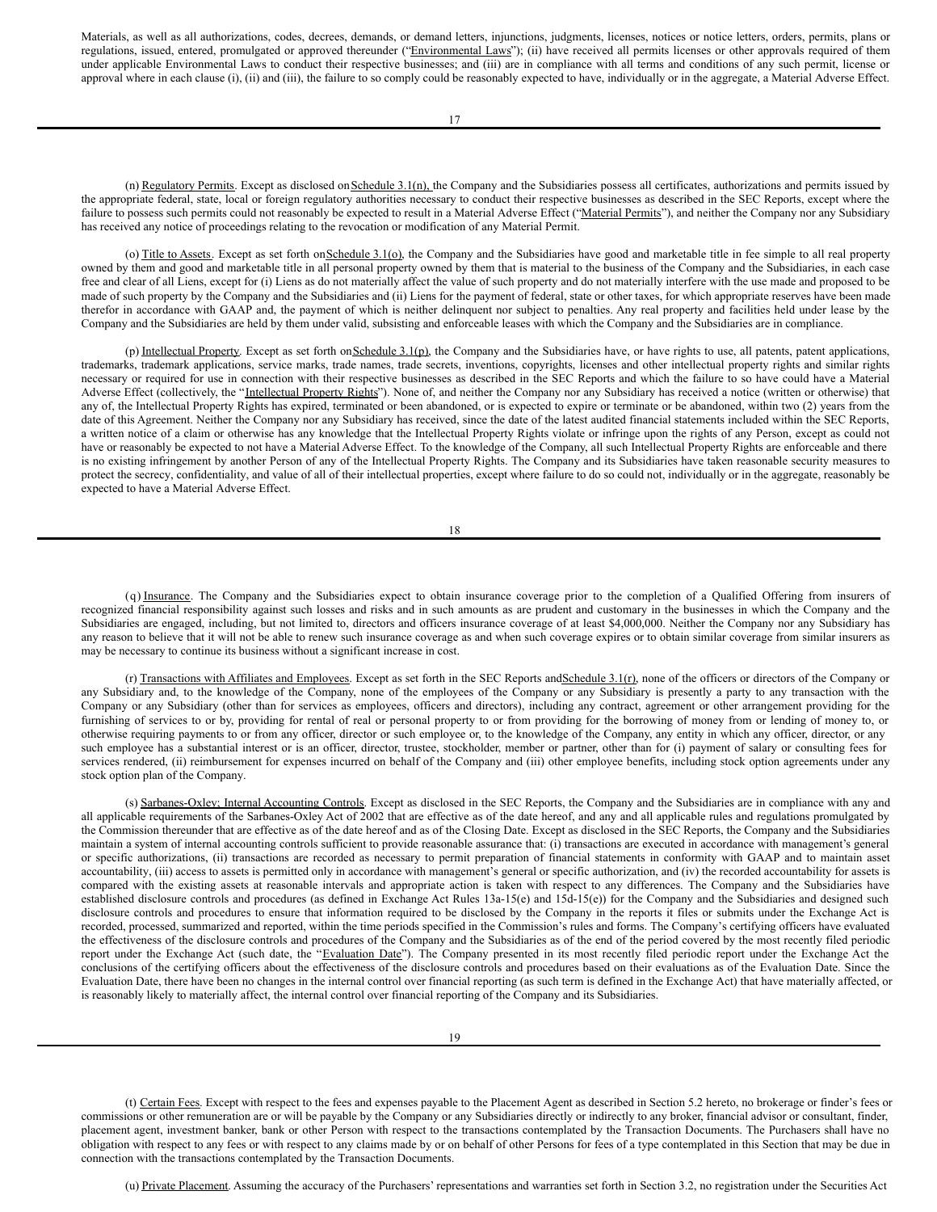Materials, as well as all authorizations, codes, decrees, demands, or demand letters, injunctions, judgments, licenses, notices or notice letters, orders, permits, plans or regulations, issued, entered, promulgated or approved thereunder ("Environmental Laws"); (ii) have received all permits licenses or other approvals required of them under applicable Environmental Laws to conduct their respective businesses; and (iii) are in compliance with all terms and conditions of any such permit, license or approval where in each clause (i), (ii) and (iii), the failure to so comply could be reasonably expected to have, individually or in the aggregate, a Material Adverse Effect.

(n) Regulatory Permits. Except as disclosed on Schedule 3.1(n), the Company and the Subsidiaries possess all certificates, authorizations and permits issued by the appropriate federal, state, local or foreign regulatory authorities necessary to conduct their respective businesses as described in the SEC Reports, except where the failure to possess such permits could not reasonably be expected to result in a Material Adverse Effect ("Material Permits"), and neither the Company nor any Subsidiary has received any notice of proceedings relating to the revocation or modification of any Material Permit.

(o) Title to Assets. Except as set forth on Schedule 3.1(o), the Company and the Subsidiaries have good and marketable title in fee simple to all real property owned by them and good and marketable title in all personal property owned by them that is material to the business of the Company and the Subsidiaries, in each case free and clear of all Liens, except for (i) Liens as do not materially affect the value of such property and do not materially interfere with the use made and proposed to be made of such property by the Company and the Subsidiaries and (ii) Liens for the payment of federal, state or other taxes, for which appropriate reserves have been made therefor in accordance with GAAP and, the payment of which is neither delinquent nor subject to penalties. Any real property and facilities held under lease by the Company and the Subsidiaries are held by them under valid, subsisting and enforceable leases with which the Company and the Subsidiaries are in compliance.

(p) Intellectual Property. Except as set forth on Schedule 3.1(p), the Company and the Subsidiaries have, or have rights to use, all patents, patent applications, trademarks, trademark applications, service marks, trade names, trade secrets, inventions, copyrights, licenses and other intellectual property rights and similar rights necessary or required for use in connection with their respective businesses as described in the SEC Reports and which the failure to so have could have a Material Adverse Effect (collectively, the "Intellectual Property Rights"). None of, and neither the Company nor any Subsidiary has received a notice (written or otherwise) that any of, the Intellectual Property Rights has expired, terminated or been abandoned, or is expected to expire or terminate or be abandoned, within two (2) years from the date of this Agreement. Neither the Company nor any Subsidiary has received, since the date of the latest audited financial statements included within the SEC Reports, a written notice of a claim or otherwise has any knowledge that the Intellectual Property Rights violate or infringe upon the rights of any Person, except as could not have or reasonably be expected to not have a Material Adverse Effect. To the knowledge of the Company, all such Intellectual Property Rights are enforceable and there is no existing infringement by another Person of any of the Intellectual Property Rights. The Company and its Subsidiaries have taken reasonable security measures to protect the secrecy, confidentiality, and value of all of their intellectual properties, except where failure to do so could not, individually or in the aggregate, reasonably be expected to have a Material Adverse Effect.

| I<br>×<br>w<br>۹ |  |
|------------------|--|

(q) Insurance. The Company and the Subsidiaries expect to obtain insurance coverage prior to the completion of a Qualified Offering from insurers of recognized financial responsibility against such losses and risks and in such amounts as are prudent and customary in the businesses in which the Company and the Subsidiaries are engaged, including, but not limited to, directors and officers insurance coverage of at least \$4,000,000. Neither the Company nor any Subsidiary has any reason to believe that it will not be able to renew such insurance coverage as and when such coverage expires or to obtain similar coverage from similar insurers as may be necessary to continue its business without a significant increase in cost.

(r) Transactions with Affiliates and Employees. Except as set forth in the SEC Reports and Schedule 3.1(r), none of the officers or directors of the Company or any Subsidiary and, to the knowledge of the Company, none of the employees of the Company or any Subsidiary is presently a party to any transaction with the Company or any Subsidiary (other than for services as employees, officers and directors), including any contract, agreement or other arrangement providing for the furnishing of services to or by, providing for rental of real or personal property to or from providing for the borrowing of money from or lending of money to, or otherwise requiring payments to or from any officer, director or such employee or, to the knowledge of the Company, any entity in which any officer, director, or any such employee has a substantial interest or is an officer, director, trustee, stockholder, member or partner, other than for (i) payment of salary or consulting fees for services rendered, (ii) reimbursement for expenses incurred on behalf of the Company and (iii) other employee benefits, including stock option agreements under any stock option plan of the Company.

(s) Sarbanes-Oxley; Internal Accounting Controls. Except as disclosed in the SEC Reports, the Company and the Subsidiaries are in compliance with any and all applicable requirements of the Sarbanes-Oxley Act of 2002 that are effective as of the date hereof, and any and all applicable rules and regulations promulgated by the Commission thereunder that are effective as of the date hereof and as of the Closing Date. Except as disclosed in the SEC Reports, the Company and the Subsidiaries maintain a system of internal accounting controls sufficient to provide reasonable assurance that: (i) transactions are executed in accordance with management's general or specific authorizations, (ii) transactions are recorded as necessary to permit preparation of financial statements in conformity with GAAP and to maintain asset accountability, (iii) access to assets is permitted only in accordance with management's general or specific authorization, and (iv) the recorded accountability for assets is compared with the existing assets at reasonable intervals and appropriate action is taken with respect to any differences. The Company and the Subsidiaries have established disclosure controls and procedures (as defined in Exchange Act Rules 13a-15(e) and 15d-15(e)) for the Company and the Subsidiaries and designed such disclosure controls and procedures to ensure that information required to be disclosed by the Company in the reports it files or submits under the Exchange Act is recorded, processed, summarized and reported, within the time periods specified in the Commission's rules and forms. The Company's certifying officers have evaluated the effectiveness of the disclosure controls and procedures of the Company and the Subsidiaries as of the end of the period covered by the most recently filed periodic report under the Exchange Act (such date, the "Evaluation Date"). The Company presented in its most recently filed periodic report under the Exchange Act the conclusions of the certifying officers about the effectiveness of the disclosure controls and procedures based on their evaluations as of the Evaluation Date. Since the Evaluation Date, there have been no changes in the internal control over financial reporting (as such term is defined in the Exchange Act) that have materially affected, or is reasonably likely to materially affect, the internal control over financial reporting of the Company and its Subsidiaries.

(t) Certain Fees. Except with respect to the fees and expenses payable to the Placement Agent as described in Section 5.2 hereto, no brokerage or finder's fees or commissions or other remuneration are or will be payable by the Company or any Subsidiaries directly or indirectly to any broker, financial advisor or consultant, finder, placement agent, investment banker, bank or other Person with respect to the transactions contemplated by the Transaction Documents. The Purchasers shall have no obligation with respect to any fees or with respect to any claims made by or on behalf of other Persons for fees of a type contemplated in this Section that may be due in connection with the transactions contemplated by the Transaction Documents.

(u) Private Placement. Assuming the accuracy of the Purchasers' representations and warranties set forth in Section 3.2, no registration under the Securities Act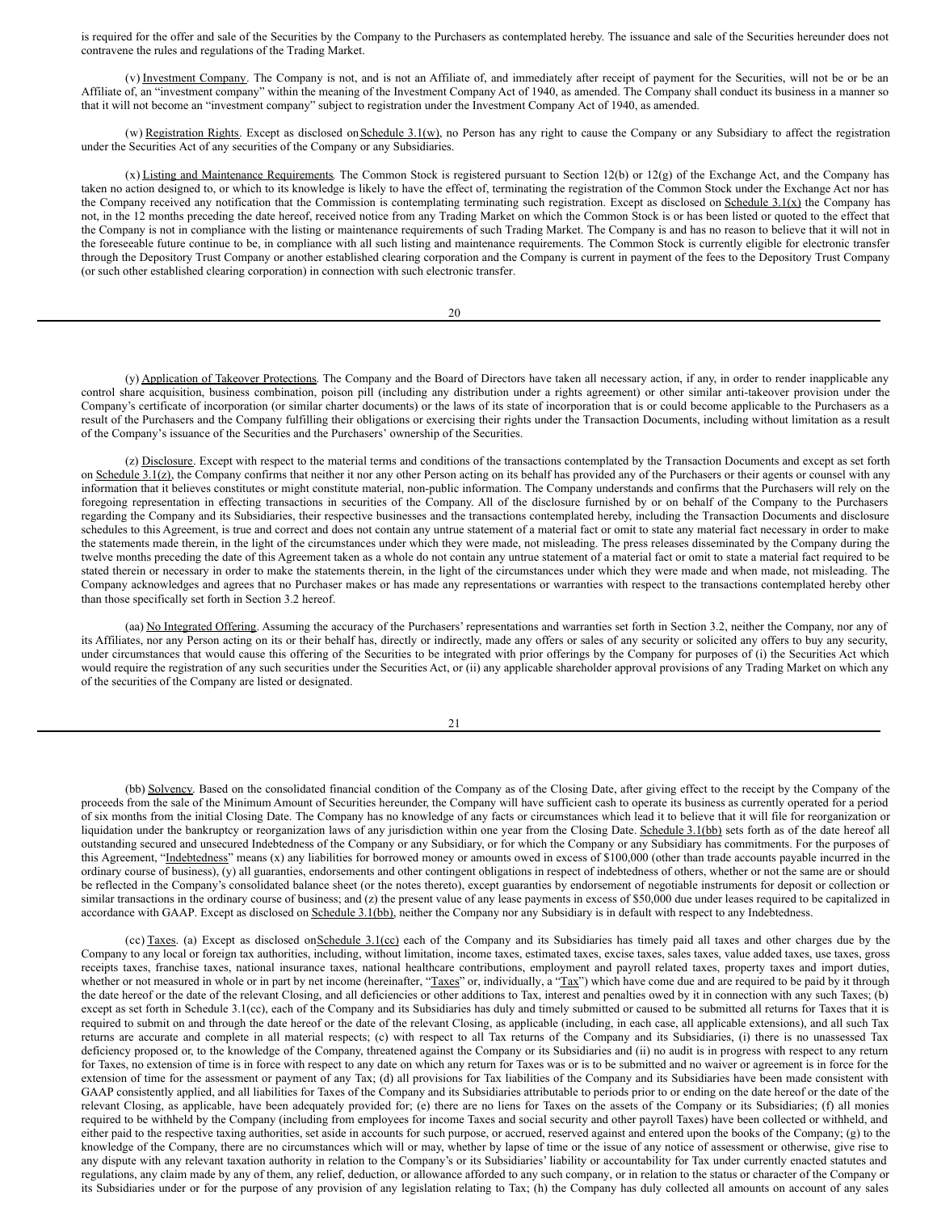is required for the offer and sale of the Securities by the Company to the Purchasers as contemplated hereby. The issuance and sale of the Securities hereunder does not contravene the rules and regulations of the Trading Market.

(v) Investment Company. The Company is not, and is not an Affiliate of, and immediately after receipt of payment for the Securities, will not be or be an Affiliate of, an "investment company" within the meaning of the Investment Company Act of 1940, as amended. The Company shall conduct its business in a manner so that it will not become an "investment company" subject to registration under the Investment Company Act of 1940, as amended.

(w) Registration Rights. Except as disclosed on Schedule 3.1(w), no Person has any right to cause the Company or any Subsidiary to affect the registration under the Securities Act of any securities of the Company or any Subsidiaries.

(x) Listing and Maintenance Requirements. The Common Stock is registered pursuant to Section 12(b) or 12(g) of the Exchange Act, and the Company has taken no action designed to, or which to its knowledge is likely to have the effect of, terminating the registration of the Common Stock under the Exchange Act nor has the Company received any notification that the Commission is contemplating terminating such registration. Except as disclosed on Schedule 3.1(x) the Company has not, in the 12 months preceding the date hereof, received notice from any Trading Market on which the Common Stock is or has been listed or quoted to the effect that the Company is not in compliance with the listing or maintenance requirements of such Trading Market. The Company is and has no reason to believe that it will not in the foreseeable future continue to be, in compliance with all such listing and maintenance requirements. The Common Stock is currently eligible for electronic transfer through the Depository Trust Company or another established clearing corporation and the Company is current in payment of the fees to the Depository Trust Company (or such other established clearing corporation) in connection with such electronic transfer.

20

(y) Application of Takeover Protections. The Company and the Board of Directors have taken all necessary action, if any, in order to render inapplicable any control share acquisition, business combination, poison pill (including any distribution under a rights agreement) or other similar anti-takeover provision under the Company's certificate of incorporation (or similar charter documents) or the laws of its state of incorporation that is or could become applicable to the Purchasers as a result of the Purchasers and the Company fulfilling their obligations or exercising their rights under the Transaction Documents, including without limitation as a result of the Company's issuance of the Securities and the Purchasers' ownership of the Securities.

(z) Disclosure. Except with respect to the material terms and conditions of the transactions contemplated by the Transaction Documents and except as set forth on Schedule 3.1(z), the Company confirms that neither it nor any other Person acting on its behalf has provided any of the Purchasers or their agents or counsel with any information that it believes constitutes or might constitute material, non-public information. The Company understands and confirms that the Purchasers will rely on the foregoing representation in effecting transactions in securities of the Company. All of the disclosure furnished by or on behalf of the Company to the Purchasers regarding the Company and its Subsidiaries, their respective businesses and the transactions contemplated hereby, including the Transaction Documents and disclosure schedules to this Agreement, is true and correct and does not contain any untrue statement of a material fact or omit to state any material fact necessary in order to make the statements made therein, in the light of the circumstances under which they were made, not misleading. The press releases disseminated by the Company during the twelve months preceding the date of this Agreement taken as a whole do not contain any untrue statement of a material fact or omit to state a material fact required to be stated therein or necessary in order to make the statements therein, in the light of the circumstances under which they were made and when made, not misleading. The Company acknowledges and agrees that no Purchaser makes or has made any representations or warranties with respect to the transactions contemplated hereby other than those specifically set forth in Section 3.2 hereof.

(aa) No Integrated Offering. Assuming the accuracy of the Purchasers' representations and warranties set forth in Section 3.2, neither the Company, nor any of its Affiliates, nor any Person acting on its or their behalf has, directly or indirectly, made any offers or sales of any security or solicited any offers to buy any security, under circumstances that would cause this offering of the Securities to be integrated with prior offerings by the Company for purposes of (i) the Securities Act which would require the registration of any such securities under the Securities Act, or (ii) any applicable shareholder approval provisions of any Trading Market on which any of the securities of the Company are listed or designated.

21

(bb) Solvency. Based on the consolidated financial condition of the Company as of the Closing Date, after giving effect to the receipt by the Company of the proceeds from the sale of the Minimum Amount of Securities hereunder, the Company will have sufficient cash to operate its business as currently operated for a period of six months from the initial Closing Date. The Company has no knowledge of any facts or circumstances which lead it to believe that it will file for reorganization or liquidation under the bankruptcy or reorganization laws of any jurisdiction within one year from the Closing Date. Schedule 3.1(bb) sets forth as of the date hereof all outstanding secured and unsecured Indebtedness of the Company or any Subsidiary, or for which the Company or any Subsidiary has commitments. For the purposes of this Agreement, "Indebtedness" means (x) any liabilities for borrowed money or amounts owed in excess of \$100,000 (other than trade accounts payable incurred in the ordinary course of business), (y) all guaranties, endorsements and other contingent obligations in respect of indebtedness of others, whether or not the same are or should be reflected in the Company's consolidated balance sheet (or the notes thereto), except guaranties by endorsement of negotiable instruments for deposit or collection or similar transactions in the ordinary course of business; and (z) the present value of any lease payments in excess of \$50,000 due under leases required to be capitalized in accordance with GAAP. Except as disclosed on Schedule 3.1(bb), neither the Company nor any Subsidiary is in default with respect to any Indebtedness.

(cc) Taxes. (a) Except as disclosed on Schedule 3.1(cc) each of the Company and its Subsidiaries has timely paid all taxes and other charges due by the Company to any local or foreign tax authorities, including, without limitation, income taxes, estimated taxes, excise taxes, sales taxes, value added taxes, use taxes, gross receipts taxes, franchise taxes, national insurance taxes, national healthcare contributions, employment and payroll related taxes, property taxes and import duties, whether or not measured in whole or in part by net income (hereinafter, "Taxes" or, individually, a "Tax") which have come due and are required to be paid by it through the date hereof or the date of the relevant Closing, and all deficiencies or other additions to Tax, interest and penalties owed by it in connection with any such Taxes; (b) except as set forth in Schedule 3.1(cc), each of the Company and its Subsidiaries has duly and timely submitted or caused to be submitted all returns for Taxes that it is required to submit on and through the date hereof or the date of the relevant Closing, as applicable (including, in each case, all applicable extensions), and all such Tax returns are accurate and complete in all material respects; (c) with respect to all Tax returns of the Company and its Subsidiaries, (i) there is no unassessed Tax deficiency proposed or, to the knowledge of the Company, threatened against the Company or its Subsidiaries and (ii) no audit is in progress with respect to any return for Taxes, no extension of time is in force with respect to any date on which any return for Taxes was or is to be submitted and no waiver or agreement is in force for the extension of time for the assessment or payment of any Tax; (d) all provisions for Tax liabilities of the Company and its Subsidiaries have been made consistent with GAAP consistently applied, and all liabilities for Taxes of the Company and its Subsidiaries attributable to periods prior to or ending on the date hereof or the date of the relevant Closing, as applicable, have been adequately provided for; (e) there are no liens for Taxes on the assets of the Company or its Subsidiaries; (f) all monies required to be withheld by the Company (including from employees for income Taxes and social security and other payroll Taxes) have been collected or withheld, and either paid to the respective taxing authorities, set aside in accounts for such purpose, or accrued, reserved against and entered upon the books of the Company; (g) to the knowledge of the Company, there are no circumstances which will or may, whether by lapse of time or the issue of any notice of assessment or otherwise, give rise to any dispute with any relevant taxation authority in relation to the Company's or its Subsidiaries' liability or accountability for Tax under currently enacted statutes and regulations, any claim made by any of them, any relief, deduction, or allowance afforded to any such company, or in relation to the status or character of the Company or its Subsidiaries under or for the purpose of any provision of any legislation relating to Tax; (h) the Company has duly collected all amounts on account of any sales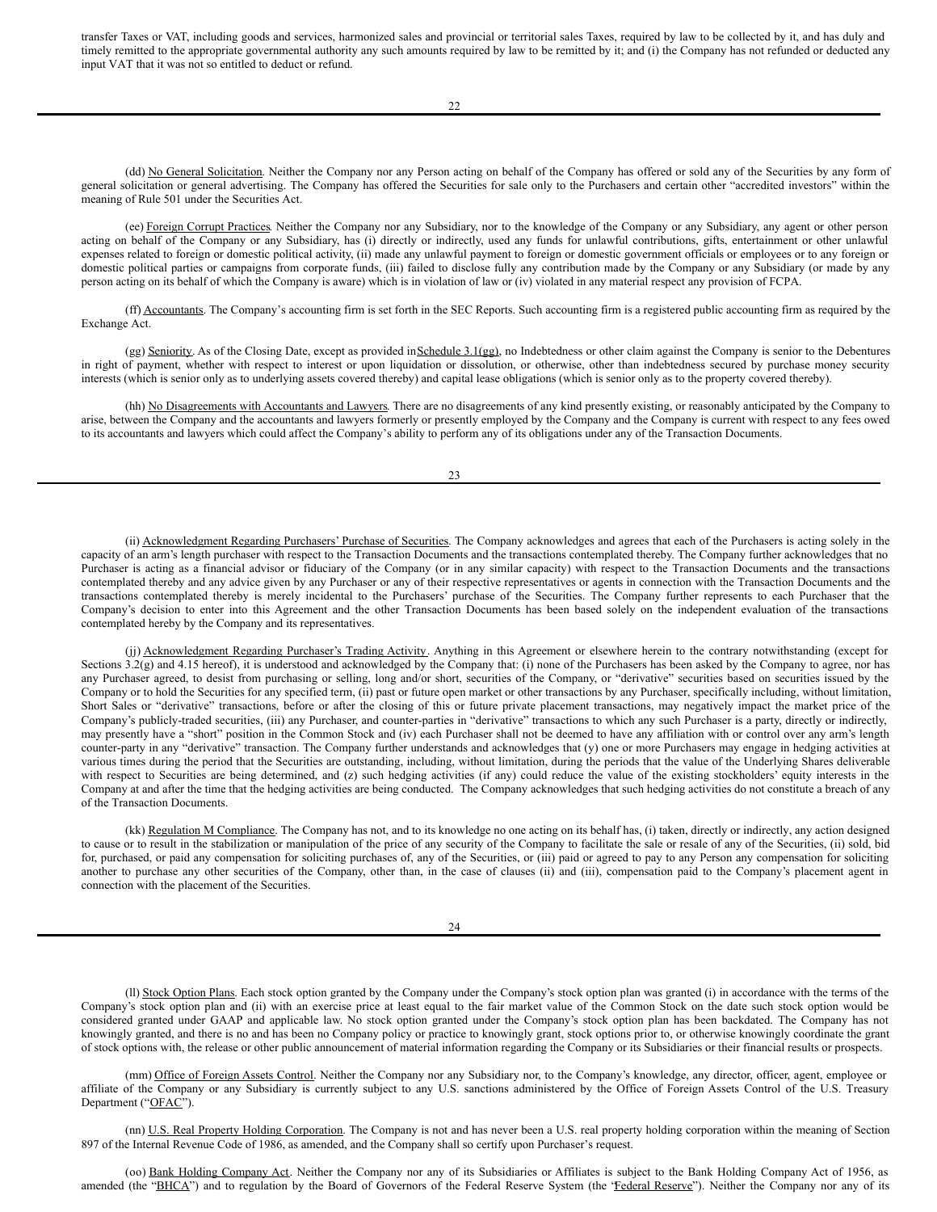<span id="page-11-0"></span>transfer Taxes or VAT, including goods and services, harmonized sales and provincial or territorial sales Taxes, required by law to be collected by it, and has duly and timely remitted to the appropriate governmental authority any such amounts required by law to be remitted by it; and (i) the Company has not refunded or deducted any input VAT that it was not so entitled to deduct or refund.

(dd) No General Solicitation. Neither the Company nor any Person acting on behalf of the Company has offered or sold any of the Securities by any form of general solicitation or general advertising. The Company has offered the Securities for sale only to the Purchasers and certain other "accredited investors" within the meaning of Rule 501 under the Securities Act.

(ee) Foreign Corrupt Practices. Neither the Company nor any Subsidiary, nor to the knowledge of the Company or any Subsidiary, any agent or other person acting on behalf of the Company or any Subsidiary, has (i) directly or indirectly, used any funds for unlawful contributions, gifts, entertainment or other unlawful expenses related to foreign or domestic political activity, (ii) made any unlawful payment to foreign or domestic government officials or employees or to any foreign or domestic political parties or campaigns from corporate funds, (iii) failed to disclose fully any contribution made by the Company or any Subsidiary (or made by any person acting on its behalf of which the Company is aware) which is in violation of law or (iv) violated in any material respect any provision of FCPA.

(ff) Accountants. The Company's accounting firm is set forth in the SEC Reports. Such accounting firm is a registered public accounting firm as required by the Exchange Act.

(gg) Seniority. As of the Closing Date, except as provided in Schedule 3.1(gg), no Indebtedness or other claim against the Company is senior to the Debentures in right of payment, whether with respect to interest or upon liquidation or dissolution, or otherwise, other than indebtedness secured by purchase money security interests (which is senior only as to underlying assets covered thereby) and capital lease obligations (which is senior only as to the property covered thereby).

(hh) No Disagreements with Accountants and Lawyers. There are no disagreements of any kind presently existing, or reasonably anticipated by the Company to arise, between the Company and the accountants and lawyers formerly or presently employed by the Company and the Company is current with respect to any fees owed to its accountants and lawyers which could affect the Company's ability to perform any of its obligations under any of the Transaction Documents.

23

(ii) Acknowledgment Regarding Purchasers' Purchase of Securities. The Company acknowledges and agrees that each of the Purchasers is acting solely in the capacity of an arm's length purchaser with respect to the Transaction Documents and the transactions contemplated thereby. The Company further acknowledges that no Purchaser is acting as a financial advisor or fiduciary of the Company (or in any similar capacity) with respect to the Transaction Documents and the transactions contemplated thereby and any advice given by any Purchaser or any of their respective representatives or agents in connection with the Transaction Documents and the transactions contemplated thereby is merely incidental to the Purchasers' purchase of the Securities. The Company further represents to each Purchaser that the Company's decision to enter into this Agreement and the other Transaction Documents has been based solely on the independent evaluation of the transactions contemplated hereby by the Company and its representatives.

(jj) Acknowledgment Regarding Purchaser's Trading Activity. Anything in this Agreement or elsewhere herein to the contrary notwithstanding (except for Sections 3.2(g) and 4.15 hereof), it is understood and acknowledged by the Company that: (i) none of the Purchasers has been asked by the Company to agree, nor has any Purchaser agreed, to desist from purchasing or selling, long and/or short, securities of the Company, or "derivative" securities based on securities issued by the Company or to hold the Securities for any specified term, (ii) past or future open market or other transactions by any Purchaser, specifically including, without limitation, Short Sales or "derivative" transactions, before or after the closing of this or future private placement transactions, may negatively impact the market price of the Company's publicly-traded securities, (iii) any Purchaser, and counter-parties in "derivative" transactions to which any such Purchaser is a party, directly or indirectly, may presently have a "short" position in the Common Stock and (iv) each Purchaser shall not be deemed to have any affiliation with or control over any arm's length counter-party in any "derivative" transaction. The Company further understands and acknowledges that (y) one or more Purchasers may engage in hedging activities at various times during the period that the Securities are outstanding, including, without limitation, during the periods that the value of the Underlying Shares deliverable with respect to Securities are being determined, and (z) such hedging activities (if any) could reduce the value of the existing stockholders' equity interests in the Company at and after the time that the hedging activities are being conducted. The Company acknowledges that such hedging activities do not constitute a breach of any of the Transaction Documents.

(kk) Regulation M Compliance. The Company has not, and to its knowledge no one acting on its behalf has, (i) taken, directly or indirectly, any action designed to cause or to result in the stabilization or manipulation of the price of any security of the Company to facilitate the sale or resale of any of the Securities, (ii) sold, bid for, purchased, or paid any compensation for soliciting purchases of, any of the Securities, or (iii) paid or agreed to pay to any Person any compensation for soliciting another to purchase any other securities of the Company, other than, in the case of clauses (ii) and (iii), compensation paid to the Company's placement agent in connection with the placement of the Securities.

24

(II) Stock Option Plans. Each stock option granted by the Company under the Company's stock option plan was granted (i) in accordance with the terms of the Company's stock option plan and (ii) with an exercise price at least equal to the fair market value of the Common Stock on the date such stock option would be considered granted under GAAP and applicable law. No stock option granted under the Company's stock option plan has been backdated. The Company has not knowingly granted, and there is no and has been no Company policy or practice to knowingly grant, stock options prior to, or otherwise knowingly coordinate the grant of stock options with, the release or other public announcement of material information regarding the Company or its Subsidiaries or their financial results or prospects.

(mm) Office of Foreign Assets Control. Neither the Company nor any Subsidiary nor, to the Company's knowledge, any director, officer, agent, employee or affiliate of the Company or any Subsidiary is currently subject to any U.S. sanctions administered by the Office of Foreign Assets Control of the U.S. Treasury Department ("OFAC").

(nn) U.S. Real Property Holding Corporation. The Company is not and has never been a U.S. real property holding corporation within the meaning of Section 897 of the Internal Revenue Code of 1986, as amended, and the Company shall so certify upon Purchaser's request.

(oo) Bank Holding Company Act. Neither the Company nor any of its Subsidiaries or Affiliates is subject to the Bank Holding Company Act of 1956, as amended (the "BHCA") and to regulation by the Board of Governors of the Federal Reserve System (the 'Federal Reserve''). Neither the Company nor any of its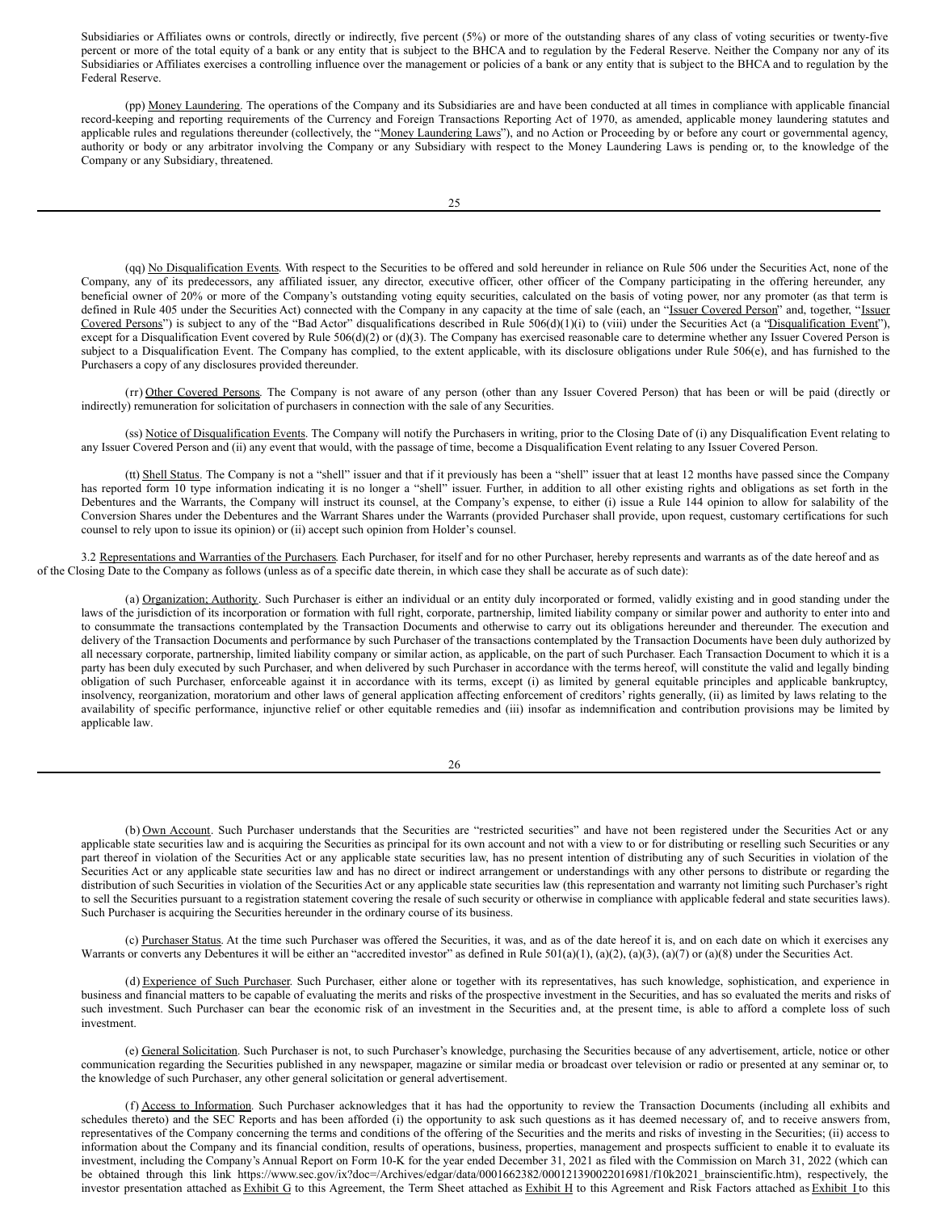Subsidiaries or Affiliates owns or controls, directly or indirectly, five percent (5%) or more of the outstanding shares of any class of voting securities or twenty-five percent or more of the total equity of a bank or any entity that is subject to the BHCA and to regulation by the Federal Reserve. Neither the Company nor any of its Subsidiaries or Affiliates exercises a controlling influence over the management or policies of a bank or any entity that is subject to the BHCA and to regulation by the Federal Reserve.

(pp) Money Laundering. The operations of the Company and its Subsidiaries are and have been conducted at all times in compliance with applicable financial record-keeping and reporting requirements of the Currency and Foreign Transactions Reporting Act of 1970, as amended, applicable money laundering statutes and applicable rules and regulations thereunder (collectively, the "Money Laundering Laws"), and no Action or Proceeding by or before any court or governmental agency, authority or body or any arbitrator involving the Company or any Subsidiary with respect to the Money Laundering Laws is pending or, to the knowledge of the Company or any Subsidiary, threatened.

(qq) No Disqualification Events. With respect to the Securities to be offered and sold hereunder in reliance on Rule 506 under the Securities Act, none of the Company, any of its predecessors, any affiliated issuer, any director, executive officer, other officer of the Company participating in the offering hereunder, any beneficial owner of 20% or more of the Company's outstanding voting equity securities, calculated on the basis of voting power, nor any promoter (as that term is defined in Rule 405 under the Securities Act) connected with the Company in any capacity at the time of sale (each, an "Issuer Covered Person" and, together, "Issuer Covered Persons") is subject to any of the "Bad Actor" disqualifications described in Rule  $506(d)(1)(i)$  to (viii) under the Securities Act (a "Disqualification Event"), except for a Disqualification Event covered by Rule 506(d)(2) or (d)(3). The Company has exercised reasonable care to determine whether any Issuer Covered Person is subject to a Disqualification Event. The Company has complied, to the extent applicable, with its disclosure obligations under Rule 506(e), and has furnished to the Purchasers a copy of any disclosures provided thereunder.

(rr) Other Covered Persons. The Company is not aware of any person (other than any Issuer Covered Person) that has been or will be paid (directly or indirectly) remuneration for solicitation of purchasers in connection with the sale of any Securities.

(ss) Notice of Disqualification Events. The Company will notify the Purchasers in writing, prior to the Closing Date of (i) any Disqualification Event relating to any Issuer Covered Person and (ii) any event that would, with the passage of time, become a Disqualification Event relating to any Issuer Covered Person.

(tt) Shell Status. The Company is not a "shell" issuer and that if it previously has been a "shell" issuer that at least 12 months have passed since the Company has reported form 10 type information indicating it is no longer a "shell" issuer. Further, in addition to all other existing rights and obligations as set forth in the Debentures and the Warrants, the Company will instruct its counsel, at the Company's expense, to either (i) issue a Rule 144 opinion to allow for salability of the Conversion Shares under the Debentures and the Warrant Shares under the Warrants (provided Purchaser shall provide, upon request, customary certifications for such counsel to rely upon to issue its opinion) or (ii) accept such opinion from Holder's counsel.

3.2 Representations and Warranties of the Purchasers. Each Purchaser, for itself and for no other Purchaser, hereby represents and warrants as of the date hereof and as of the Closing Date to the Company as follows (unless as of a specific date therein, in which case they shall be accurate as of such date):

(a) Organization; Authority. Such Purchaser is either an individual or an entity duly incorporated or formed, validly existing and in good standing under the laws of the jurisdiction of its incorporation or formation with full right, corporate, partnership, limited liability company or similar power and authority to enter into and to consummate the transactions contemplated by the Transaction Documents and otherwise to carry out its obligations hereunder and thereunder. The execution and delivery of the Transaction Documents and performance by such Purchaser of the transactions contemplated by the Transaction Documents have been duly authorized by all necessary corporate, partnership, limited liability company or similar action, as applicable, on the part of such Purchaser. Each Transaction Document to which it is a party has been duly executed by such Purchaser, and when delivered by such Purchaser in accordance with the terms hereof, will constitute the valid and legally binding obligation of such Purchaser, enforceable against it in accordance with its terms, except (i) as limited by general equitable principles and applicable bankruptcy, insolvency, reorganization, moratorium and other laws of general application affecting enforcement of creditors' rights generally, (ii) as limited by laws relating to the availability of specific performance, injunctive relief or other equitable remedies and (iii) insofar as indemnification and contribution provisions may be limited by applicable law.

26

(b) Own Account. Such Purchaser understands that the Securities are "restricted securities" and have not been registered under the Securities Act or any applicable state securities law and is acquiring the Securities as principal for its own account and not with a view to or for distributing or reselling such Securities or any part thereof in violation of the Securities Act or any applicable state securities law, has no present intention of distributing any of such Securities in violation of the Securities Act or any applicable state securities law and has no direct or indirect arrangement or understandings with any other persons to distribute or regarding the distribution of such Securities in violation of the Securities Act or any applicable state securities law (this representation and warranty not limiting such Purchaser's right to sell the Securities pursuant to a registration statement covering the resale of such security or otherwise in compliance with applicable federal and state securities laws). Such Purchaser is acquiring the Securities hereunder in the ordinary course of its business.

(c) Purchaser Status. At the time such Purchaser was offered the Securities, it was, and as of the date hereof it is, and on each date on which it exercises any Warrants or converts any Debentures it will be either an "accredited investor" as defined in Rule 501(a)(1), (a)(2), (a)(3), (a)(7) or (a)(8) under the Securities Act.

(d) Experience of Such Purchaser. Such Purchaser, either alone or together with its representatives, has such knowledge, sophistication, and experience in business and financial matters to be capable of evaluating the merits and risks of the prospective investment in the Securities, and has so evaluated the merits and risks of such investment. Such Purchaser can bear the economic risk of an investment in the Securities and, at the present time, is able to afford a complete loss of such investment.

(e) General Solicitation. Such Purchaser is not, to such Purchaser's knowledge, purchasing the Securities because of any advertisement, article, notice or other communication regarding the Securities published in any newspaper, magazine or similar media or broadcast over television or radio or presented at any seminar or, to the knowledge of such Purchaser, any other general solicitation or general advertisement.

(f) Access to Information. Such Purchaser acknowledges that it has had the opportunity to review the Transaction Documents (including all exhibits and schedules thereto) and the SEC Reports and has been afforded (i) the opportunity to ask such questions as it has deemed necessary of, and to receive answers from, representatives of the Company concerning the terms and conditions of the offering of the Securities and the merits and risks of investing in the Securities; (ii) access to information about the Company and its financial condition, results of operations, business, properties, management and prospects sufficient to enable it to evaluate its investment, including the Company's Annual Report on Form 10-K for the year ended December 31, 2021 as filed with the Commission on March 31, 2022 (which can be obtained through this link https://www.sec.gov/ix?doc=/Archives/edgar/data/0001662382/000121390022016981/f10k2021\_brainscientific.htm), respectively, the investor presentation attached as Exhibit G to this Agreement, the Term Sheet attached as Exhibit H to this Agreement and Risk Factors attached as Exhibit I to this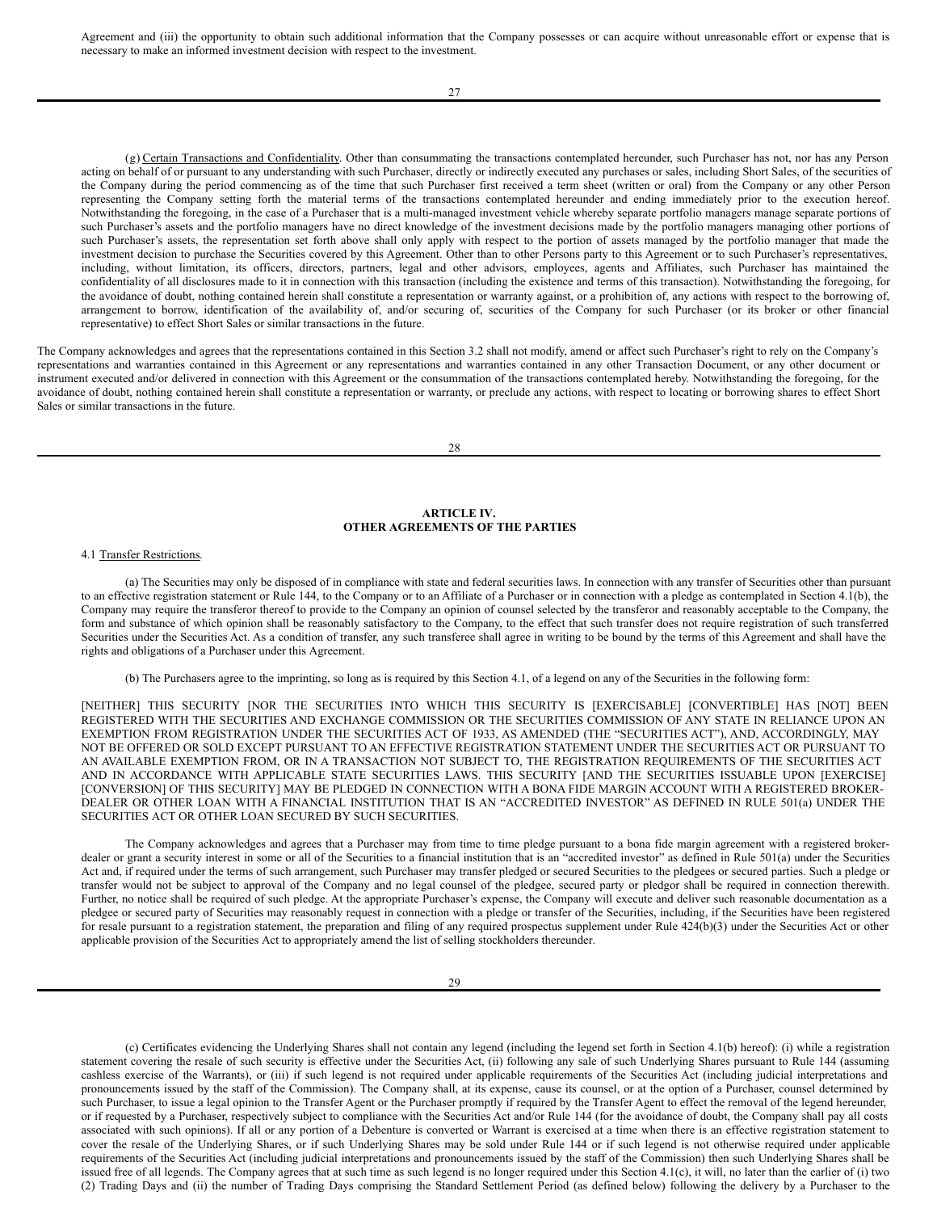Agreement and (iii) the opportunity to obtain such additional information that the Company possesses or can acquire without unreasonable effort or expense that is necessary to make an informed investment decision with respect to the investment.

(g) Certain Transactions and Confidentiality. Other than consummating the transactions contemplated hereunder, such Purchaser has not, nor has any Person acting on behalf of or pursuant to any understanding with such Purchaser, directly or indirectly executed any purchases or sales, including Short Sales, of the securities of the Company during the period commencing as of the time that such Purchaser first received a term sheet (written or oral) from the Company or any other Person representing the Company setting forth the material terms of the transactions contemplated hereunder and ending immediately prior to the execution hereof. Notwithstanding the foregoing, in the case of a Purchaser that is a multi-managed investment vehicle whereby separate portfolio managers manage separate portions of such Purchaser's assets and the portfolio managers have no direct knowledge of the investment decisions made by the portfolio managers managing other portions of such Purchaser's assets, the representation set forth above shall only apply with respect to the portion of assets managed by the portfolio manager that made the investment decision to purchase the Securities covered by this Agreement. Other than to other Persons party to this Agreement or to such Purchaser's representatives, including, without limitation, its officers, directors, partners, legal and other advisors, employees, agents and Affiliates, such Purchaser has maintained the confidentiality of all disclosures made to it in connection with this transaction (including the existence and terms of this transaction). Notwithstanding the foregoing, for the avoidance of doubt, nothing contained herein shall constitute a representation or warranty against, or a prohibition of, any actions with respect to the borrowing of, arrangement to borrow, identification of the availability of, and/or securing of, securities of the Company for such Purchaser (or its broker or other financial representative) to effect Short Sales or similar transactions in the future.

The Company acknowledges and agrees that the representations contained in this Section 3.2 shall not modify, amend or affect such Purchaser's right to rely on the Company's representations and warranties contained in this Agreement or any representations and warranties contained in any other Transaction Document, or any other document or instrument executed and/or delivered in connection with this Agreement or the consummation of the transactions contemplated hereby. Notwithstanding the foregoing, for the avoidance of doubt, nothing contained herein shall constitute a representation or warranty, or preclude any actions, with respect to locating or borrowing shares to effect Short Sales or similar transactions in the future.

## **ARTICLE IV. OTHER AGREEMENTS OF THE PARTIES**

### 4.1 Transfer Restrictions.

(a) The Securities may only be disposed of in compliance with state and federal securities laws. In connection with any transfer of Securities other than pursuant to an effective registration statement or Rule 144, to the Company or to an Affiliate of a Purchaser or in connection with a pledge as contemplated in Section 4.1(b), the Company may require the transferor thereof to provide to the Company an opinion of counsel selected by the transferor and reasonably acceptable to the Company, the form and substance of which opinion shall be reasonably satisfactory to the Company, to the effect that such transfer does not require registration of such transferred Securities under the Securities Act. As a condition of transfer, any such transferee shall agree in writing to be bound by the terms of this Agreement and shall have the rights and obligations of a Purchaser under this Agreement.

(b) The Purchasers agree to the imprinting, so long as is required by this Section 4.1, of a legend on any of the Securities in the following form:

[NEITHER] THIS SECURITY [NOR THE SECURITIES INTO WHICH THIS SECURITY IS [EXERCISABLE] [CONVERTIBLE] HAS [NOT] BEEN REGISTERED WITH THE SECURITIES AND EXCHANGE COMMISSION OR THE SECURITIES COMMISSION OF ANY STATE IN RELIANCE UPON AN EXEMPTION FROM REGISTRATION UNDER THE SECURITIES ACT OF 1933, AS AMENDED (THE "SECURITIES ACT"), AND, ACCORDINGLY, MAY NOT BE OFFERED OR SOLD EXCEPT PURSUANT TO AN EFFECTIVE REGISTRATION STATEMENT UNDER THE SECURITIES ACT OR PURSUANT TO AN AVAILABLE EXEMPTION FROM, OR IN A TRANSACTION NOT SUBJECT TO, THE REGISTRATION REQUIREMENTS OF THE SECURITIES ACT AND IN ACCORDANCE WITH APPLICABLE STATE SECURITIES LAWS. THIS SECURITY [AND THE SECURITIES ISSUABLE UPON [EXERCISE] [CONVERSION] OF THIS SECURITY] MAY BE PLEDGED IN CONNECTION WITH A BONA FIDE MARGIN ACCOUNT WITH A REGISTERED BROKER-DEALER OR OTHER LOAN WITH A FINANCIAL INSTITUTION THAT IS AN "ACCREDITED INVESTOR" AS DEFINED IN RULE 501(a) UNDER THE SECURITIES ACT OR OTHER LOAN SECURED BY SUCH SECURITIES.

The Company acknowledges and agrees that a Purchaser may from time to time pledge pursuant to a bona fide margin agreement with a registered brokerdealer or grant a security interest in some or all of the Securities to a financial institution that is an "accredited investor" as defined in Rule 501(a) under the Securities Act and, if required under the terms of such arrangement, such Purchaser may transfer pledged or secured Securities to the pledgees or secured parties. Such a pledge or transfer would not be subject to approval of the Company and no legal counsel of the pledgee, secured party or pledgor shall be required in connection therewith. Further, no notice shall be required of such pledge. At the appropriate Purchaser's expense, the Company will execute and deliver such reasonable documentation as a pledgee or secured party of Securities may reasonably request in connection with a pledge or transfer of the Securities, including, if the Securities have been registered for resale pursuant to a registration statement, the preparation and filing of any required prospectus supplement under Rule 424(b)(3) under the Securities Act or other applicable provision of the Securities Act to appropriately amend the list of selling stockholders thereunder.

(c) Certificates evidencing the Underlying Shares shall not contain any legend (including the legend set forth in Section 4.1(b) hereof): (i) while a registration statement covering the resale of such security is effective under the Securities Act, (ii) following any sale of such Underlying Shares pursuant to Rule 144 (assuming cashless exercise of the Warrants), or (iii) if such legend is not required under applicable requirements of the Securities Act (including judicial interpretations and pronouncements issued by the staff of the Commission). The Company shall, at its expense, cause its counsel, or at the option of a Purchaser, counsel determined by such Purchaser, to issue a legal opinion to the Transfer Agent or the Purchaser promptly if required by the Transfer Agent to effect the removal of the legend hereunder, or if requested by a Purchaser, respectively subject to compliance with the Securities Act and/or Rule 144 (for the avoidance of doubt, the Company shall pay all costs associated with such opinions). If all or any portion of a Debenture is converted or Warrant is exercised at a time when there is an effective registration statement to cover the resale of the Underlying Shares, or if such Underlying Shares may be sold under Rule 144 or if such legend is not otherwise required under applicable requirements of the Securities Act (including judicial interpretations and pronouncements issued by the staff of the Commission) then such Underlying Shares shall be issued free of all legends. The Company agrees that at such time as such legend is no longer required under this Section 4.1(c), it will, no later than the earlier of (i) two (2) Trading Days and (ii) the number of Trading Days comprising the Standard Settlement Period (as defined below) following the delivery by a Purchaser to the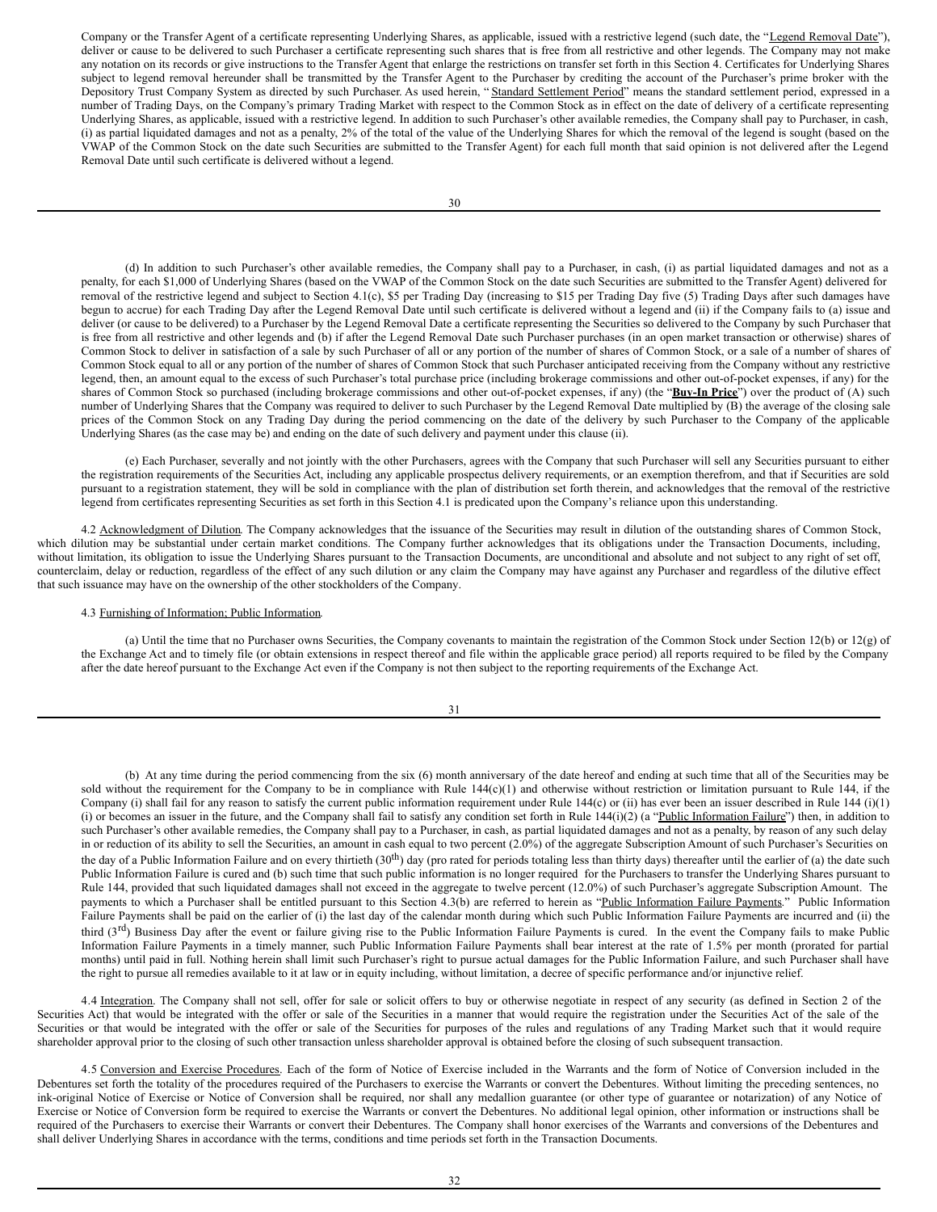Company or the Transfer Agent of a certificate representing Underlying Shares, as applicable, issued with a restrictive legend (such date, the "Legend Removal Date"), deliver or cause to be delivered to such Purchaser a certificate representing such shares that is free from all restrictive and other legends. The Company may not make any notation on its records or give instructions to the Transfer Agent that enlarge the restrictions on transfer set forth in this Section 4. Certificates for Underlying Shares subject to legend removal hereunder shall be transmitted by the Transfer Agent to the Purchaser by crediting the account of the Purchaser's prime broker with the Depository Trust Company System as directed by such Purchaser. As used herein, "Standard Settlement Period" means the standard settlement period, expressed in a number of Trading Days, on the Company's primary Trading Market with respect to the Common Stock as in effect on the date of delivery of a certificate representing Underlying Shares, as applicable, issued with a restrictive legend. In addition to such Purchaser's other available remedies, the Company shall pay to Purchaser, in cash, (i) as partial liquidated damages and not as a penalty, 2% of the total of the value of the Underlying Shares for which the removal of the legend is sought (based on the VWAP of the Common Stock on the date such Securities are submitted to the Transfer Agent) for each full month that said opinion is not delivered after the Legend Removal Date until such certificate is delivered without a legend.

(d) In addition to such Purchaser's other available remedies, the Company shall pay to a Purchaser, in cash, (i) as partial liquidated damages and not as a penalty, for each \$1,000 of Underlying Shares (based on the VWAP of the Common Stock on the date such Securities are submitted to the Transfer Agent) delivered for removal of the restrictive legend and subject to Section 4.1(c), \$5 per Trading Day (increasing to \$15 per Trading Day five (5) Trading Days after such damages have begun to accrue) for each Trading Day after the Legend Removal Date until such certificate is delivered without a legend and (ii) if the Company fails to (a) issue and deliver (or cause to be delivered) to a Purchaser by the Legend Removal Date a certificate representing the Securities so delivered to the Company by such Purchaser that is free from all restrictive and other legends and (b) if after the Legend Removal Date such Purchaser purchases (in an open market transaction or otherwise) shares of Common Stock to deliver in satisfaction of a sale by such Purchaser of all or any portion of the number of shares of Common Stock, or a sale of a number of shares of Common Stock equal to all or any portion of the number of shares of Common Stock that such Purchaser anticipated receiving from the Company without any restrictive legend, then, an amount equal to the excess of such Purchaser's total purchase price (including brokerage commissions and other out-of-pocket expenses, if any) for the shares of Common Stock so purchased (including brokerage commissions and other out-of-pocket expenses, if any) (the "**Buy-In Price**") over the product of (A) such number of Underlying Shares that the Company was required to deliver to such Purchaser by the Legend Removal Date multiplied by (B) the average of the closing sale prices of the Common Stock on any Trading Day during the period commencing on the date of the delivery by such Purchaser to the Company of the applicable Underlying Shares (as the case may be) and ending on the date of such delivery and payment under this clause (ii).

(e) Each Purchaser, severally and not jointly with the other Purchasers, agrees with the Company that such Purchaser will sell any Securities pursuant to either the registration requirements of the Securities Act, including any applicable prospectus delivery requirements, or an exemption therefrom, and that if Securities are sold pursuant to a registration statement, they will be sold in compliance with the plan of distribution set forth therein, and acknowledges that the removal of the restrictive legend from certificates representing Securities as set forth in this Section 4.1 is predicated upon the Company's reliance upon this understanding.

4.2 Acknowledgment of Dilution. The Company acknowledges that the issuance of the Securities may result in dilution of the outstanding shares of Common Stock, which dilution may be substantial under certain market conditions. The Company further acknowledges that its obligations under the Transaction Documents, including, without limitation, its obligation to issue the Underlying Shares pursuant to the Transaction Documents, are unconditional and absolute and not subject to any right of set off, counterclaim, delay or reduction, regardless of the effect of any such dilution or any claim the Company may have against any Purchaser and regardless of the dilutive effect that such issuance may have on the ownership of the other stockholders of the Company.

#### 4.3 Furnishing of Information; Public Information.

(a) Until the time that no Purchaser owns Securities, the Company covenants to maintain the registration of the Common Stock under Section 12(b) or 12(g) of the Exchange Act and to timely file (or obtain extensions in respect thereof and file within the applicable grace period) all reports required to be filed by the Company after the date hereof pursuant to the Exchange Act even if the Company is not then subject to the reporting requirements of the Exchange Act.

31

(b) At any time during the period commencing from the six (6) month anniversary of the date hereof and ending at such time that all of the Securities may be sold without the requirement for the Company to be in compliance with Rule  $144(c)(1)$  and otherwise without restriction or limitation pursuant to Rule 144, if the Company (i) shall fail for any reason to satisfy the current public information requirement under Rule 144(c) or (ii) has ever been an issuer described in Rule 144 (i)(1) (i) or becomes an issuer in the future, and the Company shall fail to satisfy any condition set forth in Rule 144(i)(2) (a "Public Information Failure") then, in addition to such Purchaser's other available remedies, the Company shall pay to a Purchaser, in cash, as partial liquidated damages and not as a penalty, by reason of any such delay in or reduction of its ability to sell the Securities, an amount in cash equal to two percent (2.0%) of the aggregate Subscription Amount of such Purchaser's Securities on the day of a Public Information Failure and on every thirtieth  $(30<sup>th</sup>)$  day (pro rated for periods totaling less than thirty days) thereafter until the earlier of (a) the date such Public Information Failure is cured and (b) such time that such public information is no longer required for the Purchasers to transfer the Underlying Shares pursuant to Rule 144, provided that such liquidated damages shall not exceed in the aggregate to twelve percent (12.0%) of such Purchaser's aggregate Subscription Amount. The payments to which a Purchaser shall be entitled pursuant to this Section 4.3(b) are referred to herein as "Public Information Failure Payments." Public Information Failure Payments shall be paid on the earlier of (i) the last day of the calendar month during which such Public Information Failure Payments are incurred and (ii) the third (3<sup>rd</sup>) Business Day after the event or failure giving rise to the Public Information Failure Payments is cured. In the event the Company fails to make Public Information Failure Payments in a timely manner, such Public Information Failure Payments shall bear interest at the rate of 1.5% per month (prorated for partial months) until paid in full. Nothing herein shall limit such Purchaser's right to pursue actual damages for the Public Information Failure, and such Purchaser shall have the right to pursue all remedies available to it at law or in equity including, without limitation, a decree of specific performance and/or injunctive relief.

4.4 Integration. The Company shall not sell, offer for sale or solicit offers to buy or otherwise negotiate in respect of any security (as defined in Section 2 of the Securities Act) that would be integrated with the offer or sale of the Securities in a manner that would require the registration under the Securities Act of the sale of the Securities or that would be integrated with the offer or sale of the Securities for purposes of the rules and regulations of any Trading Market such that it would require shareholder approval prior to the closing of such other transaction unless shareholder approval is obtained before the closing of such subsequent transaction.

4.5 Conversion and Exercise Procedures. Each of the form of Notice of Exercise included in the Warrants and the form of Notice of Conversion included in the Debentures set forth the totality of the procedures required of the Purchasers to exercise the Warrants or convert the Debentures. Without limiting the preceding sentences, no ink-original Notice of Exercise or Notice of Conversion shall be required, nor shall any medallion guarantee (or other type of guarantee or notarization) of any Notice of Exercise or Notice of Conversion form be required to exercise the Warrants or convert the Debentures. No additional legal opinion, other information or instructions shall be required of the Purchasers to exercise their Warrants or convert their Debentures. The Company shall honor exercises of the Warrants and conversions of the Debentures and shall deliver Underlying Shares in accordance with the terms, conditions and time periods set forth in the Transaction Documents.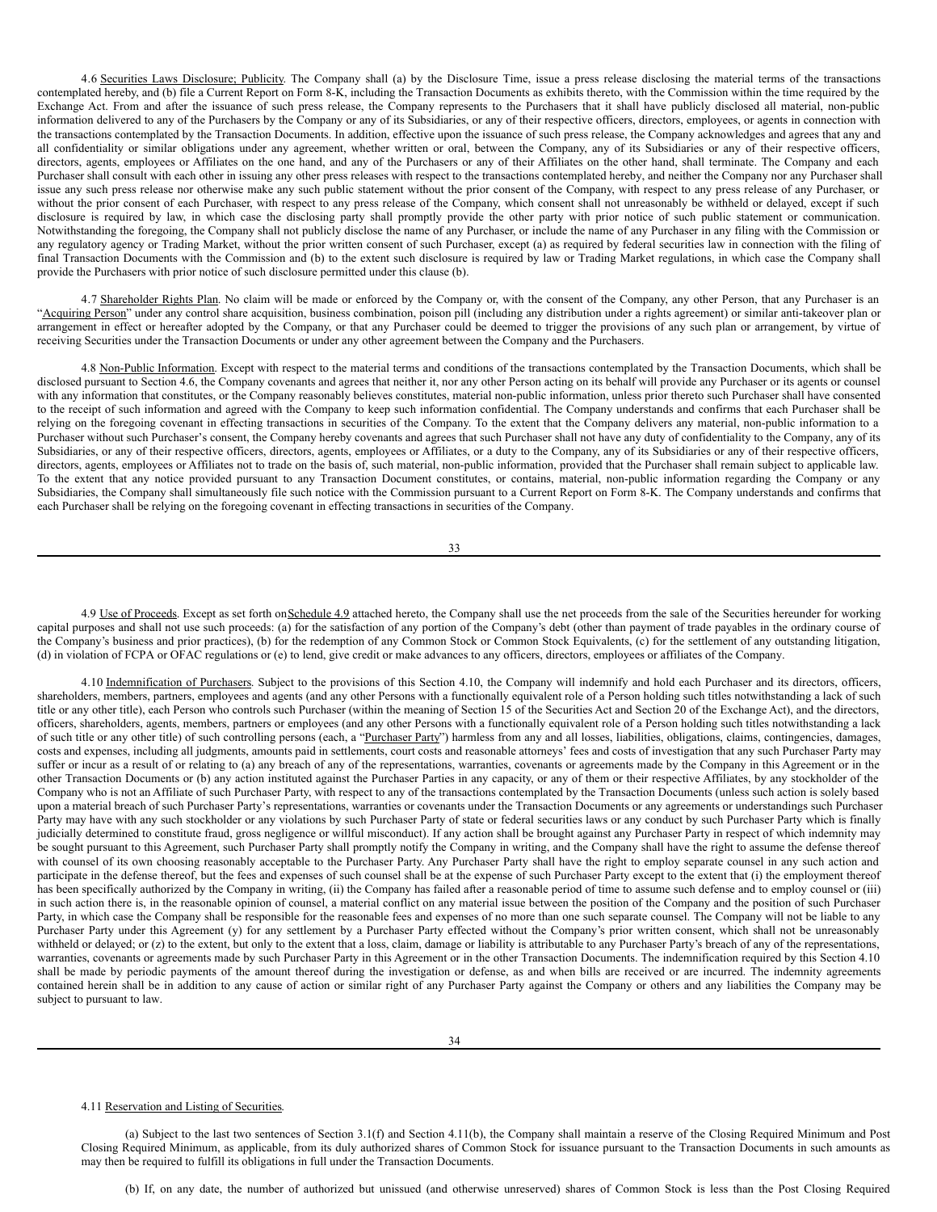4.6 Securities Laws Disclosure; Publicity. The Company shall (a) by the Disclosure Time, issue a press release disclosing the material terms of the transactions contemplated hereby, and (b) file a Current Report on Form 8-K, including the Transaction Documents as exhibits thereto, with the Commission within the time required by the Exchange Act. From and after the issuance of such press release, the Company represents to the Purchasers that it shall have publicly disclosed all material, non-public information delivered to any of the Purchasers by the Company or any of its Subsidiaries, or any of their respective officers, directors, employees, or agents in connection with the transactions contemplated by the Transaction Documents. In addition, effective upon the issuance of such press release, the Company acknowledges and agrees that any and all confidentiality or similar obligations under any agreement, whether written or oral, between the Company, any of its Subsidiaries or any of their respective officers, directors, agents, employees or Affiliates on the one hand, and any of the Purchasers or any of their Affiliates on the other hand, shall terminate. The Company and each Purchaser shall consult with each other in issuing any other press releases with respect to the transactions contemplated hereby, and neither the Company nor any Purchaser shall issue any such press release nor otherwise make any such public statement without the prior consent of the Company, with respect to any press release of any Purchaser, or without the prior consent of each Purchaser, with respect to any press release of the Company, which consent shall not unreasonably be withheld or delayed, except if such disclosure is required by law, in which case the disclosing party shall promptly provide the other party with prior notice of such public statement or communication. Notwithstanding the foregoing, the Company shall not publicly disclose the name of any Purchaser, or include the name of any Purchaser in any filing with the Commission or any regulatory agency or Trading Market, without the prior written consent of such Purchaser, except (a) as required by federal securities law in connection with the filing of final Transaction Documents with the Commission and (b) to the extent such disclosure is required by law or Trading Market regulations, in which case the Company shall provide the Purchasers with prior notice of such disclosure permitted under this clause (b).

4.7 Shareholder Rights Plan. No claim will be made or enforced by the Company or, with the consent of the Company, any other Person, that any Purchaser is an "Acquiring Person" under any control share acquisition, business combination, poison pill (including any distribution under a rights agreement) or similar anti-takeover plan or arrangement in effect or hereafter adopted by the Company, or that any Purchaser could be deemed to trigger the provisions of any such plan or arrangement, by virtue of receiving Securities under the Transaction Documents or under any other agreement between the Company and the Purchasers.

4.8 Non-Public Information. Except with respect to the material terms and conditions of the transactions contemplated by the Transaction Documents, which shall be disclosed pursuant to Section 4.6, the Company covenants and agrees that neither it, nor any other Person acting on its behalf will provide any Purchaser or its agents or counsel with any information that constitutes, or the Company reasonably believes constitutes, material non-public information, unless prior thereto such Purchaser shall have consented to the receipt of such information and agreed with the Company to keep such information confidential. The Company understands and confirms that each Purchaser shall be relying on the foregoing covenant in effecting transactions in securities of the Company. To the extent that the Company delivers any material, non-public information to a Purchaser without such Purchaser's consent, the Company hereby covenants and agrees that such Purchaser shall not have any duty of confidentiality to the Company, any of its Subsidiaries, or any of their respective officers, directors, agents, employees or Affiliates, or a duty to the Company, any of its Subsidiaries or any of their respective officers, directors, agents, employees or Affiliates not to trade on the basis of, such material, non-public information, provided that the Purchaser shall remain subject to applicable law. To the extent that any notice provided pursuant to any Transaction Document constitutes, or contains, material, non-public information regarding the Company or any Subsidiaries, the Company shall simultaneously file such notice with the Commission pursuant to a Current Report on Form 8-K. The Company understands and confirms that each Purchaser shall be relying on the foregoing covenant in effecting transactions in securities of the Company.

33

4.9 Use of Proceeds. Except as set forth on Schedule 4.9 attached hereto, the Company shall use the net proceeds from the sale of the Securities hereunder for working capital purposes and shall not use such proceeds: (a) for the satisfaction of any portion of the Company's debt (other than payment of trade payables in the ordinary course of the Company's business and prior practices), (b) for the redemption of any Common Stock or Common Stock Equivalents, (c) for the settlement of any outstanding litigation, (d) in violation of FCPA or OFAC regulations or (e) to lend, give credit or make advances to any officers, directors, employees or affiliates of the Company.

4.10 Indemnification of Purchasers. Subject to the provisions of this Section 4.10, the Company will indemnify and hold each Purchaser and its directors, officers, shareholders, members, partners, employees and agents (and any other Persons with a functionally equivalent role of a Person holding such titles notwithstanding a lack of such title or any other title), each Person who controls such Purchaser (within the meaning of Section 15 of the Securities Act and Section 20 of the Exchange Act), and the directors, officers, shareholders, agents, members, partners or employees (and any other Persons with a functionally equivalent role of a Person holding such titles notwithstanding a lack of such title or any other title) of such controlling persons (each, a "Purchaser Party") harmless from any and all losses, liabilities, obligations, claims, contingencies, damages, costs and expenses, including all judgments, amounts paid in settlements, court costs and reasonable attorneys' fees and costs of investigation that any such Purchaser Party may suffer or incur as a result of or relating to (a) any breach of any of the representations, warranties, covenants or agreements made by the Company in this Agreement or in the other Transaction Documents or (b) any action instituted against the Purchaser Parties in any capacity, or any of them or their respective Affiliates, by any stockholder of the Company who is not an Affiliate of such Purchaser Party, with respect to any of the transactions contemplated by the Transaction Documents (unless such action is solely based upon a material breach of such Purchaser Party's representations, warranties or covenants under the Transaction Documents or any agreements or understandings such Purchaser Party may have with any such stockholder or any violations by such Purchaser Party of state or federal securities laws or any conduct by such Purchaser Party which is finally judicially determined to constitute fraud, gross negligence or willful misconduct). If any action shall be brought against any Purchaser Party in respect of which indemnity may be sought pursuant to this Agreement, such Purchaser Party shall promptly notify the Company in writing, and the Company shall have the right to assume the defense thereof with counsel of its own choosing reasonably acceptable to the Purchaser Party. Any Purchaser Party shall have the right to employ separate counsel in any such action and participate in the defense thereof, but the fees and expenses of such counsel shall be at the expense of such Purchaser Party except to the extent that (i) the employment thereof has been specifically authorized by the Company in writing, (ii) the Company has failed after a reasonable period of time to assume such defense and to employ counsel or (iii) in such action there is, in the reasonable opinion of counsel, a material conflict on any material issue between the position of the Company and the position of such Purchaser Party, in which case the Company shall be responsible for the reasonable fees and expenses of no more than one such separate counsel. The Company will not be liable to any Purchaser Party under this Agreement (y) for any settlement by a Purchaser Party effected without the Company's prior written consent, which shall not be unreasonably withheld or delayed; or (z) to the extent, but only to the extent that a loss, claim, damage or liability is attributable to any Purchaser Party's breach of any of the representations, warranties, covenants or agreements made by such Purchaser Party in this Agreement or in the other Transaction Documents. The indemnification required by this Section 4.10 shall be made by periodic payments of the amount thereof during the investigation or defense, as and when bills are received or are incurred. The indemnity agreements contained herein shall be in addition to any cause of action or similar right of any Purchaser Party against the Company or others and any liabilities the Company may be subject to pursuant to law.

#### 4.11 Reservation and Listing of Securities.

(a) Subject to the last two sentences of Section 3.1(f) and Section 4.11(b), the Company shall maintain a reserve of the Closing Required Minimum and Post Closing Required Minimum, as applicable, from its duly authorized shares of Common Stock for issuance pursuant to the Transaction Documents in such amounts as may then be required to fulfill its obligations in full under the Transaction Documents.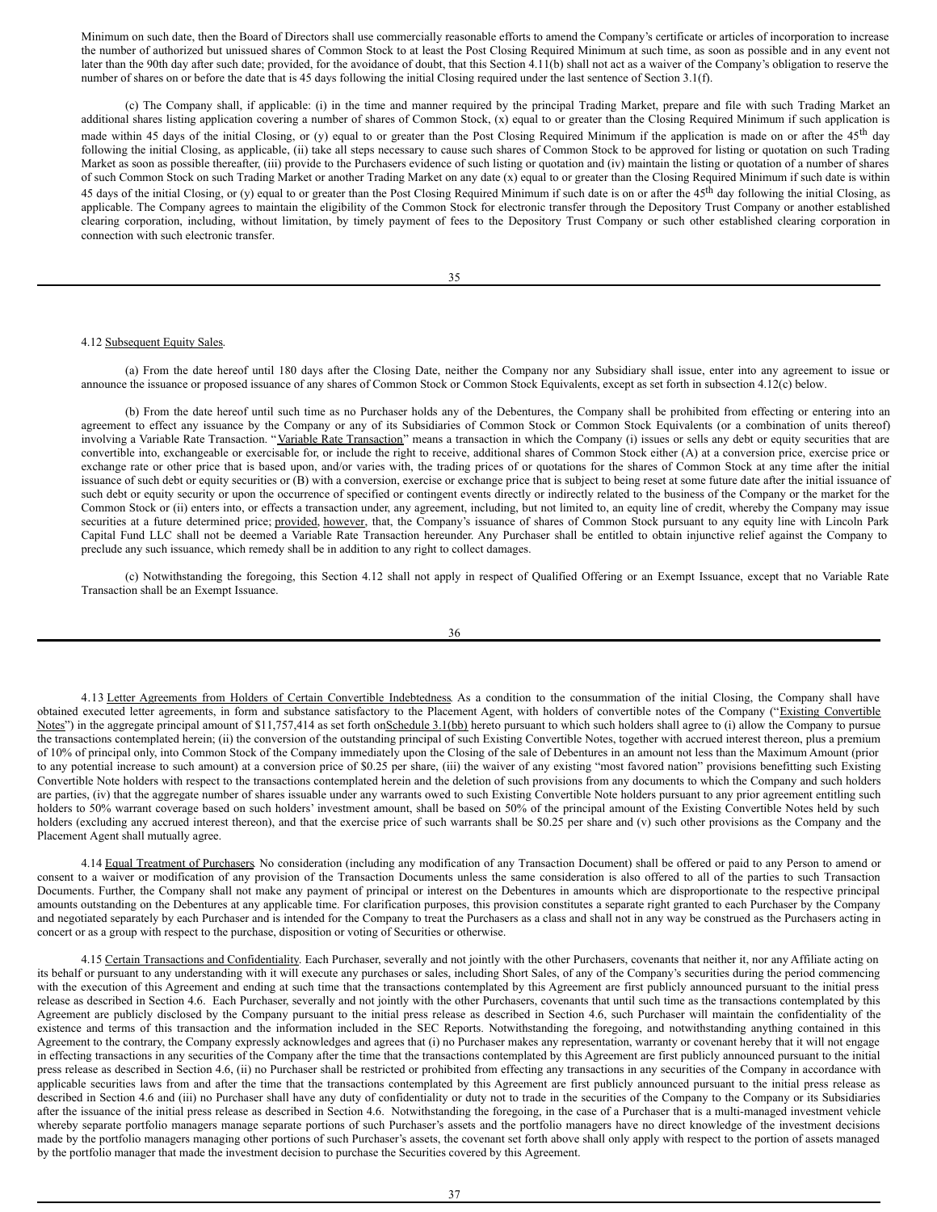Minimum on such date, then the Board of Directors shall use commercially reasonable efforts to amend the Company's certificate or articles of incorporation to increase the number of authorized but unissued shares of Common Stock to at least the Post Closing Required Minimum at such time, as soon as possible and in any event not later than the 90th day after such date; provided, for the avoidance of doubt, that this Section 4.11(b) shall not act as a waiver of the Company's obligation to reserve the number of shares on or before the date that is 45 days following the initial Closing required under the last sentence of Section 3.1(f).

(c) The Company shall, if applicable: (i) in the time and manner required by the principal Trading Market, prepare and file with such Trading Market an additional shares listing application covering a number of shares of Common Stock, (x) equal to or greater than the Closing Required Minimum if such application is made within 45 days of the initial Closing, or (y) equal to or greater than the Post Closing Required Minimum if the application is made on or after the 45<sup>th</sup> day following the initial Closing, as applicable, (ii) take all steps necessary to cause such shares of Common Stock to be approved for listing or quotation on such Trading Market as soon as possible thereafter, (iii) provide to the Purchasers evidence of such listing or quotation and (iv) maintain the listing or quotation of a number of shares of such Common Stock on such Trading Market or another Trading Market on any date (x) equal to or greater than the Closing Required Minimum if such date is within 45 days of the initial Closing, or (y) equal to or greater than the Post Closing Required Minimum if such date is on or after the 45<sup>th</sup> day following the initial Closing, as applicable. The Company agrees to maintain the eligibility of the Common Stock for electronic transfer through the Depository Trust Company or another established clearing corporation, including, without limitation, by timely payment of fees to the Depository Trust Company or such other established clearing corporation in connection with such electronic transfer.

## 4.12 Subsequent Equity Sales.

(a) From the date hereof until 180 days after the Closing Date, neither the Company nor any Subsidiary shall issue, enter into any agreement to issue or announce the issuance or proposed issuance of any shares of Common Stock or Common Stock Equivalents, except as set forth in subsection 4.12(c) below.

(b) From the date hereof until such time as no Purchaser holds any of the Debentures, the Company shall be prohibited from effecting or entering into an agreement to effect any issuance by the Company or any of its Subsidiaries of Common Stock or Common Stock Equivalents (or a combination of units thereof) involving a Variable Rate Transaction. "Variable Rate Transaction" means a transaction in which the Company (i) issues or sells any debt or equity securities that are convertible into, exchangeable or exercisable for, or include the right to receive, additional shares of Common Stock either (A) at a conversion price, exercise price or exchange rate or other price that is based upon, and/or varies with, the trading prices of or quotations for the shares of Common Stock at any time after the initial issuance of such debt or equity securities or (B) with a conversion, exercise or exchange price that is subject to being reset at some future date after the initial issuance of such debt or equity security or upon the occurrence of specified or contingent events directly or indirectly related to the business of the Company or the market for the Common Stock or (ii) enters into, or effects a transaction under, any agreement, including, but not limited to, an equity line of credit, whereby the Company may issue securities at a future determined price; provided, however, that, the Company's issuance of shares of Common Stock pursuant to any equity line with Lincoln Park Capital Fund LLC shall not be deemed a Variable Rate Transaction hereunder. Any Purchaser shall be entitled to obtain injunctive relief against the Company to preclude any such issuance, which remedy shall be in addition to any right to collect damages.

(c) Notwithstanding the foregoing, this Section 4.12 shall not apply in respect of Qualified Offering or an Exempt Issuance, except that no Variable Rate Transaction shall be an Exempt Issuance.

36

4.13 Letter Agreements from Holders of Certain Convertible Indebtedness. As a condition to the consummation of the initial Closing, the Company shall have obtained executed letter agreements, in form and substance satisfactory to the Placement Agent, with holders of convertible notes of the Company ("Existing Convertible Notes") in the aggregate principal amount of \$11,757,414 as set forth onSchedule 3.1(bb) hereto pursuant to which such holders shall agree to (i) allow the Company to pursue the transactions contemplated herein; (ii) the conversion of the outstanding principal of such Existing Convertible Notes, together with accrued interest thereon, plus a premium of 10% of principal only, into Common Stock of the Company immediately upon the Closing of the sale of Debentures in an amount not less than the Maximum Amount (prior to any potential increase to such amount) at a conversion price of \$0.25 per share, (iii) the waiver of any existing "most favored nation" provisions benefitting such Existing Convertible Note holders with respect to the transactions contemplated herein and the deletion of such provisions from any documents to which the Company and such holders are parties, (iv) that the aggregate number of shares issuable under any warrants owed to such Existing Convertible Note holders pursuant to any prior agreement entitling such holders to 50% warrant coverage based on such holders' investment amount, shall be based on 50% of the principal amount of the Existing Convertible Notes held by such holders (excluding any accrued interest thereon), and that the exercise price of such warrants shall be \$0.25 per share and (v) such other provisions as the Company and the Placement Agent shall mutually agree.

4.14 Equal Treatment of Purchasers. No consideration (including any modification of any Transaction Document) shall be offered or paid to any Person to amend or consent to a waiver or modification of any provision of the Transaction Documents unless the same consideration is also offered to all of the parties to such Transaction Documents. Further, the Company shall not make any payment of principal or interest on the Debentures in amounts which are disproportionate to the respective principal amounts outstanding on the Debentures at any applicable time. For clarification purposes, this provision constitutes a separate right granted to each Purchaser by the Company and negotiated separately by each Purchaser and is intended for the Company to treat the Purchasers as a class and shall not in any way be construed as the Purchasers acting in concert or as a group with respect to the purchase, disposition or voting of Securities or otherwise.

4.15 Certain Transactions and Confidentiality. Each Purchaser, severally and not jointly with the other Purchasers, covenants that neither it, nor any Affiliate acting on its behalf or pursuant to any understanding with it will execute any purchases or sales, including Short Sales, of any of the Company's securities during the period commencing with the execution of this Agreement and ending at such time that the transactions contemplated by this Agreement are first publicly announced pursuant to the initial press release as described in Section 4.6. Each Purchaser, severally and not jointly with the other Purchasers, covenants that until such time as the transactions contemplated by this Agreement are publicly disclosed by the Company pursuant to the initial press release as described in Section 4.6, such Purchaser will maintain the confidentiality of the existence and terms of this transaction and the information included in the SEC Reports. Notwithstanding the foregoing, and notwithstanding anything contained in this Agreement to the contrary, the Company expressly acknowledges and agrees that (i) no Purchaser makes any representation, warranty or covenant hereby that it will not engage in effecting transactions in any securities of the Company after the time that the transactions contemplated by this Agreement are first publicly announced pursuant to the initial press release as described in Section 4.6, (ii) no Purchaser shall be restricted or prohibited from effecting any transactions in any securities of the Company in accordance with applicable securities laws from and after the time that the transactions contemplated by this Agreement are first publicly announced pursuant to the initial press release as described in Section 4.6 and (iii) no Purchaser shall have any duty of confidentiality or duty not to trade in the securities of the Company to the Company or its Subsidiaries after the issuance of the initial press release as described in Section 4.6. Notwithstanding the foregoing, in the case of a Purchaser that is a multi-managed investment vehicle whereby separate portfolio managers manage separate portions of such Purchaser's assets and the portfolio managers have no direct knowledge of the investment decisions made by the portfolio managers managing other portions of such Purchaser's assets, the covenant set forth above shall only apply with respect to the portion of assets managed by the portfolio manager that made the investment decision to purchase the Securities covered by this Agreement.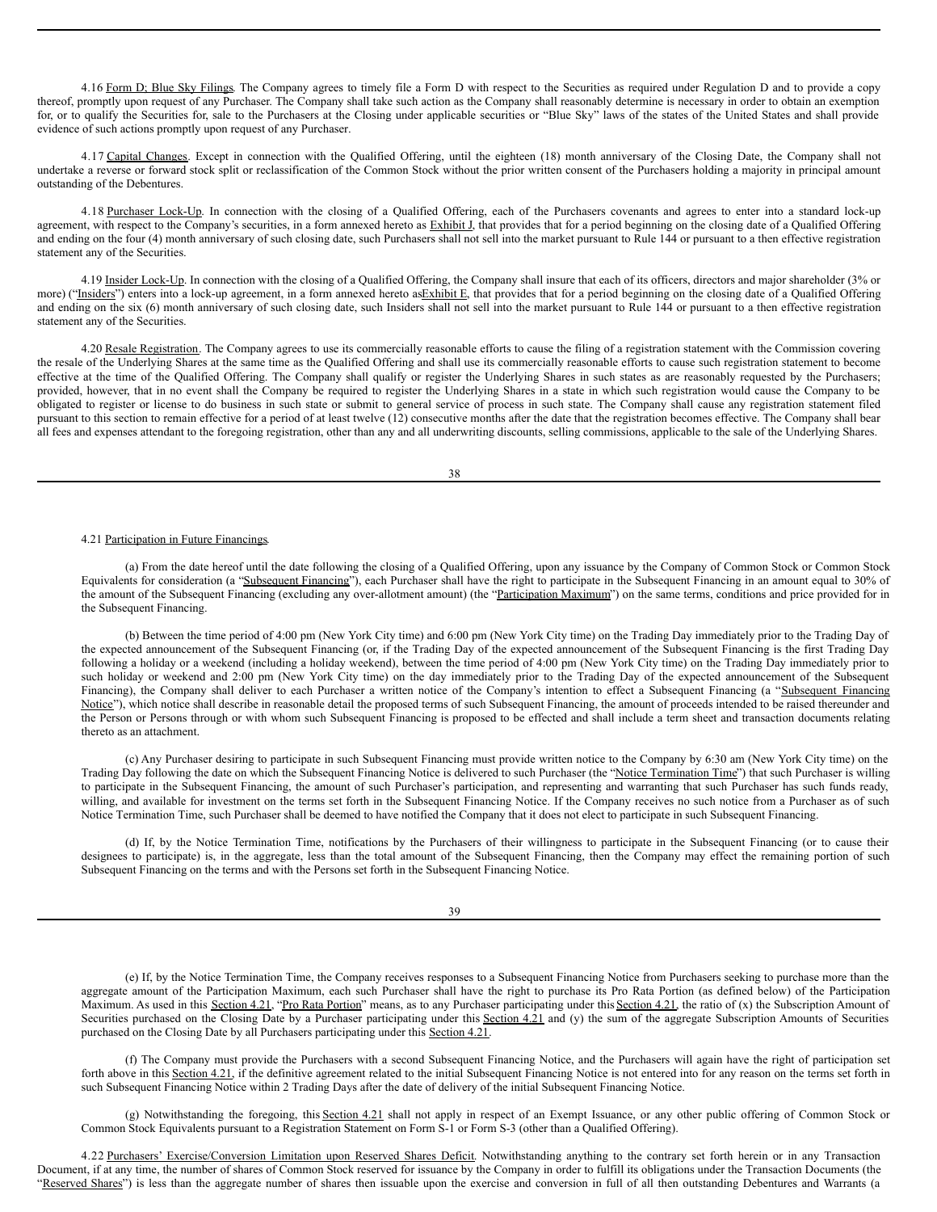4.16 Form D; Blue Sky Filings. The Company agrees to timely file a Form D with respect to the Securities as required under Regulation D and to provide a copy thereof, promptly upon request of any Purchaser. The Company shall take such action as the Company shall reasonably determine is necessary in order to obtain an exemption for, or to qualify the Securities for, sale to the Purchasers at the Closing under applicable securities or "Blue Sky" laws of the states of the United States and shall provide evidence of such actions promptly upon request of any Purchaser.

4.17 Capital Changes. Except in connection with the Qualified Offering, until the eighteen (18) month anniversary of the Closing Date, the Company shall not undertake a reverse or forward stock split or reclassification of the Common Stock without the prior written consent of the Purchasers holding a majority in principal amount outstanding of the Debentures.

4.18 Purchaser Lock-Up. In connection with the closing of a Qualified Offering, each of the Purchasers covenants and agrees to enter into a standard lock-up agreement, with respect to the Company's securities, in a form annexed hereto as Exhibit J, that provides that for a period beginning on the closing date of a Qualified Offering and ending on the four (4) month anniversary of such closing date, such Purchasers shall not sell into the market pursuant to Rule 144 or pursuant to a then effective registration statement any of the Securities.

4.19 Insider Lock-Up. In connection with the closing of a Qualified Offering, the Company shall insure that each of its officers, directors and major shareholder (3% or more) ("Insiders") enters into a lock-up agreement, in a form annexed hereto asExhibit E, that provides that for a period beginning on the closing date of a Qualified Offering and ending on the six (6) month anniversary of such closing date, such Insiders shall not sell into the market pursuant to Rule 144 or pursuant to a then effective registration statement any of the Securities.

4.20 Resale Registration. The Company agrees to use its commercially reasonable efforts to cause the filing of a registration statement with the Commission covering the resale of the Underlying Shares at the same time as the Qualified Offering and shall use its commercially reasonable efforts to cause such registration statement to become effective at the time of the Qualified Offering. The Company shall qualify or register the Underlying Shares in such states as are reasonably requested by the Purchasers; provided, however, that in no event shall the Company be required to register the Underlying Shares in a state in which such registration would cause the Company to be obligated to register or license to do business in such state or submit to general service of process in such state. The Company shall cause any registration statement filed pursuant to this section to remain effective for a period of at least twelve (12) consecutive months after the date that the registration becomes effective. The Company shall bear all fees and expenses attendant to the foregoing registration, other than any and all underwriting discounts, selling commissions, applicable to the sale of the Underlying Shares.

38

## 4.21 Participation in Future Financings.

(a) From the date hereof until the date following the closing of a Qualified Offering, upon any issuance by the Company of Common Stock or Common Stock Equivalents for consideration (a "Subsequent Financing"), each Purchaser shall have the right to participate in the Subsequent Financing in an amount equal to 30% of the amount of the Subsequent Financing (excluding any over-allotment amount) (the "Participation Maximum") on the same terms, conditions and price provided for in the Subsequent Financing.

(b) Between the time period of 4:00 pm (New York City time) and 6:00 pm (New York City time) on the Trading Day immediately prior to the Trading Day of the expected announcement of the Subsequent Financing (or, if the Trading Day of the expected announcement of the Subsequent Financing is the first Trading Day following a holiday or a weekend (including a holiday weekend), between the time period of 4:00 pm (New York City time) on the Trading Day immediately prior to such holiday or weekend and 2:00 pm (New York City time) on the day immediately prior to the Trading Day of the expected announcement of the Subsequent Financing), the Company shall deliver to each Purchaser a written notice of the Company's intention to effect a Subsequent Financing (a "Subsequent Financing Notice"), which notice shall describe in reasonable detail the proposed terms of such Subsequent Financing, the amount of proceeds intended to be raised thereunder and the Person or Persons through or with whom such Subsequent Financing is proposed to be effected and shall include a term sheet and transaction documents relating thereto as an attachment.

(c) Any Purchaser desiring to participate in such Subsequent Financing must provide written notice to the Company by 6:30 am (New York City time) on the Trading Day following the date on which the Subsequent Financing Notice is delivered to such Purchaser (the "Notice Termination Time") that such Purchaser is willing to participate in the Subsequent Financing, the amount of such Purchaser's participation, and representing and warranting that such Purchaser has such funds ready, willing, and available for investment on the terms set forth in the Subsequent Financing Notice. If the Company receives no such notice from a Purchaser as of such Notice Termination Time, such Purchaser shall be deemed to have notified the Company that it does not elect to participate in such Subsequent Financing.

(d) If, by the Notice Termination Time, notifications by the Purchasers of their willingness to participate in the Subsequent Financing (or to cause their designees to participate) is, in the aggregate, less than the total amount of the Subsequent Financing, then the Company may effect the remaining portion of such Subsequent Financing on the terms and with the Persons set forth in the Subsequent Financing Notice.

39

(e) If, by the Notice Termination Time, the Company receives responses to a Subsequent Financing Notice from Purchasers seeking to purchase more than the aggregate amount of the Participation Maximum, each such Purchaser shall have the right to purchase its Pro Rata Portion (as defined below) of the Participation Maximum. As used in this Section 4.21, "Pro Rata Portion" means, as to any Purchaser participating under this Section 4.21, the ratio of (x) the Subscription Amount of Securities purchased on the Closing Date by a Purchaser participating under this Section 4.21 and (y) the sum of the aggregate Subscription Amounts of Securities purchased on the Closing Date by all Purchasers participating under this Section 4.21.

(f) The Company must provide the Purchasers with a second Subsequent Financing Notice, and the Purchasers will again have the right of participation set forth above in this Section 4.21, if the definitive agreement related to the initial Subsequent Financing Notice is not entered into for any reason on the terms set forth in such Subsequent Financing Notice within 2 Trading Days after the date of delivery of the initial Subsequent Financing Notice.

(g) Notwithstanding the foregoing, this Section 4.21 shall not apply in respect of an Exempt Issuance, or any other public offering of Common Stock or Common Stock Equivalents pursuant to a Registration Statement on Form S-1 or Form S-3 (other than a Qualified Offering).

4.22 Purchasers' Exercise/Conversion Limitation upon Reserved Shares Deficit. Notwithstanding anything to the contrary set forth herein or in any Transaction Document, if at any time, the number of shares of Common Stock reserved for issuance by the Company in order to fulfill its obligations under the Transaction Documents (the "Reserved Shares") is less than the aggregate number of shares then issuable upon the exercise and conversion in full of all then outstanding Debentures and Warrants (a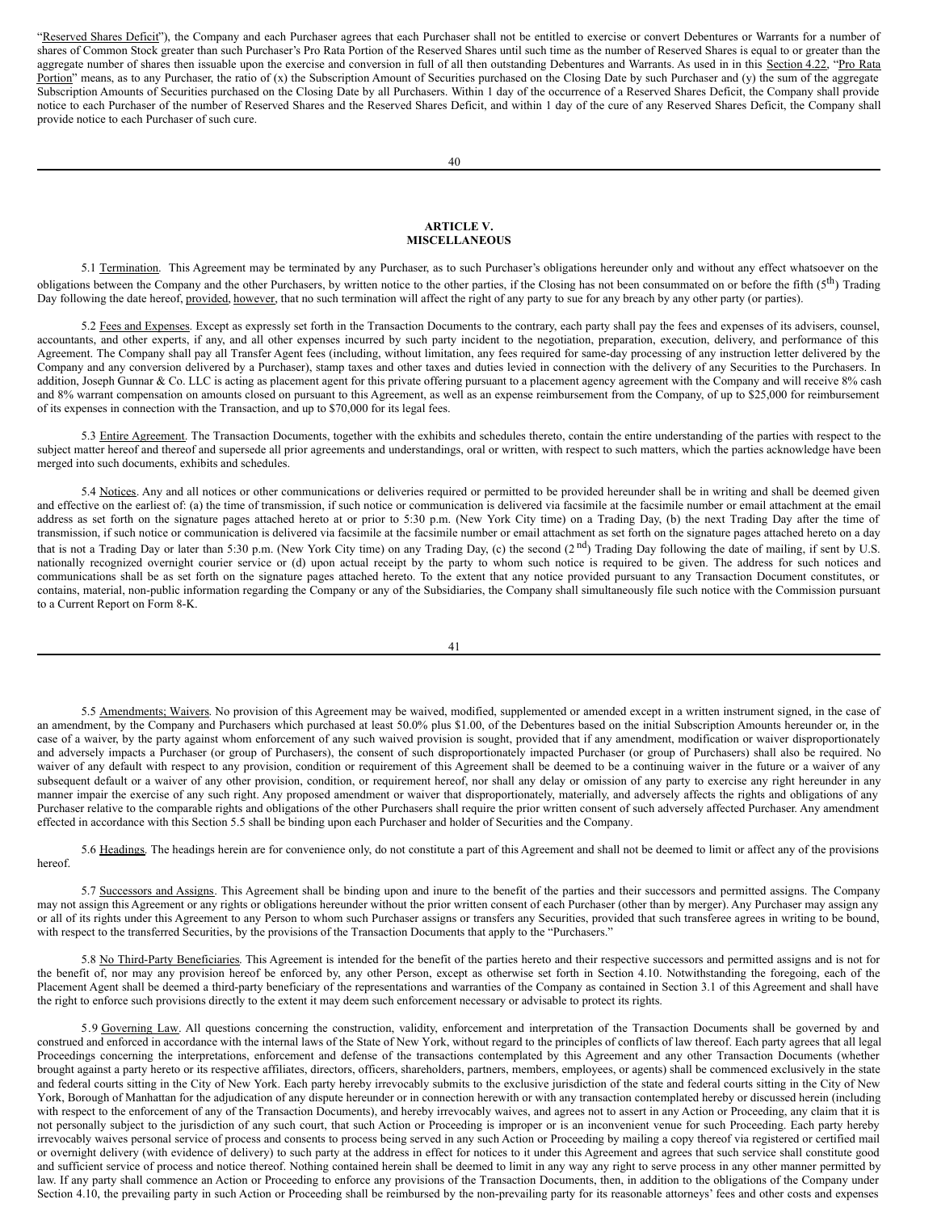"Reserved Shares Deficit"), the Company and each Purchaser agrees that each Purchaser shall not be entitled to exercise or convert Debentures or Warrants for a number of shares of Common Stock greater than such Purchaser's Pro Rata Portion of the Reserved Shares until such time as the number of Reserved Shares is equal to or greater than the aggregate number of shares then issuable upon the exercise and conversion in full of all then outstanding Debentures and Warrants. As used in in this Section 4.22, "Pro Rata Portion" means, as to any Purchaser, the ratio of (x) the Subscription Amount of Securities purchased on the Closing Date by such Purchaser and (y) the sum of the aggregate Subscription Amounts of Securities purchased on the Closing Date by all Purchasers. Within 1 day of the occurrence of a Reserved Shares Deficit, the Company shall provide notice to each Purchaser of the number of Reserved Shares and the Reserved Shares Deficit, and within 1 day of the cure of any Reserved Shares Deficit, the Company shall provide notice to each Purchaser of such cure.

## **ARTICLE V. MISCELLANEOUS**

5.1 Termination. This Agreement may be terminated by any Purchaser, as to such Purchaser's obligations hereunder only and without any effect whatsoever on the obligations between the Company and the other Purchasers, by written notice to the other parties, if the Closing has not been consummated on or before the fifth ( $5<sup>th</sup>$ ) Trading Day following the date hereof, provided, however, that no such termination will affect the right of any party to sue for any breach by any other party (or parties).

5.2 Fees and Expenses. Except as expressly set forth in the Transaction Documents to the contrary, each party shall pay the fees and expenses of its advisers, counsel, accountants, and other experts, if any, and all other expenses incurred by such party incident to the negotiation, preparation, execution, delivery, and performance of this Agreement. The Company shall pay all Transfer Agent fees (including, without limitation, any fees required for same-day processing of any instruction letter delivered by the Company and any conversion delivered by a Purchaser), stamp taxes and other taxes and duties levied in connection with the delivery of any Securities to the Purchasers. In addition, Joseph Gunnar & Co. LLC is acting as placement agent for this private offering pursuant to a placement agency agreement with the Company and will receive 8% cash and 8% warrant compensation on amounts closed on pursuant to this Agreement, as well as an expense reimbursement from the Company, of up to \$25,000 for reimbursement of its expenses in connection with the Transaction, and up to \$70,000 for its legal fees.

5.3 Entire Agreement. The Transaction Documents, together with the exhibits and schedules thereto, contain the entire understanding of the parties with respect to the subject matter hereof and thereof and supersede all prior agreements and understandings, oral or written, with respect to such matters, which the parties acknowledge have been merged into such documents, exhibits and schedules.

5.4 Notices. Any and all notices or other communications or deliveries required or permitted to be provided hereunder shall be in writing and shall be deemed given and effective on the earliest of: (a) the time of transmission, if such notice or communication is delivered via facsimile at the facsimile number or email attachment at the email address as set forth on the signature pages attached hereto at or prior to 5:30 p.m. (New York City time) on a Trading Day, (b) the next Trading Day after the time of transmission, if such notice or communication is delivered via facsimile at the facsimile number or email attachment as set forth on the signature pages attached hereto on a day that is not a Trading Day or later than 5:30 p.m. (New York City time) on any Trading Day, (c) the second (2<sup>nd</sup>) Trading Day following the date of mailing, if sent by U.S. nationally recognized overnight courier service or (d) upon actual receipt by the party to whom such notice is required to be given. The address for such notices and communications shall be as set forth on the signature pages attached hereto. To the extent that any notice provided pursuant to any Transaction Document constitutes, or contains, material, non-public information regarding the Company or any of the Subsidiaries, the Company shall simultaneously file such notice with the Commission pursuant to a Current Report on Form 8-K.

41

5.5 Amendments; Waivers. No provision of this Agreement may be waived, modified, supplemented or amended except in a written instrument signed, in the case of an amendment, by the Company and Purchasers which purchased at least 50.0% plus \$1.00, of the Debentures based on the initial Subscription Amounts hereunder or, in the case of a waiver, by the party against whom enforcement of any such waived provision is sought, provided that if any amendment, modification or waiver disproportionately and adversely impacts a Purchaser (or group of Purchasers), the consent of such disproportionately impacted Purchaser (or group of Purchasers) shall also be required. No waiver of any default with respect to any provision, condition or requirement of this Agreement shall be deemed to be a continuing waiver in the future or a waiver of any subsequent default or a waiver of any other provision, condition, or requirement hereof, nor shall any delay or omission of any party to exercise any right hereunder in any manner impair the exercise of any such right. Any proposed amendment or waiver that disproportionately, materially, and adversely affects the rights and obligations of any Purchaser relative to the comparable rights and obligations of the other Purchasers shall require the prior written consent of such adversely affected Purchaser. Any amendment effected in accordance with this Section 5.5 shall be binding upon each Purchaser and holder of Securities and the Company.

5.6 Headings. The headings herein are for convenience only, do not constitute a part of this Agreement and shall not be deemed to limit or affect any of the provisions hereof.

5.7 Successors and Assigns. This Agreement shall be binding upon and inure to the benefit of the parties and their successors and permitted assigns. The Company may not assign this Agreement or any rights or obligations hereunder without the prior written consent of each Purchaser (other than by merger). Any Purchaser may assign any or all of its rights under this Agreement to any Person to whom such Purchaser assigns or transfers any Securities, provided that such transferee agrees in writing to be bound, with respect to the transferred Securities, by the provisions of the Transaction Documents that apply to the "Purchasers."

5.8 No Third-Party Beneficiaries. This Agreement is intended for the benefit of the parties hereto and their respective successors and permitted assigns and is not for the benefit of, nor may any provision hereof be enforced by, any other Person, except as otherwise set forth in Section 4.10. Notwithstanding the foregoing, each of the Placement Agent shall be deemed a third-party beneficiary of the representations and warranties of the Company as contained in Section 3.1 of this Agreement and shall have the right to enforce such provisions directly to the extent it may deem such enforcement necessary or advisable to protect its rights.

5.9 Governing Law. All questions concerning the construction, validity, enforcement and interpretation of the Transaction Documents shall be governed by and construed and enforced in accordance with the internal laws of the State of New York, without regard to the principles of conflicts of law thereof. Each party agrees that all legal Proceedings concerning the interpretations, enforcement and defense of the transactions contemplated by this Agreement and any other Transaction Documents (whether brought against a party hereto or its respective affiliates, directors, officers, shareholders, partners, members, employees, or agents) shall be commenced exclusively in the state and federal courts sitting in the City of New York. Each party hereby irrevocably submits to the exclusive jurisdiction of the state and federal courts sitting in the City of New York, Borough of Manhattan for the adjudication of any dispute hereunder or in connection herewith or with any transaction contemplated hereby or discussed herein (including with respect to the enforcement of any of the Transaction Documents), and hereby irrevocably waives, and agrees not to assert in any Action or Proceeding, any claim that it is not personally subject to the jurisdiction of any such court, that such Action or Proceeding is improper or is an inconvenient venue for such Proceeding. Each party hereby irrevocably waives personal service of process and consents to process being served in any such Action or Proceeding by mailing a copy thereof via registered or certified mail or overnight delivery (with evidence of delivery) to such party at the address in effect for notices to it under this Agreement and agrees that such service shall constitute good and sufficient service of process and notice thereof. Nothing contained herein shall be deemed to limit in any way any right to serve process in any other manner permitted by law. If any party shall commence an Action or Proceeding to enforce any provisions of the Transaction Documents, then, in addition to the obligations of the Company under Section 4.10, the prevailing party in such Action or Proceeding shall be reimbursed by the non-prevailing party for its reasonable attorneys' fees and other costs and expenses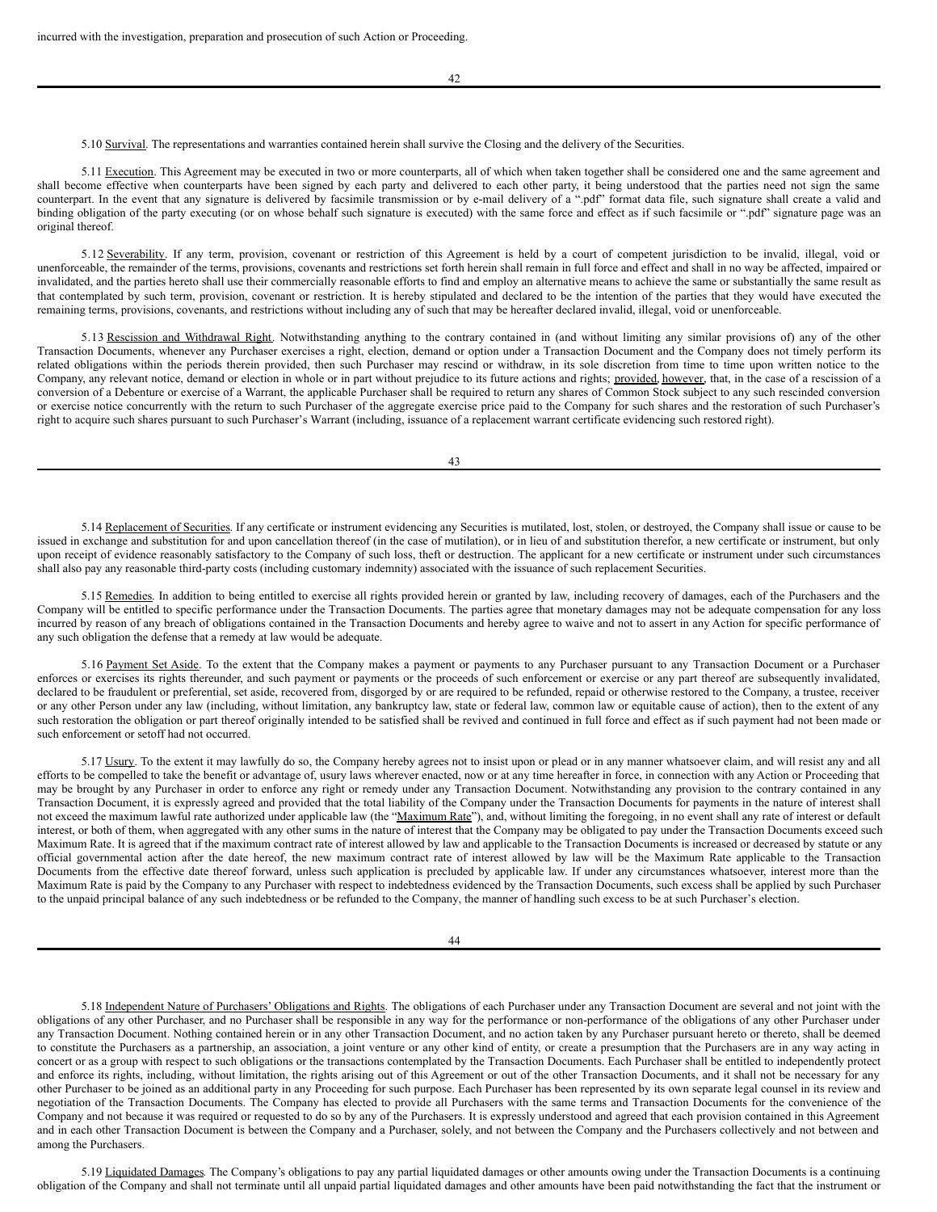5.10 Survival. The representations and warranties contained herein shall survive the Closing and the delivery of the Securities.

5.11 Execution. This Agreement may be executed in two or more counterparts, all of which when taken together shall be considered one and the same agreement and shall become effective when counterparts have been signed by each party and delivered to each other party, it being understood that the parties need not sign the same counterpart. In the event that any signature is delivered by facsimile transmission or by e-mail delivery of a ".pdf" format data file, such signature shall create a valid and binding obligation of the party executing (or on whose behalf such signature is executed) with the same force and effect as if such facsimile or ".pdf" signature page was an original thereof.

5.12 Severability. If any term, provision, covenant or restriction of this Agreement is held by a court of competent jurisdiction to be invalid, illegal, void or unenforceable, the remainder of the terms, provisions, covenants and restrictions set forth herein shall remain in full force and effect and shall in no way be affected, impaired or invalidated, and the parties hereto shall use their commercially reasonable efforts to find and employ an alternative means to achieve the same or substantially the same result as that contemplated by such term, provision, covenant or restriction. It is hereby stipulated and declared to be the intention of the parties that they would have executed the remaining terms, provisions, covenants, and restrictions without including any of such that may be hereafter declared invalid, illegal, void or unenforceable.

5.13 Rescission and Withdrawal Right. Notwithstanding anything to the contrary contained in (and without limiting any similar provisions of) any of the other Transaction Documents, whenever any Purchaser exercises a right, election, demand or option under a Transaction Document and the Company does not timely perform its related obligations within the periods therein provided, then such Purchaser may rescind or withdraw, in its sole discretion from time to time upon written notice to the Company, any relevant notice, demand or election in whole or in part without prejudice to its future actions and rights; provided, however, that, in the case of a rescission of a conversion of a Debenture or exercise of a Warrant, the applicable Purchaser shall be required to return any shares of Common Stock subject to any such rescinded conversion or exercise notice concurrently with the return to such Purchaser of the aggregate exercise price paid to the Company for such shares and the restoration of such Purchaser's right to acquire such shares pursuant to such Purchaser's Warrant (including, issuance of a replacement warrant certificate evidencing such restored right).

43

5.14 Replacement of Securities. If any certificate or instrument evidencing any Securities is mutilated, lost, stolen, or destroyed, the Company shall issue or cause to be issued in exchange and substitution for and upon cancellation thereof (in the case of mutilation), or in lieu of and substitution therefor, a new certificate or instrument, but only upon receipt of evidence reasonably satisfactory to the Company of such loss, theft or destruction. The applicant for a new certificate or instrument under such circumstances shall also pay any reasonable third-party costs (including customary indemnity) associated with the issuance of such replacement Securities.

5.15 Remedies. In addition to being entitled to exercise all rights provided herein or granted by law, including recovery of damages, each of the Purchasers and the Company will be entitled to specific performance under the Transaction Documents. The parties agree that monetary damages may not be adequate compensation for any loss incurred by reason of any breach of obligations contained in the Transaction Documents and hereby agree to waive and not to assert in any Action for specific performance of any such obligation the defense that a remedy at law would be adequate.

5.16 Payment Set Aside. To the extent that the Company makes a payment or payments to any Purchaser pursuant to any Transaction Document or a Purchaser enforces or exercises its rights thereunder, and such payment or payments or the proceeds of such enforcement or exercise or any part thereof are subsequently invalidated, declared to be fraudulent or preferential, set aside, recovered from, disgorged by or are required to be refunded, repaid or otherwise restored to the Company, a trustee, receiver or any other Person under any law (including, without limitation, any bankruptcy law, state or federal law, common law or equitable cause of action), then to the extent of any such restoration the obligation or part thereof originally intended to be satisfied shall be revived and continued in full force and effect as if such payment had not been made or such enforcement or setoff had not occurred.

5.17 Usury. To the extent it may lawfully do so, the Company hereby agrees not to insist upon or plead or in any manner whatsoever claim, and will resist any and all efforts to be compelled to take the benefit or advantage of, usury laws wherever enacted, now or at any time hereafter in force, in connection with any Action or Proceeding that may be brought by any Purchaser in order to enforce any right or remedy under any Transaction Document. Notwithstanding any provision to the contrary contained in any Transaction Document, it is expressly agreed and provided that the total liability of the Company under the Transaction Documents for payments in the nature of interest shall not exceed the maximum lawful rate authorized under applicable law (the "Maximum Rate"), and, without limiting the foregoing, in no event shall any rate of interest or default interest, or both of them, when aggregated with any other sums in the nature of interest that the Company may be obligated to pay under the Transaction Documents exceed such Maximum Rate. It is agreed that if the maximum contract rate of interest allowed by law and applicable to the Transaction Documents is increased or decreased by statute or any official governmental action after the date hereof, the new maximum contract rate of interest allowed by law will be the Maximum Rate applicable to the Transaction Documents from the effective date thereof forward, unless such application is precluded by applicable law. If under any circumstances whatsoever, interest more than the Maximum Rate is paid by the Company to any Purchaser with respect to indebtedness evidenced by the Transaction Documents, such excess shall be applied by such Purchaser to the unpaid principal balance of any such indebtedness or be refunded to the Company, the manner of handling such excess to be at such Purchaser's election.

44

5.18 Independent Nature of Purchasers' Obligations and Rights. The obligations of each Purchaser under any Transaction Document are several and not joint with the obligations of any other Purchaser, and no Purchaser shall be responsible in any way for the performance or non-performance of the obligations of any other Purchaser under any Transaction Document. Nothing contained herein or in any other Transaction Document, and no action taken by any Purchaser pursuant hereto or thereto, shall be deemed to constitute the Purchasers as a partnership, an association, a joint venture or any other kind of entity, or create a presumption that the Purchasers are in any way acting in concert or as a group with respect to such obligations or the transactions contemplated by the Transaction Documents. Each Purchaser shall be entitled to independently protect and enforce its rights, including, without limitation, the rights arising out of this Agreement or out of the other Transaction Documents, and it shall not be necessary for any other Purchaser to be joined as an additional party in any Proceeding for such purpose. Each Purchaser has been represented by its own separate legal counsel in its review and negotiation of the Transaction Documents. The Company has elected to provide all Purchasers with the same terms and Transaction Documents for the convenience of the Company and not because it was required or requested to do so by any of the Purchasers. It is expressly understood and agreed that each provision contained in this Agreement and in each other Transaction Document is between the Company and a Purchaser, solely, and not between the Company and the Purchasers collectively and not between and among the Purchasers.

5.19 Liquidated Damages. The Company's obligations to pay any partial liquidated damages or other amounts owing under the Transaction Documents is a continuing obligation of the Company and shall not terminate until all unpaid partial liquidated damages and other amounts have been paid notwithstanding the fact that the instrument or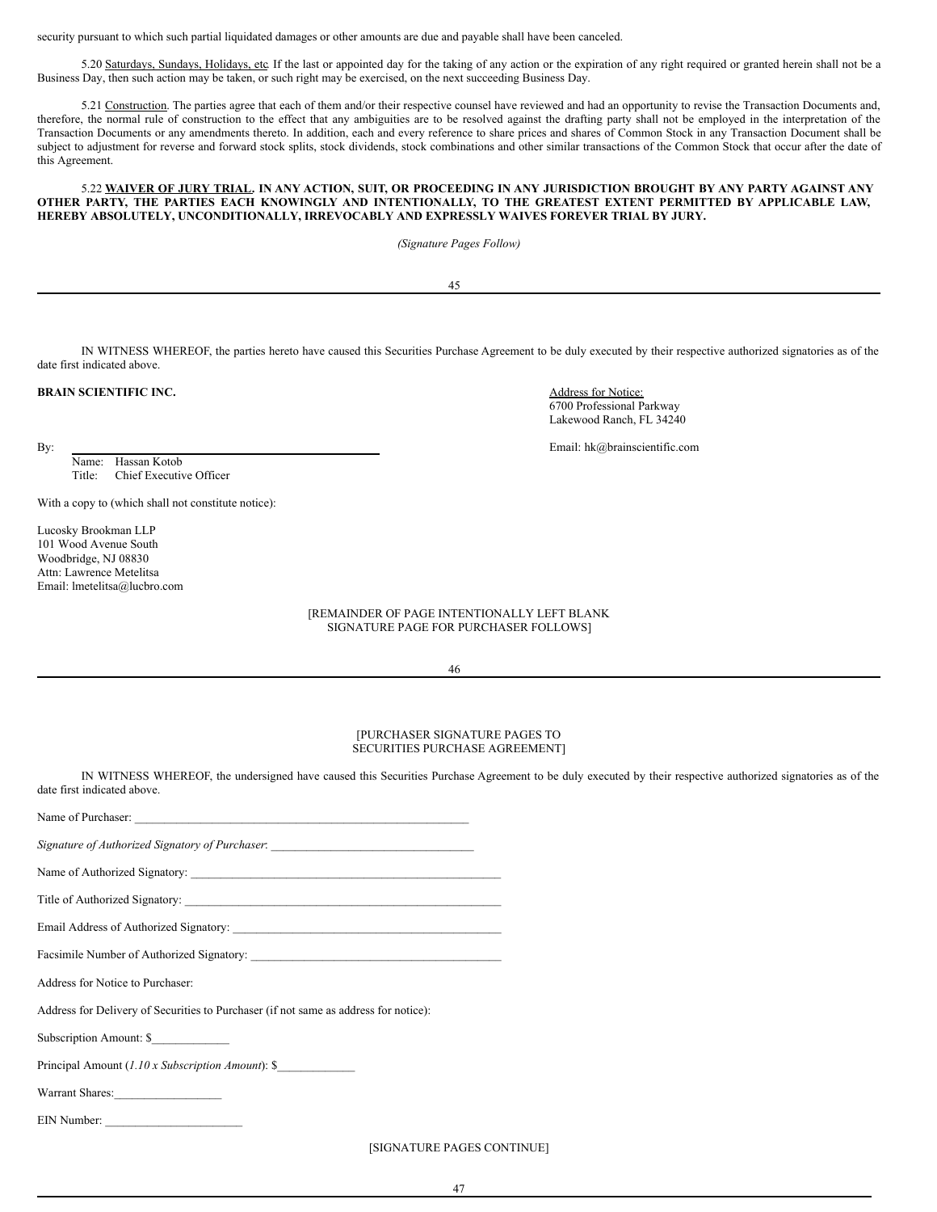security pursuant to which such partial liquidated damages or other amounts are due and payable shall have been canceled.

5.20 Saturdays, Sundays, Holidays, etc. If the last or appointed day for the taking of any action or the expiration of any right required or granted herein shall not be a Business Day, then such action may be taken, or such right may be exercised, on the next succeeding Business Day.

5.21 Construction. The parties agree that each of them and/or their respective counsel have reviewed and had an opportunity to revise the Transaction Documents and, therefore, the normal rule of construction to the effect that any ambiguities are to be resolved against the drafting party shall not be employed in the interpretation of the Transaction Documents or any amendments thereto. In addition, each and every reference to share prices and shares of Common Stock in any Transaction Document shall be subject to adjustment for reverse and forward stock splits, stock dividends, stock combinations and other similar transactions of the Common Stock that occur after the date of this Agreement.

## 5.22 WAIVER OF JURY TRIAL. IN ANY ACTION, SUIT, OR PROCEEDING IN ANY JURISDICTION BROUGHT BY ANY PARTY AGAINST ANY **OTHER PARTY, THE PARTIES EACH KNOWINGLY AND INTENTIONALLY, TO THE GREATEST EXTENT PERMITTED BY APPLICABLE LAW, HEREBY ABSOLUTELY, UNCONDITIONALLY, IRREVOCABLY AND EXPRESSLY WAIVES FOREVER TRIAL BY JURY.**

*(Signature Pages Follow)*

45

| indicated above. | IN WITNESS WHEREOF, the parties hereto have caused this Securities Purchase Agreement to be duly executed by their respective authorized signatories as of the |  |  |
|------------------|----------------------------------------------------------------------------------------------------------------------------------------------------------------|--|--|
|                  |                                                                                                                                                                |  |  |

Name: Hassan Kotob Title: Chief Executive Officer

With a copy to (which shall not constitute notice):

Lucosky Brookman LLP 101 Wood Avenue South Woodbridge, NJ 08830 Attn: Lawrence Metelitsa Email: lmetelitsa@lucbro.com

date first indicated above.

**BRAIN SCIENTIFIC INC.** Address for Notice: 6700 Professional Parkway Lakewood Ranch, FL 34240

By: Email: hk@brainscientific.com

[REMAINDER OF PAGE INTENTIONALLY LEFT BLANK SIGNATURE PAGE FOR PURCHASER FOLLOWS]

46

[PURCHASER SIGNATURE PAGES TO SECURITIES PURCHASE AGREEMENT]

IN WITNESS WHEREOF, the undersigned have caused this Securities Purchase Agreement to be duly executed by their respective authorized signatories as of the date first indicated above.

| Name of Purchaser:                                                                   |
|--------------------------------------------------------------------------------------|
| Signature of Authorized Signatory of Purchaser. ________________________________     |
|                                                                                      |
|                                                                                      |
|                                                                                      |
|                                                                                      |
| Address for Notice to Purchaser:                                                     |
| Address for Delivery of Securities to Purchaser (if not same as address for notice): |
| Subscription Amount: \$                                                              |
| Principal Amount (1.10 x Subscription Amount): \$                                    |
| Warrant Shares:                                                                      |
| EIN Number:                                                                          |
| [SIGNATURE PAGES CONTINUE]                                                           |

47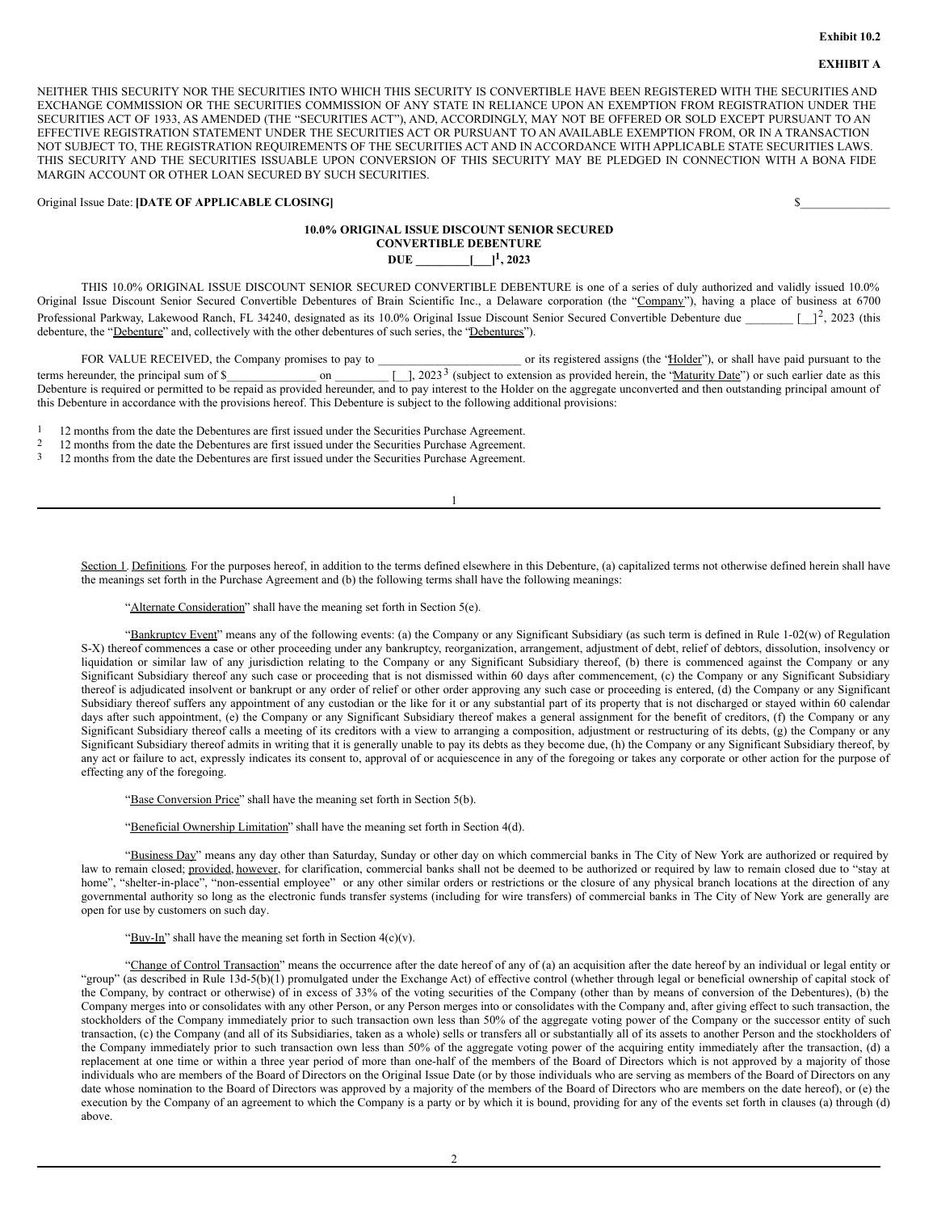# **EXHIBIT A**

NEITHER THIS SECURITY NOR THE SECURITIES INTO WHICH THIS SECURITY IS CONVERTIBLE HAVE BEEN REGISTERED WITH THE SECURITIES AND EXCHANGE COMMISSION OR THE SECURITIES COMMISSION OF ANY STATE IN RELIANCE UPON AN EXEMPTION FROM REGISTRATION UNDER THE SECURITIES ACT OF 1933, AS AMENDED (THE "SECURITIES ACT"), AND, ACCORDINGLY, MAY NOT BE OFFERED OR SOLD EXCEPT PURSUANT TO AN EFFECTIVE REGISTRATION STATEMENT UNDER THE SECURITIES ACT OR PURSUANT TO AN AVAILABLE EXEMPTION FROM, OR IN A TRANSACTION NOT SUBJECT TO, THE REGISTRATION REQUIREMENTS OF THE SECURITIES ACT AND IN ACCORDANCE WITH APPLICABLE STATE SECURITIES LAWS. THIS SECURITY AND THE SECURITIES ISSUABLE UPON CONVERSION OF THIS SECURITY MAY BE PLEDGED IN CONNECTION WITH A BONA FIDE MARGIN ACCOUNT OR OTHER LOAN SECURED BY SUCH SECURITIES.

Original Issue Date: **[DATE OF APPLICABLE CLOSING]** \$\_\_\_\_\_\_\_\_\_\_\_\_\_\_\_

## **10.0% ORIGINAL ISSUE DISCOUNT SENIOR SECURED CONVERTIBLE DEBENTURE DUE \_\_\_\_\_\_\_\_\_[\_\_\_] 1 , 2023**

THIS 10.0% ORIGINAL ISSUE DISCOUNT SENIOR SECURED CONVERTIBLE DEBENTURE is one of a series of duly authorized and validly issued 10.0% Original Issue Discount Senior Secured Convertible Debentures of Brain Scientific Inc., a Delaware corporation (the "Company"), having a place of business at 6700 Professional Parkway, Lakewood Ranch, FL 34240, designated as its 10.0% Original Issue Discount Senior Secured Convertible Debenture due  $\begin{bmatrix} 1^2, 2023 \end{bmatrix}$  (this debenture, the "Debenture" and, collectively with the other debentures of such series, the "Debentures").

FOR VALUE RECEIVED, the Company promises to pay to can experience its registered assigns (the "Holder"), or shall have paid pursuant to the terms hereunder, the principal sum of \$\_\_\_\_\_\_\_\_\_\_\_\_\_\_ on \_\_\_\_\_\_\_\_  $3$  (subject to extension as provided herein, the 'Maturity Date'') or such earlier date as this Debenture is required or permitted to be repaid as provided hereunder, and to pay interest to the Holder on the aggregate unconverted and then outstanding principal amount of this Debenture in accordance with the provisions hereof. This Debenture is subject to the following additional provisions:

1

1 12 months from the date the Debentures are first issued under the Securities Purchase Agreement.<br>2 12 months from the date the Debentures are first issued under the Securities Purchase Agreement.

2 12 months from the date the Debentures are first issued under the Securities Purchase Agreement.<br>2 12 months from the date the Debentures are first issued under the Securities Purchase Agreement.

3 12 months from the date the Debentures are first issued under the Securities Purchase Agreement.

Section 1. Definitions. For the purposes hereof, in addition to the terms defined elsewhere in this Debenture, (a) capitalized terms not otherwise defined herein shall have the meanings set forth in the Purchase Agreement and (b) the following terms shall have the following meanings:

"Alternate Consideration" shall have the meaning set forth in Section 5(e).

"Bankruptcy Event" means any of the following events: (a) the Company or any Significant Subsidiary (as such term is defined in Rule 1-02(w) of Regulation S-X) thereof commences a case or other proceeding under any bankruptcy, reorganization, arrangement, adjustment of debt, relief of debtors, dissolution, insolvency or liquidation or similar law of any jurisdiction relating to the Company or any Significant Subsidiary thereof, (b) there is commenced against the Company or any Significant Subsidiary thereof any such case or proceeding that is not dismissed within 60 days after commencement, (c) the Company or any Significant Subsidiary thereof is adjudicated insolvent or bankrupt or any order of relief or other order approving any such case or proceeding is entered, (d) the Company or any Significant Subsidiary thereof suffers any appointment of any custodian or the like for it or any substantial part of its property that is not discharged or stayed within 60 calendar days after such appointment, (e) the Company or any Significant Subsidiary thereof makes a general assignment for the benefit of creditors, (f) the Company or any Significant Subsidiary thereof calls a meeting of its creditors with a view to arranging a composition, adjustment or restructuring of its debts, (g) the Company or any Significant Subsidiary thereof admits in writing that it is generally unable to pay its debts as they become due, (h) the Company or any Significant Subsidiary thereof, by any act or failure to act, expressly indicates its consent to, approval of or acquiescence in any of the foregoing or takes any corporate or other action for the purpose of effecting any of the foregoing.

"Base Conversion Price" shall have the meaning set forth in Section 5(b).

"Beneficial Ownership Limitation" shall have the meaning set forth in Section 4(d).

"Business Day" means any day other than Saturday, Sunday or other day on which commercial banks in The City of New York are authorized or required by law to remain closed; provided, however, for clarification, commercial banks shall not be deemed to be authorized or required by law to remain closed due to "stay at home", "shelter-in-place", "non-essential employee" or any other similar orders or restrictions or the closure of any physical branch locations at the direction of any governmental authority so long as the electronic funds transfer systems (including for wire transfers) of commercial banks in The City of New York are generally are open for use by customers on such day.

"Buy-In" shall have the meaning set forth in Section  $4(c)(v)$ .

"Change of Control Transaction" means the occurrence after the date hereof of any of (a) an acquisition after the date hereof by an individual or legal entity or "group" (as described in Rule 13d-5(b)(1) promulgated under the Exchange Act) of effective control (whether through legal or beneficial ownership of capital stock of the Company, by contract or otherwise) of in excess of 33% of the voting securities of the Company (other than by means of conversion of the Debentures), (b) the Company merges into or consolidates with any other Person, or any Person merges into or consolidates with the Company and, after giving effect to such transaction, the stockholders of the Company immediately prior to such transaction own less than 50% of the aggregate voting power of the Company or the successor entity of such transaction, (c) the Company (and all of its Subsidiaries, taken as a whole) sells or transfers all or substantially all of its assets to another Person and the stockholders of the Company immediately prior to such transaction own less than 50% of the aggregate voting power of the acquiring entity immediately after the transaction, (d) a replacement at one time or within a three year period of more than one-half of the members of the Board of Directors which is not approved by a majority of those individuals who are members of the Board of Directors on the Original Issue Date (or by those individuals who are serving as members of the Board of Directors on any date whose nomination to the Board of Directors was approved by a majority of the members of the Board of Directors who are members on the date hereof), or (e) the execution by the Company of an agreement to which the Company is a party or by which it is bound, providing for any of the events set forth in clauses (a) through (d) above.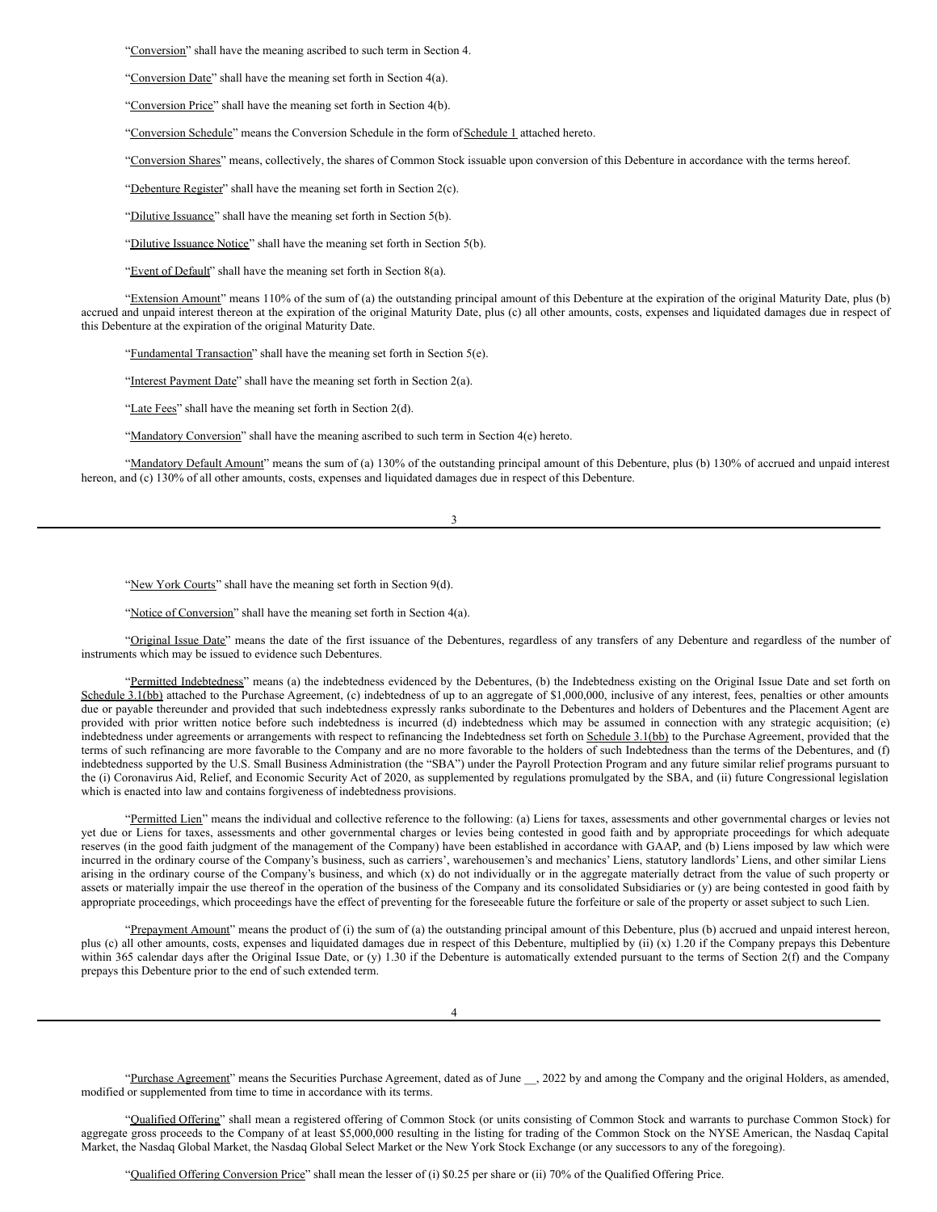"Conversion" shall have the meaning ascribed to such term in Section 4.

"Conversion Date" shall have the meaning set forth in Section 4(a).

"Conversion Price" shall have the meaning set forth in Section 4(b).

"Conversion Schedule" means the Conversion Schedule in the form of Schedule 1 attached hereto.

"Conversion Shares" means, collectively, the shares of Common Stock issuable upon conversion of this Debenture in accordance with the terms hereof.

"Debenture Register" shall have the meaning set forth in Section 2(c).

"Dilutive Issuance" shall have the meaning set forth in Section 5(b).

"Dilutive Issuance Notice" shall have the meaning set forth in Section 5(b).

"Event of Default" shall have the meaning set forth in Section 8(a).

"Extension Amount" means 110% of the sum of (a) the outstanding principal amount of this Debenture at the expiration of the original Maturity Date, plus (b) accrued and unpaid interest thereon at the expiration of the original Maturity Date, plus (c) all other amounts, costs, expenses and liquidated damages due in respect of this Debenture at the expiration of the original Maturity Date.

"Fundamental Transaction" shall have the meaning set forth in Section 5(e).

"Interest Payment Date" shall have the meaning set forth in Section 2(a).

"Late Fees" shall have the meaning set forth in Section 2(d).

"Mandatory Conversion" shall have the meaning ascribed to such term in Section 4(e) hereto.

"Mandatory Default Amount" means the sum of (a) 130% of the outstanding principal amount of this Debenture, plus (b) 130% of accrued and unpaid interest hereon, and (c) 130% of all other amounts, costs, expenses and liquidated damages due in respect of this Debenture.

3

"New York Courts" shall have the meaning set forth in Section 9(d).

"Notice of Conversion" shall have the meaning set forth in Section 4(a).

"Original Issue Date" means the date of the first issuance of the Debentures, regardless of any transfers of any Debenture and regardless of the number of instruments which may be issued to evidence such Debentures.

"Permitted Indebtedness" means (a) the indebtedness evidenced by the Debentures, (b) the Indebtedness existing on the Original Issue Date and set forth on Schedule 3.1(bb) attached to the Purchase Agreement, (c) indebtedness of up to an aggregate of \$1,000,000, inclusive of any interest, fees, penalties or other amounts due or payable thereunder and provided that such indebtedness expressly ranks subordinate to the Debentures and holders of Debentures and the Placement Agent are provided with prior written notice before such indebtedness is incurred (d) indebtedness which may be assumed in connection with any strategic acquisition; (e) indebtedness under agreements or arrangements with respect to refinancing the Indebtedness set forth on Schedule 3.1(bb) to the Purchase Agreement, provided that the terms of such refinancing are more favorable to the Company and are no more favorable to the holders of such Indebtedness than the terms of the Debentures, and (f) indebtedness supported by the U.S. Small Business Administration (the "SBA") under the Payroll Protection Program and any future similar relief programs pursuant to the (i) Coronavirus Aid, Relief, and Economic Security Act of 2020, as supplemented by regulations promulgated by the SBA, and (ii) future Congressional legislation which is enacted into law and contains forgiveness of indebtedness provisions.

"Permitted Lien" means the individual and collective reference to the following: (a) Liens for taxes, assessments and other governmental charges or levies not yet due or Liens for taxes, assessments and other governmental charges or levies being contested in good faith and by appropriate proceedings for which adequate reserves (in the good faith judgment of the management of the Company) have been established in accordance with GAAP, and (b) Liens imposed by law which were incurred in the ordinary course of the Company's business, such as carriers', warehousemen's and mechanics' Liens, statutory landlords' Liens, and other similar Liens arising in the ordinary course of the Company's business, and which (x) do not individually or in the aggregate materially detract from the value of such property or assets or materially impair the use thereof in the operation of the business of the Company and its consolidated Subsidiaries or (y) are being contested in good faith by appropriate proceedings, which proceedings have the effect of preventing for the foreseeable future the forfeiture or sale of the property or asset subject to such Lien.

"Prepayment Amount" means the product of (i) the sum of (a) the outstanding principal amount of this Debenture, plus (b) accrued and unpaid interest hereon, plus (c) all other amounts, costs, expenses and liquidated damages due in respect of this Debenture, multiplied by (ii) (x) 1.20 if the Company prepays this Debenture within 365 calendar days after the Original Issue Date, or (y) 1.30 if the Debenture is automatically extended pursuant to the terms of Section 2(f) and the Company prepays this Debenture prior to the end of such extended term.

4

"Purchase Agreement" means the Securities Purchase Agreement, dated as of June \_\_, 2022 by and among the Company and the original Holders, as amended, modified or supplemented from time to time in accordance with its terms.

"Qualified Offering" shall mean a registered offering of Common Stock (or units consisting of Common Stock and warrants to purchase Common Stock) for aggregate gross proceeds to the Company of at least \$5,000,000 resulting in the listing for trading of the Common Stock on the NYSE American, the Nasdaq Capital Market, the Nasdaq Global Market, the Nasdaq Global Select Market or the New York Stock Exchange (or any successors to any of the foregoing).

"Qualified Offering Conversion Price" shall mean the lesser of (i) \$0.25 per share or (ii) 70% of the Qualified Offering Price.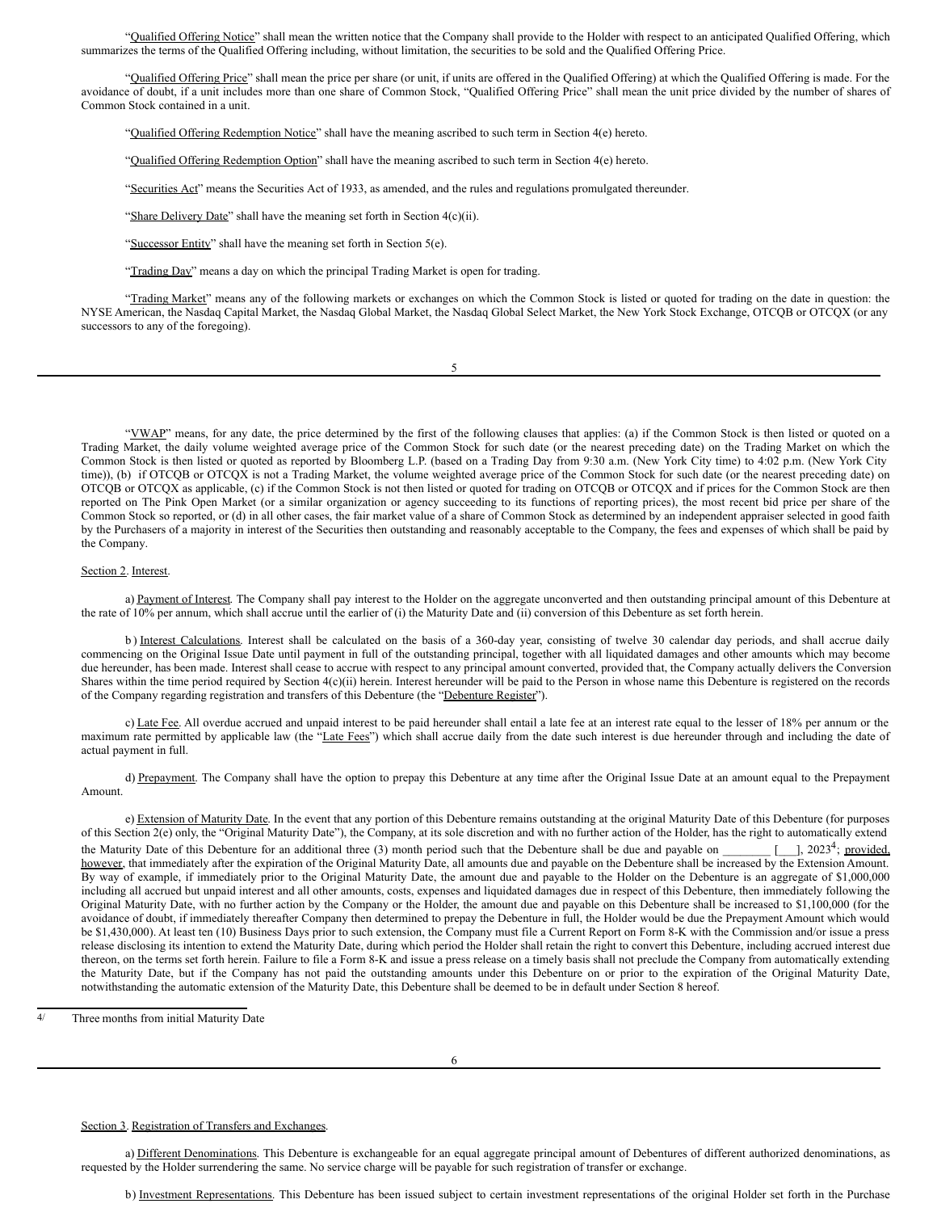"Qualified Offering Notice" shall mean the written notice that the Company shall provide to the Holder with respect to an anticipated Qualified Offering, which summarizes the terms of the Qualified Offering including, without limitation, the securities to be sold and the Qualified Offering Price.

"Qualified Offering Price" shall mean the price per share (or unit, if units are offered in the Qualified Offering) at which the Qualified Offering is made. For the avoidance of doubt, if a unit includes more than one share of Common Stock, "Qualified Offering Price" shall mean the unit price divided by the number of shares of Common Stock contained in a unit.

"Qualified Offering Redemption Notice" shall have the meaning ascribed to such term in Section 4(e) hereto.

"Qualified Offering Redemption Option" shall have the meaning ascribed to such term in Section 4(e) hereto.

"Securities Act" means the Securities Act of 1933, as amended, and the rules and regulations promulgated thereunder.

"Share Delivery Date" shall have the meaning set forth in Section 4(c)(ii).

"Successor Entity" shall have the meaning set forth in Section 5(e).

"Trading Day" means a day on which the principal Trading Market is open for trading.

"Trading Market" means any of the following markets or exchanges on which the Common Stock is listed or quoted for trading on the date in question: the NYSE American, the Nasdaq Capital Market, the Nasdaq Global Market, the Nasdaq Global Select Market, the New York Stock Exchange, OTCQB or OTCQX (or any successors to any of the foregoing).

| I |  |
|---|--|
| I |  |

"VWAP" means, for any date, the price determined by the first of the following clauses that applies: (a) if the Common Stock is then listed or quoted on a Trading Market, the daily volume weighted average price of the Common Stock for such date (or the nearest preceding date) on the Trading Market on which the Common Stock is then listed or quoted as reported by Bloomberg L.P. (based on a Trading Day from 9:30 a.m. (New York City time) to 4:02 p.m. (New York City time)), (b) if OTCQB or OTCQX is not a Trading Market, the volume weighted average price of the Common Stock for such date (or the nearest preceding date) on OTCQB or OTCQX as applicable, (c) if the Common Stock is not then listed or quoted for trading on OTCQB or OTCQX and if prices for the Common Stock are then reported on The Pink Open Market (or a similar organization or agency succeeding to its functions of reporting prices), the most recent bid price per share of the Common Stock so reported, or (d) in all other cases, the fair market value of a share of Common Stock as determined by an independent appraiser selected in good faith by the Purchasers of a majority in interest of the Securities then outstanding and reasonably acceptable to the Company, the fees and expenses of which shall be paid by the Company.

### Section 2. Interest.

a) Payment of Interest. The Company shall pay interest to the Holder on the aggregate unconverted and then outstanding principal amount of this Debenture at the rate of 10% per annum, which shall accrue until the earlier of (i) the Maturity Date and (ii) conversion of this Debenture as set forth herein.

b) Interest Calculations. Interest shall be calculated on the basis of a 360-day year, consisting of twelve 30 calendar day periods, and shall accrue daily commencing on the Original Issue Date until payment in full of the outstanding principal, together with all liquidated damages and other amounts which may become due hereunder, has been made. Interest shall cease to accrue with respect to any principal amount converted, provided that, the Company actually delivers the Conversion Shares within the time period required by Section 4(c)(ii) herein. Interest hereunder will be paid to the Person in whose name this Debenture is registered on the records of the Company regarding registration and transfers of this Debenture (the "Debenture Register").

c) Late Fee. All overdue accrued and unpaid interest to be paid hereunder shall entail a late fee at an interest rate equal to the lesser of 18% per annum or the maximum rate permitted by applicable law (the "Late Fees") which shall accrue daily from the date such interest is due hereunder through and including the date of actual payment in full.

d) Prepayment. The Company shall have the option to prepay this Debenture at any time after the Original Issue Date at an amount equal to the Prepayment Amount.

e) Extension of Maturity Date. In the event that any portion of this Debenture remains outstanding at the original Maturity Date of this Debenture (for purposes of this Section 2(e) only, the "Original Maturity Date"), the Company, at its sole discretion and with no further action of the Holder, has the right to automatically extend the Maturity Date of this Debenture for an additional three (3) month period such that the Debenture shall be due and payable on <sup>4</sup>; provided, however, that immediately after the expiration of the Original Maturity Date, all amounts due and payable on the Debenture shall be increased by the Extension Amount. By way of example, if immediately prior to the Original Maturity Date, the amount due and payable to the Holder on the Debenture is an aggregate of \$1,000,000 including all accrued but unpaid interest and all other amounts, costs, expenses and liquidated damages due in respect of this Debenture, then immediately following the Original Maturity Date, with no further action by the Company or the Holder, the amount due and payable on this Debenture shall be increased to \$1,100,000 (for the avoidance of doubt, if immediately thereafter Company then determined to prepay the Debenture in full, the Holder would be due the Prepayment Amount which would be \$1,430,000). At least ten (10) Business Days prior to such extension, the Company must file a Current Report on Form 8-K with the Commission and/or issue a press release disclosing its intention to extend the Maturity Date, during which period the Holder shall retain the right to convert this Debenture, including accrued interest due thereon, on the terms set forth herein. Failure to file a Form 8-K and issue a press release on a timely basis shall not preclude the Company from automatically extending the Maturity Date, but if the Company has not paid the outstanding amounts under this Debenture on or prior to the expiration of the Original Maturity Date, notwithstanding the automatic extension of the Maturity Date, this Debenture shall be deemed to be in default under Section 8 hereof.

Three months from initial Maturity Date

### Section 3. Registration of Transfers and Exchanges.

a) Different Denominations. This Debenture is exchangeable for an equal aggregate principal amount of Debentures of different authorized denominations, as requested by the Holder surrendering the same. No service charge will be payable for such registration of transfer or exchange.

b) Investment Representations. This Debenture has been issued subject to certain investment representations of the original Holder set forth in the Purchase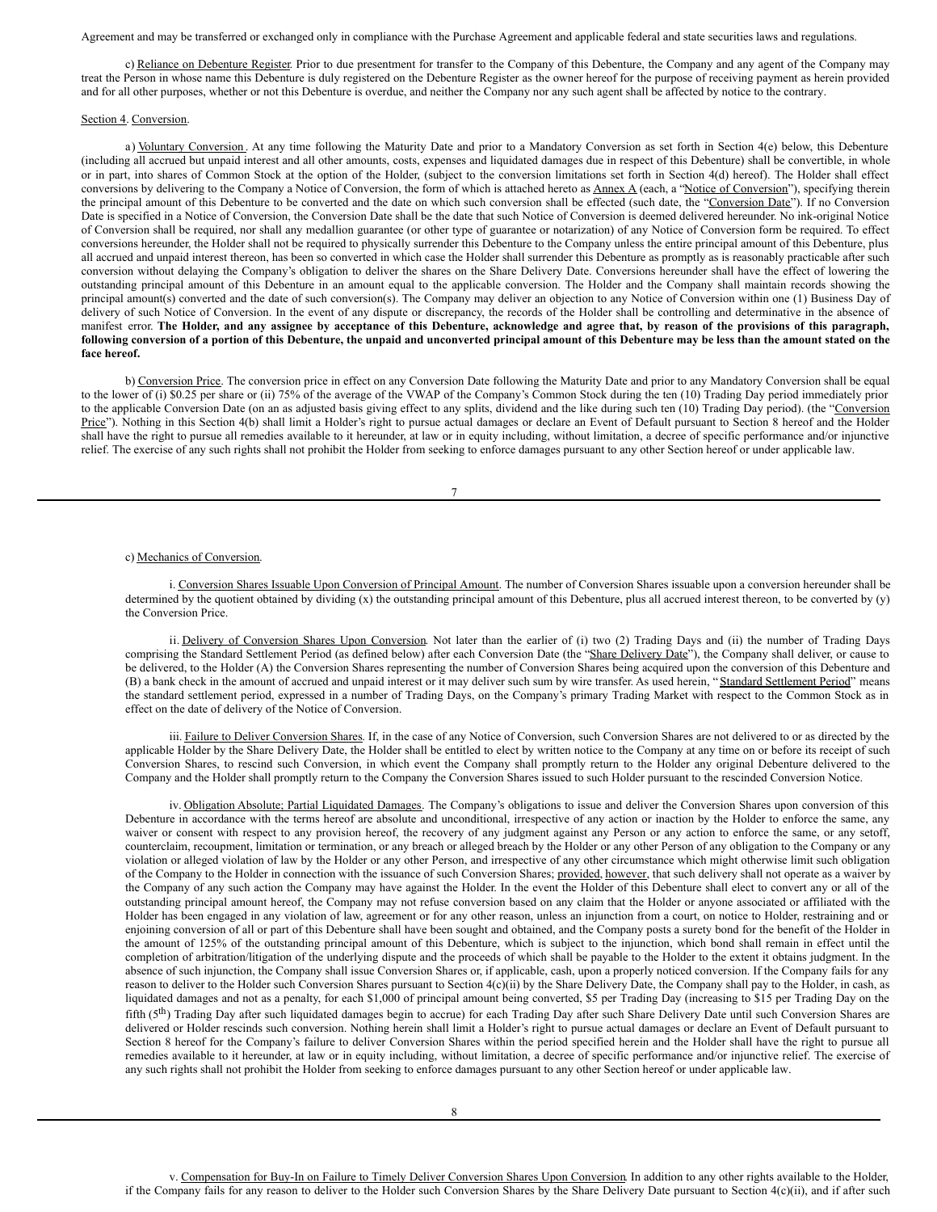Agreement and may be transferred or exchanged only in compliance with the Purchase Agreement and applicable federal and state securities laws and regulations.

c) Reliance on Debenture Register. Prior to due presentment for transfer to the Company of this Debenture, the Company and any agent of the Company may treat the Person in whose name this Debenture is duly registered on the Debenture Register as the owner hereof for the purpose of receiving payment as herein provided and for all other purposes, whether or not this Debenture is overdue, and neither the Company nor any such agent shall be affected by notice to the contrary.

#### Section 4. Conversion.

a) Voluntary Conversion. At any time following the Maturity Date and prior to a Mandatory Conversion as set forth in Section 4(e) below, this Debenture (including all accrued but unpaid interest and all other amounts, costs, expenses and liquidated damages due in respect of this Debenture) shall be convertible, in whole or in part, into shares of Common Stock at the option of the Holder, (subject to the conversion limitations set forth in Section 4(d) hereof). The Holder shall effect conversions by delivering to the Company a Notice of Conversion, the form of which is attached hereto as Annex A (each, a "Notice of Conversion"), specifying therein the principal amount of this Debenture to be converted and the date on which such conversion shall be effected (such date, the "Conversion Date"). If no Conversion Date is specified in a Notice of Conversion, the Conversion Date shall be the date that such Notice of Conversion is deemed delivered hereunder. No ink-original Notice of Conversion shall be required, nor shall any medallion guarantee (or other type of guarantee or notarization) of any Notice of Conversion form be required. To effect conversions hereunder, the Holder shall not be required to physically surrender this Debenture to the Company unless the entire principal amount of this Debenture, plus all accrued and unpaid interest thereon, has been so converted in which case the Holder shall surrender this Debenture as promptly as is reasonably practicable after such conversion without delaying the Company's obligation to deliver the shares on the Share Delivery Date. Conversions hereunder shall have the effect of lowering the outstanding principal amount of this Debenture in an amount equal to the applicable conversion. The Holder and the Company shall maintain records showing the principal amount(s) converted and the date of such conversion(s). The Company may deliver an objection to any Notice of Conversion within one (1) Business Day of delivery of such Notice of Conversion. In the event of any dispute or discrepancy, the records of the Holder shall be controlling and determinative in the absence of manifest error. The Holder, and any assignee by acceptance of this Debenture, acknowledge and agree that, by reason of the provisions of this paragraph, following conversion of a portion of this Debenture, the unpaid and unconverted principal amount of this Debenture may be less than the amount stated on the **face hereof.**

b) Conversion Price. The conversion price in effect on any Conversion Date following the Maturity Date and prior to any Mandatory Conversion shall be equal to the lower of (i) \$0.25 per share or (ii) 75% of the average of the VWAP of the Company's Common Stock during the ten (10) Trading Day period immediately prior to the applicable Conversion Date (on an as adjusted basis giving effect to any splits, dividend and the like during such ten (10) Trading Day period). (the "Conversion Price"). Nothing in this Section 4(b) shall limit a Holder's right to pursue actual damages or declare an Event of Default pursuant to Section 8 hereof and the Holder shall have the right to pursue all remedies available to it hereunder, at law or in equity including, without limitation, a decree of specific performance and/or injunctive relief. The exercise of any such rights shall not prohibit the Holder from seeking to enforce damages pursuant to any other Section hereof or under applicable law.

### 7

#### c) Mechanics of Conversion.

i. Conversion Shares Issuable Upon Conversion of Principal Amount. The number of Conversion Shares issuable upon a conversion hereunder shall be determined by the quotient obtained by dividing (x) the outstanding principal amount of this Debenture, plus all accrued interest thereon, to be converted by (y) the Conversion Price.

ii. Delivery of Conversion Shares Upon Conversion. Not later than the earlier of (i) two (2) Trading Days and (ii) the number of Trading Days comprising the Standard Settlement Period (as defined below) after each Conversion Date (the "Share Delivery Date"), the Company shall deliver, or cause to be delivered, to the Holder (A) the Conversion Shares representing the number of Conversion Shares being acquired upon the conversion of this Debenture and (B) a bank check in the amount of accrued and unpaid interest or it may deliver such sum by wire transfer. As used herein, "Standard Settlement Period" means the standard settlement period, expressed in a number of Trading Days, on the Company's primary Trading Market with respect to the Common Stock as in effect on the date of delivery of the Notice of Conversion.

iii. Failure to Deliver Conversion Shares. If, in the case of any Notice of Conversion, such Conversion Shares are not delivered to or as directed by the applicable Holder by the Share Delivery Date, the Holder shall be entitled to elect by written notice to the Company at any time on or before its receipt of such Conversion Shares, to rescind such Conversion, in which event the Company shall promptly return to the Holder any original Debenture delivered to the Company and the Holder shall promptly return to the Company the Conversion Shares issued to such Holder pursuant to the rescinded Conversion Notice.

iv. Obligation Absolute; Partial Liquidated Damages. The Company's obligations to issue and deliver the Conversion Shares upon conversion of this Debenture in accordance with the terms hereof are absolute and unconditional, irrespective of any action or inaction by the Holder to enforce the same, any waiver or consent with respect to any provision hereof, the recovery of any judgment against any Person or any action to enforce the same, or any setoff, counterclaim, recoupment, limitation or termination, or any breach or alleged breach by the Holder or any other Person of any obligation to the Company or any violation or alleged violation of law by the Holder or any other Person, and irrespective of any other circumstance which might otherwise limit such obligation of the Company to the Holder in connection with the issuance of such Conversion Shares; provided, however, that such delivery shall not operate as a waiver by the Company of any such action the Company may have against the Holder. In the event the Holder of this Debenture shall elect to convert any or all of the outstanding principal amount hereof, the Company may not refuse conversion based on any claim that the Holder or anyone associated or affiliated with the Holder has been engaged in any violation of law, agreement or for any other reason, unless an injunction from a court, on notice to Holder, restraining and or enjoining conversion of all or part of this Debenture shall have been sought and obtained, and the Company posts a surety bond for the benefit of the Holder in the amount of 125% of the outstanding principal amount of this Debenture, which is subject to the injunction, which bond shall remain in effect until the completion of arbitration/litigation of the underlying dispute and the proceeds of which shall be payable to the Holder to the extent it obtains judgment. In the absence of such injunction, the Company shall issue Conversion Shares or, if applicable, cash, upon a properly noticed conversion. If the Company fails for any reason to deliver to the Holder such Conversion Shares pursuant to Section 4(c)(ii) by the Share Delivery Date, the Company shall pay to the Holder, in cash, as liquidated damages and not as a penalty, for each \$1,000 of principal amount being converted, \$5 per Trading Day (increasing to \$15 per Trading Day on the fifth (5<sup>th</sup>) Trading Day after such liquidated damages begin to accrue) for each Trading Day after such Share Delivery Date until such Conversion Shares are delivered or Holder rescinds such conversion. Nothing herein shall limit a Holder's right to pursue actual damages or declare an Event of Default pursuant to Section 8 hereof for the Company's failure to deliver Conversion Shares within the period specified herein and the Holder shall have the right to pursue all remedies available to it hereunder, at law or in equity including, without limitation, a decree of specific performance and/or injunctive relief. The exercise of any such rights shall not prohibit the Holder from seeking to enforce damages pursuant to any other Section hereof or under applicable law.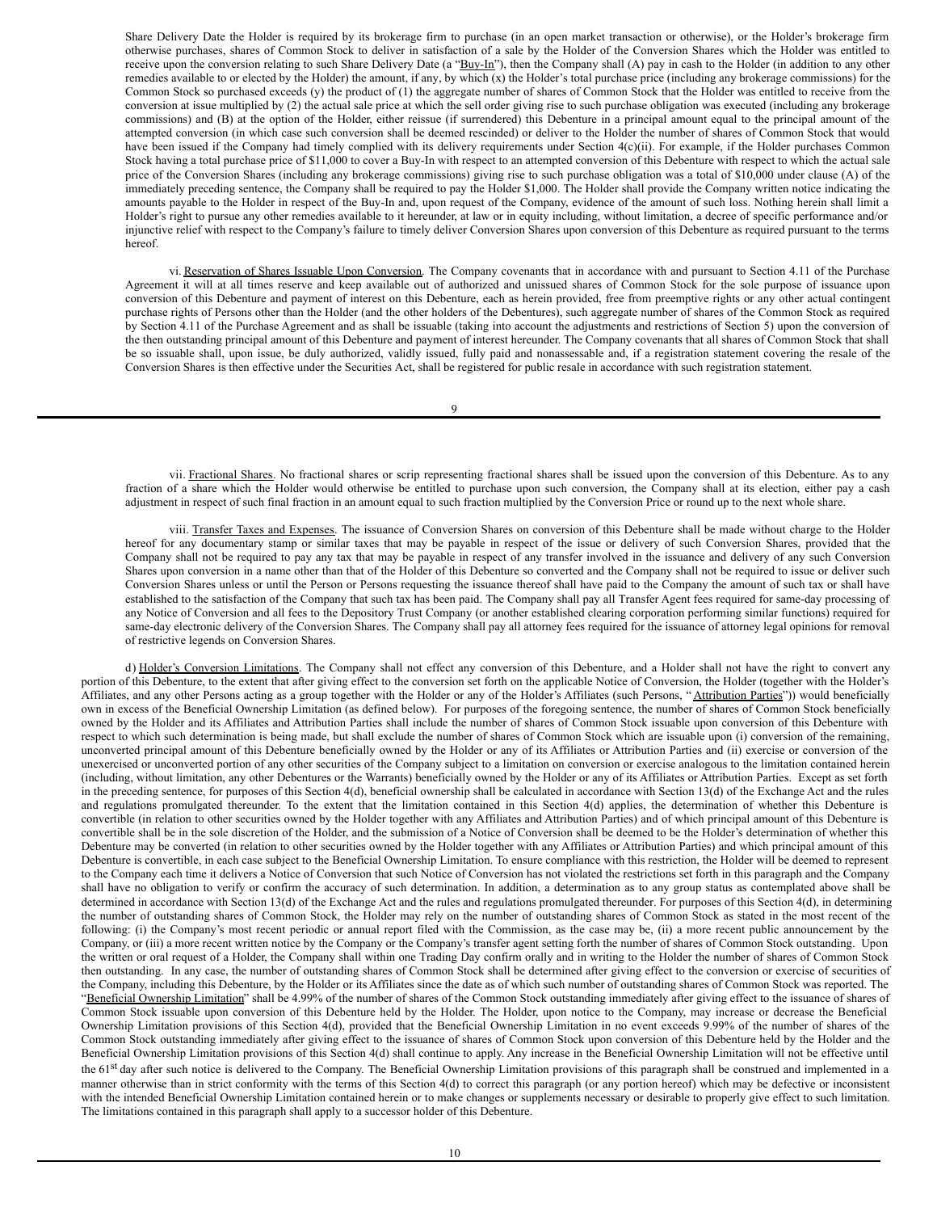Share Delivery Date the Holder is required by its brokerage firm to purchase (in an open market transaction or otherwise), or the Holder's brokerage firm otherwise purchases, shares of Common Stock to deliver in satisfaction of a sale by the Holder of the Conversion Shares which the Holder was entitled to receive upon the conversion relating to such Share Delivery Date (a "Buy-In"), then the Company shall (A) pay in cash to the Holder (in addition to any other remedies available to or elected by the Holder) the amount, if any, by which (x) the Holder's total purchase price (including any brokerage commissions) for the Common Stock so purchased exceeds (y) the product of (1) the aggregate number of shares of Common Stock that the Holder was entitled to receive from the conversion at issue multiplied by (2) the actual sale price at which the sell order giving rise to such purchase obligation was executed (including any brokerage commissions) and (B) at the option of the Holder, either reissue (if surrendered) this Debenture in a principal amount equal to the principal amount of the attempted conversion (in which case such conversion shall be deemed rescinded) or deliver to the Holder the number of shares of Common Stock that would have been issued if the Company had timely complied with its delivery requirements under Section 4(c)(ii). For example, if the Holder purchases Common Stock having a total purchase price of \$11,000 to cover a Buy-In with respect to an attempted conversion of this Debenture with respect to which the actual sale price of the Conversion Shares (including any brokerage commissions) giving rise to such purchase obligation was a total of \$10,000 under clause (A) of the immediately preceding sentence, the Company shall be required to pay the Holder \$1,000. The Holder shall provide the Company written notice indicating the amounts payable to the Holder in respect of the Buy-In and, upon request of the Company, evidence of the amount of such loss. Nothing herein shall limit a Holder's right to pursue any other remedies available to it hereunder, at law or in equity including, without limitation, a decree of specific performance and/or injunctive relief with respect to the Company's failure to timely deliver Conversion Shares upon conversion of this Debenture as required pursuant to the terms hereof.

vi. Reservation of Shares Issuable Upon Conversion. The Company covenants that in accordance with and pursuant to Section 4.11 of the Purchase Agreement it will at all times reserve and keep available out of authorized and unissued shares of Common Stock for the sole purpose of issuance upon conversion of this Debenture and payment of interest on this Debenture, each as herein provided, free from preemptive rights or any other actual contingent purchase rights of Persons other than the Holder (and the other holders of the Debentures), such aggregate number of shares of the Common Stock as required by Section 4.11 of the Purchase Agreement and as shall be issuable (taking into account the adjustments and restrictions of Section 5) upon the conversion of the then outstanding principal amount of this Debenture and payment of interest hereunder. The Company covenants that all shares of Common Stock that shall be so issuable shall, upon issue, be duly authorized, validly issued, fully paid and nonassessable and, if a registration statement covering the resale of the Conversion Shares is then effective under the Securities Act, shall be registered for public resale in accordance with such registration statement.

 $\overline{Q}$ 

vii. Fractional Shares. No fractional shares or scrip representing fractional shares shall be issued upon the conversion of this Debenture. As to any fraction of a share which the Holder would otherwise be entitled to purchase upon such conversion, the Company shall at its election, either pay a cash adjustment in respect of such final fraction in an amount equal to such fraction multiplied by the Conversion Price or round up to the next whole share.

viii. Transfer Taxes and Expenses. The issuance of Conversion Shares on conversion of this Debenture shall be made without charge to the Holder hereof for any documentary stamp or similar taxes that may be payable in respect of the issue or delivery of such Conversion Shares, provided that the Company shall not be required to pay any tax that may be payable in respect of any transfer involved in the issuance and delivery of any such Conversion Shares upon conversion in a name other than that of the Holder of this Debenture so converted and the Company shall not be required to issue or deliver such Conversion Shares unless or until the Person or Persons requesting the issuance thereof shall have paid to the Company the amount of such tax or shall have established to the satisfaction of the Company that such tax has been paid. The Company shall pay all Transfer Agent fees required for same-day processing of any Notice of Conversion and all fees to the Depository Trust Company (or another established clearing corporation performing similar functions) required for same-day electronic delivery of the Conversion Shares. The Company shall pay all attorney fees required for the issuance of attorney legal opinions for removal of restrictive legends on Conversion Shares.

d) Holder's Conversion Limitations. The Company shall not effect any conversion of this Debenture, and a Holder shall not have the right to convert any portion of this Debenture, to the extent that after giving effect to the conversion set forth on the applicable Notice of Conversion, the Holder (together with the Holder's Affiliates, and any other Persons acting as a group together with the Holder or any of the Holder's Affiliates (such Persons, "Attribution Parties")) would beneficially own in excess of the Beneficial Ownership Limitation (as defined below). For purposes of the foregoing sentence, the number of shares of Common Stock beneficially owned by the Holder and its Affiliates and Attribution Parties shall include the number of shares of Common Stock issuable upon conversion of this Debenture with respect to which such determination is being made, but shall exclude the number of shares of Common Stock which are issuable upon (i) conversion of the remaining, unconverted principal amount of this Debenture beneficially owned by the Holder or any of its Affiliates or Attribution Parties and (ii) exercise or conversion of the unexercised or unconverted portion of any other securities of the Company subject to a limitation on conversion or exercise analogous to the limitation contained herein (including, without limitation, any other Debentures or the Warrants) beneficially owned by the Holder or any of its Affiliates or Attribution Parties. Except as set forth in the preceding sentence, for purposes of this Section 4(d), beneficial ownership shall be calculated in accordance with Section 13(d) of the Exchange Act and the rules and regulations promulgated thereunder. To the extent that the limitation contained in this Section 4(d) applies, the determination of whether this Debenture is convertible (in relation to other securities owned by the Holder together with any Affiliates and Attribution Parties) and of which principal amount of this Debenture is convertible shall be in the sole discretion of the Holder, and the submission of a Notice of Conversion shall be deemed to be the Holder's determination of whether this Debenture may be converted (in relation to other securities owned by the Holder together with any Affiliates or Attribution Parties) and which principal amount of this Debenture is convertible, in each case subject to the Beneficial Ownership Limitation. To ensure compliance with this restriction, the Holder will be deemed to represent to the Company each time it delivers a Notice of Conversion that such Notice of Conversion has not violated the restrictions set forth in this paragraph and the Company shall have no obligation to verify or confirm the accuracy of such determination. In addition, a determination as to any group status as contemplated above shall be determined in accordance with Section 13(d) of the Exchange Act and the rules and regulations promulgated thereunder. For purposes of this Section 4(d), in determining the number of outstanding shares of Common Stock, the Holder may rely on the number of outstanding shares of Common Stock as stated in the most recent of the following: (i) the Company's most recent periodic or annual report filed with the Commission, as the case may be, (ii) a more recent public announcement by the Company, or (iii) a more recent written notice by the Company or the Company's transfer agent setting forth the number of shares of Common Stock outstanding. Upon the written or oral request of a Holder, the Company shall within one Trading Day confirm orally and in writing to the Holder the number of shares of Common Stock then outstanding. In any case, the number of outstanding shares of Common Stock shall be determined after giving effect to the conversion or exercise of securities of the Company, including this Debenture, by the Holder or its Affiliates since the date as of which such number of outstanding shares of Common Stock was reported. The "Beneficial Ownership Limitation" shall be 4.99% of the number of shares of the Common Stock outstanding immediately after giving effect to the issuance of shares of Common Stock issuable upon conversion of this Debenture held by the Holder. The Holder, upon notice to the Company, may increase or decrease the Beneficial Ownership Limitation provisions of this Section 4(d), provided that the Beneficial Ownership Limitation in no event exceeds 9.99% of the number of shares of the Common Stock outstanding immediately after giving effect to the issuance of shares of Common Stock upon conversion of this Debenture held by the Holder and the Beneficial Ownership Limitation provisions of this Section 4(d) shall continue to apply. Any increase in the Beneficial Ownership Limitation will not be effective until the 61<sup>st</sup> day after such notice is delivered to the Company. The Beneficial Ownership Limitation provisions of this paragraph shall be construed and implemented in a manner otherwise than in strict conformity with the terms of this Section 4(d) to correct this paragraph (or any portion hereof) which may be defective or inconsistent with the intended Beneficial Ownership Limitation contained herein or to make changes or supplements necessary or desirable to properly give effect to such limitation. The limitations contained in this paragraph shall apply to a successor holder of this Debenture.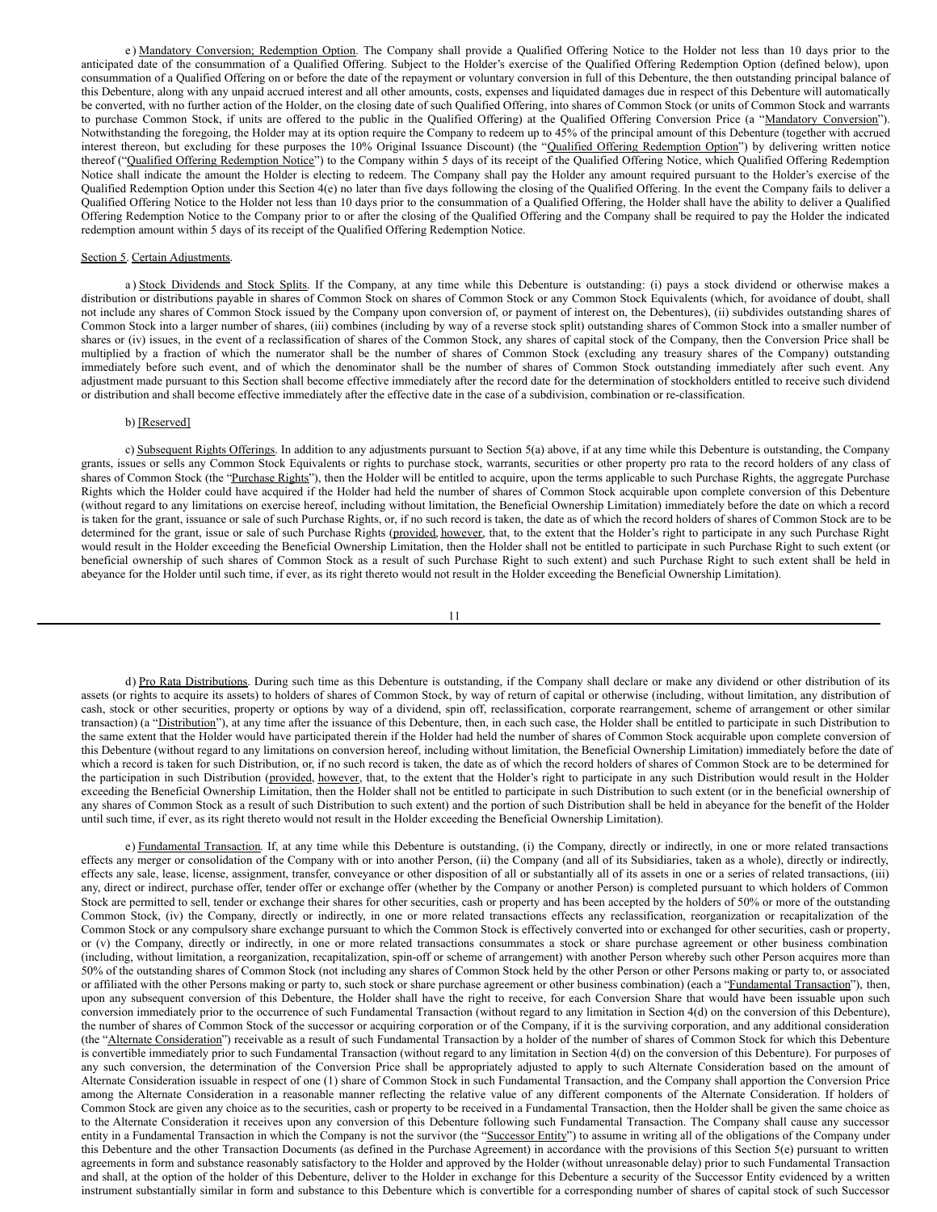<span id="page-27-0"></span>e) Mandatory Conversion; Redemption Option. The Company shall provide a Qualified Offering Notice to the Holder not less than 10 days prior to the anticipated date of the consummation of a Qualified Offering. Subject to the Holder's exercise of the Qualified Offering Redemption Option (defined below), upon consummation of a Qualified Offering on or before the date of the repayment or voluntary conversion in full of this Debenture, the then outstanding principal balance of this Debenture, along with any unpaid accrued interest and all other amounts, costs, expenses and liquidated damages due in respect of this Debenture will automatically be converted, with no further action of the Holder, on the closing date of such Qualified Offering, into shares of Common Stock (or units of Common Stock and warrants to purchase Common Stock, if units are offered to the public in the Qualified Offering) at the Qualified Offering Conversion Price (a "Mandatory Conversion"). Notwithstanding the foregoing, the Holder may at its option require the Company to redeem up to 45% of the principal amount of this Debenture (together with accrued interest thereon, but excluding for these purposes the 10% Original Issuance Discount) (the "Qualified Offering Redemption Option") by delivering written notice thereof ("Qualified Offering Redemption Notice") to the Company within 5 days of its receipt of the Qualified Offering Notice, which Qualified Offering Redemption Notice shall indicate the amount the Holder is electing to redeem. The Company shall pay the Holder any amount required pursuant to the Holder's exercise of the Qualified Redemption Option under this Section 4(e) no later than five days following the closing of the Qualified Offering. In the event the Company fails to deliver a Qualified Offering Notice to the Holder not less than 10 days prior to the consummation of a Qualified Offering, the Holder shall have the ability to deliver a Qualified Offering Redemption Notice to the Company prior to or after the closing of the Qualified Offering and the Company shall be required to pay the Holder the indicated redemption amount within 5 days of its receipt of the Qualified Offering Redemption Notice.

#### Section 5. Certain Adjustments.

a) Stock Dividends and Stock Splits. If the Company, at any time while this Debenture is outstanding: (i) pays a stock dividend or otherwise makes a distribution or distributions payable in shares of Common Stock on shares of Common Stock or any Common Stock Equivalents (which, for avoidance of doubt, shall not include any shares of Common Stock issued by the Company upon conversion of, or payment of interest on, the Debentures), (ii) subdivides outstanding shares of Common Stock into a larger number of shares, (iii) combines (including by way of a reverse stock split) outstanding shares of Common Stock into a smaller number of shares or (iv) issues, in the event of a reclassification of shares of the Common Stock, any shares of capital stock of the Company, then the Conversion Price shall be multiplied by a fraction of which the numerator shall be the number of shares of Common Stock (excluding any treasury shares of the Company) outstanding immediately before such event, and of which the denominator shall be the number of shares of Common Stock outstanding immediately after such event. Any adjustment made pursuant to this Section shall become effective immediately after the record date for the determination of stockholders entitled to receive such dividend or distribution and shall become effective immediately after the effective date in the case of a subdivision, combination or re-classification.

#### b) [Reserved]

c) Subsequent Rights Offerings. In addition to any adjustments pursuant to Section 5(a) above, if at any time while this Debenture is outstanding, the Company grants, issues or sells any Common Stock Equivalents or rights to purchase stock, warrants, securities or other property pro rata to the record holders of any class of shares of Common Stock (the "Purchase Rights"), then the Holder will be entitled to acquire, upon the terms applicable to such Purchase Rights, the aggregate Purchase Rights which the Holder could have acquired if the Holder had held the number of shares of Common Stock acquirable upon complete conversion of this Debenture (without regard to any limitations on exercise hereof, including without limitation, the Beneficial Ownership Limitation) immediately before the date on which a record is taken for the grant, issuance or sale of such Purchase Rights, or, if no such record is taken, the date as of which the record holders of shares of Common Stock are to be determined for the grant, issue or sale of such Purchase Rights (provided, however, that, to the extent that the Holder's right to participate in any such Purchase Right would result in the Holder exceeding the Beneficial Ownership Limitation, then the Holder shall not be entitled to participate in such Purchase Right to such extent (or beneficial ownership of such shares of Common Stock as a result of such Purchase Right to such extent) and such Purchase Right to such extent shall be held in abeyance for the Holder until such time, if ever, as its right thereto would not result in the Holder exceeding the Beneficial Ownership Limitation).

11

d) Pro Rata Distributions. During such time as this Debenture is outstanding, if the Company shall declare or make any dividend or other distribution of its assets (or rights to acquire its assets) to holders of shares of Common Stock, by way of return of capital or otherwise (including, without limitation, any distribution of cash, stock or other securities, property or options by way of a dividend, spin off, reclassification, corporate rearrangement, scheme of arrangement or other similar transaction) (a "Distribution"), at any time after the issuance of this Debenture, then, in each such case, the Holder shall be entitled to participate in such Distribution to the same extent that the Holder would have participated therein if the Holder had held the number of shares of Common Stock acquirable upon complete conversion of this Debenture (without regard to any limitations on conversion hereof, including without limitation, the Beneficial Ownership Limitation) immediately before the date of which a record is taken for such Distribution, or, if no such record is taken, the date as of which the record holders of shares of Common Stock are to be determined for the participation in such Distribution (provided, however, that, to the extent that the Holder's right to participate in any such Distribution would result in the Holder exceeding the Beneficial Ownership Limitation, then the Holder shall not be entitled to participate in such Distribution to such extent (or in the beneficial ownership of any shares of Common Stock as a result of such Distribution to such extent) and the portion of such Distribution shall be held in abeyance for the benefit of the Holder until such time, if ever, as its right thereto would not result in the Holder exceeding the Beneficial Ownership Limitation).

e) Fundamental Transaction. If, at any time while this Debenture is outstanding, (i) the Company, directly or indirectly, in one or more related transactions effects any merger or consolidation of the Company with or into another Person, (ii) the Company (and all of its Subsidiaries, taken as a whole), directly or indirectly, effects any sale, lease, license, assignment, transfer, conveyance or other disposition of all or substantially all of its assets in one or a series of related transactions, (iii) any, direct or indirect, purchase offer, tender offer or exchange offer (whether by the Company or another Person) is completed pursuant to which holders of Common Stock are permitted to sell, tender or exchange their shares for other securities, cash or property and has been accepted by the holders of 50% or more of the outstanding Common Stock, (iv) the Company, directly or indirectly, in one or more related transactions effects any reclassification, reorganization or recapitalization of the Common Stock or any compulsory share exchange pursuant to which the Common Stock is effectively converted into or exchanged for other securities, cash or property, or (v) the Company, directly or indirectly, in one or more related transactions consummates a stock or share purchase agreement or other business combination (including, without limitation, a reorganization, recapitalization, spin-off or scheme of arrangement) with another Person whereby such other Person acquires more than 50% of the outstanding shares of Common Stock (not including any shares of Common Stock held by the other Person or other Persons making or party to, or associated or affiliated with the other Persons making or party to, such stock or share purchase agreement or other business combination) (each a "Fundamental Transaction"), then, upon any subsequent conversion of this Debenture, the Holder shall have the right to receive, for each Conversion Share that would have been issuable upon such conversion immediately prior to the occurrence of such Fundamental Transaction (without regard to any limitation in Section 4(d) on the conversion of this Debenture), the number of shares of Common Stock of the successor or acquiring corporation or of the Company, if it is the surviving corporation, and any additional consideration (the "Alternate Consideration") receivable as a result of such Fundamental Transaction by a holder of the number of shares of Common Stock for which this Debenture is convertible immediately prior to such Fundamental Transaction (without regard to any limitation in Section 4(d) on the conversion of this Debenture). For purposes of any such conversion, the determination of the Conversion Price shall be appropriately adjusted to apply to such Alternate Consideration based on the amount of Alternate Consideration issuable in respect of one (1) share of Common Stock in such Fundamental Transaction, and the Company shall apportion the Conversion Price among the Alternate Consideration in a reasonable manner reflecting the relative value of any different components of the Alternate Consideration. If holders of Common Stock are given any choice as to the securities, cash or property to be received in a Fundamental Transaction, then the Holder shall be given the same choice as to the Alternate Consideration it receives upon any conversion of this Debenture following such Fundamental Transaction. The Company shall cause any successor entity in a Fundamental Transaction in which the Company is not the survivor (the "Successor Entity") to assume in writing all of the obligations of the Company under this Debenture and the other Transaction Documents (as defined in the Purchase Agreement) in accordance with the provisions of this Section 5(e) pursuant to written agreements in form and substance reasonably satisfactory to the Holder and approved by the Holder (without unreasonable delay) prior to such Fundamental Transaction and shall, at the option of the holder of this Debenture, deliver to the Holder in exchange for this Debenture a security of the Successor Entity evidenced by a written instrument substantially similar in form and substance to this Debenture which is convertible for a corresponding number of shares of capital stock of such Successor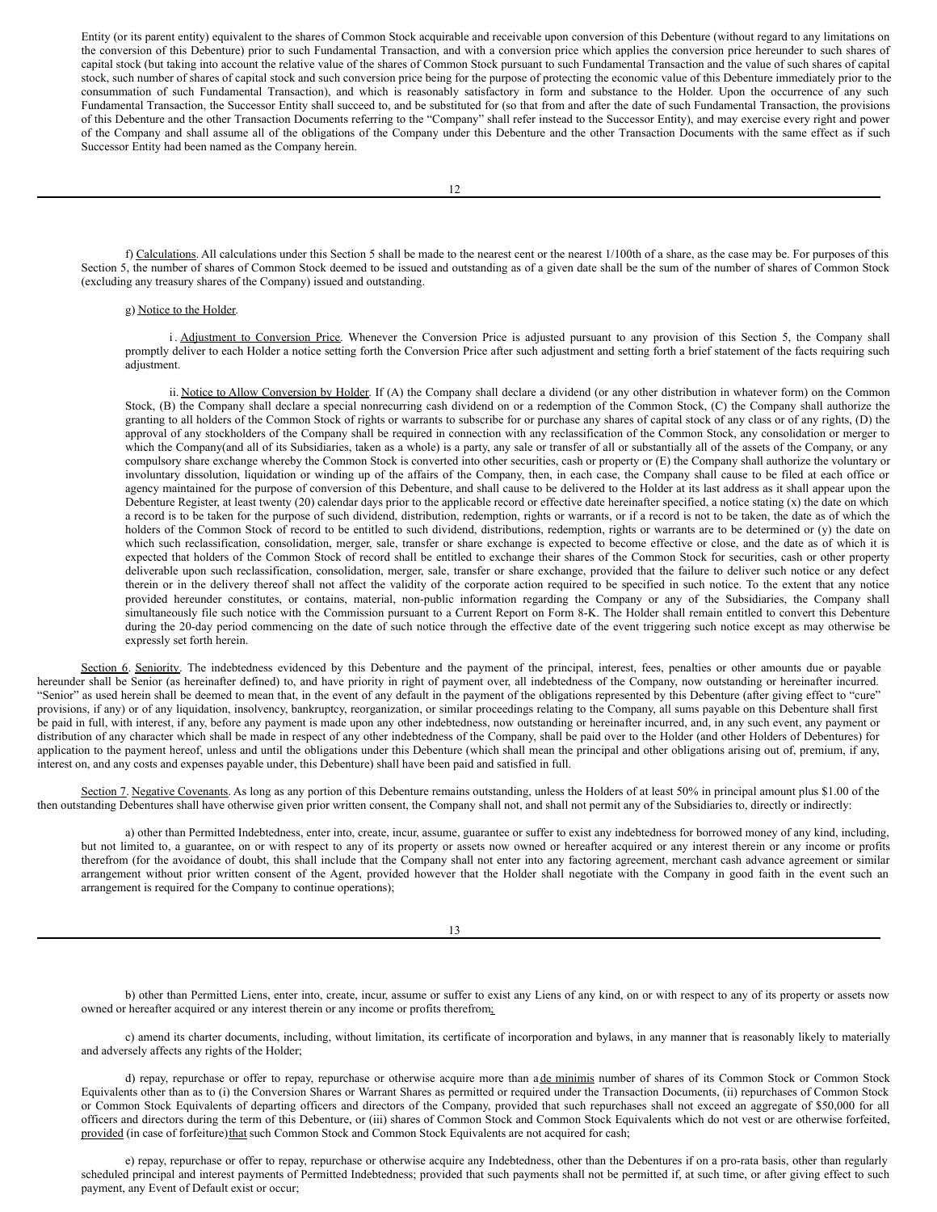Entity (or its parent entity) equivalent to the shares of Common Stock acquirable and receivable upon conversion of this Debenture (without regard to any limitations on the conversion of this Debenture) prior to such Fundamental Transaction, and with a conversion price which applies the conversion price hereunder to such shares of capital stock (but taking into account the relative value of the shares of Common Stock pursuant to such Fundamental Transaction and the value of such shares of capital stock, such number of shares of capital stock and such conversion price being for the purpose of protecting the economic value of this Debenture immediately prior to the consummation of such Fundamental Transaction), and which is reasonably satisfactory in form and substance to the Holder. Upon the occurrence of any such Fundamental Transaction, the Successor Entity shall succeed to, and be substituted for (so that from and after the date of such Fundamental Transaction, the provisions of this Debenture and the other Transaction Documents referring to the "Company" shall refer instead to the Successor Entity), and may exercise every right and power of the Company and shall assume all of the obligations of the Company under this Debenture and the other Transaction Documents with the same effect as if such Successor Entity had been named as the Company herein.

f) Calculations. All calculations under this Section 5 shall be made to the nearest cent or the nearest 1/100th of a share, as the case may be. For purposes of this Section 5, the number of shares of Common Stock deemed to be issued and outstanding as of a given date shall be the sum of the number of shares of Common Stock (excluding any treasury shares of the Company) issued and outstanding.

### g) Notice to the Holder.

i. Adjustment to Conversion Price. Whenever the Conversion Price is adjusted pursuant to any provision of this Section 5, the Company shall promptly deliver to each Holder a notice setting forth the Conversion Price after such adjustment and setting forth a brief statement of the facts requiring such adjustment.

ii. Notice to Allow Conversion by Holder. If (A) the Company shall declare a dividend (or any other distribution in whatever form) on the Common Stock, (B) the Company shall declare a special nonrecurring cash dividend on or a redemption of the Common Stock, (C) the Company shall authorize the granting to all holders of the Common Stock of rights or warrants to subscribe for or purchase any shares of capital stock of any class or of any rights, (D) the approval of any stockholders of the Company shall be required in connection with any reclassification of the Common Stock, any consolidation or merger to which the Company(and all of its Subsidiaries, taken as a whole) is a party, any sale or transfer of all or substantially all of the assets of the Company, or any compulsory share exchange whereby the Common Stock is converted into other securities, cash or property or (E) the Company shall authorize the voluntary or involuntary dissolution, liquidation or winding up of the affairs of the Company, then, in each case, the Company shall cause to be filed at each office or agency maintained for the purpose of conversion of this Debenture, and shall cause to be delivered to the Holder at its last address as it shall appear upon the Debenture Register, at least twenty (20) calendar days prior to the applicable record or effective date hereinafter specified, a notice stating (x) the date on which a record is to be taken for the purpose of such dividend, distribution, redemption, rights or warrants, or if a record is not to be taken, the date as of which the holders of the Common Stock of record to be entitled to such dividend, distributions, redemption, rights or warrants are to be determined or (y) the date on which such reclassification, consolidation, merger, sale, transfer or share exchange is expected to become effective or close, and the date as of which it is expected that holders of the Common Stock of record shall be entitled to exchange their shares of the Common Stock for securities, cash or other property deliverable upon such reclassification, consolidation, merger, sale, transfer or share exchange, provided that the failure to deliver such notice or any defect therein or in the delivery thereof shall not affect the validity of the corporate action required to be specified in such notice. To the extent that any notice provided hereunder constitutes, or contains, material, non-public information regarding the Company or any of the Subsidiaries, the Company shall simultaneously file such notice with the Commission pursuant to a Current Report on Form 8-K. The Holder shall remain entitled to convert this Debenture during the 20-day period commencing on the date of such notice through the effective date of the event triggering such notice except as may otherwise be expressly set forth herein.

Section 6. Seniority. The indebtedness evidenced by this Debenture and the payment of the principal, interest, fees, penalties or other amounts due or payable hereunder shall be Senior (as hereinafter defined) to, and have priority in right of payment over, all indebtedness of the Company, now outstanding or hereinafter incurred. "Senior" as used herein shall be deemed to mean that, in the event of any default in the payment of the obligations represented by this Debenture (after giving effect to "cure" provisions, if any) or of any liquidation, insolvency, bankruptcy, reorganization, or similar proceedings relating to the Company, all sums payable on this Debenture shall first be paid in full, with interest, if any, before any payment is made upon any other indebtedness, now outstanding or hereinafter incurred, and, in any such event, any payment or distribution of any character which shall be made in respect of any other indebtedness of the Company, shall be paid over to the Holder (and other Holders of Debentures) for application to the payment hereof, unless and until the obligations under this Debenture (which shall mean the principal and other obligations arising out of, premium, if any, interest on, and any costs and expenses payable under, this Debenture) shall have been paid and satisfied in full.

Section 7. Negative Covenants. As long as any portion of this Debenture remains outstanding, unless the Holders of at least 50% in principal amount plus \$1.00 of the then outstanding Debentures shall have otherwise given prior written consent, the Company shall not, and shall not permit any of the Subsidiaries to, directly or indirectly:

a) other than Permitted Indebtedness, enter into, create, incur, assume, guarantee or suffer to exist any indebtedness for borrowed money of any kind, including, but not limited to, a guarantee, on or with respect to any of its property or assets now owned or hereafter acquired or any interest therein or any income or profits therefrom (for the avoidance of doubt, this shall include that the Company shall not enter into any factoring agreement, merchant cash advance agreement or similar arrangement without prior written consent of the Agent, provided however that the Holder shall negotiate with the Company in good faith in the event such an arrangement is required for the Company to continue operations);

13

b) other than Permitted Liens, enter into, create, incur, assume or suffer to exist any Liens of any kind, on or with respect to any of its property or assets now owned or hereafter acquired or any interest therein or any income or profits therefrom;

c) amend its charter documents, including, without limitation, its certificate of incorporation and bylaws, in any manner that is reasonably likely to materially and adversely affects any rights of the Holder;

d) repay, repurchase or offer to repay, repurchase or otherwise acquire more than a de minimis number of shares of its Common Stock or Common Stock Equivalents other than as to (i) the Conversion Shares or Warrant Shares as permitted or required under the Transaction Documents, (ii) repurchases of Common Stock or Common Stock Equivalents of departing officers and directors of the Company, provided that such repurchases shall not exceed an aggregate of \$50,000 for all officers and directors during the term of this Debenture, or (iii) shares of Common Stock and Common Stock Equivalents which do not vest or are otherwise forfeited, provided (in case of forfeiture)that such Common Stock and Common Stock Equivalents are not acquired for cash;

e) repay, repurchase or offer to repay, repurchase or otherwise acquire any Indebtedness, other than the Debentures if on a pro-rata basis, other than regularly scheduled principal and interest payments of Permitted Indebtedness; provided that such payments shall not be permitted if, at such time, or after giving effect to such payment, any Event of Default exist or occur;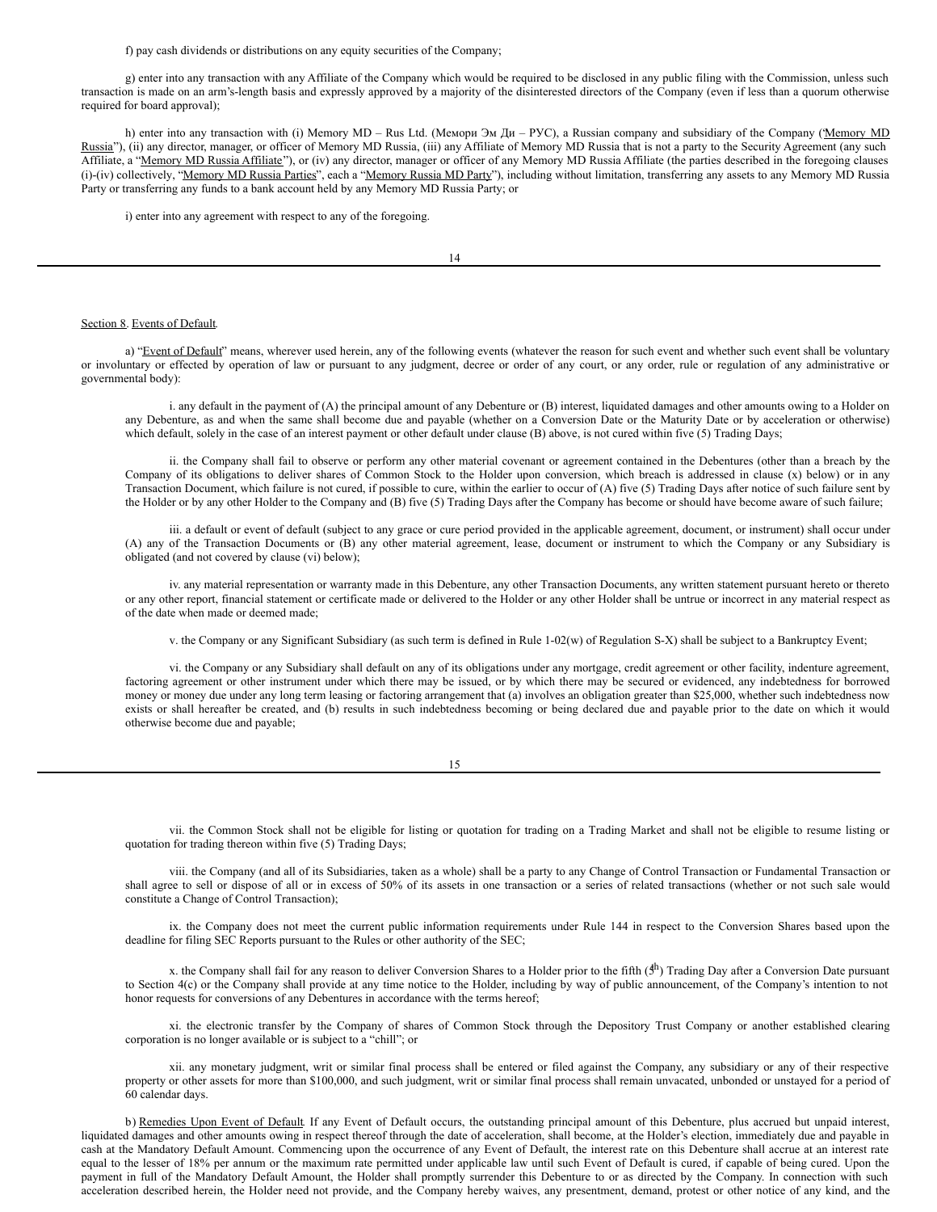f) pay cash dividends or distributions on any equity securities of the Company;

g) enter into any transaction with any Affiliate of the Company which would be required to be disclosed in any public filing with the Commission, unless such transaction is made on an arm's-length basis and expressly approved by a majority of the disinterested directors of the Company (even if less than a quorum otherwise required for board approval);

h) enter into any transaction with (i) Memory MD – Rus Ltd. (Мемори Эм Ди – РУС), a Russian company and subsidiary of the Company (Memory MD Russia"), (ii) any director, manager, or officer of Memory MD Russia, (iii) any Affiliate of Memory MD Russia that is not a party to the Security Agreement (any such Affiliate, a "Memory MD Russia Affiliate"), or (iv) any director, manager or officer of any Memory MD Russia Affiliate (the parties described in the foregoing clauses (i)-(iv) collectively, "Memory MD Russia Parties", each a "Memory Russia MD Party"), including without limitation, transferring any assets to any Memory MD Russia Party or transferring any funds to a bank account held by any Memory MD Russia Party; or

i) enter into any agreement with respect to any of the foregoing.

#### Section 8. Events of Default.

a) "Event of Default" means, wherever used herein, any of the following events (whatever the reason for such event and whether such event shall be voluntary or involuntary or effected by operation of law or pursuant to any judgment, decree or order of any court, or any order, rule or regulation of any administrative or governmental body):

i. any default in the payment of (A) the principal amount of any Debenture or (B) interest, liquidated damages and other amounts owing to a Holder on any Debenture, as and when the same shall become due and payable (whether on a Conversion Date or the Maturity Date or by acceleration or otherwise) which default, solely in the case of an interest payment or other default under clause (B) above, is not cured within five (5) Trading Days;

ii. the Company shall fail to observe or perform any other material covenant or agreement contained in the Debentures (other than a breach by the Company of its obligations to deliver shares of Common Stock to the Holder upon conversion, which breach is addressed in clause (x) below) or in any Transaction Document, which failure is not cured, if possible to cure, within the earlier to occur of (A) five (5) Trading Days after notice of such failure sent by the Holder or by any other Holder to the Company and (B) five (5) Trading Days after the Company has become or should have become aware of such failure;

iii. a default or event of default (subject to any grace or cure period provided in the applicable agreement, document, or instrument) shall occur under (A) any of the Transaction Documents or (B) any other material agreement, lease, document or instrument to which the Company or any Subsidiary is obligated (and not covered by clause (vi) below);

iv. any material representation or warranty made in this Debenture, any other Transaction Documents, any written statement pursuant hereto or thereto or any other report, financial statement or certificate made or delivered to the Holder or any other Holder shall be untrue or incorrect in any material respect as of the date when made or deemed made;

v. the Company or any Significant Subsidiary (as such term is defined in Rule 1-02(w) of Regulation S-X) shall be subject to a Bankruptcy Event;

vi. the Company or any Subsidiary shall default on any of its obligations under any mortgage, credit agreement or other facility, indenture agreement, factoring agreement or other instrument under which there may be issued, or by which there may be secured or evidenced, any indebtedness for borrowed money or money due under any long term leasing or factoring arrangement that (a) involves an obligation greater than \$25,000, whether such indebtedness now exists or shall hereafter be created, and (b) results in such indebtedness becoming or being declared due and payable prior to the date on which it would otherwise become due and payable;

vii. the Common Stock shall not be eligible for listing or quotation for trading on a Trading Market and shall not be eligible to resume listing or quotation for trading thereon within five (5) Trading Days;

viii. the Company (and all of its Subsidiaries, taken as a whole) shall be a party to any Change of Control Transaction or Fundamental Transaction or shall agree to sell or dispose of all or in excess of 50% of its assets in one transaction or a series of related transactions (whether or not such sale would constitute a Change of Control Transaction);

ix. the Company does not meet the current public information requirements under Rule 144 in respect to the Conversion Shares based upon the deadline for filing SEC Reports pursuant to the Rules or other authority of the SEC;

x. the Company shall fail for any reason to deliver Conversion Shares to a Holder prior to the fifth ( $5<sup>h</sup>$ ) Trading Day after a Conversion Date pursuant to Section 4(c) or the Company shall provide at any time notice to the Holder, including by way of public announcement, of the Company's intention to not honor requests for conversions of any Debentures in accordance with the terms hereof;

xi. the electronic transfer by the Company of shares of Common Stock through the Depository Trust Company or another established clearing corporation is no longer available or is subject to a "chill"; or

xii. any monetary judgment, writ or similar final process shall be entered or filed against the Company, any subsidiary or any of their respective property or other assets for more than \$100,000, and such judgment, writ or similar final process shall remain unvacated, unbonded or unstayed for a period of 60 calendar days.

b) Remedies Upon Event of Default. If any Event of Default occurs, the outstanding principal amount of this Debenture, plus accrued but unpaid interest, liquidated damages and other amounts owing in respect thereof through the date of acceleration, shall become, at the Holder's election, immediately due and payable in cash at the Mandatory Default Amount. Commencing upon the occurrence of any Event of Default, the interest rate on this Debenture shall accrue at an interest rate equal to the lesser of 18% per annum or the maximum rate permitted under applicable law until such Event of Default is cured, if capable of being cured. Upon the payment in full of the Mandatory Default Amount, the Holder shall promptly surrender this Debenture to or as directed by the Company. In connection with such acceleration described herein, the Holder need not provide, and the Company hereby waives, any presentment, demand, protest or other notice of any kind, and the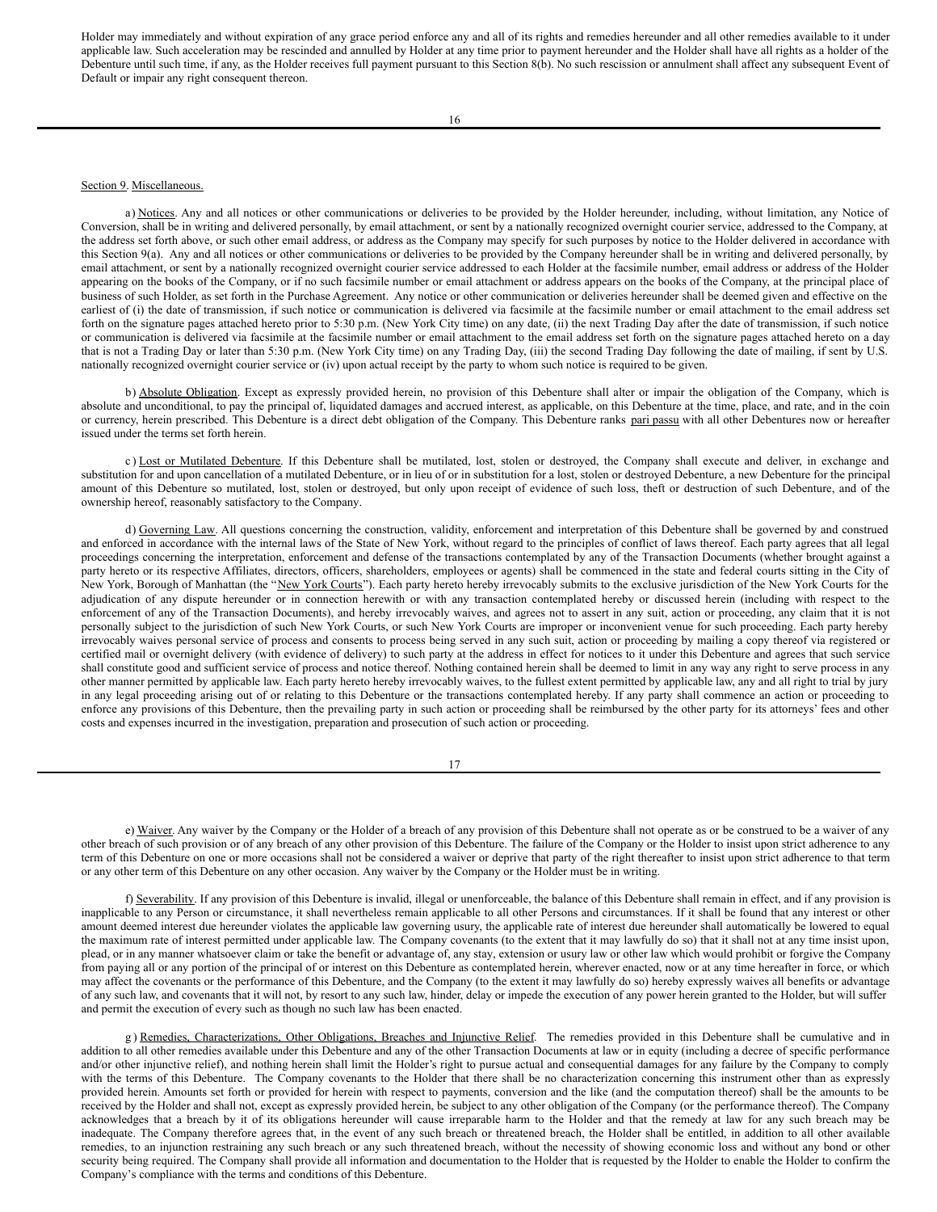Holder may immediately and without expiration of any grace period enforce any and all of its rights and remedies hereunder and all other remedies available to it under applicable law. Such acceleration may be rescinded and annulled by Holder at any time prior to payment hereunder and the Holder shall have all rights as a holder of the Debenture until such time, if any, as the Holder receives full payment pursuant to this Section 8(b). No such rescission or annulment shall affect any subsequent Event of Default or impair any right consequent thereon.

#### Section 9. Miscellaneous.

a) Notices. Any and all notices or other communications or deliveries to be provided by the Holder hereunder, including, without limitation, any Notice of Conversion, shall be in writing and delivered personally, by email attachment, or sent by a nationally recognized overnight courier service, addressed to the Company, at the address set forth above, or such other email address, or address as the Company may specify for such purposes by notice to the Holder delivered in accordance with this Section 9(a). Any and all notices or other communications or deliveries to be provided by the Company hereunder shall be in writing and delivered personally, by email attachment, or sent by a nationally recognized overnight courier service addressed to each Holder at the facsimile number, email address or address of the Holder appearing on the books of the Company, or if no such facsimile number or email attachment or address appears on the books of the Company, at the principal place of business of such Holder, as set forth in the Purchase Agreement. Any notice or other communication or deliveries hereunder shall be deemed given and effective on the earliest of (i) the date of transmission, if such notice or communication is delivered via facsimile at the facsimile number or email attachment to the email address set forth on the signature pages attached hereto prior to 5:30 p.m. (New York City time) on any date, (ii) the next Trading Day after the date of transmission, if such notice or communication is delivered via facsimile at the facsimile number or email attachment to the email address set forth on the signature pages attached hereto on a day that is not a Trading Day or later than 5:30 p.m. (New York City time) on any Trading Day, (iii) the second Trading Day following the date of mailing, if sent by U.S. nationally recognized overnight courier service or (iv) upon actual receipt by the party to whom such notice is required to be given.

b) Absolute Obligation. Except as expressly provided herein, no provision of this Debenture shall alter or impair the obligation of the Company, which is absolute and unconditional, to pay the principal of, liquidated damages and accrued interest, as applicable, on this Debenture at the time, place, and rate, and in the coin or currency, herein prescribed. This Debenture is a direct debt obligation of the Company. This Debenture ranks pari passu with all other Debentures now or hereafter issued under the terms set forth herein.

c) Lost or Mutilated Debenture. If this Debenture shall be mutilated, lost, stolen or destroyed, the Company shall execute and deliver, in exchange and substitution for and upon cancellation of a mutilated Debenture, or in lieu of or in substitution for a lost, stolen or destroyed Debenture, a new Debenture for the principal amount of this Debenture so mutilated, lost, stolen or destroyed, but only upon receipt of evidence of such loss, theft or destruction of such Debenture, and of the ownership hereof, reasonably satisfactory to the Company.

d) Governing Law. All questions concerning the construction, validity, enforcement and interpretation of this Debenture shall be governed by and construed and enforced in accordance with the internal laws of the State of New York, without regard to the principles of conflict of laws thereof. Each party agrees that all legal proceedings concerning the interpretation, enforcement and defense of the transactions contemplated by any of the Transaction Documents (whether brought against a party hereto or its respective Affiliates, directors, officers, shareholders, employees or agents) shall be commenced in the state and federal courts sitting in the City of New York, Borough of Manhattan (the "New York Courts"). Each party hereto hereby irrevocably submits to the exclusive jurisdiction of the New York Courts for the adjudication of any dispute hereunder or in connection herewith or with any transaction contemplated hereby or discussed herein (including with respect to the enforcement of any of the Transaction Documents), and hereby irrevocably waives, and agrees not to assert in any suit, action or proceeding, any claim that it is not personally subject to the jurisdiction of such New York Courts, or such New York Courts are improper or inconvenient venue for such proceeding. Each party hereby irrevocably waives personal service of process and consents to process being served in any such suit, action or proceeding by mailing a copy thereof via registered or certified mail or overnight delivery (with evidence of delivery) to such party at the address in effect for notices to it under this Debenture and agrees that such service shall constitute good and sufficient service of process and notice thereof. Nothing contained herein shall be deemed to limit in any way any right to serve process in any other manner permitted by applicable law. Each party hereto hereby irrevocably waives, to the fullest extent permitted by applicable law, any and all right to trial by jury in any legal proceeding arising out of or relating to this Debenture or the transactions contemplated hereby. If any party shall commence an action or proceeding to enforce any provisions of this Debenture, then the prevailing party in such action or proceeding shall be reimbursed by the other party for its attorneys' fees and other costs and expenses incurred in the investigation, preparation and prosecution of such action or proceeding.

17

e) Waiver. Any waiver by the Company or the Holder of a breach of any provision of this Debenture shall not operate as or be construed to be a waiver of any other breach of such provision or of any breach of any other provision of this Debenture. The failure of the Company or the Holder to insist upon strict adherence to any term of this Debenture on one or more occasions shall not be considered a waiver or deprive that party of the right thereafter to insist upon strict adherence to that term or any other term of this Debenture on any other occasion. Any waiver by the Company or the Holder must be in writing.

f) Severability. If any provision of this Debenture is invalid, illegal or unenforceable, the balance of this Debenture shall remain in effect, and if any provision is inapplicable to any Person or circumstance, it shall nevertheless remain applicable to all other Persons and circumstances. If it shall be found that any interest or other amount deemed interest due hereunder violates the applicable law governing usury, the applicable rate of interest due hereunder shall automatically be lowered to equal the maximum rate of interest permitted under applicable law. The Company covenants (to the extent that it may lawfully do so) that it shall not at any time insist upon, plead, or in any manner whatsoever claim or take the benefit or advantage of, any stay, extension or usury law or other law which would prohibit or forgive the Company from paying all or any portion of the principal of or interest on this Debenture as contemplated herein, wherever enacted, now or at any time hereafter in force, or which may affect the covenants or the performance of this Debenture, and the Company (to the extent it may lawfully do so) hereby expressly waives all benefits or advantage of any such law, and covenants that it will not, by resort to any such law, hinder, delay or impede the execution of any power herein granted to the Holder, but will suffer and permit the execution of every such as though no such law has been enacted.

g) Remedies, Characterizations, Other Obligations, Breaches and Injunctive Relief. The remedies provided in this Debenture shall be cumulative and in addition to all other remedies available under this Debenture and any of the other Transaction Documents at law or in equity (including a decree of specific performance and/or other injunctive relief), and nothing herein shall limit the Holder's right to pursue actual and consequential damages for any failure by the Company to comply with the terms of this Debenture. The Company covenants to the Holder that there shall be no characterization concerning this instrument other than as expressly provided herein. Amounts set forth or provided for herein with respect to payments, conversion and the like (and the computation thereof) shall be the amounts to be received by the Holder and shall not, except as expressly provided herein, be subject to any other obligation of the Company (or the performance thereof). The Company acknowledges that a breach by it of its obligations hereunder will cause irreparable harm to the Holder and that the remedy at law for any such breach may be inadequate. The Company therefore agrees that, in the event of any such breach or threatened breach, the Holder shall be entitled, in addition to all other available remedies, to an injunction restraining any such breach or any such threatened breach, without the necessity of showing economic loss and without any bond or other security being required. The Company shall provide all information and documentation to the Holder that is requested by the Holder to enable the Holder to confirm the Company's compliance with the terms and conditions of this Debenture.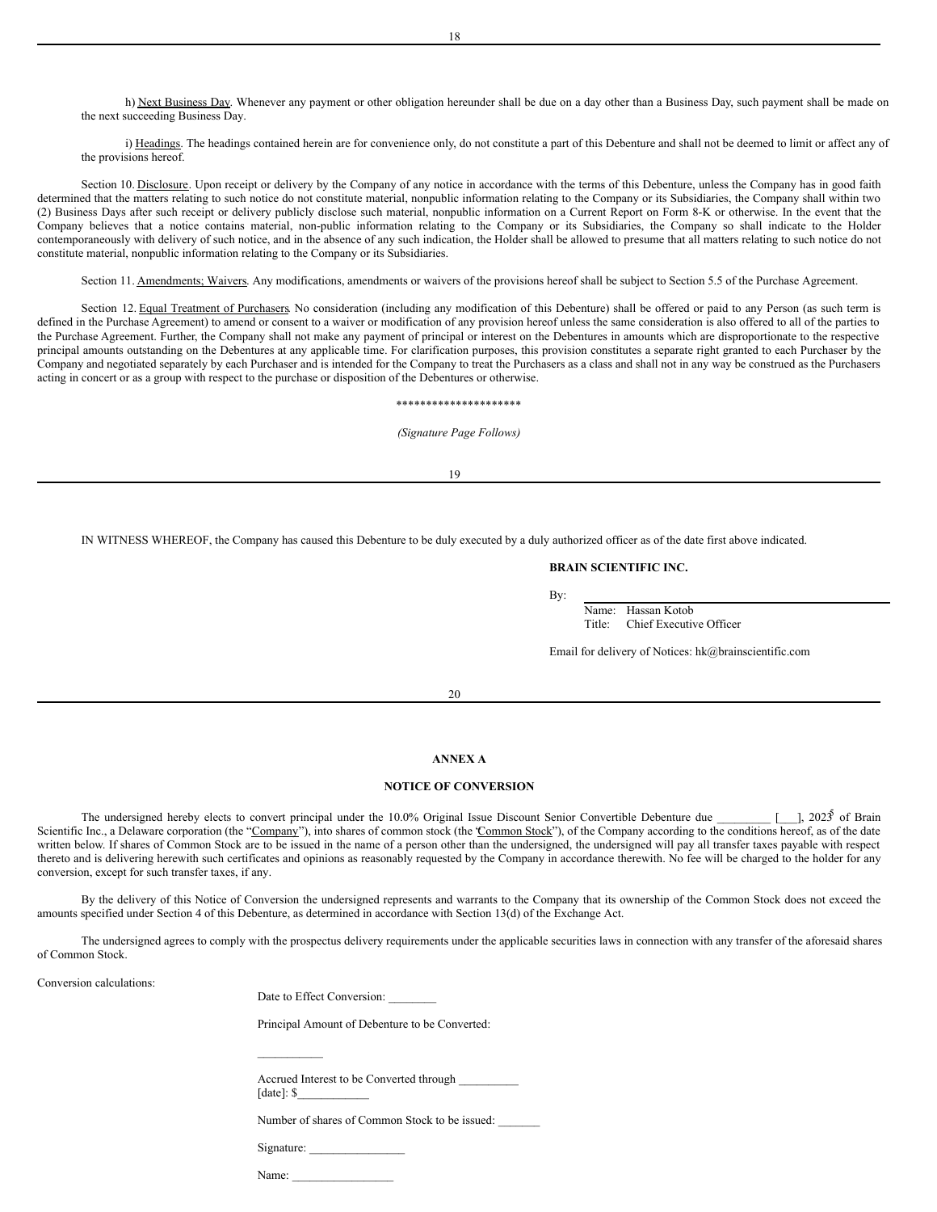h) Next Business Day. Whenever any payment or other obligation hereunder shall be due on a day other than a Business Day, such payment shall be made on the next succeeding Business Day.

i) Headings. The headings contained herein are for convenience only, do not constitute a part of this Debenture and shall not be deemed to limit or affect any of the provisions hereof.

Section 10. Disclosure. Upon receipt or delivery by the Company of any notice in accordance with the terms of this Debenture, unless the Company has in good faith determined that the matters relating to such notice do not constitute material, nonpublic information relating to the Company or its Subsidiaries, the Company shall within two (2) Business Days after such receipt or delivery publicly disclose such material, nonpublic information on a Current Report on Form 8-K or otherwise. In the event that the Company believes that a notice contains material, non-public information relating to the Company or its Subsidiaries, the Company so shall indicate to the Holder contemporaneously with delivery of such notice, and in the absence of any such indication, the Holder shall be allowed to presume that all matters relating to such notice do not constitute material, nonpublic information relating to the Company or its Subsidiaries.

Section 11. Amendments; Waivers. Any modifications, amendments or waivers of the provisions hereof shall be subject to Section 5.5 of the Purchase Agreement.

Section 12. Equal Treatment of Purchasers. No consideration (including any modification of this Debenture) shall be offered or paid to any Person (as such term is defined in the Purchase Agreement) to amend or consent to a waiver or modification of any provision hereof unless the same consideration is also offered to all of the parties to the Purchase Agreement. Further, the Company shall not make any payment of principal or interest on the Debentures in amounts which are disproportionate to the respective principal amounts outstanding on the Debentures at any applicable time. For clarification purposes, this provision constitutes a separate right granted to each Purchaser by the Company and negotiated separately by each Purchaser and is intended for the Company to treat the Purchasers as a class and shall not in any way be construed as the Purchasers acting in concert or as a group with respect to the purchase or disposition of the Debentures or otherwise.

#### \*\*\*\*\*\*\*\*\*\*\*\*\*\*\*\*\*\*\*\*\*

*(Signature Page Follows)*

19

IN WITNESS WHEREOF, the Company has caused this Debenture to be duly executed by a duly authorized officer as of the date first above indicated.

### **BRAIN SCIENTIFIC INC.**

By:

Name: Hassan Kotob Title: Chief Executive Officer

Email for delivery of Notices: hk@brainscientific.com

#### 20

### **ANNEX A**

#### **NOTICE OF CONVERSION**

The undersigned hereby elects to convert principal under the 10.0% Original Issue Discount Senior Convertible Debenture due \_ [ $\Box$ ], 2023 of Brain Scientific Inc., a Delaware corporation (the "Company"), into shares of common stock (the "Common Stock"), of the Company according to the conditions hereof, as of the date written below. If shares of Common Stock are to be issued in the name of a person other than the undersigned, the undersigned will pay all transfer taxes payable with respect thereto and is delivering herewith such certificates and opinions as reasonably requested by the Company in accordance therewith. No fee will be charged to the holder for any conversion, except for such transfer taxes, if any.

By the delivery of this Notice of Conversion the undersigned represents and warrants to the Company that its ownership of the Common Stock does not exceed the amounts specified under Section 4 of this Debenture, as determined in accordance with Section 13(d) of the Exchange Act.

The undersigned agrees to comply with the prospectus delivery requirements under the applicable securities laws in connection with any transfer of the aforesaid shares of Common Stock.

Conversion calculations:

|  | Date to Effect Conversion: |  |
|--|----------------------------|--|
|  |                            |  |

Principal Amount of Debenture to be Converted:

Accrued Interest to be Converted through \_\_\_\_\_\_\_\_\_\_ [date]: \$\_\_\_\_\_\_\_\_\_\_\_\_

Number of shares of Common Stock to be issued:

Signature: \_\_\_\_\_\_\_\_\_\_\_\_\_\_\_\_

 $\mathcal{L}=\mathcal{L}^{\mathcal{L}}$ 

Name: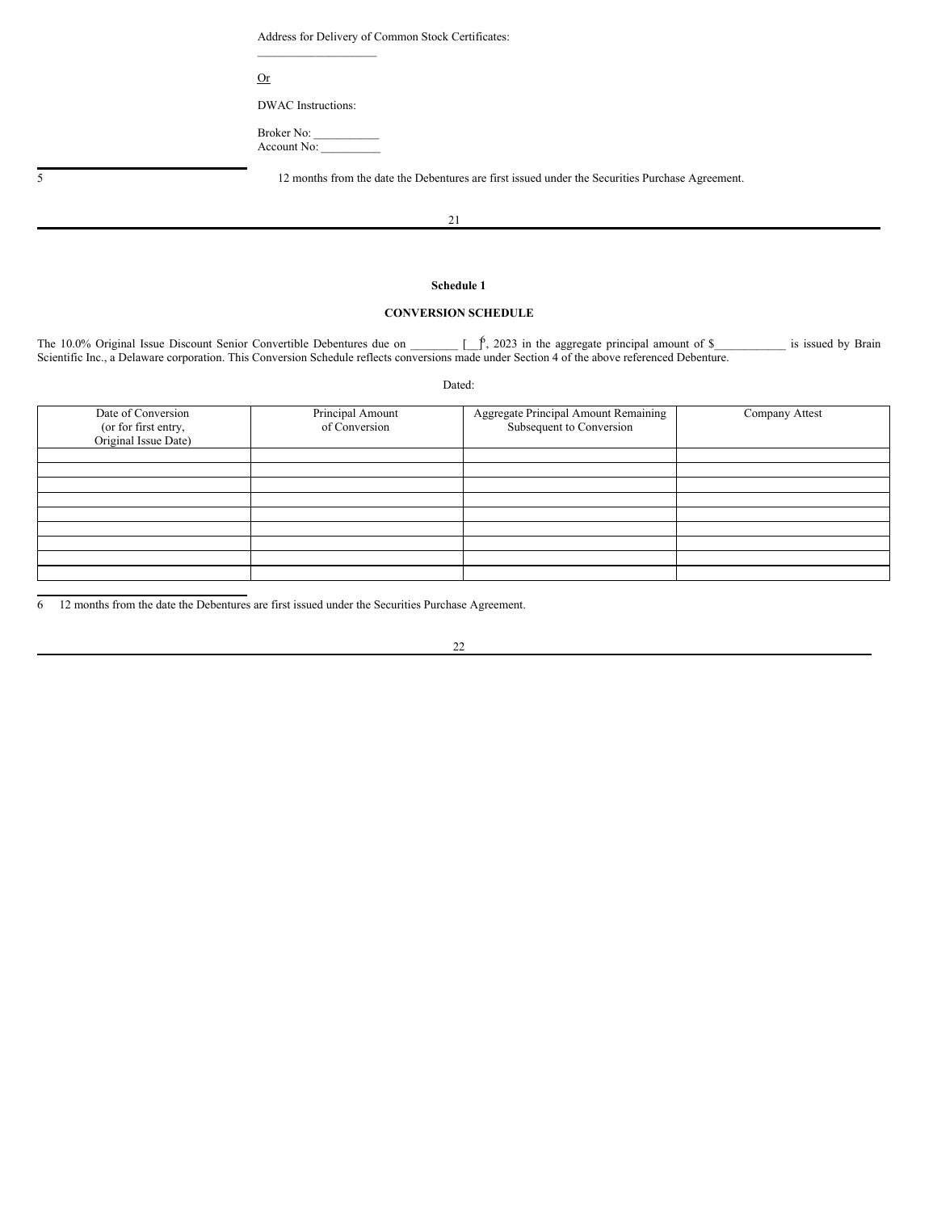Address for Delivery of Common Stock Certificates:

Or

DWAC Instructions:

 $\mathcal{L}=\mathcal{L}=\mathcal{L}=\mathcal{L}=\mathcal{L}=\mathcal{L}=\mathcal{L}=\mathcal{L}=\mathcal{L}=\mathcal{L}=\mathcal{L}=\mathcal{L}=\mathcal{L}=\mathcal{L}=\mathcal{L}=\mathcal{L}=\mathcal{L}=\mathcal{L}=\mathcal{L}=\mathcal{L}=\mathcal{L}=\mathcal{L}=\mathcal{L}=\mathcal{L}=\mathcal{L}=\mathcal{L}=\mathcal{L}=\mathcal{L}=\mathcal{L}=\mathcal{L}=\mathcal{L}=\mathcal{L}=\mathcal{L}=\mathcal{L}=\mathcal{L}=\mathcal{L}=\mathcal{$ 

Broker No: Account No:

5 12 months from the date the Debentures are first issued under the Securities Purchase Agreement.

21

## **Schedule 1**

# **CONVERSION SCHEDULE**

The 10.0% Original Issue Discount Senior Convertible Debentures due on  $\int_{\gamma}^{\beta}$ , 2023 in the aggregate principal amount of \$ is issued by Brain Scientific Inc., a Delaware corporation. This Conversion Schedule reflects conversions made under Section 4 of the above referenced Debenture.

Dated:

| Date of Conversion<br>(or for first entry,<br>Original Issue Date) | Principal Amount<br>of Conversion | Aggregate Principal Amount Remaining<br>Subsequent to Conversion | Company Attest |
|--------------------------------------------------------------------|-----------------------------------|------------------------------------------------------------------|----------------|
|                                                                    |                                   |                                                                  |                |
|                                                                    |                                   |                                                                  |                |
|                                                                    |                                   |                                                                  |                |
|                                                                    |                                   |                                                                  |                |
|                                                                    |                                   |                                                                  |                |
|                                                                    |                                   |                                                                  |                |
|                                                                    |                                   |                                                                  |                |
|                                                                    |                                   |                                                                  |                |
|                                                                    |                                   |                                                                  |                |

6 12 months from the date the Debentures are first issued under the Securities Purchase Agreement.

22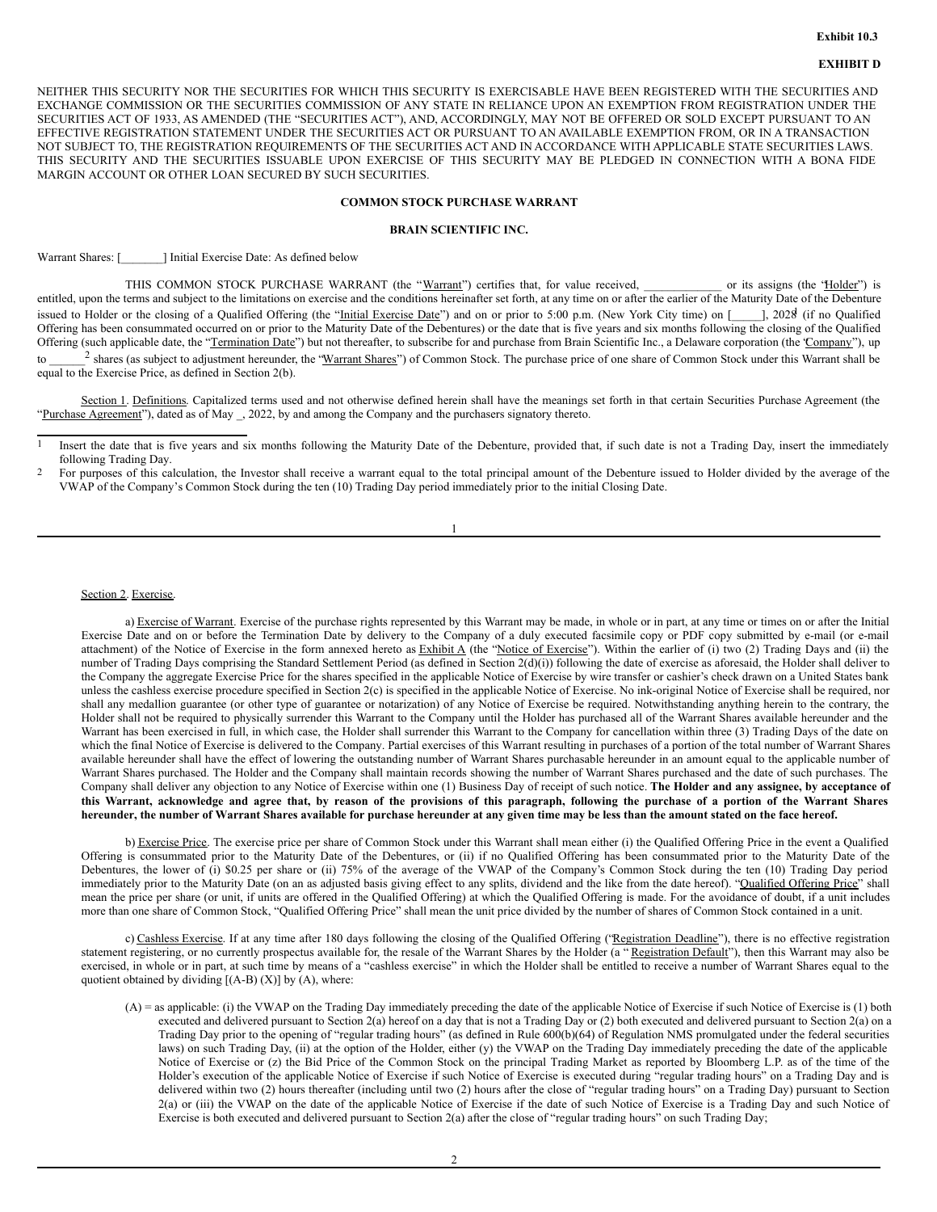## **EXHIBIT D**

NEITHER THIS SECURITY NOR THE SECURITIES FOR WHICH THIS SECURITY IS EXERCISABLE HAVE BEEN REGISTERED WITH THE SECURITIES AND EXCHANGE COMMISSION OR THE SECURITIES COMMISSION OF ANY STATE IN RELIANCE UPON AN EXEMPTION FROM REGISTRATION UNDER THE SECURITIES ACT OF 1933, AS AMENDED (THE "SECURITIES ACT"), AND, ACCORDINGLY, MAY NOT BE OFFERED OR SOLD EXCEPT PURSUANT TO AN EFFECTIVE REGISTRATION STATEMENT UNDER THE SECURITIES ACT OR PURSUANT TO AN AVAILABLE EXEMPTION FROM, OR IN A TRANSACTION NOT SUBJECT TO, THE REGISTRATION REQUIREMENTS OF THE SECURITIES ACT AND IN ACCORDANCE WITH APPLICABLE STATE SECURITIES LAWS. THIS SECURITY AND THE SECURITIES ISSUABLE UPON EXERCISE OF THIS SECURITY MAY BE PLEDGED IN CONNECTION WITH A BONA FIDE MARGIN ACCOUNT OR OTHER LOAN SECURED BY SUCH SECURITIES.

# **COMMON STOCK PURCHASE WARRANT**

#### **BRAIN SCIENTIFIC INC.**

Warrant Shares: [  $\qquad$  ] Initial Exercise Date: As defined below

THIS COMMON STOCK PURCHASE WARRANT (the "Warrant") certifies that, for value received, \_\_\_\_\_\_\_\_\_\_\_\_ or its assigns (the "Holder") is entitled, upon the terms and subject to the limitations on exercise and the conditions hereinafter set forth, at any time on or after the earlier of the Maturity Date of the Debenture issued to Holder or the closing of a Qualified Offering (the "Initial Exercise Date") and on or prior to 5:00 p.m. (New York City time) on [1000], 2028 (if no Qualified Offering has been consummated occurred on or prior to the Maturity Date of the Debentures) or the date that is five years and six months following the closing of the Qualified Offering (such applicable date, the "Termination Date") but not thereafter, to subscribe for and purchase from Brain Scientific Inc., a Delaware corporation (the 'Company"), up  $to$  $^2$  shares (as subject to adjustment hereunder, the "Warrant Shares") of Common Stock. The purchase price of one share of Common Stock under this Warrant shall be equal to the Exercise Price, as defined in Section 2(b).

Section 1. Definitions. Capitalized terms used and not otherwise defined herein shall have the meanings set forth in that certain Securities Purchase Agreement (the "Purchase Agreement"), dated as of May . 2022, by and among the Company and the purchasers signatory thereto.

Section 2. Exercise.

a) Exercise of Warrant. Exercise of the purchase rights represented by this Warrant may be made, in whole or in part, at any time or times on or after the Initial Exercise Date and on or before the Termination Date by delivery to the Company of a duly executed facsimile copy or PDF copy submitted by e-mail (or e-mail attachment) of the Notice of Exercise in the form annexed hereto as Exhibit A (the "Notice of Exercise"). Within the earlier of (i) two (2) Trading Days and (ii) the number of Trading Days comprising the Standard Settlement Period (as defined in Section 2(d)(i)) following the date of exercise as aforesaid, the Holder shall deliver to the Company the aggregate Exercise Price for the shares specified in the applicable Notice of Exercise by wire transfer or cashier's check drawn on a United States bank unless the cashless exercise procedure specified in Section 2(c) is specified in the applicable Notice of Exercise. No ink-original Notice of Exercise shall be required, nor shall any medallion guarantee (or other type of guarantee or notarization) of any Notice of Exercise be required. Notwithstanding anything herein to the contrary, the Holder shall not be required to physically surrender this Warrant to the Company until the Holder has purchased all of the Warrant Shares available hereunder and the Warrant has been exercised in full, in which case, the Holder shall surrender this Warrant to the Company for cancellation within three (3) Trading Days of the date on which the final Notice of Exercise is delivered to the Company. Partial exercises of this Warrant resulting in purchases of a portion of the total number of Warrant Shares available hereunder shall have the effect of lowering the outstanding number of Warrant Shares purchasable hereunder in an amount equal to the applicable number of Warrant Shares purchased. The Holder and the Company shall maintain records showing the number of Warrant Shares purchased and the date of such purchases. The Company shall deliver any objection to any Notice of Exercise within one (1) Business Day of receipt of such notice. **The Holder and any assignee, by acceptance of** this Warrant, acknowledge and agree that, by reason of the provisions of this paragraph, following the purchase of a portion of the Warrant Shares hereunder, the number of Warrant Shares available for purchase hereunder at any given time may be less than the amount stated on the face hereof.

b) Exercise Price. The exercise price per share of Common Stock under this Warrant shall mean either (i) the Qualified Offering Price in the event a Qualified Offering is consummated prior to the Maturity Date of the Debentures, or (ii) if no Qualified Offering has been consummated prior to the Maturity Date of the Debentures, the lower of (i) \$0.25 per share or (ii) 75% of the average of the VWAP of the Company's Common Stock during the ten (10) Trading Day period immediately prior to the Maturity Date (on an as adjusted basis giving effect to any splits, dividend and the like from the date hereof). "Qualified Offering Price" shall mean the price per share (or unit, if units are offered in the Qualified Offering) at which the Qualified Offering is made. For the avoidance of doubt, if a unit includes more than one share of Common Stock, "Qualified Offering Price" shall mean the unit price divided by the number of shares of Common Stock contained in a unit.

c) Cashless Exercise. If at any time after 180 days following the closing of the Qualified Offering ("Registration Deadline"), there is no effective registration statement registering, or no currently prospectus available for, the resale of the Warrant Shares by the Holder (a "Registration Default"), then this Warrant may also be exercised, in whole or in part, at such time by means of a "cashless exercise" in which the Holder shall be entitled to receive a number of Warrant Shares equal to the quotient obtained by dividing  $[(A-B) (X)]$  by  $(A)$ , where:

(A) = as applicable: (i) the VWAP on the Trading Day immediately preceding the date of the applicable Notice of Exercise if such Notice of Exercise is (1) both executed and delivered pursuant to Section 2(a) hereof on a day that is not a Trading Day or (2) both executed and delivered pursuant to Section 2(a) on a Trading Day prior to the opening of "regular trading hours" (as defined in Rule 600(b)(64) of Regulation NMS promulgated under the federal securities laws) on such Trading Day, (ii) at the option of the Holder, either (y) the VWAP on the Trading Day immediately preceding the date of the applicable Notice of Exercise or (z) the Bid Price of the Common Stock on the principal Trading Market as reported by Bloomberg L.P. as of the time of the Holder's execution of the applicable Notice of Exercise if such Notice of Exercise is executed during "regular trading hours" on a Trading Day and is delivered within two (2) hours thereafter (including until two (2) hours after the close of "regular trading hours" on a Trading Day) pursuant to Section 2(a) or (iii) the VWAP on the date of the applicable Notice of Exercise if the date of such Notice of Exercise is a Trading Day and such Notice of Exercise is both executed and delivered pursuant to Section 2(a) after the close of "regular trading hours" on such Trading Day;

Insert the date that is five years and six months following the Maturity Date of the Debenture, provided that, if such date is not a Trading Day, insert the immediately following Trading Day.

<sup>&</sup>lt;sup>2</sup> For purposes of this calculation, the Investor shall receive a warrant equal to the total principal amount of the Debenture issued to Holder divided by the average of the VWAP of the Company's Common Stock during the ten (10) Trading Day period immediately prior to the initial Closing Date.

<sup>1</sup>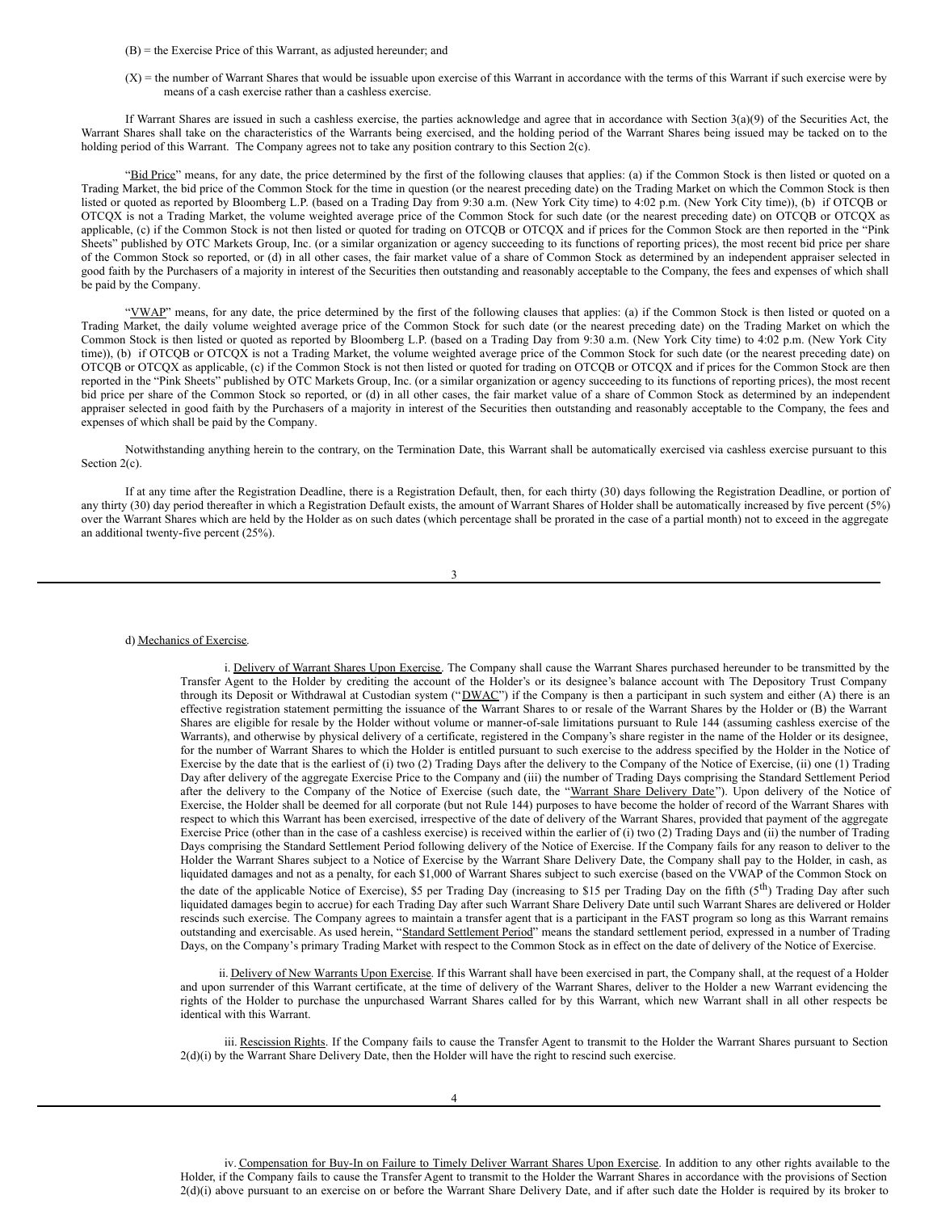(B) = the Exercise Price of this Warrant, as adjusted hereunder; and

(X) = the number of Warrant Shares that would be issuable upon exercise of this Warrant in accordance with the terms of this Warrant if such exercise were by means of a cash exercise rather than a cashless exercise.

If Warrant Shares are issued in such a cashless exercise, the parties acknowledge and agree that in accordance with Section 3(a)(9) of the Securities Act, the Warrant Shares shall take on the characteristics of the Warrants being exercised, and the holding period of the Warrant Shares being issued may be tacked on to the holding period of this Warrant. The Company agrees not to take any position contrary to this Section 2(c).

"Bid Price" means, for any date, the price determined by the first of the following clauses that applies: (a) if the Common Stock is then listed or quoted on a Trading Market, the bid price of the Common Stock for the time in question (or the nearest preceding date) on the Trading Market on which the Common Stock is then listed or quoted as reported by Bloomberg L.P. (based on a Trading Day from 9:30 a.m. (New York City time) to 4:02 p.m. (New York City time)), (b) if OTCQB or OTCQX is not a Trading Market, the volume weighted average price of the Common Stock for such date (or the nearest preceding date) on OTCQB or OTCQX as applicable, (c) if the Common Stock is not then listed or quoted for trading on OTCQB or OTCQX and if prices for the Common Stock are then reported in the "Pink Sheets" published by OTC Markets Group, Inc. (or a similar organization or agency succeeding to its functions of reporting prices), the most recent bid price per share of the Common Stock so reported, or (d) in all other cases, the fair market value of a share of Common Stock as determined by an independent appraiser selected in good faith by the Purchasers of a majority in interest of the Securities then outstanding and reasonably acceptable to the Company, the fees and expenses of which shall be paid by the Company.

"VWAP" means, for any date, the price determined by the first of the following clauses that applies: (a) if the Common Stock is then listed or quoted on a Trading Market, the daily volume weighted average price of the Common Stock for such date (or the nearest preceding date) on the Trading Market on which the Common Stock is then listed or quoted as reported by Bloomberg L.P. (based on a Trading Day from 9:30 a.m. (New York City time) to 4:02 p.m. (New York City time)), (b) if OTCQB or OTCQX is not a Trading Market, the volume weighted average price of the Common Stock for such date (or the nearest preceding date) on OTCQB or OTCQX as applicable, (c) if the Common Stock is not then listed or quoted for trading on OTCQB or OTCQX and if prices for the Common Stock are then reported in the "Pink Sheets" published by OTC Markets Group, Inc. (or a similar organization or agency succeeding to its functions of reporting prices), the most recent bid price per share of the Common Stock so reported, or (d) in all other cases, the fair market value of a share of Common Stock as determined by an independent appraiser selected in good faith by the Purchasers of a majority in interest of the Securities then outstanding and reasonably acceptable to the Company, the fees and expenses of which shall be paid by the Company.

Notwithstanding anything herein to the contrary, on the Termination Date, this Warrant shall be automatically exercised via cashless exercise pursuant to this Section 2(c).

If at any time after the Registration Deadline, there is a Registration Default, then, for each thirty (30) days following the Registration Deadline, or portion of any thirty (30) day period thereafter in which a Registration Default exists, the amount of Warrant Shares of Holder shall be automatically increased by five percent (5%) over the Warrant Shares which are held by the Holder as on such dates (which percentage shall be prorated in the case of a partial month) not to exceed in the aggregate an additional twenty-five percent (25%).

3

d) Mechanics of Exercise.

i. Delivery of Warrant Shares Upon Exercise. The Company shall cause the Warrant Shares purchased hereunder to be transmitted by the Transfer Agent to the Holder by crediting the account of the Holder's or its designee's balance account with The Depository Trust Company through its Deposit or Withdrawal at Custodian system ("DWAC") if the Company is then a participant in such system and either (A) there is an effective registration statement permitting the issuance of the Warrant Shares to or resale of the Warrant Shares by the Holder or (B) the Warrant Shares are eligible for resale by the Holder without volume or manner-of-sale limitations pursuant to Rule 144 (assuming cashless exercise of the Warrants), and otherwise by physical delivery of a certificate, registered in the Company's share register in the name of the Holder or its designee, for the number of Warrant Shares to which the Holder is entitled pursuant to such exercise to the address specified by the Holder in the Notice of Exercise by the date that is the earliest of (i) two (2) Trading Days after the delivery to the Company of the Notice of Exercise, (ii) one (1) Trading Day after delivery of the aggregate Exercise Price to the Company and (iii) the number of Trading Days comprising the Standard Settlement Period after the delivery to the Company of the Notice of Exercise (such date, the "Warrant Share Delivery Date"). Upon delivery of the Notice of Exercise, the Holder shall be deemed for all corporate (but not Rule 144) purposes to have become the holder of record of the Warrant Shares with respect to which this Warrant has been exercised, irrespective of the date of delivery of the Warrant Shares, provided that payment of the aggregate Exercise Price (other than in the case of a cashless exercise) is received within the earlier of (i) two (2) Trading Days and (ii) the number of Trading Days comprising the Standard Settlement Period following delivery of the Notice of Exercise. If the Company fails for any reason to deliver to the Holder the Warrant Shares subject to a Notice of Exercise by the Warrant Share Delivery Date, the Company shall pay to the Holder, in cash, as liquidated damages and not as a penalty, for each \$1,000 of Warrant Shares subject to such exercise (based on the VWAP of the Common Stock on the date of the applicable Notice of Exercise), \$5 per Trading Day (increasing to \$15 per Trading Day on the fifth  $(5^{th})$  Trading Day after such liquidated damages begin to accrue) for each Trading Day after such Warrant Share Delivery Date until such Warrant Shares are delivered or Holder rescinds such exercise. The Company agrees to maintain a transfer agent that is a participant in the FAST program so long as this Warrant remains outstanding and exercisable. As used herein, "Standard Settlement Period" means the standard settlement period, expressed in a number of Trading Days, on the Company's primary Trading Market with respect to the Common Stock as in effect on the date of delivery of the Notice of Exercise.

ii. Delivery of New Warrants Upon Exercise. If this Warrant shall have been exercised in part, the Company shall, at the request of a Holder and upon surrender of this Warrant certificate, at the time of delivery of the Warrant Shares, deliver to the Holder a new Warrant evidencing the rights of the Holder to purchase the unpurchased Warrant Shares called for by this Warrant, which new Warrant shall in all other respects be identical with this Warrant.

iii. Rescission Rights. If the Company fails to cause the Transfer Agent to transmit to the Holder the Warrant Shares pursuant to Section  $2(d)(i)$  by the Warrant Share Delivery Date, then the Holder will have the right to rescind such exercise.

iv. Compensation for Buy-In on Failure to Timely Deliver Warrant Shares Upon Exercise. In addition to any other rights available to the Holder, if the Company fails to cause the Transfer Agent to transmit to the Holder the Warrant Shares in accordance with the provisions of Section 2(d)(i) above pursuant to an exercise on or before the Warrant Share Delivery Date, and if after such date the Holder is required by its broker to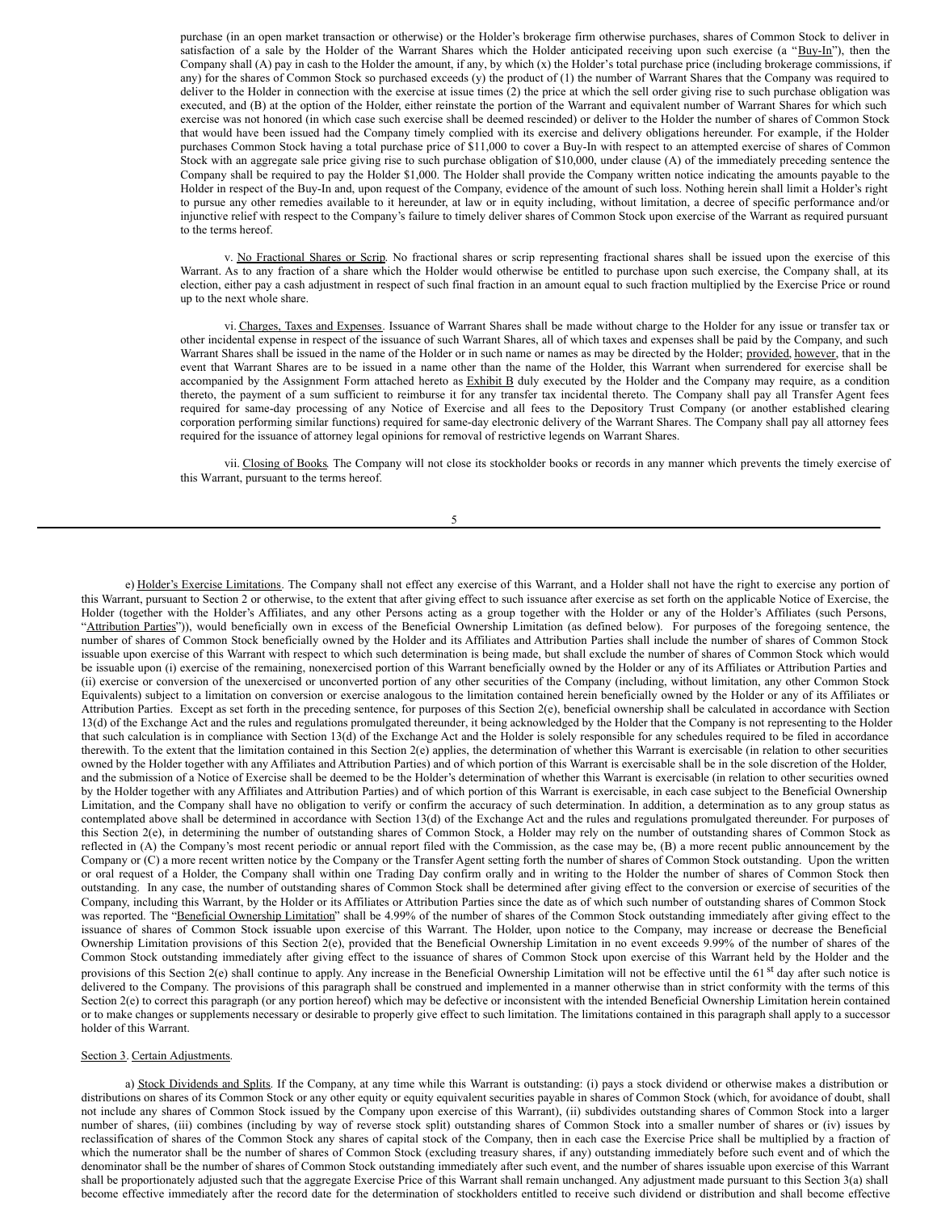purchase (in an open market transaction or otherwise) or the Holder's brokerage firm otherwise purchases, shares of Common Stock to deliver in satisfaction of a sale by the Holder of the Warrant Shares which the Holder anticipated receiving upon such exercise (a "Buy-In"), then the Company shall (A) pay in cash to the Holder the amount, if any, by which (x) the Holder's total purchase price (including brokerage commissions, if any) for the shares of Common Stock so purchased exceeds (y) the product of (1) the number of Warrant Shares that the Company was required to deliver to the Holder in connection with the exercise at issue times (2) the price at which the sell order giving rise to such purchase obligation was executed, and (B) at the option of the Holder, either reinstate the portion of the Warrant and equivalent number of Warrant Shares for which such exercise was not honored (in which case such exercise shall be deemed rescinded) or deliver to the Holder the number of shares of Common Stock that would have been issued had the Company timely complied with its exercise and delivery obligations hereunder. For example, if the Holder purchases Common Stock having a total purchase price of \$11,000 to cover a Buy-In with respect to an attempted exercise of shares of Common Stock with an aggregate sale price giving rise to such purchase obligation of \$10,000, under clause (A) of the immediately preceding sentence the Company shall be required to pay the Holder \$1,000. The Holder shall provide the Company written notice indicating the amounts payable to the Holder in respect of the Buy-In and, upon request of the Company, evidence of the amount of such loss. Nothing herein shall limit a Holder's right to pursue any other remedies available to it hereunder, at law or in equity including, without limitation, a decree of specific performance and/or injunctive relief with respect to the Company's failure to timely deliver shares of Common Stock upon exercise of the Warrant as required pursuant to the terms hereof.

v. No Fractional Shares or Scrip. No fractional shares or scrip representing fractional shares shall be issued upon the exercise of this Warrant. As to any fraction of a share which the Holder would otherwise be entitled to purchase upon such exercise, the Company shall, at its election, either pay a cash adjustment in respect of such final fraction in an amount equal to such fraction multiplied by the Exercise Price or round up to the next whole share.

vi. Charges, Taxes and Expenses. Issuance of Warrant Shares shall be made without charge to the Holder for any issue or transfer tax or other incidental expense in respect of the issuance of such Warrant Shares, all of which taxes and expenses shall be paid by the Company, and such Warrant Shares shall be issued in the name of the Holder or in such name or names as may be directed by the Holder; provided, however, that in the event that Warrant Shares are to be issued in a name other than the name of the Holder, this Warrant when surrendered for exercise shall be accompanied by the Assignment Form attached hereto as Exhibit B duly executed by the Holder and the Company may require, as a condition thereto, the payment of a sum sufficient to reimburse it for any transfer tax incidental thereto. The Company shall pay all Transfer Agent fees required for same-day processing of any Notice of Exercise and all fees to the Depository Trust Company (or another established clearing corporation performing similar functions) required for same-day electronic delivery of the Warrant Shares. The Company shall pay all attorney fees required for the issuance of attorney legal opinions for removal of restrictive legends on Warrant Shares.

vii. Closing of Books. The Company will not close its stockholder books or records in any manner which prevents the timely exercise of this Warrant, pursuant to the terms hereof.

5

e) Holder's Exercise Limitations. The Company shall not effect any exercise of this Warrant, and a Holder shall not have the right to exercise any portion of this Warrant, pursuant to Section 2 or otherwise, to the extent that after giving effect to such issuance after exercise as set forth on the applicable Notice of Exercise, the Holder (together with the Holder's Affiliates, and any other Persons acting as a group together with the Holder or any of the Holder's Affiliates (such Persons, "Attribution Parties")), would beneficially own in excess of the Beneficial Ownership Limitation (as defined below). For purposes of the foregoing sentence, the number of shares of Common Stock beneficially owned by the Holder and its Affiliates and Attribution Parties shall include the number of shares of Common Stock issuable upon exercise of this Warrant with respect to which such determination is being made, but shall exclude the number of shares of Common Stock which would be issuable upon (i) exercise of the remaining, nonexercised portion of this Warrant beneficially owned by the Holder or any of its Affiliates or Attribution Parties and (ii) exercise or conversion of the unexercised or unconverted portion of any other securities of the Company (including, without limitation, any other Common Stock Equivalents) subject to a limitation on conversion or exercise analogous to the limitation contained herein beneficially owned by the Holder or any of its Affiliates or Attribution Parties. Except as set forth in the preceding sentence, for purposes of this Section 2(e), beneficial ownership shall be calculated in accordance with Section 13(d) of the Exchange Act and the rules and regulations promulgated thereunder, it being acknowledged by the Holder that the Company is not representing to the Holder that such calculation is in compliance with Section 13(d) of the Exchange Act and the Holder is solely responsible for any schedules required to be filed in accordance therewith. To the extent that the limitation contained in this Section 2(e) applies, the determination of whether this Warrant is exercisable (in relation to other securities owned by the Holder together with any Affiliates and Attribution Parties) and of which portion of this Warrant is exercisable shall be in the sole discretion of the Holder, and the submission of a Notice of Exercise shall be deemed to be the Holder's determination of whether this Warrant is exercisable (in relation to other securities owned by the Holder together with any Affiliates and Attribution Parties) and of which portion of this Warrant is exercisable, in each case subject to the Beneficial Ownership Limitation, and the Company shall have no obligation to verify or confirm the accuracy of such determination. In addition, a determination as to any group status as contemplated above shall be determined in accordance with Section 13(d) of the Exchange Act and the rules and regulations promulgated thereunder. For purposes of this Section 2(e), in determining the number of outstanding shares of Common Stock, a Holder may rely on the number of outstanding shares of Common Stock as reflected in (A) the Company's most recent periodic or annual report filed with the Commission, as the case may be, (B) a more recent public announcement by the Company or (C) a more recent written notice by the Company or the Transfer Agent setting forth the number of shares of Common Stock outstanding. Upon the written or oral request of a Holder, the Company shall within one Trading Day confirm orally and in writing to the Holder the number of shares of Common Stock then outstanding. In any case, the number of outstanding shares of Common Stock shall be determined after giving effect to the conversion or exercise of securities of the Company, including this Warrant, by the Holder or its Affiliates or Attribution Parties since the date as of which such number of outstanding shares of Common Stock was reported. The "Beneficial Ownership Limitation" shall be 4.99% of the number of shares of the Common Stock outstanding immediately after giving effect to the issuance of shares of Common Stock issuable upon exercise of this Warrant. The Holder, upon notice to the Company, may increase or decrease the Beneficial Ownership Limitation provisions of this Section 2(e), provided that the Beneficial Ownership Limitation in no event exceeds 9.99% of the number of shares of the Common Stock outstanding immediately after giving effect to the issuance of shares of Common Stock upon exercise of this Warrant held by the Holder and the provisions of this Section 2(e) shall continue to apply. Any increase in the Beneficial Ownership Limitation will not be effective until the 61<sup>st</sup> day after such notice is delivered to the Company. The provisions of this paragraph shall be construed and implemented in a manner otherwise than in strict conformity with the terms of this Section 2(e) to correct this paragraph (or any portion hereof) which may be defective or inconsistent with the intended Beneficial Ownership Limitation herein contained or to make changes or supplements necessary or desirable to properly give effect to such limitation. The limitations contained in this paragraph shall apply to a successor holder of this Warrant.

#### Section 3. Certain Adjustments.

a) Stock Dividends and Splits. If the Company, at any time while this Warrant is outstanding: (i) pays a stock dividend or otherwise makes a distribution or distributions on shares of its Common Stock or any other equity or equity equivalent securities payable in shares of Common Stock (which, for avoidance of doubt, shall not include any shares of Common Stock issued by the Company upon exercise of this Warrant), (ii) subdivides outstanding shares of Common Stock into a larger number of shares, (iii) combines (including by way of reverse stock split) outstanding shares of Common Stock into a smaller number of shares or (iv) issues by reclassification of shares of the Common Stock any shares of capital stock of the Company, then in each case the Exercise Price shall be multiplied by a fraction of which the numerator shall be the number of shares of Common Stock (excluding treasury shares, if any) outstanding immediately before such event and of which the denominator shall be the number of shares of Common Stock outstanding immediately after such event, and the number of shares issuable upon exercise of this Warrant shall be proportionately adjusted such that the aggregate Exercise Price of this Warrant shall remain unchanged. Any adjustment made pursuant to this Section 3(a) shall become effective immediately after the record date for the determination of stockholders entitled to receive such dividend or distribution and shall become effective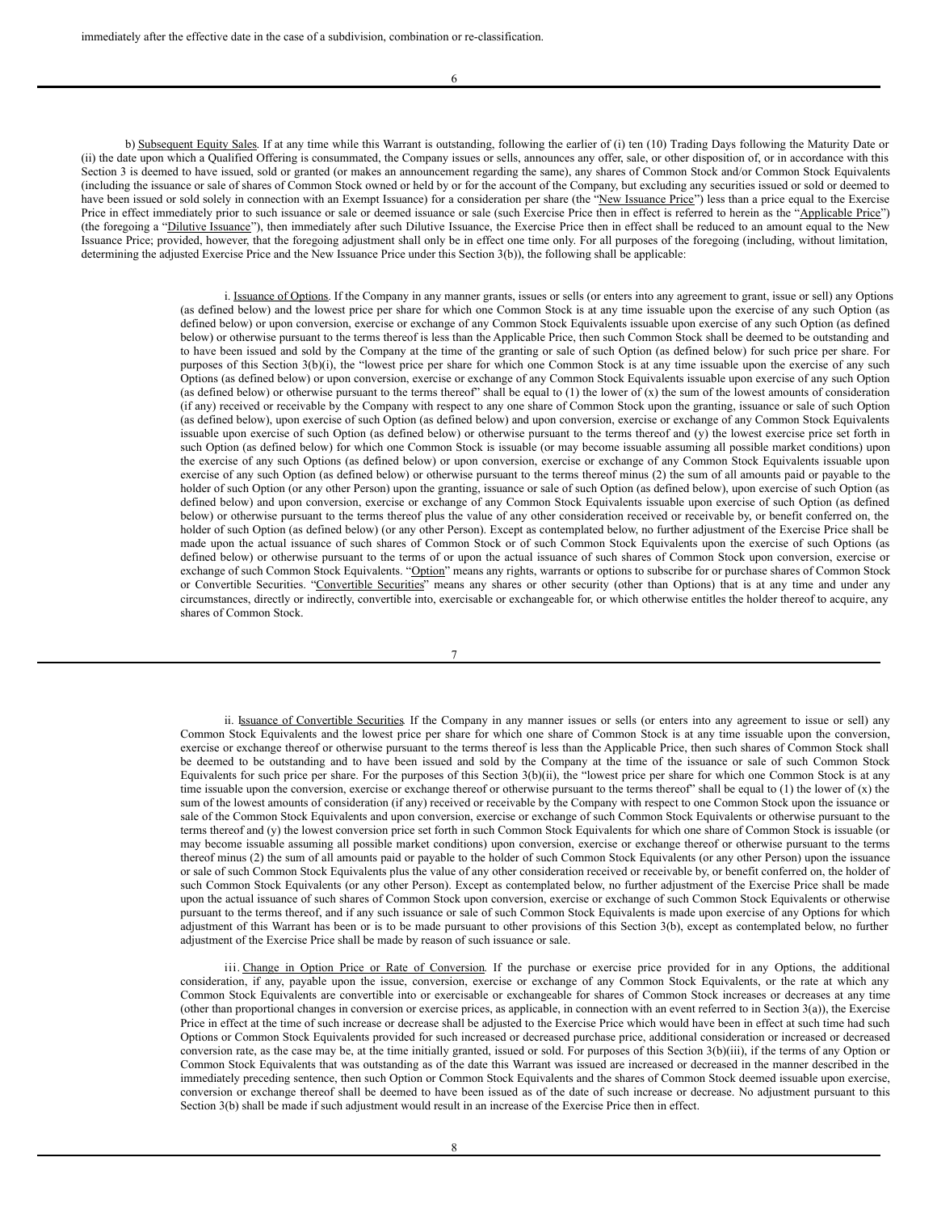6

b) Subsequent Equity Sales. If at any time while this Warrant is outstanding, following the earlier of (i) ten (10) Trading Days following the Maturity Date or (ii) the date upon which a Qualified Offering is consummated, the Company issues or sells, announces any offer, sale, or other disposition of, or in accordance with this Section 3 is deemed to have issued, sold or granted (or makes an announcement regarding the same), any shares of Common Stock and/or Common Stock Equivalents (including the issuance or sale of shares of Common Stock owned or held by or for the account of the Company, but excluding any securities issued or sold or deemed to have been issued or sold solely in connection with an Exempt Issuance) for a consideration per share (the "New Issuance Price") less than a price equal to the Exercise Price in effect immediately prior to such issuance or sale or deemed issuance or sale (such Exercise Price then in effect is referred to herein as the "Applicable Price") (the foregoing a "Dilutive Issuance"), then immediately after such Dilutive Issuance, the Exercise Price then in effect shall be reduced to an amount equal to the New Issuance Price; provided, however, that the foregoing adjustment shall only be in effect one time only. For all purposes of the foregoing (including, without limitation, determining the adjusted Exercise Price and the New Issuance Price under this Section 3(b)), the following shall be applicable:

> i. Issuance of Options. If the Company in any manner grants, issues or sells (or enters into any agreement to grant, issue or sell) any Options (as defined below) and the lowest price per share for which one Common Stock is at any time issuable upon the exercise of any such Option (as defined below) or upon conversion, exercise or exchange of any Common Stock Equivalents issuable upon exercise of any such Option (as defined below) or otherwise pursuant to the terms thereof is less than the Applicable Price, then such Common Stock shall be deemed to be outstanding and to have been issued and sold by the Company at the time of the granting or sale of such Option (as defined below) for such price per share. For purposes of this Section 3(b)(i), the "lowest price per share for which one Common Stock is at any time issuable upon the exercise of any such Options (as defined below) or upon conversion, exercise or exchange of any Common Stock Equivalents issuable upon exercise of any such Option (as defined below) or otherwise pursuant to the terms thereof" shall be equal to (1) the lower of  $(x)$  the sum of the lowest amounts of consideration (if any) received or receivable by the Company with respect to any one share of Common Stock upon the granting, issuance or sale of such Option (as defined below), upon exercise of such Option (as defined below) and upon conversion, exercise or exchange of any Common Stock Equivalents issuable upon exercise of such Option (as defined below) or otherwise pursuant to the terms thereof and (y) the lowest exercise price set forth in such Option (as defined below) for which one Common Stock is issuable (or may become issuable assuming all possible market conditions) upon the exercise of any such Options (as defined below) or upon conversion, exercise or exchange of any Common Stock Equivalents issuable upon exercise of any such Option (as defined below) or otherwise pursuant to the terms thereof minus (2) the sum of all amounts paid or payable to the holder of such Option (or any other Person) upon the granting, issuance or sale of such Option (as defined below), upon exercise of such Option (as defined below) and upon conversion, exercise or exchange of any Common Stock Equivalents issuable upon exercise of such Option (as defined below) or otherwise pursuant to the terms thereof plus the value of any other consideration received or receivable by, or benefit conferred on, the holder of such Option (as defined below) (or any other Person). Except as contemplated below, no further adjustment of the Exercise Price shall be made upon the actual issuance of such shares of Common Stock or of such Common Stock Equivalents upon the exercise of such Options (as defined below) or otherwise pursuant to the terms of or upon the actual issuance of such shares of Common Stock upon conversion, exercise or exchange of such Common Stock Equivalents. "Option" means any rights, warrants or options to subscribe for or purchase shares of Common Stock or Convertible Securities. "Convertible Securities" means any shares or other security (other than Options) that is at any time and under any circumstances, directly or indirectly, convertible into, exercisable or exchangeable for, or which otherwise entitles the holder thereof to acquire, any shares of Common Stock.

> > 7

ii. Issuance of Convertible Securities. If the Company in any manner issues or sells (or enters into any agreement to issue or sell) any Common Stock Equivalents and the lowest price per share for which one share of Common Stock is at any time issuable upon the conversion, exercise or exchange thereof or otherwise pursuant to the terms thereof is less than the Applicable Price, then such shares of Common Stock shall be deemed to be outstanding and to have been issued and sold by the Company at the time of the issuance or sale of such Common Stock Equivalents for such price per share. For the purposes of this Section 3(b)(ii), the "lowest price per share for which one Common Stock is at any time issuable upon the conversion, exercise or exchange thereof or otherwise pursuant to the terms thereof" shall be equal to  $(1)$  the lower of  $(x)$  the sum of the lowest amounts of consideration (if any) received or receivable by the Company with respect to one Common Stock upon the issuance or sale of the Common Stock Equivalents and upon conversion, exercise or exchange of such Common Stock Equivalents or otherwise pursuant to the terms thereof and (y) the lowest conversion price set forth in such Common Stock Equivalents for which one share of Common Stock is issuable (or may become issuable assuming all possible market conditions) upon conversion, exercise or exchange thereof or otherwise pursuant to the terms thereof minus (2) the sum of all amounts paid or payable to the holder of such Common Stock Equivalents (or any other Person) upon the issuance or sale of such Common Stock Equivalents plus the value of any other consideration received or receivable by, or benefit conferred on, the holder of such Common Stock Equivalents (or any other Person). Except as contemplated below, no further adjustment of the Exercise Price shall be made upon the actual issuance of such shares of Common Stock upon conversion, exercise or exchange of such Common Stock Equivalents or otherwise pursuant to the terms thereof, and if any such issuance or sale of such Common Stock Equivalents is made upon exercise of any Options for which adjustment of this Warrant has been or is to be made pursuant to other provisions of this Section 3(b), except as contemplated below, no further adjustment of the Exercise Price shall be made by reason of such issuance or sale.

iii. Change in Option Price or Rate of Conversion. If the purchase or exercise price provided for in any Options, the additional consideration, if any, payable upon the issue, conversion, exercise or exchange of any Common Stock Equivalents, or the rate at which any Common Stock Equivalents are convertible into or exercisable or exchangeable for shares of Common Stock increases or decreases at any time (other than proportional changes in conversion or exercise prices, as applicable, in connection with an event referred to in Section 3(a)), the Exercise Price in effect at the time of such increase or decrease shall be adjusted to the Exercise Price which would have been in effect at such time had such Options or Common Stock Equivalents provided for such increased or decreased purchase price, additional consideration or increased or decreased conversion rate, as the case may be, at the time initially granted, issued or sold. For purposes of this Section  $3(b)(iii)$ , if the terms of any Option or Common Stock Equivalents that was outstanding as of the date this Warrant was issued are increased or decreased in the manner described in the immediately preceding sentence, then such Option or Common Stock Equivalents and the shares of Common Stock deemed issuable upon exercise, conversion or exchange thereof shall be deemed to have been issued as of the date of such increase or decrease. No adjustment pursuant to this Section 3(b) shall be made if such adjustment would result in an increase of the Exercise Price then in effect.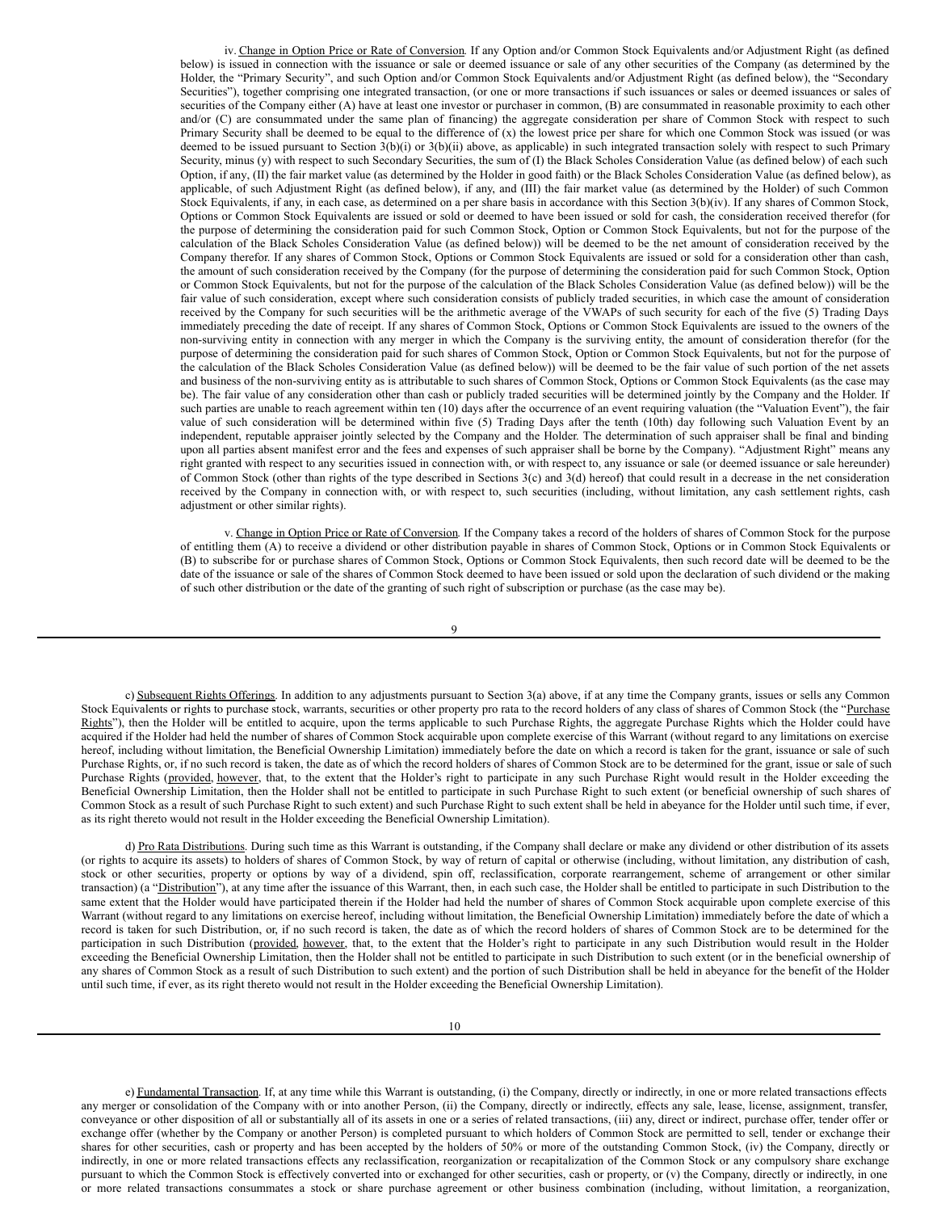<span id="page-37-0"></span>iv. Change in Option Price or Rate of Conversion. If any Option and/or Common Stock Equivalents and/or Adjustment Right (as defined below) is issued in connection with the issuance or sale or deemed issuance or sale of any other securities of the Company (as determined by the Holder, the "Primary Security", and such Option and/or Common Stock Equivalents and/or Adjustment Right (as defined below), the "Secondary Securities"), together comprising one integrated transaction, (or one or more transactions if such issuances or sales or deemed issuances or sales of securities of the Company either (A) have at least one investor or purchaser in common, (B) are consummated in reasonable proximity to each other and/or (C) are consummated under the same plan of financing) the aggregate consideration per share of Common Stock with respect to such Primary Security shall be deemed to be equal to the difference of (x) the lowest price per share for which one Common Stock was issued (or was deemed to be issued pursuant to Section 3(b)(i) or 3(b)(ii) above, as applicable) in such integrated transaction solely with respect to such Primary Security, minus (y) with respect to such Secondary Securities, the sum of (I) the Black Scholes Consideration Value (as defined below) of each such Option, if any, (II) the fair market value (as determined by the Holder in good faith) or the Black Scholes Consideration Value (as defined below), as applicable, of such Adjustment Right (as defined below), if any, and (III) the fair market value (as determined by the Holder) of such Common Stock Equivalents, if any, in each case, as determined on a per share basis in accordance with this Section 3(b)(iv). If any shares of Common Stock, Options or Common Stock Equivalents are issued or sold or deemed to have been issued or sold for cash, the consideration received therefor (for the purpose of determining the consideration paid for such Common Stock, Option or Common Stock Equivalents, but not for the purpose of the calculation of the Black Scholes Consideration Value (as defined below)) will be deemed to be the net amount of consideration received by the Company therefor. If any shares of Common Stock, Options or Common Stock Equivalents are issued or sold for a consideration other than cash, the amount of such consideration received by the Company (for the purpose of determining the consideration paid for such Common Stock, Option or Common Stock Equivalents, but not for the purpose of the calculation of the Black Scholes Consideration Value (as defined below)) will be the fair value of such consideration, except where such consideration consists of publicly traded securities, in which case the amount of consideration received by the Company for such securities will be the arithmetic average of the VWAPs of such security for each of the five (5) Trading Days immediately preceding the date of receipt. If any shares of Common Stock, Options or Common Stock Equivalents are issued to the owners of the non-surviving entity in connection with any merger in which the Company is the surviving entity, the amount of consideration therefor (for the purpose of determining the consideration paid for such shares of Common Stock, Option or Common Stock Equivalents, but not for the purpose of the calculation of the Black Scholes Consideration Value (as defined below)) will be deemed to be the fair value of such portion of the net assets and business of the non-surviving entity as is attributable to such shares of Common Stock, Options or Common Stock Equivalents (as the case may be). The fair value of any consideration other than cash or publicly traded securities will be determined jointly by the Company and the Holder. If such parties are unable to reach agreement within ten (10) days after the occurrence of an event requiring valuation (the "Valuation Event"), the fair value of such consideration will be determined within five (5) Trading Days after the tenth (10th) day following such Valuation Event by an independent, reputable appraiser jointly selected by the Company and the Holder. The determination of such appraiser shall be final and binding upon all parties absent manifest error and the fees and expenses of such appraiser shall be borne by the Company). "Adjustment Right" means any right granted with respect to any securities issued in connection with, or with respect to, any issuance or sale (or deemed issuance or sale hereunder) of Common Stock (other than rights of the type described in Sections 3(c) and 3(d) hereof) that could result in a decrease in the net consideration received by the Company in connection with, or with respect to, such securities (including, without limitation, any cash settlement rights, cash adjustment or other similar rights).

v. Change in Option Price or Rate of Conversion. If the Company takes a record of the holders of shares of Common Stock for the purpose of entitling them (A) to receive a dividend or other distribution payable in shares of Common Stock, Options or in Common Stock Equivalents or (B) to subscribe for or purchase shares of Common Stock, Options or Common Stock Equivalents, then such record date will be deemed to be the date of the issuance or sale of the shares of Common Stock deemed to have been issued or sold upon the declaration of such dividend or the making of such other distribution or the date of the granting of such right of subscription or purchase (as the case may be).

$$
^{9} \cdot
$$

c) Subsequent Rights Offerings. In addition to any adjustments pursuant to Section 3(a) above, if at any time the Company grants, issues or sells any Common Stock Equivalents or rights to purchase stock, warrants, securities or other property pro rata to the record holders of any class of shares of Common Stock (the "Purchase Rights"), then the Holder will be entitled to acquire, upon the terms applicable to such Purchase Rights, the aggregate Purchase Rights which the Holder could have acquired if the Holder had held the number of shares of Common Stock acquirable upon complete exercise of this Warrant (without regard to any limitations on exercise hereof, including without limitation, the Beneficial Ownership Limitation) immediately before the date on which a record is taken for the grant, issuance or sale of such Purchase Rights, or, if no such record is taken, the date as of which the record holders of shares of Common Stock are to be determined for the grant, issue or sale of such Purchase Rights (provided, however, that, to the extent that the Holder's right to participate in any such Purchase Right would result in the Holder exceeding the Beneficial Ownership Limitation, then the Holder shall not be entitled to participate in such Purchase Right to such extent (or beneficial ownership of such shares of Common Stock as a result of such Purchase Right to such extent) and such Purchase Right to such extent shall be held in abeyance for the Holder until such time, if ever, as its right thereto would not result in the Holder exceeding the Beneficial Ownership Limitation).

d) Pro Rata Distributions. During such time as this Warrant is outstanding, if the Company shall declare or make any dividend or other distribution of its assets (or rights to acquire its assets) to holders of shares of Common Stock, by way of return of capital or otherwise (including, without limitation, any distribution of cash, stock or other securities, property or options by way of a dividend, spin off, reclassification, corporate rearrangement, scheme of arrangement or other similar transaction) (a "Distribution"), at any time after the issuance of this Warrant, then, in each such case, the Holder shall be entitled to participate in such Distribution to the same extent that the Holder would have participated therein if the Holder had held the number of shares of Common Stock acquirable upon complete exercise of this Warrant (without regard to any limitations on exercise hereof, including without limitation, the Beneficial Ownership Limitation) immediately before the date of which a record is taken for such Distribution, or, if no such record is taken, the date as of which the record holders of shares of Common Stock are to be determined for the participation in such Distribution (provided, however, that, to the extent that the Holder's right to participate in any such Distribution would result in the Holder exceeding the Beneficial Ownership Limitation, then the Holder shall not be entitled to participate in such Distribution to such extent (or in the beneficial ownership of any shares of Common Stock as a result of such Distribution to such extent) and the portion of such Distribution shall be held in abeyance for the benefit of the Holder until such time, if ever, as its right thereto would not result in the Holder exceeding the Beneficial Ownership Limitation).

e) Fundamental Transaction. If, at any time while this Warrant is outstanding, (i) the Company, directly or indirectly, in one or more related transactions effects any merger or consolidation of the Company with or into another Person, (ii) the Company, directly or indirectly, effects any sale, lease, license, assignment, transfer, conveyance or other disposition of all or substantially all of its assets in one or a series of related transactions, (iii) any, direct or indirect, purchase offer, tender offer or exchange offer (whether by the Company or another Person) is completed pursuant to which holders of Common Stock are permitted to sell, tender or exchange their shares for other securities, cash or property and has been accepted by the holders of 50% or more of the outstanding Common Stock, (iv) the Company, directly or indirectly, in one or more related transactions effects any reclassification, reorganization or recapitalization of the Common Stock or any compulsory share exchange pursuant to which the Common Stock is effectively converted into or exchanged for other securities, cash or property, or (v) the Company, directly or indirectly, in one or more related transactions consummates a stock or share purchase agreement or other business combination (including, without limitation, a reorganization,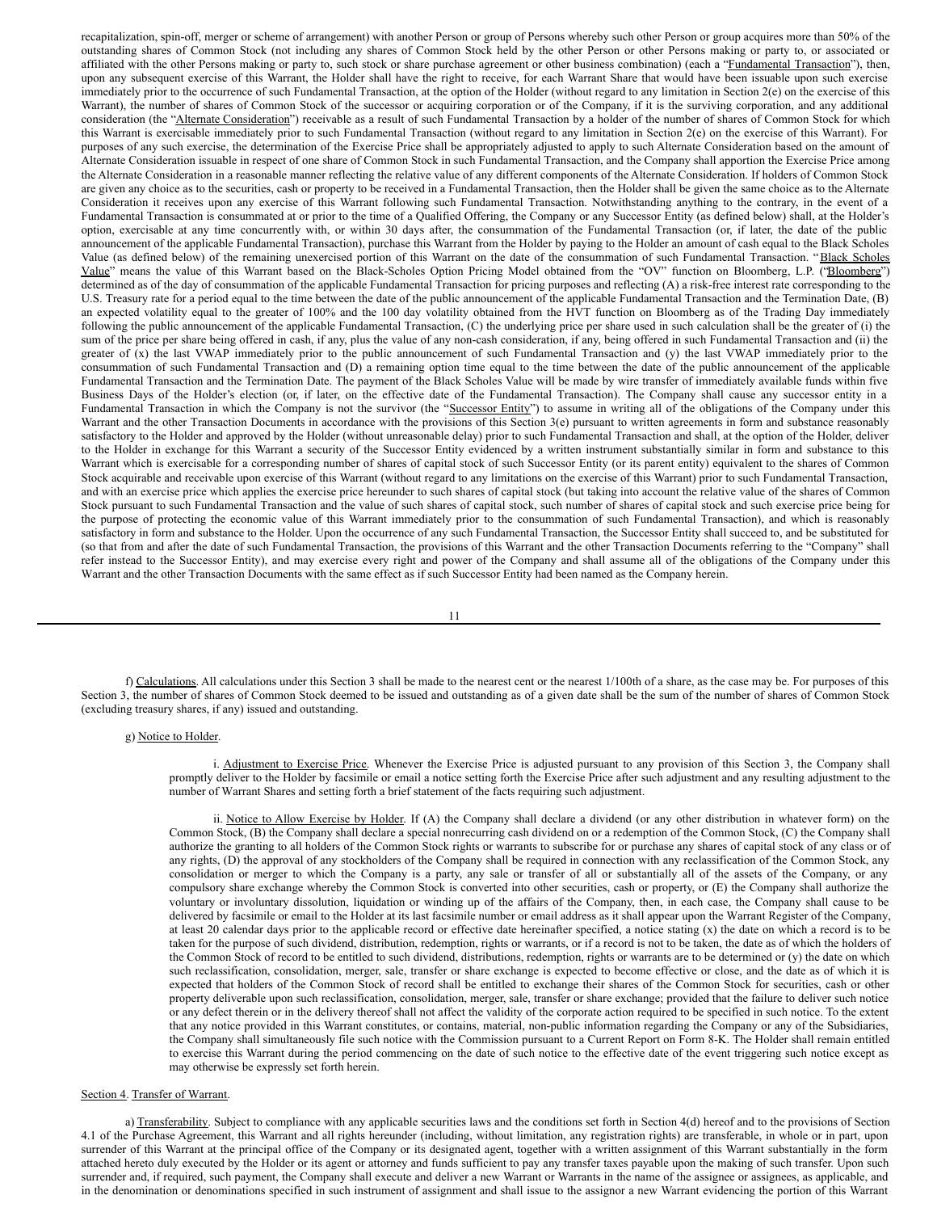recapitalization, spin-off, merger or scheme of arrangement) with another Person or group of Persons whereby such other Person or group acquires more than 50% of the outstanding shares of Common Stock (not including any shares of Common Stock held by the other Person or other Persons making or party to, or associated or affiliated with the other Persons making or party to, such stock or share purchase agreement or other business combination) (each a "Fundamental Transaction"), then, upon any subsequent exercise of this Warrant, the Holder shall have the right to receive, for each Warrant Share that would have been issuable upon such exercise immediately prior to the occurrence of such Fundamental Transaction, at the option of the Holder (without regard to any limitation in Section 2(e) on the exercise of this Warrant), the number of shares of Common Stock of the successor or acquiring corporation or of the Company, if it is the surviving corporation, and any additional consideration (the "Alternate Consideration") receivable as a result of such Fundamental Transaction by a holder of the number of shares of Common Stock for which this Warrant is exercisable immediately prior to such Fundamental Transaction (without regard to any limitation in Section 2(e) on the exercise of this Warrant). For purposes of any such exercise, the determination of the Exercise Price shall be appropriately adjusted to apply to such Alternate Consideration based on the amount of Alternate Consideration issuable in respect of one share of Common Stock in such Fundamental Transaction, and the Company shall apportion the Exercise Price among the Alternate Consideration in a reasonable manner reflecting the relative value of any different components of the Alternate Consideration. If holders of Common Stock are given any choice as to the securities, cash or property to be received in a Fundamental Transaction, then the Holder shall be given the same choice as to the Alternate Consideration it receives upon any exercise of this Warrant following such Fundamental Transaction. Notwithstanding anything to the contrary, in the event of a Fundamental Transaction is consummated at or prior to the time of a Qualified Offering, the Company or any Successor Entity (as defined below) shall, at the Holder's option, exercisable at any time concurrently with, or within 30 days after, the consummation of the Fundamental Transaction (or, if later, the date of the public announcement of the applicable Fundamental Transaction), purchase this Warrant from the Holder by paying to the Holder an amount of cash equal to the Black Scholes Value (as defined below) of the remaining unexercised portion of this Warrant on the date of the consummation of such Fundamental Transaction. "Black Scholes Value" means the value of this Warrant based on the Black-Scholes Option Pricing Model obtained from the "OV" function on Bloomberg, L.P. ("Bloomberg") determined as of the day of consummation of the applicable Fundamental Transaction for pricing purposes and reflecting (A) a risk-free interest rate corresponding to the U.S. Treasury rate for a period equal to the time between the date of the public announcement of the applicable Fundamental Transaction and the Termination Date, (B) an expected volatility equal to the greater of 100% and the 100 day volatility obtained from the HVT function on Bloomberg as of the Trading Day immediately following the public announcement of the applicable Fundamental Transaction, (C) the underlying price per share used in such calculation shall be the greater of (i) the sum of the price per share being offered in cash, if any, plus the value of any non-cash consideration, if any, being offered in such Fundamental Transaction and (ii) the greater of (x) the last VWAP immediately prior to the public announcement of such Fundamental Transaction and (y) the last VWAP immediately prior to the consummation of such Fundamental Transaction and (D) a remaining option time equal to the time between the date of the public announcement of the applicable Fundamental Transaction and the Termination Date. The payment of the Black Scholes Value will be made by wire transfer of immediately available funds within five Business Days of the Holder's election (or, if later, on the effective date of the Fundamental Transaction). The Company shall cause any successor entity in a Fundamental Transaction in which the Company is not the survivor (the "Successor Entity") to assume in writing all of the obligations of the Company under this Warrant and the other Transaction Documents in accordance with the provisions of this Section 3(e) pursuant to written agreements in form and substance reasonably satisfactory to the Holder and approved by the Holder (without unreasonable delay) prior to such Fundamental Transaction and shall, at the option of the Holder, deliver to the Holder in exchange for this Warrant a security of the Successor Entity evidenced by a written instrument substantially similar in form and substance to this Warrant which is exercisable for a corresponding number of shares of capital stock of such Successor Entity (or its parent entity) equivalent to the shares of Common Stock acquirable and receivable upon exercise of this Warrant (without regard to any limitations on the exercise of this Warrant) prior to such Fundamental Transaction, and with an exercise price which applies the exercise price hereunder to such shares of capital stock (but taking into account the relative value of the shares of Common Stock pursuant to such Fundamental Transaction and the value of such shares of capital stock, such number of shares of capital stock and such exercise price being for the purpose of protecting the economic value of this Warrant immediately prior to the consummation of such Fundamental Transaction), and which is reasonably satisfactory in form and substance to the Holder. Upon the occurrence of any such Fundamental Transaction, the Successor Entity shall succeed to, and be substituted for (so that from and after the date of such Fundamental Transaction, the provisions of this Warrant and the other Transaction Documents referring to the "Company" shall refer instead to the Successor Entity), and may exercise every right and power of the Company and shall assume all of the obligations of the Company under this Warrant and the other Transaction Documents with the same effect as if such Successor Entity had been named as the Company herein.

11

f) Calculations. All calculations under this Section 3 shall be made to the nearest cent or the nearest 1/100th of a share, as the case may be. For purposes of this Section 3, the number of shares of Common Stock deemed to be issued and outstanding as of a given date shall be the sum of the number of shares of Common Stock (excluding treasury shares, if any) issued and outstanding.

#### g) Notice to Holder.

i. Adjustment to Exercise Price. Whenever the Exercise Price is adjusted pursuant to any provision of this Section 3, the Company shall promptly deliver to the Holder by facsimile or email a notice setting forth the Exercise Price after such adjustment and any resulting adjustment to the number of Warrant Shares and setting forth a brief statement of the facts requiring such adjustment.

ii. Notice to Allow Exercise by Holder. If (A) the Company shall declare a dividend (or any other distribution in whatever form) on the Common Stock, (B) the Company shall declare a special nonrecurring cash dividend on or a redemption of the Common Stock, (C) the Company shall authorize the granting to all holders of the Common Stock rights or warrants to subscribe for or purchase any shares of capital stock of any class or of any rights, (D) the approval of any stockholders of the Company shall be required in connection with any reclassification of the Common Stock, any consolidation or merger to which the Company is a party, any sale or transfer of all or substantially all of the assets of the Company, or any compulsory share exchange whereby the Common Stock is converted into other securities, cash or property, or (E) the Company shall authorize the voluntary or involuntary dissolution, liquidation or winding up of the affairs of the Company, then, in each case, the Company shall cause to be delivered by facsimile or email to the Holder at its last facsimile number or email address as it shall appear upon the Warrant Register of the Company, at least 20 calendar days prior to the applicable record or effective date hereinafter specified, a notice stating (x) the date on which a record is to be taken for the purpose of such dividend, distribution, redemption, rights or warrants, or if a record is not to be taken, the date as of which the holders of the Common Stock of record to be entitled to such dividend, distributions, redemption, rights or warrants are to be determined or (y) the date on which such reclassification, consolidation, merger, sale, transfer or share exchange is expected to become effective or close, and the date as of which it is expected that holders of the Common Stock of record shall be entitled to exchange their shares of the Common Stock for securities, cash or other property deliverable upon such reclassification, consolidation, merger, sale, transfer or share exchange; provided that the failure to deliver such notice or any defect therein or in the delivery thereof shall not affect the validity of the corporate action required to be specified in such notice. To the extent that any notice provided in this Warrant constitutes, or contains, material, non-public information regarding the Company or any of the Subsidiaries, the Company shall simultaneously file such notice with the Commission pursuant to a Current Report on Form 8-K. The Holder shall remain entitled to exercise this Warrant during the period commencing on the date of such notice to the effective date of the event triggering such notice except as may otherwise be expressly set forth herein.

## Section 4. Transfer of Warrant.

a) Transferability. Subject to compliance with any applicable securities laws and the conditions set forth in Section 4(d) hereof and to the provisions of Section 4.1 of the Purchase Agreement, this Warrant and all rights hereunder (including, without limitation, any registration rights) are transferable, in whole or in part, upon surrender of this Warrant at the principal office of the Company or its designated agent, together with a written assignment of this Warrant substantially in the form attached hereto duly executed by the Holder or its agent or attorney and funds sufficient to pay any transfer taxes payable upon the making of such transfer. Upon such surrender and, if required, such payment, the Company shall execute and deliver a new Warrant or Warrants in the name of the assignee or assignees, as applicable, and in the denomination or denominations specified in such instrument of assignment and shall issue to the assignor a new Warrant evidencing the portion of this Warrant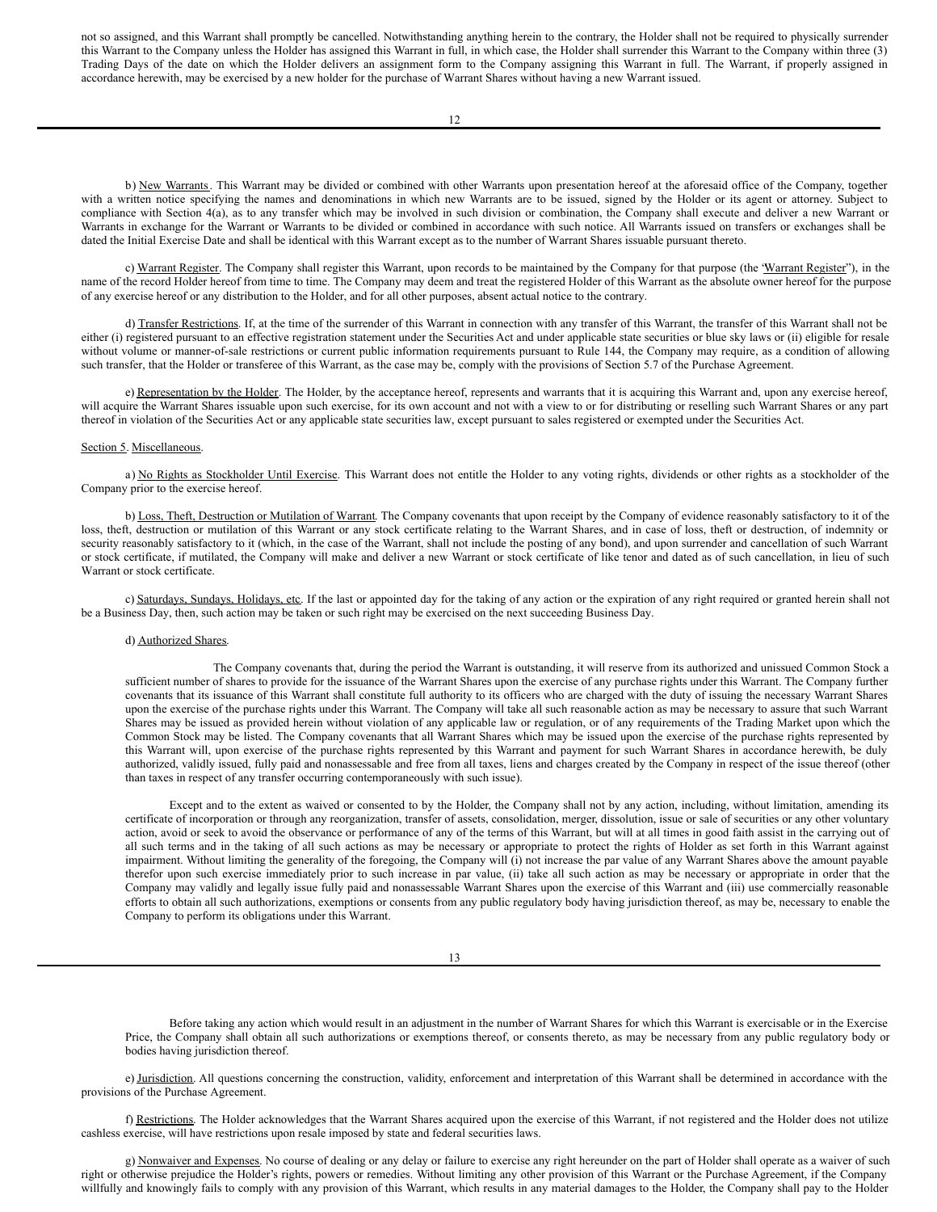not so assigned, and this Warrant shall promptly be cancelled. Notwithstanding anything herein to the contrary, the Holder shall not be required to physically surrender this Warrant to the Company unless the Holder has assigned this Warrant in full, in which case, the Holder shall surrender this Warrant to the Company within three (3) Trading Days of the date on which the Holder delivers an assignment form to the Company assigning this Warrant in full. The Warrant, if properly assigned in accordance herewith, may be exercised by a new holder for the purchase of Warrant Shares without having a new Warrant issued.

b) New Warrants. This Warrant may be divided or combined with other Warrants upon presentation hereof at the aforesaid office of the Company, together with a written notice specifying the names and denominations in which new Warrants are to be issued, signed by the Holder or its agent or attorney. Subject to compliance with Section 4(a), as to any transfer which may be involved in such division or combination, the Company shall execute and deliver a new Warrant or Warrants in exchange for the Warrant or Warrants to be divided or combined in accordance with such notice. All Warrants issued on transfers or exchanges shall be dated the Initial Exercise Date and shall be identical with this Warrant except as to the number of Warrant Shares issuable pursuant thereto.

c) Warrant Register. The Company shall register this Warrant, upon records to be maintained by the Company for that purpose (the 'Warrant Register'), in the name of the record Holder hereof from time to time. The Company may deem and treat the registered Holder of this Warrant as the absolute owner hereof for the purpose of any exercise hereof or any distribution to the Holder, and for all other purposes, absent actual notice to the contrary.

d) Transfer Restrictions. If, at the time of the surrender of this Warrant in connection with any transfer of this Warrant, the transfer of this Warrant shall not be either (i) registered pursuant to an effective registration statement under the Securities Act and under applicable state securities or blue sky laws or (ii) eligible for resale without volume or manner-of-sale restrictions or current public information requirements pursuant to Rule 144, the Company may require, as a condition of allowing such transfer, that the Holder or transferee of this Warrant, as the case may be, comply with the provisions of Section 5.7 of the Purchase Agreement.

e) Representation by the Holder. The Holder, by the acceptance hereof, represents and warrants that it is acquiring this Warrant and, upon any exercise hereof, will acquire the Warrant Shares issuable upon such exercise, for its own account and not with a view to or for distributing or reselling such Warrant Shares or any part thereof in violation of the Securities Act or any applicable state securities law, except pursuant to sales registered or exempted under the Securities Act.

#### Section 5. Miscellaneous.

a) No Rights as Stockholder Until Exercise. This Warrant does not entitle the Holder to any voting rights, dividends or other rights as a stockholder of the Company prior to the exercise hereof.

b) Loss, Theft, Destruction or Mutilation of Warrant. The Company covenants that upon receipt by the Company of evidence reasonably satisfactory to it of the loss, theft, destruction or mutilation of this Warrant or any stock certificate relating to the Warrant Shares, and in case of loss, theft or destruction, of indemnity or security reasonably satisfactory to it (which, in the case of the Warrant, shall not include the posting of any bond), and upon surrender and cancellation of such Warrant or stock certificate, if mutilated, the Company will make and deliver a new Warrant or stock certificate of like tenor and dated as of such cancellation, in lieu of such Warrant or stock certificate.

c) Saturdays, Sundays, Holidays, etc. If the last or appointed day for the taking of any action or the expiration of any right required or granted herein shall not be a Business Day, then, such action may be taken or such right may be exercised on the next succeeding Business Day.

#### d) Authorized Shares.

The Company covenants that, during the period the Warrant is outstanding, it will reserve from its authorized and unissued Common Stock a sufficient number of shares to provide for the issuance of the Warrant Shares upon the exercise of any purchase rights under this Warrant. The Company further covenants that its issuance of this Warrant shall constitute full authority to its officers who are charged with the duty of issuing the necessary Warrant Shares upon the exercise of the purchase rights under this Warrant. The Company will take all such reasonable action as may be necessary to assure that such Warrant Shares may be issued as provided herein without violation of any applicable law or regulation, or of any requirements of the Trading Market upon which the Common Stock may be listed. The Company covenants that all Warrant Shares which may be issued upon the exercise of the purchase rights represented by this Warrant will, upon exercise of the purchase rights represented by this Warrant and payment for such Warrant Shares in accordance herewith, be duly authorized, validly issued, fully paid and nonassessable and free from all taxes, liens and charges created by the Company in respect of the issue thereof (other than taxes in respect of any transfer occurring contemporaneously with such issue).

Except and to the extent as waived or consented to by the Holder, the Company shall not by any action, including, without limitation, amending its certificate of incorporation or through any reorganization, transfer of assets, consolidation, merger, dissolution, issue or sale of securities or any other voluntary action, avoid or seek to avoid the observance or performance of any of the terms of this Warrant, but will at all times in good faith assist in the carrying out of all such terms and in the taking of all such actions as may be necessary or appropriate to protect the rights of Holder as set forth in this Warrant against impairment. Without limiting the generality of the foregoing, the Company will (i) not increase the par value of any Warrant Shares above the amount payable therefor upon such exercise immediately prior to such increase in par value, (ii) take all such action as may be necessary or appropriate in order that the Company may validly and legally issue fully paid and nonassessable Warrant Shares upon the exercise of this Warrant and (iii) use commercially reasonable efforts to obtain all such authorizations, exemptions or consents from any public regulatory body having jurisdiction thereof, as may be, necessary to enable the Company to perform its obligations under this Warrant.

13

Before taking any action which would result in an adjustment in the number of Warrant Shares for which this Warrant is exercisable or in the Exercise Price, the Company shall obtain all such authorizations or exemptions thereof, or consents thereto, as may be necessary from any public regulatory body or bodies having jurisdiction thereof.

e) Jurisdiction. All questions concerning the construction, validity, enforcement and interpretation of this Warrant shall be determined in accordance with the provisions of the Purchase Agreement.

f) Restrictions. The Holder acknowledges that the Warrant Shares acquired upon the exercise of this Warrant, if not registered and the Holder does not utilize cashless exercise, will have restrictions upon resale imposed by state and federal securities laws.

g) Nonwaiver and Expenses. No course of dealing or any delay or failure to exercise any right hereunder on the part of Holder shall operate as a waiver of such right or otherwise prejudice the Holder's rights, powers or remedies. Without limiting any other provision of this Warrant or the Purchase Agreement, if the Company willfully and knowingly fails to comply with any provision of this Warrant, which results in any material damages to the Holder, the Company shall pay to the Holder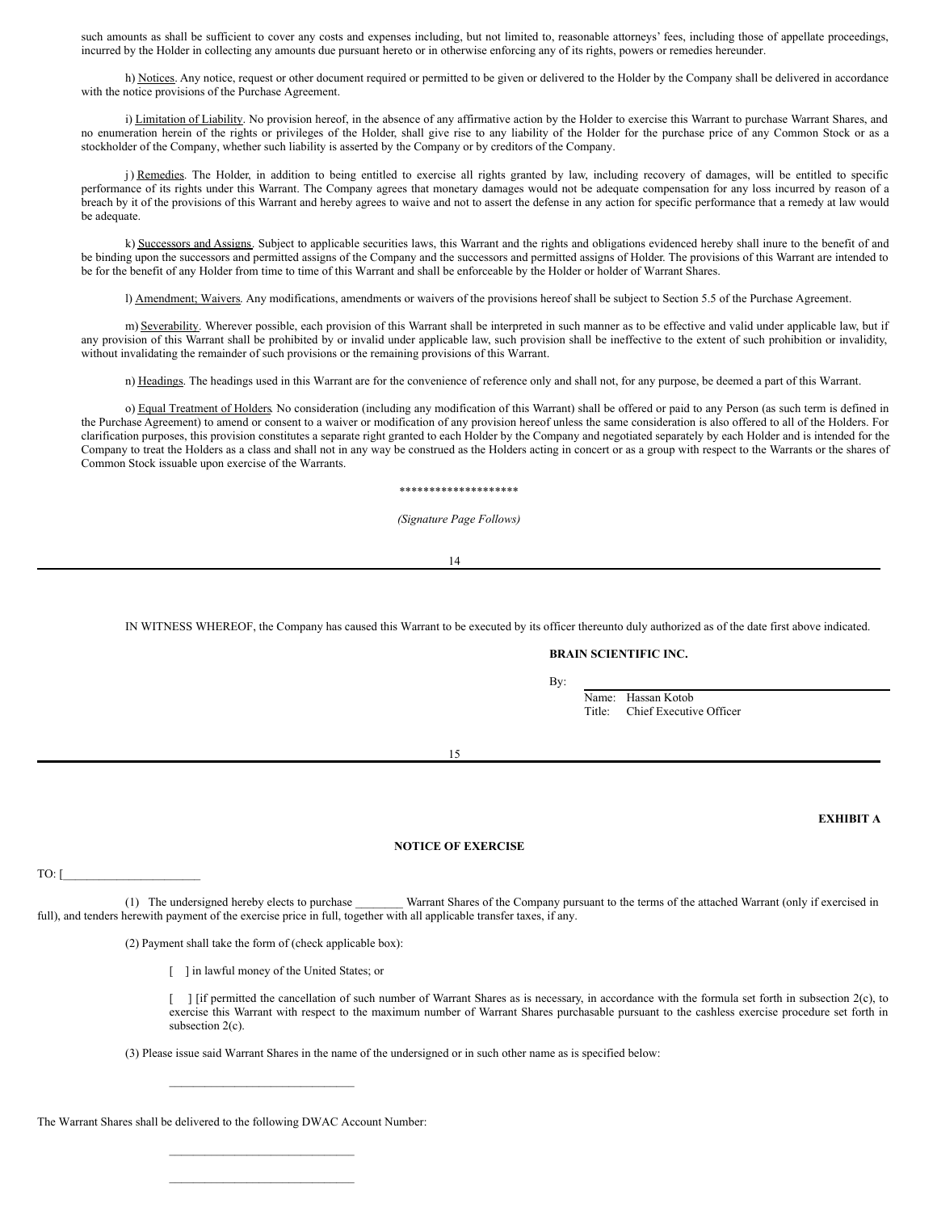such amounts as shall be sufficient to cover any costs and expenses including, but not limited to, reasonable attorneys' fees, including those of appellate proceedings, incurred by the Holder in collecting any amounts due pursuant hereto or in otherwise enforcing any of its rights, powers or remedies hereunder.

h) Notices. Any notice, request or other document required or permitted to be given or delivered to the Holder by the Company shall be delivered in accordance with the notice provisions of the Purchase Agreement.

i) Limitation of Liability. No provision hereof, in the absence of any affirmative action by the Holder to exercise this Warrant to purchase Warrant Shares, and no enumeration herein of the rights or privileges of the Holder, shall give rise to any liability of the Holder for the purchase price of any Common Stock or as a stockholder of the Company, whether such liability is asserted by the Company or by creditors of the Company.

j) Remedies. The Holder, in addition to being entitled to exercise all rights granted by law, including recovery of damages, will be entitled to specific performance of its rights under this Warrant. The Company agrees that monetary damages would not be adequate compensation for any loss incurred by reason of a breach by it of the provisions of this Warrant and hereby agrees to waive and not to assert the defense in any action for specific performance that a remedy at law would be adequate.

k) Successors and Assigns. Subject to applicable securities laws, this Warrant and the rights and obligations evidenced hereby shall inure to the benefit of and be binding upon the successors and permitted assigns of the Company and the successors and permitted assigns of Holder. The provisions of this Warrant are intended to be for the benefit of any Holder from time to time of this Warrant and shall be enforceable by the Holder or holder of Warrant Shares.

l) Amendment; Waivers. Any modifications, amendments or waivers of the provisions hereof shall be subject to Section 5.5 of the Purchase Agreement.

m) Severability. Wherever possible, each provision of this Warrant shall be interpreted in such manner as to be effective and valid under applicable law, but if any provision of this Warrant shall be prohibited by or invalid under applicable law, such provision shall be ineffective to the extent of such prohibition or invalidity, without invalidating the remainder of such provisions or the remaining provisions of this Warrant.

n) Headings. The headings used in this Warrant are for the convenience of reference only and shall not, for any purpose, be deemed a part of this Warrant.

o) Equal Treatment of Holders. No consideration (including any modification of this Warrant) shall be offered or paid to any Person (as such term is defined in the Purchase Agreement) to amend or consent to a waiver or modification of any provision hereof unless the same consideration is also offered to all of the Holders. For clarification purposes, this provision constitutes a separate right granted to each Holder by the Company and negotiated separately by each Holder and is intended for the Company to treat the Holders as a class and shall not in any way be construed as the Holders acting in concert or as a group with respect to the Warrants or the shares of Common Stock issuable upon exercise of the Warrants.

#### \*\*\*\*\*\*\*\*\*\*\*\*\*\*\*\*\*\*\*\*

*(Signature Page Follows)*

14

IN WITNESS WHEREOF, the Company has caused this Warrant to be executed by its officer thereunto duly authorized as of the date first above indicated.

## **BRAIN SCIENTIFIC INC.**

By:

Name: Hassan Kotob Title: Chief Executive Officer

15

## **EXHIBIT A**

### **NOTICE OF EXERCISE**

TO:  $\Gamma$ 

(1) The undersigned hereby elects to purchase \_\_\_\_\_\_\_\_ Warrant Shares of the Company pursuant to the terms of the attached Warrant (only if exercised in full), and tenders herewith payment of the exercise price in full, together with all applicable transfer taxes, if any.

(2) Payment shall take the form of (check applicable box):

\_\_\_\_\_\_\_\_\_\_\_\_\_\_\_\_\_\_\_\_\_\_\_\_\_\_\_\_\_\_\_

\_\_\_\_\_\_\_\_\_\_\_\_\_\_\_\_\_\_\_\_\_\_\_\_\_\_\_\_\_\_\_ \_\_\_\_\_\_\_\_\_\_\_\_\_\_\_\_\_\_\_\_\_\_\_\_\_\_\_\_\_\_\_

[ ] in lawful money of the United States; or

[ ] [if permitted the cancellation of such number of Warrant Shares as is necessary, in accordance with the formula set forth in subsection 2(c), to exercise this Warrant with respect to the maximum number of Warrant Shares purchasable pursuant to the cashless exercise procedure set forth in subsection 2(c).

(3) Please issue said Warrant Shares in the name of the undersigned or in such other name as is specified below:

The Warrant Shares shall be delivered to the following DWAC Account Number: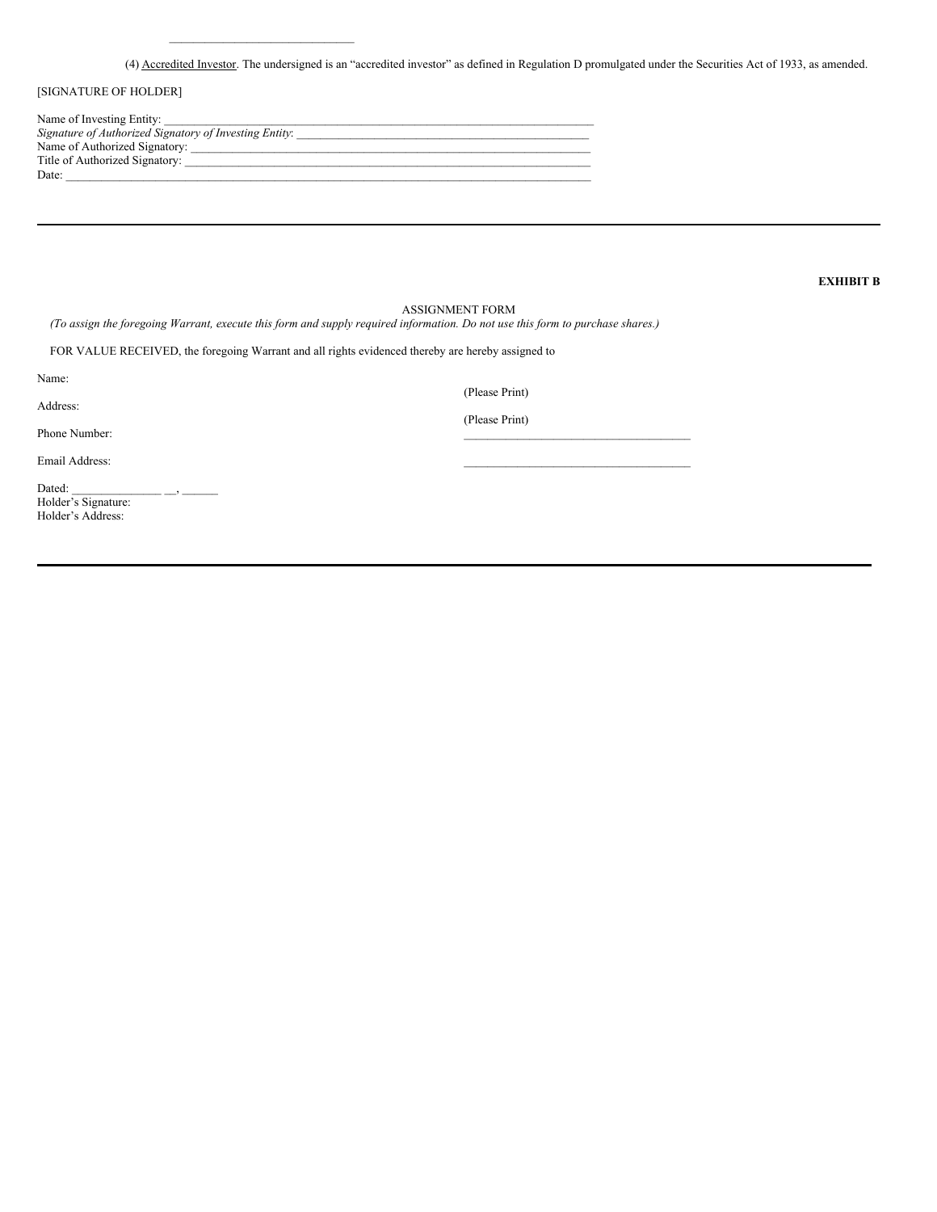(4) Accredited Investor. The undersigned is an "accredited investor" as defined in Regulation D promulgated under the Securities Act of 1933, as amended.

# [SIGNATURE OF HOLDER]

| Name of Investing Entity:                              |
|--------------------------------------------------------|
| Signature of Authorized Signatory of Investing Entity: |
| Name of Authorized Signatory:                          |
| Title of Authorized Signatory:                         |
| Date:                                                  |

\_\_\_\_\_\_\_\_\_\_\_\_\_\_\_\_\_\_\_\_\_\_\_\_\_\_\_\_\_\_\_

# **EXHIBIT B**

# ASSIGNMENT FORM

(To assign the foregoing Warrant, execute this form and supply required information. Do not use this form to purchase shares.)

FOR VALUE RECEIVED, the foregoing Warrant and all rights evidenced thereby are hereby assigned to

| Name:                                              | (Please Print) |
|----------------------------------------------------|----------------|
| Address:                                           | (Please Print) |
| Phone Number:                                      |                |
| Email Address:                                     |                |
| Dated:<br>Holder's Signature:<br>Holder's Address: |                |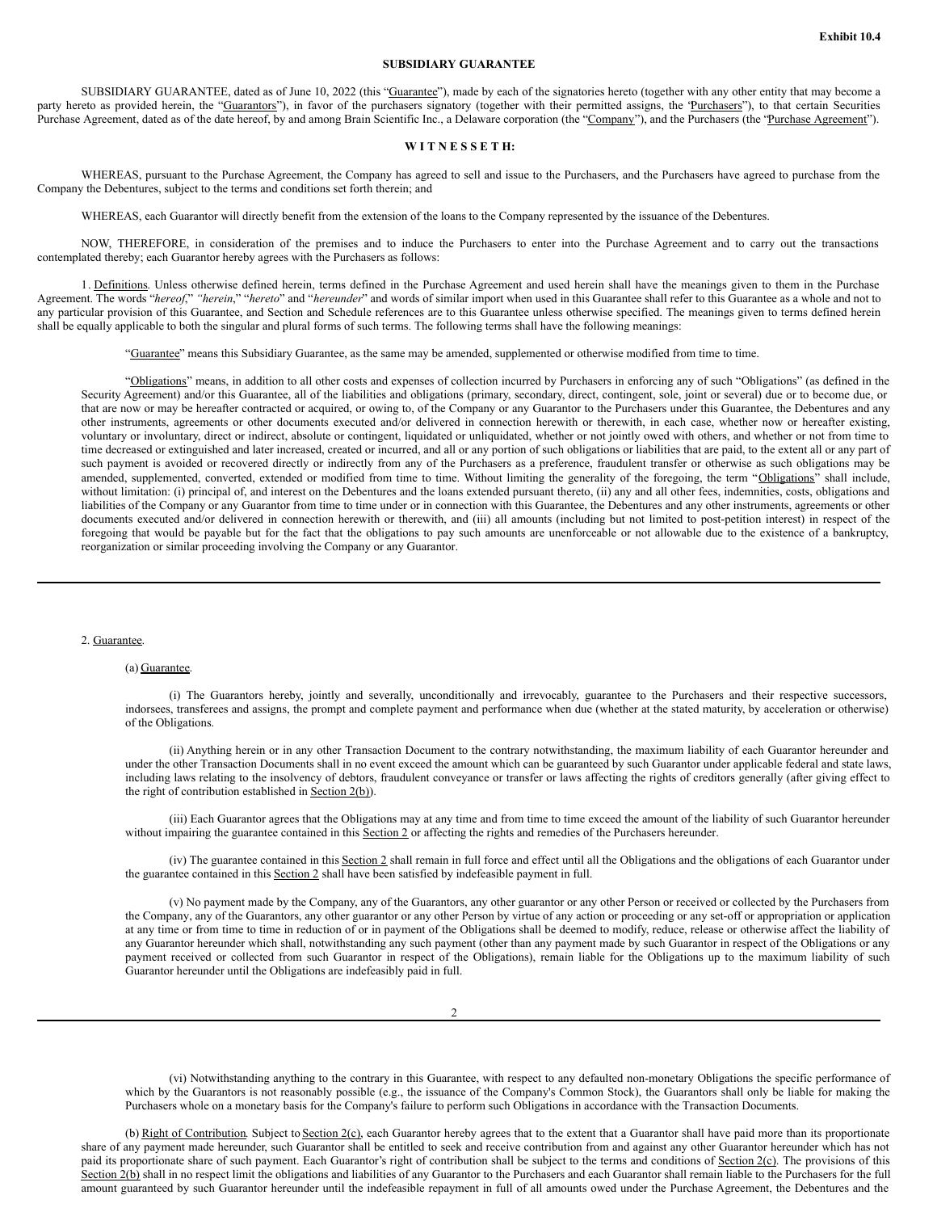### **SUBSIDIARY GUARANTEE**

SUBSIDIARY GUARANTEE, dated as of June 10, 2022 (this "Guarantee"), made by each of the signatories hereto (together with any other entity that may become a party hereto as provided herein, the "Guarantors"), in favor of the purchasers signatory (together with their permitted assigns, the 'Purchasers''), to that certain Securities Purchase Agreement, dated as of the date hereof, by and among Brain Scientific Inc., a Delaware corporation (the "Company"), and the Purchasers (the "Purchase Agreement").

## **W I T N E S S E T H:**

WHEREAS, pursuant to the Purchase Agreement, the Company has agreed to sell and issue to the Purchasers, and the Purchasers have agreed to purchase from the Company the Debentures, subject to the terms and conditions set forth therein; and

WHEREAS, each Guarantor will directly benefit from the extension of the loans to the Company represented by the issuance of the Debentures.

NOW, THEREFORE, in consideration of the premises and to induce the Purchasers to enter into the Purchase Agreement and to carry out the transactions contemplated thereby; each Guarantor hereby agrees with the Purchasers as follows:

1. Definitions. Unless otherwise defined herein, terms defined in the Purchase Agreement and used herein shall have the meanings given to them in the Purchase Agreement. The words "*hereof*," *"herein*," "*hereto*" and "*hereunder*" and words of similar import when used in this Guarantee shall refer to this Guarantee as a whole and not to any particular provision of this Guarantee, and Section and Schedule references are to this Guarantee unless otherwise specified. The meanings given to terms defined herein shall be equally applicable to both the singular and plural forms of such terms. The following terms shall have the following meanings:

"Guarantee" means this Subsidiary Guarantee, as the same may be amended, supplemented or otherwise modified from time to time.

"Obligations" means, in addition to all other costs and expenses of collection incurred by Purchasers in enforcing any of such "Obligations" (as defined in the Security Agreement) and/or this Guarantee, all of the liabilities and obligations (primary, secondary, direct, contingent, sole, joint or several) due or to become due, or that are now or may be hereafter contracted or acquired, or owing to, of the Company or any Guarantor to the Purchasers under this Guarantee, the Debentures and any other instruments, agreements or other documents executed and/or delivered in connection herewith or therewith, in each case, whether now or hereafter existing, voluntary or involuntary, direct or indirect, absolute or contingent, liquidated or unliquidated, whether or not jointly owed with others, and whether or not from time to time decreased or extinguished and later increased, created or incurred, and all or any portion of such obligations or liabilities that are paid, to the extent all or any part of such payment is avoided or recovered directly or indirectly from any of the Purchasers as a preference, fraudulent transfer or otherwise as such obligations may be amended, supplemented, converted, extended or modified from time to time. Without limiting the generality of the foregoing, the term "Obligations" shall include, without limitation: (i) principal of, and interest on the Debentures and the loans extended pursuant thereto, (ii) any and all other fees, indemnities, costs, obligations and liabilities of the Company or any Guarantor from time to time under or in connection with this Guarantee, the Debentures and any other instruments, agreements or other documents executed and/or delivered in connection herewith or therewith, and (iii) all amounts (including but not limited to post-petition interest) in respect of the foregoing that would be payable but for the fact that the obligations to pay such amounts are unenforceable or not allowable due to the existence of a bankruptcy, reorganization or similar proceeding involving the Company or any Guarantor.

#### 2. Guarantee.

### (a) Guarantee.

(i) The Guarantors hereby, jointly and severally, unconditionally and irrevocably, guarantee to the Purchasers and their respective successors, indorsees, transferees and assigns, the prompt and complete payment and performance when due (whether at the stated maturity, by acceleration or otherwise) of the Obligations.

(ii) Anything herein or in any other Transaction Document to the contrary notwithstanding, the maximum liability of each Guarantor hereunder and under the other Transaction Documents shall in no event exceed the amount which can be guaranteed by such Guarantor under applicable federal and state laws, including laws relating to the insolvency of debtors, fraudulent conveyance or transfer or laws affecting the rights of creditors generally (after giving effect to the right of contribution established in Section 2(b)).

(iii) Each Guarantor agrees that the Obligations may at any time and from time to time exceed the amount of the liability of such Guarantor hereunder without impairing the guarantee contained in this Section 2 or affecting the rights and remedies of the Purchasers hereunder.

(iv) The guarantee contained in this Section 2 shall remain in full force and effect until all the Obligations and the obligations of each Guarantor under the guarantee contained in this Section 2 shall have been satisfied by indefeasible payment in full.

(v) No payment made by the Company, any of the Guarantors, any other guarantor or any other Person or received or collected by the Purchasers from the Company, any of the Guarantors, any other guarantor or any other Person by virtue of any action or proceeding or any set-off or appropriation or application at any time or from time to time in reduction of or in payment of the Obligations shall be deemed to modify, reduce, release or otherwise affect the liability of any Guarantor hereunder which shall, notwithstanding any such payment (other than any payment made by such Guarantor in respect of the Obligations or any payment received or collected from such Guarantor in respect of the Obligations), remain liable for the Obligations up to the maximum liability of such Guarantor hereunder until the Obligations are indefeasibly paid in full.

(vi) Notwithstanding anything to the contrary in this Guarantee, with respect to any defaulted non-monetary Obligations the specific performance of which by the Guarantors is not reasonably possible (e.g., the issuance of the Company's Common Stock), the Guarantors shall only be liable for making the Purchasers whole on a monetary basis for the Company's failure to perform such Obligations in accordance with the Transaction Documents.

(b) Right of Contribution. Subject to Section 2(c), each Guarantor hereby agrees that to the extent that a Guarantor shall have paid more than its proportionate share of any payment made hereunder, such Guarantor shall be entitled to seek and receive contribution from and against any other Guarantor hereunder which has not paid its proportionate share of such payment. Each Guarantor's right of contribution shall be subject to the terms and conditions of Section 2(c). The provisions of this Section 2(b) shall in no respect limit the obligations and liabilities of any Guarantor to the Purchasers and each Guarantor shall remain liable to the Purchasers for the full amount guaranteed by such Guarantor hereunder until the indefeasible repayment in full of all amounts owed under the Purchase Agreement, the Debentures and the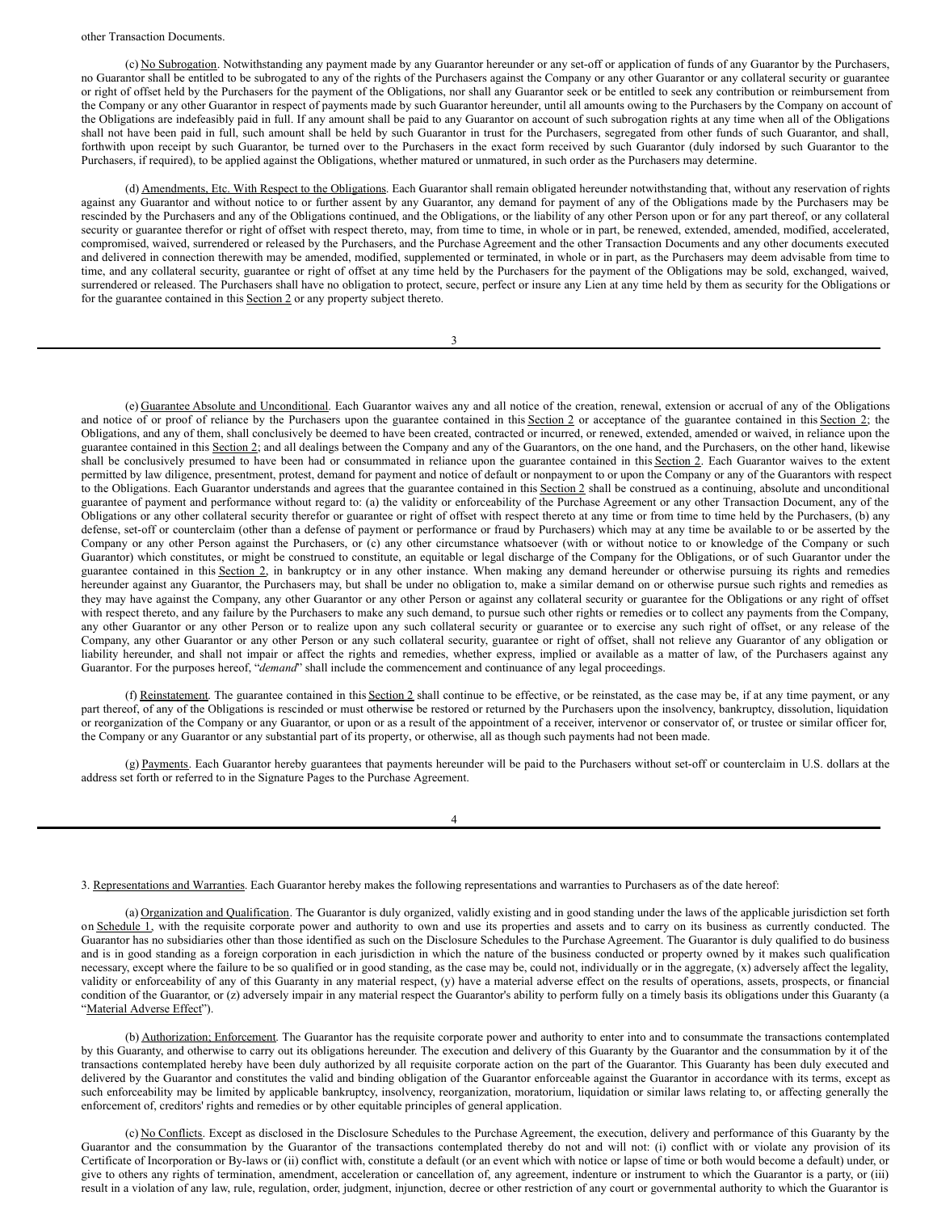(c) No Subrogation. Notwithstanding any payment made by any Guarantor hereunder or any set-off or application of funds of any Guarantor by the Purchasers, no Guarantor shall be entitled to be subrogated to any of the rights of the Purchasers against the Company or any other Guarantor or any collateral security or guarantee or right of offset held by the Purchasers for the payment of the Obligations, nor shall any Guarantor seek or be entitled to seek any contribution or reimbursement from the Company or any other Guarantor in respect of payments made by such Guarantor hereunder, until all amounts owing to the Purchasers by the Company on account of the Obligations are indefeasibly paid in full. If any amount shall be paid to any Guarantor on account of such subrogation rights at any time when all of the Obligations shall not have been paid in full, such amount shall be held by such Guarantor in trust for the Purchasers, segregated from other funds of such Guarantor, and shall, forthwith upon receipt by such Guarantor, be turned over to the Purchasers in the exact form received by such Guarantor (duly indorsed by such Guarantor to the Purchasers, if required), to be applied against the Obligations, whether matured or unmatured, in such order as the Purchasers may determine.

(d) Amendments, Etc. With Respect to the Obligations. Each Guarantor shall remain obligated hereunder notwithstanding that, without any reservation of rights against any Guarantor and without notice to or further assent by any Guarantor, any demand for payment of any of the Obligations made by the Purchasers may be rescinded by the Purchasers and any of the Obligations continued, and the Obligations, or the liability of any other Person upon or for any part thereof, or any collateral security or guarantee therefor or right of offset with respect thereto, may, from time to time, in whole or in part, be renewed, extended, amended, modified, accelerated, compromised, waived, surrendered or released by the Purchasers, and the Purchase Agreement and the other Transaction Documents and any other documents executed and delivered in connection therewith may be amended, modified, supplemented or terminated, in whole or in part, as the Purchasers may deem advisable from time to time, and any collateral security, guarantee or right of offset at any time held by the Purchasers for the payment of the Obligations may be sold, exchanged, waived, surrendered or released. The Purchasers shall have no obligation to protect, secure, perfect or insure any Lien at any time held by them as security for the Obligations or for the guarantee contained in this **Section 2** or any property subject thereto.

3

(e) Guarantee Absolute and Unconditional. Each Guarantor waives any and all notice of the creation, renewal, extension or accrual of any of the Obligations and notice of or proof of reliance by the Purchasers upon the guarantee contained in this Section 2 or acceptance of the guarantee contained in this Section 2; the Obligations, and any of them, shall conclusively be deemed to have been created, contracted or incurred, or renewed, extended, amended or waived, in reliance upon the guarantee contained in this Section 2; and all dealings between the Company and any of the Guarantors, on the one hand, and the Purchasers, on the other hand, likewise shall be conclusively presumed to have been had or consummated in reliance upon the guarantee contained in this Section 2. Each Guarantor waives to the extent permitted by law diligence, presentment, protest, demand for payment and notice of default or nonpayment to or upon the Company or any of the Guarantors with respect to the Obligations. Each Guarantor understands and agrees that the guarantee contained in this Section 2 shall be construed as a continuing, absolute and unconditional guarantee of payment and performance without regard to: (a) the validity or enforceability of the Purchase Agreement or any other Transaction Document, any of the Obligations or any other collateral security therefor or guarantee or right of offset with respect thereto at any time or from time to time held by the Purchasers, (b) any defense, set-off or counterclaim (other than a defense of payment or performance or fraud by Purchasers) which may at any time be available to or be asserted by the Company or any other Person against the Purchasers, or (c) any other circumstance whatsoever (with or without notice to or knowledge of the Company or such Guarantor) which constitutes, or might be construed to constitute, an equitable or legal discharge of the Company for the Obligations, or of such Guarantor under the guarantee contained in this Section 2, in bankruptcy or in any other instance. When making any demand hereunder or otherwise pursuing its rights and remedies hereunder against any Guarantor, the Purchasers may, but shall be under no obligation to, make a similar demand on or otherwise pursue such rights and remedies as they may have against the Company, any other Guarantor or any other Person or against any collateral security or guarantee for the Obligations or any right of offset with respect thereto, and any failure by the Purchasers to make any such demand, to pursue such other rights or remedies or to collect any payments from the Company, any other Guarantor or any other Person or to realize upon any such collateral security or guarantee or to exercise any such right of offset, or any release of the Company, any other Guarantor or any other Person or any such collateral security, guarantee or right of offset, shall not relieve any Guarantor of any obligation or liability hereunder, and shall not impair or affect the rights and remedies, whether express, implied or available as a matter of law, of the Purchasers against any Guarantor. For the purposes hereof, "*demand*" shall include the commencement and continuance of any legal proceedings.

(f) Reinstatement. The guarantee contained in this Section 2 shall continue to be effective, or be reinstated, as the case may be, if at any time payment, or any part thereof, of any of the Obligations is rescinded or must otherwise be restored or returned by the Purchasers upon the insolvency, bankruptcy, dissolution, liquidation or reorganization of the Company or any Guarantor, or upon or as a result of the appointment of a receiver, intervenor or conservator of, or trustee or similar officer for, the Company or any Guarantor or any substantial part of its property, or otherwise, all as though such payments had not been made.

(g) Payments. Each Guarantor hereby guarantees that payments hereunder will be paid to the Purchasers without set-off or counterclaim in U.S. dollars at the address set forth or referred to in the Signature Pages to the Purchase Agreement.

4

3. Representations and Warranties. Each Guarantor hereby makes the following representations and warranties to Purchasers as of the date hereof:

(a) Organization and Qualification. The Guarantor is duly organized, validly existing and in good standing under the laws of the applicable jurisdiction set forth on Schedule 1, with the requisite corporate power and authority to own and use its properties and assets and to carry on its business as currently conducted. The Guarantor has no subsidiaries other than those identified as such on the Disclosure Schedules to the Purchase Agreement. The Guarantor is duly qualified to do business and is in good standing as a foreign corporation in each jurisdiction in which the nature of the business conducted or property owned by it makes such qualification necessary, except where the failure to be so qualified or in good standing, as the case may be, could not, individually or in the aggregate, (x) adversely affect the legality, validity or enforceability of any of this Guaranty in any material respect, (y) have a material adverse effect on the results of operations, assets, prospects, or financial condition of the Guarantor, or (z) adversely impair in any material respect the Guarantor's ability to perform fully on a timely basis its obligations under this Guaranty (a "Material Adverse Effect").

(b) Authorization; Enforcement. The Guarantor has the requisite corporate power and authority to enter into and to consummate the transactions contemplated by this Guaranty, and otherwise to carry out its obligations hereunder. The execution and delivery of this Guaranty by the Guarantor and the consummation by it of the transactions contemplated hereby have been duly authorized by all requisite corporate action on the part of the Guarantor. This Guaranty has been duly executed and delivered by the Guarantor and constitutes the valid and binding obligation of the Guarantor enforceable against the Guarantor in accordance with its terms, except as such enforceability may be limited by applicable bankruptcy, insolvency, reorganization, moratorium, liquidation or similar laws relating to, or affecting generally the enforcement of, creditors' rights and remedies or by other equitable principles of general application.

(c) No Conflicts. Except as disclosed in the Disclosure Schedules to the Purchase Agreement, the execution, delivery and performance of this Guaranty by the Guarantor and the consummation by the Guarantor of the transactions contemplated thereby do not and will not: (i) conflict with or violate any provision of its Certificate of Incorporation or By-laws or (ii) conflict with, constitute a default (or an event which with notice or lapse of time or both would become a default) under, or give to others any rights of termination, amendment, acceleration or cancellation of, any agreement, indenture or instrument to which the Guarantor is a party, or (iii) result in a violation of any law, rule, regulation, order, judgment, injunction, decree or other restriction of any court or governmental authority to which the Guarantor is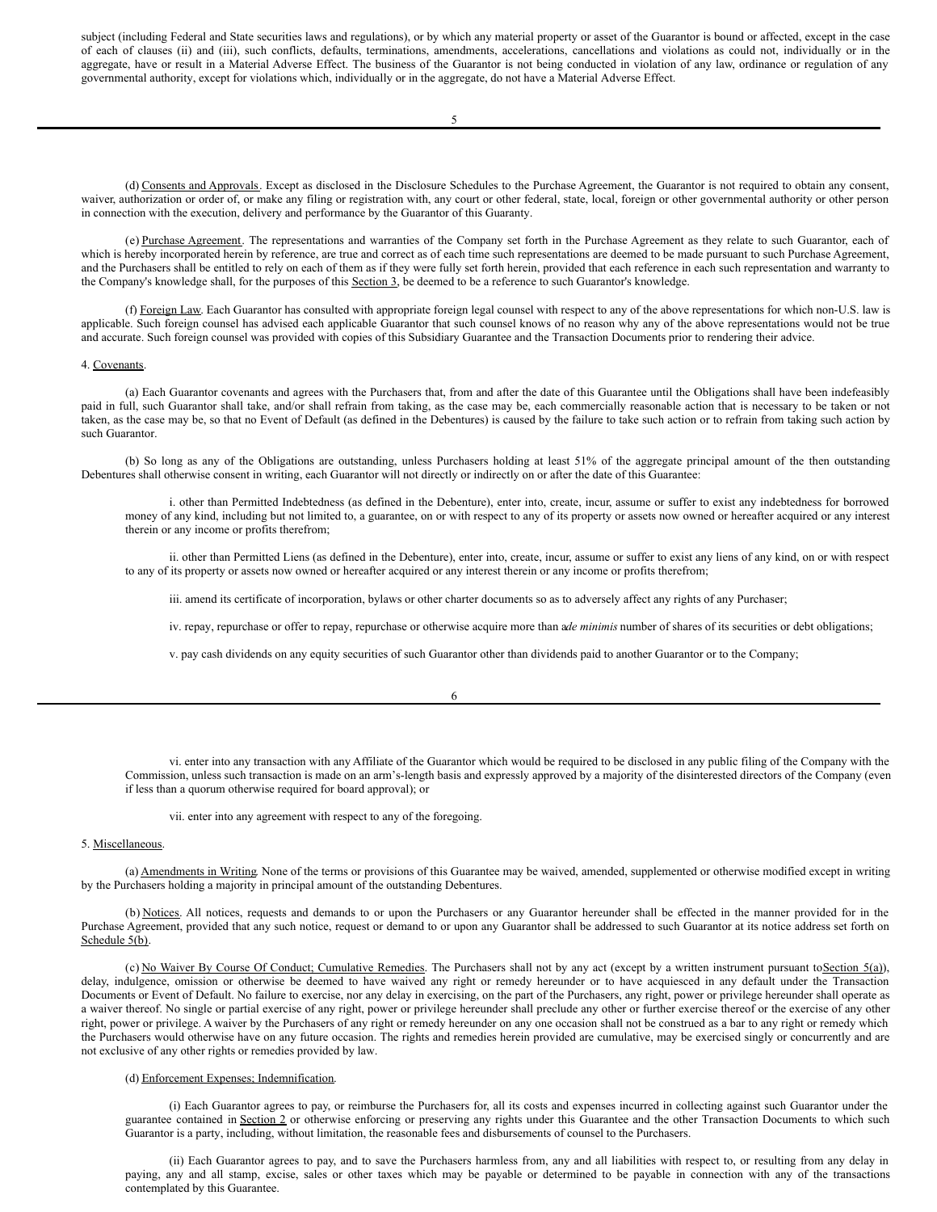<span id="page-44-0"></span>subject (including Federal and State securities laws and regulations), or by which any material property or asset of the Guarantor is bound or affected, except in the case of each of clauses (ii) and (iii), such conflicts, defaults, terminations, amendments, accelerations, cancellations and violations as could not, individually or in the aggregate, have or result in a Material Adverse Effect. The business of the Guarantor is not being conducted in violation of any law, ordinance or regulation of any governmental authority, except for violations which, individually or in the aggregate, do not have a Material Adverse Effect.

(d) Consents and Approvals. Except as disclosed in the Disclosure Schedules to the Purchase Agreement, the Guarantor is not required to obtain any consent, waiver, authorization or order of, or make any filing or registration with, any court or other federal, state, local, foreign or other governmental authority or other person in connection with the execution, delivery and performance by the Guarantor of this Guaranty.

(e) Purchase Agreement. The representations and warranties of the Company set forth in the Purchase Agreement as they relate to such Guarantor, each of which is hereby incorporated herein by reference, are true and correct as of each time such representations are deemed to be made pursuant to such Purchase Agreement, and the Purchasers shall be entitled to rely on each of them as if they were fully set forth herein, provided that each reference in each such representation and warranty to the Company's knowledge shall, for the purposes of this Section 3, be deemed to be a reference to such Guarantor's knowledge.

(f) Foreign Law. Each Guarantor has consulted with appropriate foreign legal counsel with respect to any of the above representations for which non-U.S. law is applicable. Such foreign counsel has advised each applicable Guarantor that such counsel knows of no reason why any of the above representations would not be true and accurate. Such foreign counsel was provided with copies of this Subsidiary Guarantee and the Transaction Documents prior to rendering their advice.

#### 4. Covenants.

(a) Each Guarantor covenants and agrees with the Purchasers that, from and after the date of this Guarantee until the Obligations shall have been indefeasibly paid in full, such Guarantor shall take, and/or shall refrain from taking, as the case may be, each commercially reasonable action that is necessary to be taken or not taken, as the case may be, so that no Event of Default (as defined in the Debentures) is caused by the failure to take such action or to refrain from taking such action by such Guarantor.

(b) So long as any of the Obligations are outstanding, unless Purchasers holding at least 51% of the aggregate principal amount of the then outstanding Debentures shall otherwise consent in writing, each Guarantor will not directly or indirectly on or after the date of this Guarantee:

i. other than Permitted Indebtedness (as defined in the Debenture), enter into, create, incur, assume or suffer to exist any indebtedness for borrowed money of any kind, including but not limited to, a guarantee, on or with respect to any of its property or assets now owned or hereafter acquired or any interest therein or any income or profits therefrom;

ii. other than Permitted Liens (as defined in the Debenture), enter into, create, incur, assume or suffer to exist any liens of any kind, on or with respect to any of its property or assets now owned or hereafter acquired or any interest therein or any income or profits therefrom;

iii. amend its certificate of incorporation, bylaws or other charter documents so as to adversely affect any rights of any Purchaser;

iv. repay, repurchase or offer to repay, repurchase or otherwise acquire more than a*de minimis* number of shares of its securities or debt obligations;

v. pay cash dividends on any equity securities of such Guarantor other than dividends paid to another Guarantor or to the Company;

6

vi. enter into any transaction with any Affiliate of the Guarantor which would be required to be disclosed in any public filing of the Company with the Commission, unless such transaction is made on an arm's-length basis and expressly approved by a majority of the disinterested directors of the Company (even if less than a quorum otherwise required for board approval); or

vii. enter into any agreement with respect to any of the foregoing.

## 5. Miscellaneous.

(a) Amendments in Writing. None of the terms or provisions of this Guarantee may be waived, amended, supplemented or otherwise modified except in writing by the Purchasers holding a majority in principal amount of the outstanding Debentures.

(b) Notices. All notices, requests and demands to or upon the Purchasers or any Guarantor hereunder shall be effected in the manner provided for in the Purchase Agreement, provided that any such notice, request or demand to or upon any Guarantor shall be addressed to such Guarantor at its notice address set forth on Schedule 5(b).

(c) No Waiver By Course Of Conduct; Cumulative Remedies. The Purchasers shall not by any act (except by a written instrument pursuant toSection 5(a)), delay, indulgence, omission or otherwise be deemed to have waived any right or remedy hereunder or to have acquiesced in any default under the Transaction Documents or Event of Default. No failure to exercise, nor any delay in exercising, on the part of the Purchasers, any right, power or privilege hereunder shall operate as a waiver thereof. No single or partial exercise of any right, power or privilege hereunder shall preclude any other or further exercise thereof or the exercise of any other right, power or privilege. A waiver by the Purchasers of any right or remedy hereunder on any one occasion shall not be construed as a bar to any right or remedy which the Purchasers would otherwise have on any future occasion. The rights and remedies herein provided are cumulative, may be exercised singly or concurrently and are not exclusive of any other rights or remedies provided by law.

## (d) Enforcement Expenses; Indemnification.

(i) Each Guarantor agrees to pay, or reimburse the Purchasers for, all its costs and expenses incurred in collecting against such Guarantor under the guarantee contained in Section 2 or otherwise enforcing or preserving any rights under this Guarantee and the other Transaction Documents to which such Guarantor is a party, including, without limitation, the reasonable fees and disbursements of counsel to the Purchasers.

(ii) Each Guarantor agrees to pay, and to save the Purchasers harmless from, any and all liabilities with respect to, or resulting from any delay in paying, any and all stamp, excise, sales or other taxes which may be payable or determined to be payable in connection with any of the transactions contemplated by this Guarantee.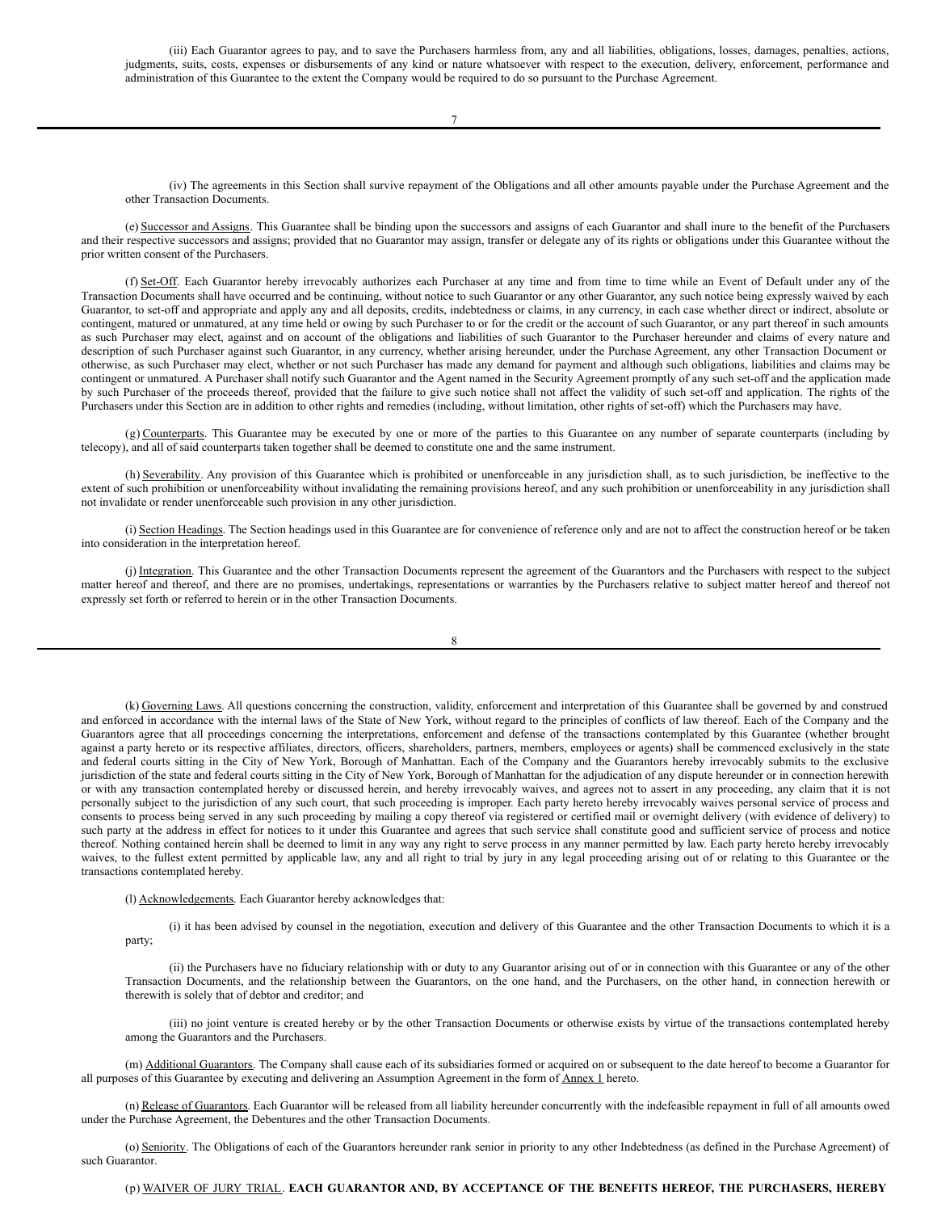(iii) Each Guarantor agrees to pay, and to save the Purchasers harmless from, any and all liabilities, obligations, losses, damages, penalties, actions, judgments, suits, costs, expenses or disbursements of any kind or nature whatsoever with respect to the execution, delivery, enforcement, performance and administration of this Guarantee to the extent the Company would be required to do so pursuant to the Purchase Agreement.

(iv) The agreements in this Section shall survive repayment of the Obligations and all other amounts payable under the Purchase Agreement and the other Transaction Documents.

(e) Successor and Assigns. This Guarantee shall be binding upon the successors and assigns of each Guarantor and shall inure to the benefit of the Purchasers and their respective successors and assigns; provided that no Guarantor may assign, transfer or delegate any of its rights or obligations under this Guarantee without the prior written consent of the Purchasers.

(f) Set-Off. Each Guarantor hereby irrevocably authorizes each Purchaser at any time and from time to time while an Event of Default under any of the Transaction Documents shall have occurred and be continuing, without notice to such Guarantor or any other Guarantor, any such notice being expressly waived by each Guarantor, to set-off and appropriate and apply any and all deposits, credits, indebtedness or claims, in any currency, in each case whether direct or indirect, absolute or contingent, matured or unmatured, at any time held or owing by such Purchaser to or for the credit or the account of such Guarantor, or any part thereof in such amounts as such Purchaser may elect, against and on account of the obligations and liabilities of such Guarantor to the Purchaser hereunder and claims of every nature and description of such Purchaser against such Guarantor, in any currency, whether arising hereunder, under the Purchase Agreement, any other Transaction Document or otherwise, as such Purchaser may elect, whether or not such Purchaser has made any demand for payment and although such obligations, liabilities and claims may be contingent or unmatured. A Purchaser shall notify such Guarantor and the Agent named in the Security Agreement promptly of any such set-off and the application made by such Purchaser of the proceeds thereof, provided that the failure to give such notice shall not affect the validity of such set-off and application. The rights of the Purchasers under this Section are in addition to other rights and remedies (including, without limitation, other rights of set-off) which the Purchasers may have.

(g) Counterparts. This Guarantee may be executed by one or more of the parties to this Guarantee on any number of separate counterparts (including by telecopy), and all of said counterparts taken together shall be deemed to constitute one and the same instrument.

(h) Severability. Any provision of this Guarantee which is prohibited or unenforceable in any jurisdiction shall, as to such jurisdiction, be ineffective to the extent of such prohibition or unenforceability without invalidating the remaining provisions hereof, and any such prohibition or unenforceability in any jurisdiction shall not invalidate or render unenforceable such provision in any other jurisdiction.

(i) Section Headings. The Section headings used in this Guarantee are for convenience of reference only and are not to affect the construction hereof or be taken into consideration in the interpretation hereof.

(j) Integration. This Guarantee and the other Transaction Documents represent the agreement of the Guarantors and the Purchasers with respect to the subject matter hereof and thereof, and there are no promises, undertakings, representations or warranties by the Purchasers relative to subject matter hereof and thereof not expressly set forth or referred to herein or in the other Transaction Documents.

8

(k) Governing Laws. All questions concerning the construction, validity, enforcement and interpretation of this Guarantee shall be governed by and construed and enforced in accordance with the internal laws of the State of New York, without regard to the principles of conflicts of law thereof. Each of the Company and the Guarantors agree that all proceedings concerning the interpretations, enforcement and defense of the transactions contemplated by this Guarantee (whether brought against a party hereto or its respective affiliates, directors, officers, shareholders, partners, members, employees or agents) shall be commenced exclusively in the state and federal courts sitting in the City of New York, Borough of Manhattan. Each of the Company and the Guarantors hereby irrevocably submits to the exclusive jurisdiction of the state and federal courts sitting in the City of New York, Borough of Manhattan for the adjudication of any dispute hereunder or in connection herewith or with any transaction contemplated hereby or discussed herein, and hereby irrevocably waives, and agrees not to assert in any proceeding, any claim that it is not personally subject to the jurisdiction of any such court, that such proceeding is improper. Each party hereto hereby irrevocably waives personal service of process and consents to process being served in any such proceeding by mailing a copy thereof via registered or certified mail or overnight delivery (with evidence of delivery) to such party at the address in effect for notices to it under this Guarantee and agrees that such service shall constitute good and sufficient service of process and notice thereof. Nothing contained herein shall be deemed to limit in any way any right to serve process in any manner permitted by law. Each party hereto hereby irrevocably waives, to the fullest extent permitted by applicable law, any and all right to trial by jury in any legal proceeding arising out of or relating to this Guarantee or the transactions contemplated hereby.

(l) Acknowledgements. Each Guarantor hereby acknowledges that:

(i) it has been advised by counsel in the negotiation, execution and delivery of this Guarantee and the other Transaction Documents to which it is a party;

(ii) the Purchasers have no fiduciary relationship with or duty to any Guarantor arising out of or in connection with this Guarantee or any of the other Transaction Documents, and the relationship between the Guarantors, on the one hand, and the Purchasers, on the other hand, in connection herewith or therewith is solely that of debtor and creditor; and

(iii) no joint venture is created hereby or by the other Transaction Documents or otherwise exists by virtue of the transactions contemplated hereby among the Guarantors and the Purchasers.

(m) Additional Guarantors. The Company shall cause each of its subsidiaries formed or acquired on or subsequent to the date hereof to become a Guarantor for all purposes of this Guarantee by executing and delivering an Assumption Agreement in the form of Annex 1 hereto.

(n) Release of Guarantors. Each Guarantor will be released from all liability hereunder concurrently with the indefeasible repayment in full of all amounts owed under the Purchase Agreement, the Debentures and the other Transaction Documents.

(o) Seniority. The Obligations of each of the Guarantors hereunder rank senior in priority to any other Indebtedness (as defined in the Purchase Agreement) of such Guarantor.

## (p) WAIVER OF JURY TRIAL. **EACH GUARANTOR AND, BY ACCEPTANCE OF THE BENEFITS HEREOF, THE PURCHASERS, HEREBY**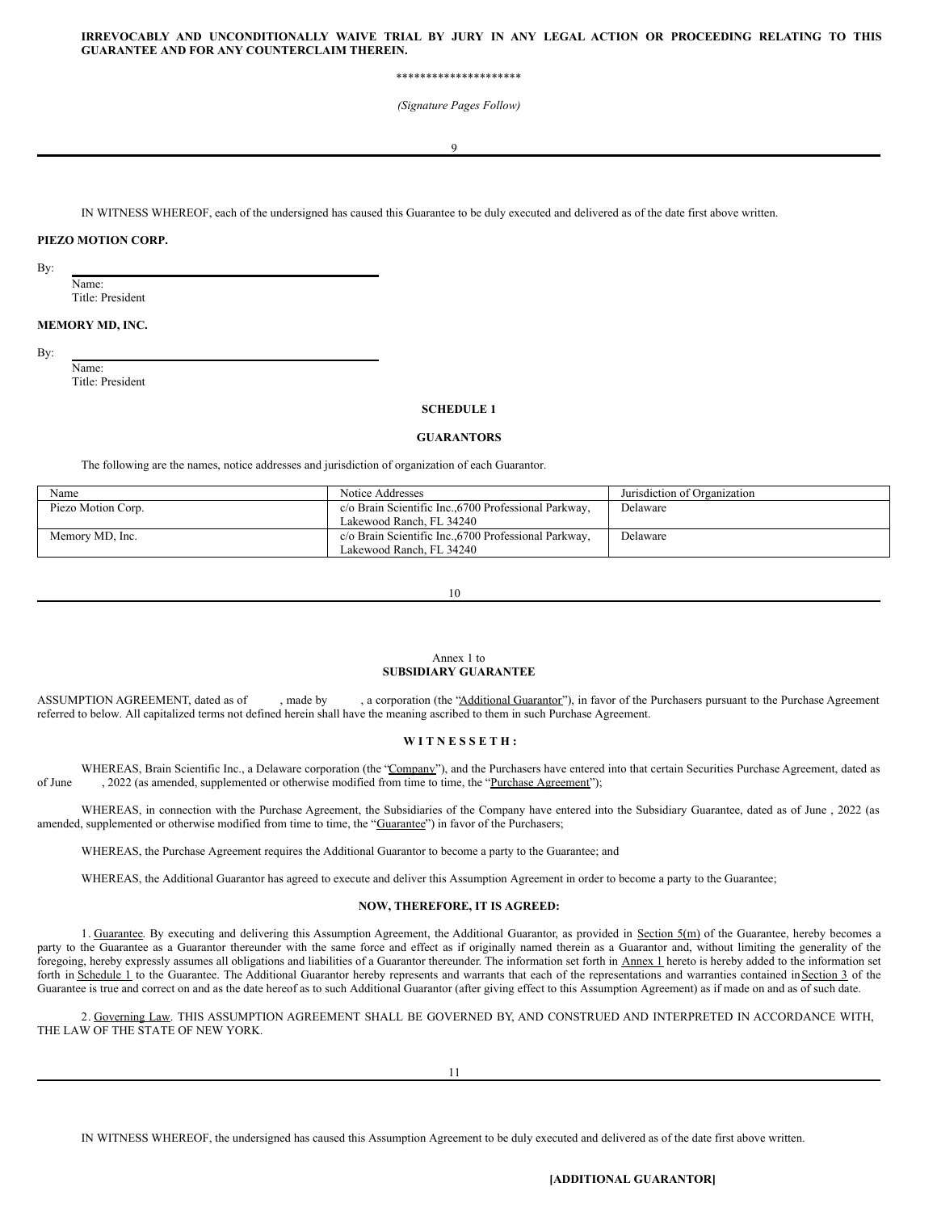### **IRREVOCABLY AND UNCONDITIONALLY WAIVE TRIAL BY JURY IN ANY LEGAL ACTION OR PROCEEDING RELATING TO THIS GUARANTEE AND FOR ANY COUNTERCLAIM THEREIN.**

\*\*\*\*\*\*\*\*\*\*\*\*\*\*\*\*\*\*\*\*\*

*(Signature Pages Follow)*

 $\overline{Q}$ 

IN WITNESS WHEREOF, each of the undersigned has caused this Guarantee to be duly executed and delivered as of the date first above written.

## **PIEZO MOTION CORP.**

By:

Name: Title: President

## **MEMORY MD, INC.**

By:

Name: Title: President

#### **SCHEDULE 1**

### **GUARANTORS**

The following are the names, notice addresses and jurisdiction of organization of each Guarantor.

| Name               | Notice Addresses                                                                  | Jurisdiction of Organization |
|--------------------|-----------------------------------------------------------------------------------|------------------------------|
| Piezo Motion Corp. | c/o Brain Scientific Inc., 6700 Professional Parkway,<br>Lakewood Ranch, FL 34240 | Delaware                     |
| Memory MD, Inc.    | c/o Brain Scientific Inc., 6700 Professional Parkway,<br>Lakewood Ranch. FL 34240 | Delaware                     |

10

#### Annex 1 to **SUBSIDIARY GUARANTEE**

ASSUMPTION AGREEMENT, dated as of , made by , a corporation (the "Additional Guarantor"), in favor of the Purchasers pursuant to the Purchase Agreement referred to below. All capitalized terms not defined herein shall have the meaning ascribed to them in such Purchase Agreement.

#### **W I T N E S S E T H :**

WHEREAS, Brain Scientific Inc., a Delaware corporation (the "Company"), and the Purchasers have entered into that certain Securities Purchase Agreement, dated as of June , 2022 (as amended, supplemented or otherwise modified from time to time, the "Purchase Agreement");

WHEREAS, in connection with the Purchase Agreement, the Subsidiaries of the Company have entered into the Subsidiary Guarantee, dated as of June , 2022 (as amended, supplemented or otherwise modified from time to time, the "Guarantee") in favor of the Purchasers;

WHEREAS, the Purchase Agreement requires the Additional Guarantor to become a party to the Guarantee; and

WHEREAS, the Additional Guarantor has agreed to execute and deliver this Assumption Agreement in order to become a party to the Guarantee;

## **NOW, THEREFORE, IT IS AGREED:**

1. Guarantee. By executing and delivering this Assumption Agreement, the Additional Guarantor, as provided in Section 5(m) of the Guarantee, hereby becomes a party to the Guarantee as a Guarantor thereunder with the same force and effect as if originally named therein as a Guarantor and, without limiting the generality of the foregoing, hereby expressly assumes all obligations and liabilities of a Guarantor thereunder. The information set forth in Annex 1 hereto is hereby added to the information set forth in Schedule 1 to the Guarantee. The Additional Guarantor hereby represents and warrants that each of the representations and warranties contained in Section 3 of the Guarantee is true and correct on and as the date hereof as to such Additional Guarantor (after giving effect to this Assumption Agreement) as if made on and as of such date.

2. Governing Law. THIS ASSUMPTION AGREEMENT SHALL BE GOVERNED BY, AND CONSTRUED AND INTERPRETED IN ACCORDANCE WITH, THE LAW OF THE STATE OF NEW YORK.

11

IN WITNESS WHEREOF, the undersigned has caused this Assumption Agreement to be duly executed and delivered as of the date first above written.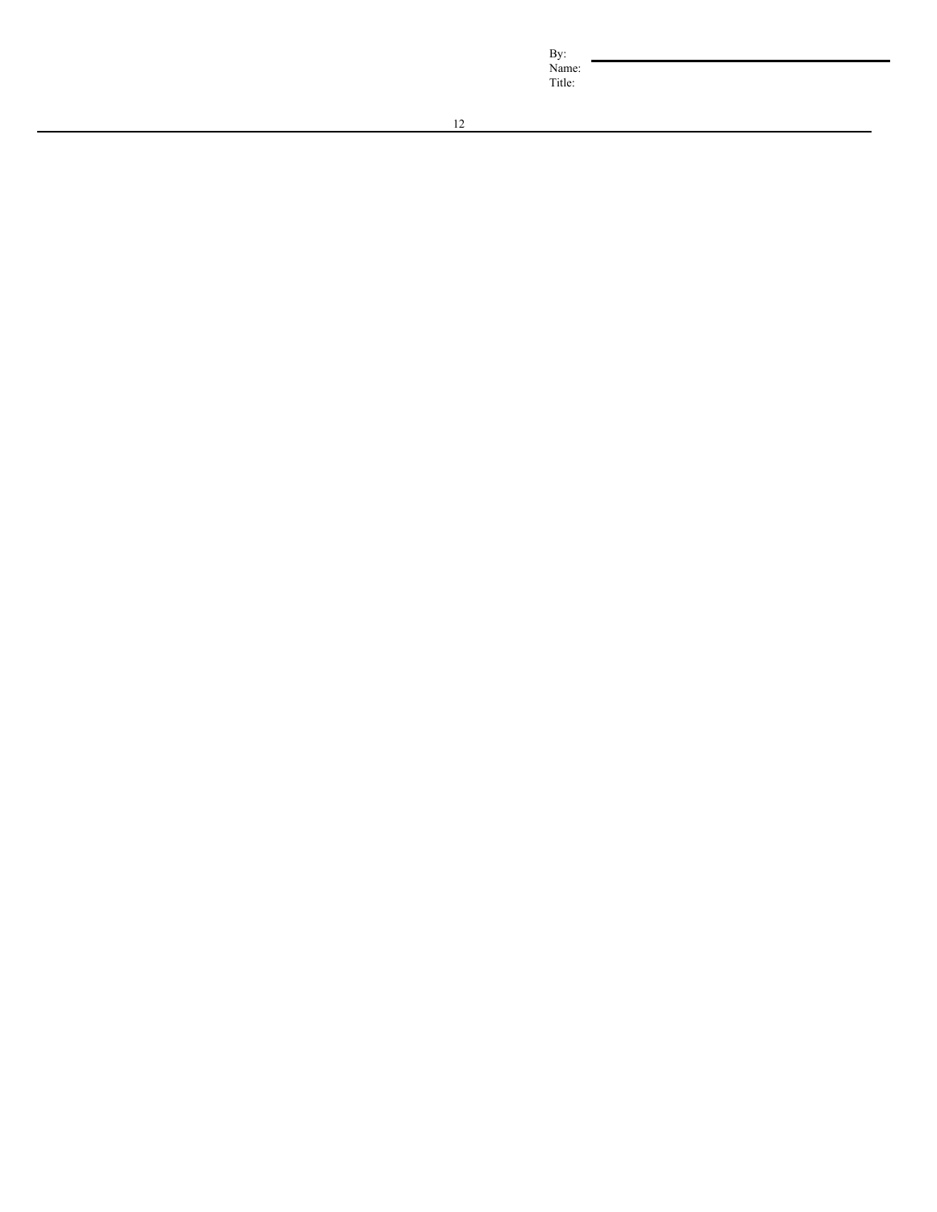B y: Nam e: Title: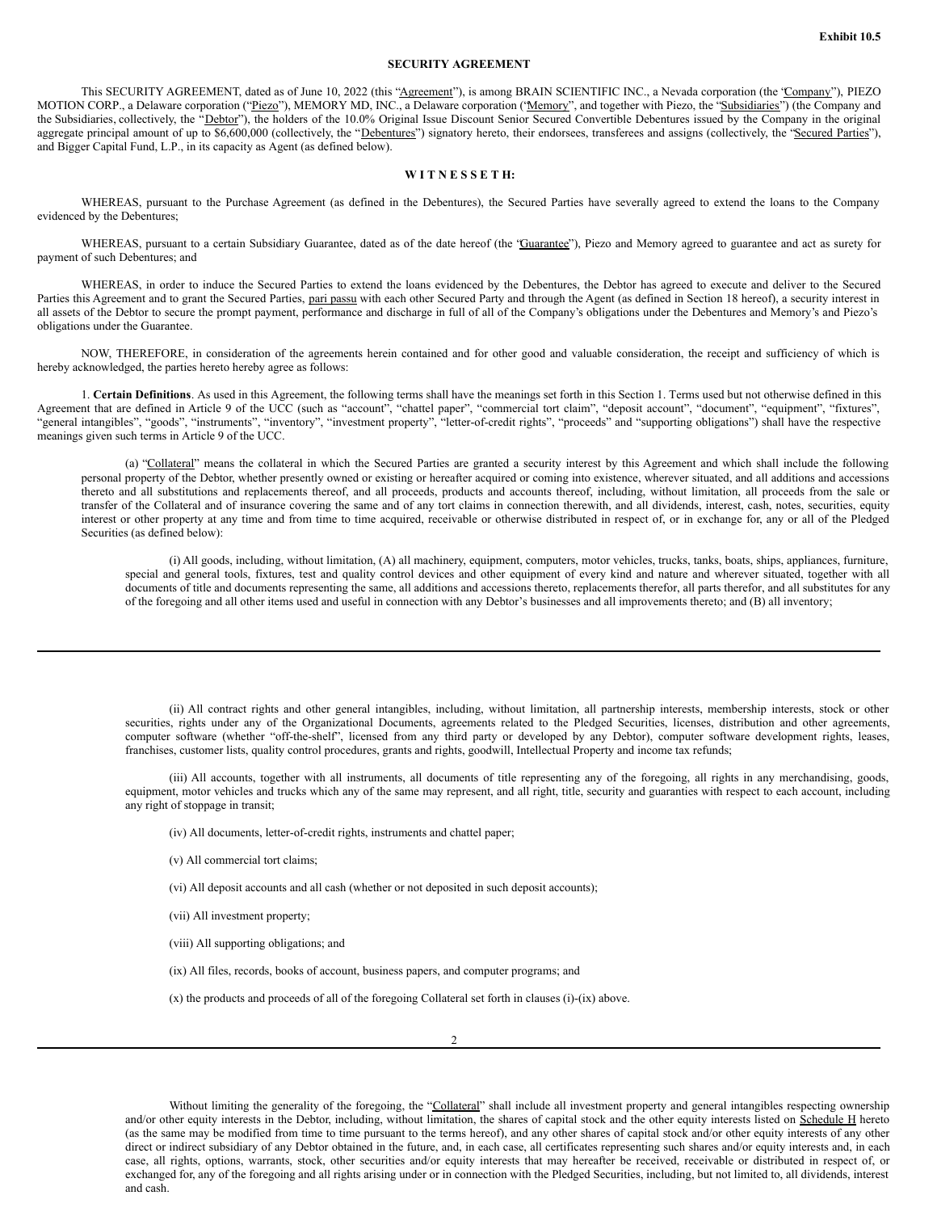### **SECURITY AGREEMENT**

This SECURITY AGREEMENT, dated as of June 10, 2022 (this "Agreement"), is among BRAIN SCIENTIFIC INC., a Nevada corporation (the "Company"), PIEZO MOTION CORP., a Delaware corporation ("Piezo"), MEMORY MD, INC., a Delaware corporation ('Memory'', and together with Piezo, the "Subsidiaries") (the Company and the Subsidiaries, collectively, the "Debtor"), the holders of the 10.0% Original Issue Discount Senior Secured Convertible Debentures issued by the Company in the original aggregate principal amount of up to \$6,600,000 (collectively, the "Debentures") signatory hereto, their endorsees, transferees and assigns (collectively, the "Secured Parties"), and Bigger Capital Fund, L.P., in its capacity as Agent (as defined below).

## **W I T N E S S E T H:**

WHEREAS, pursuant to the Purchase Agreement (as defined in the Debentures), the Secured Parties have severally agreed to extend the loans to the Company evidenced by the Debentures;

WHEREAS, pursuant to a certain Subsidiary Guarantee, dated as of the date hereof (the "Guarantee"), Piezo and Memory agreed to guarantee and act as surety for payment of such Debentures; and

WHEREAS, in order to induce the Secured Parties to extend the loans evidenced by the Debentures, the Debtor has agreed to execute and deliver to the Secured Parties this Agreement and to grant the Secured Parties, pari passu with each other Secured Party and through the Agent (as defined in Section 18 hereof), a security interest in all assets of the Debtor to secure the prompt payment, performance and discharge in full of all of the Company's obligations under the Debentures and Memory's and Piezo's obligations under the Guarantee.

NOW, THEREFORE, in consideration of the agreements herein contained and for other good and valuable consideration, the receipt and sufficiency of which is hereby acknowledged, the parties hereto hereby agree as follows:

1. **Certain Definitions**. As used in this Agreement, the following terms shall have the meanings set forth in this Section 1. Terms used but not otherwise defined in this Agreement that are defined in Article 9 of the UCC (such as "account", "chattel paper", "commercial tort claim", "deposit account", "document", "equipment", "fixtures", "general intangibles", "goods", "instruments", "inventory", "investment property", "letter-of-credit rights", "proceeds" and "supporting obligations") shall have the respective meanings given such terms in Article 9 of the UCC.

(a) "Collateral" means the collateral in which the Secured Parties are granted a security interest by this Agreement and which shall include the following personal property of the Debtor, whether presently owned or existing or hereafter acquired or coming into existence, wherever situated, and all additions and accessions thereto and all substitutions and replacements thereof, and all proceeds, products and accounts thereof, including, without limitation, all proceeds from the sale or transfer of the Collateral and of insurance covering the same and of any tort claims in connection therewith, and all dividends, interest, cash, notes, securities, equity interest or other property at any time and from time to time acquired, receivable or otherwise distributed in respect of, or in exchange for, any or all of the Pledged Securities (as defined below):

(i) All goods, including, without limitation, (A) all machinery, equipment, computers, motor vehicles, trucks, tanks, boats, ships, appliances, furniture, special and general tools, fixtures, test and quality control devices and other equipment of every kind and nature and wherever situated, together with all documents of title and documents representing the same, all additions and accessions thereto, replacements therefor, all parts therefor, and all substitutes for any of the foregoing and all other items used and useful in connection with any Debtor's businesses and all improvements thereto; and (B) all inventory;

(ii) All contract rights and other general intangibles, including, without limitation, all partnership interests, membership interests, stock or other securities, rights under any of the Organizational Documents, agreements related to the Pledged Securities, licenses, distribution and other agreements, computer software (whether "off-the-shelf", licensed from any third party or developed by any Debtor), computer software development rights, leases, franchises, customer lists, quality control procedures, grants and rights, goodwill, Intellectual Property and income tax refunds;

(iii) All accounts, together with all instruments, all documents of title representing any of the foregoing, all rights in any merchandising, goods, equipment, motor vehicles and trucks which any of the same may represent, and all right, title, security and guaranties with respect to each account, including any right of stoppage in transit;

(iv) All documents, letter-of-credit rights, instruments and chattel paper;

(v) All commercial tort claims;

(vi) All deposit accounts and all cash (whether or not deposited in such deposit accounts);

(vii) All investment property;

(viii) All supporting obligations; and

(ix) All files, records, books of account, business papers, and computer programs; and

(x) the products and proceeds of all of the foregoing Collateral set forth in clauses (i)-(ix) above.

Without limiting the generality of the foregoing, the "Collateral" shall include all investment property and general intangibles respecting ownership and/or other equity interests in the Debtor, including, without limitation, the shares of capital stock and the other equity interests listed on Schedule H hereto (as the same may be modified from time to time pursuant to the terms hereof), and any other shares of capital stock and/or other equity interests of any other direct or indirect subsidiary of any Debtor obtained in the future, and, in each case, all certificates representing such shares and/or equity interests and, in each case, all rights, options, warrants, stock, other securities and/or equity interests that may hereafter be received, receivable or distributed in respect of, or exchanged for, any of the foregoing and all rights arising under or in connection with the Pledged Securities, including, but not limited to, all dividends, interest and cash.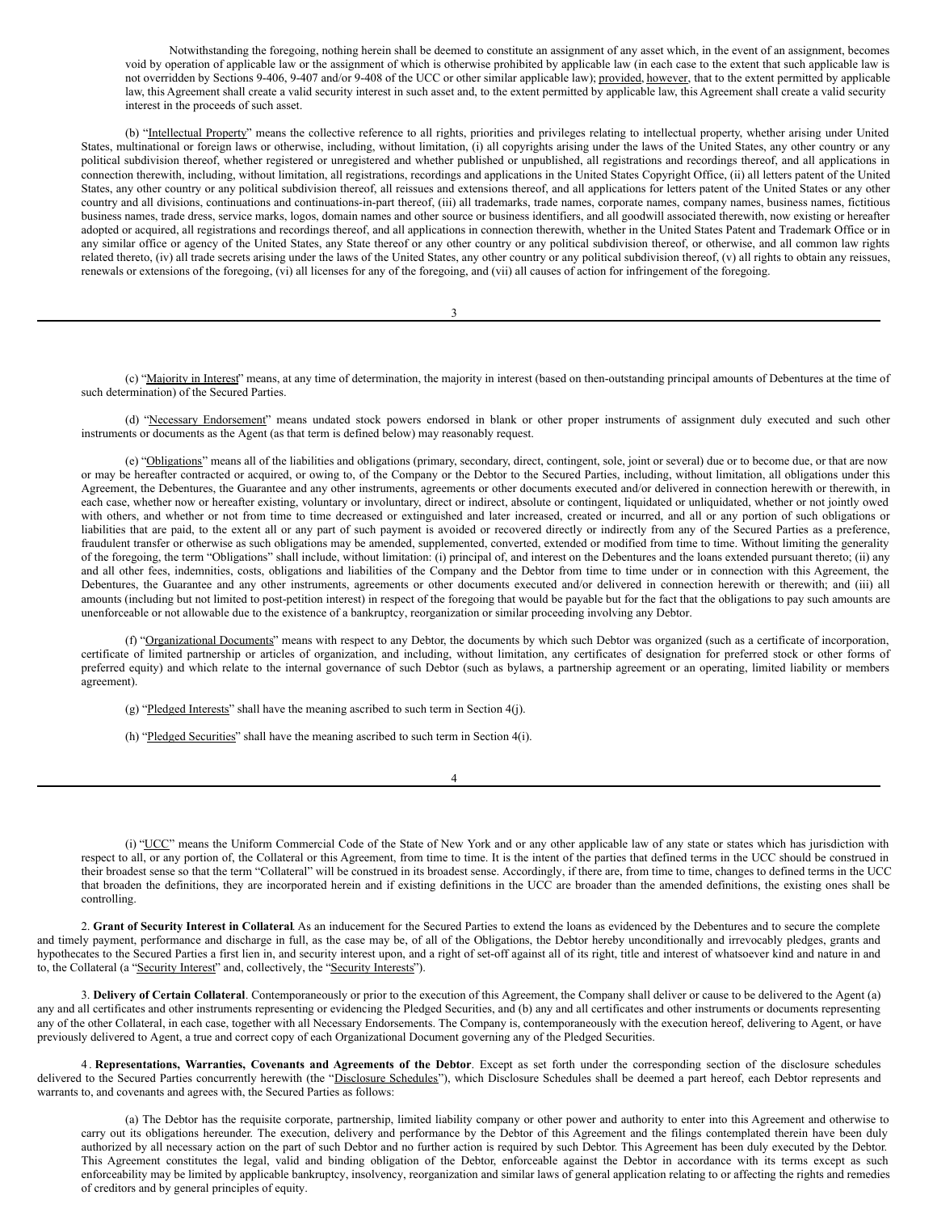Notwithstanding the foregoing, nothing herein shall be deemed to constitute an assignment of any asset which, in the event of an assignment, becomes void by operation of applicable law or the assignment of which is otherwise prohibited by applicable law (in each case to the extent that such applicable law is not overridden by Sections 9-406, 9-407 and/or 9-408 of the UCC or other similar applicable law); provided, however, that to the extent permitted by applicable law, this Agreement shall create a valid security interest in such asset and, to the extent permitted by applicable law, this Agreement shall create a valid security interest in the proceeds of such asset.

(b) "Intellectual Property" means the collective reference to all rights, priorities and privileges relating to intellectual property, whether arising under United States, multinational or foreign laws or otherwise, including, without limitation, (i) all copyrights arising under the laws of the United States, any other country or any political subdivision thereof, whether registered or unregistered and whether published or unpublished, all registrations and recordings thereof, and all applications in connection therewith, including, without limitation, all registrations, recordings and applications in the United States Copyright Office, (ii) all letters patent of the United States, any other country or any political subdivision thereof, all reissues and extensions thereof, and all applications for letters patent of the United States or any other country and all divisions, continuations and continuations-in-part thereof, (iii) all trademarks, trade names, corporate names, company names, business names, fictitious business names, trade dress, service marks, logos, domain names and other source or business identifiers, and all goodwill associated therewith, now existing or hereafter adopted or acquired, all registrations and recordings thereof, and all applications in connection therewith, whether in the United States Patent and Trademark Office or in any similar office or agency of the United States, any State thereof or any other country or any political subdivision thereof, or otherwise, and all common law rights related thereto, (iv) all trade secrets arising under the laws of the United States, any other country or any political subdivision thereof, (v) all rights to obtain any reissues, renewals or extensions of the foregoing, (vi) all licenses for any of the foregoing, and (vii) all causes of action for infringement of the foregoing.

3

(c) "Majority in Interest" means, at any time of determination, the majority in interest (based on then-outstanding principal amounts of Debentures at the time of such determination) of the Secured Parties.

(d) "Necessary Endorsement" means undated stock powers endorsed in blank or other proper instruments of assignment duly executed and such other instruments or documents as the Agent (as that term is defined below) may reasonably request.

(e) "Obligations" means all of the liabilities and obligations (primary, secondary, direct, contingent, sole, joint or several) due or to become due, or that are now or may be hereafter contracted or acquired, or owing to, of the Company or the Debtor to the Secured Parties, including, without limitation, all obligations under this Agreement, the Debentures, the Guarantee and any other instruments, agreements or other documents executed and/or delivered in connection herewith or therewith, in each case, whether now or hereafter existing, voluntary or involuntary, direct or indirect, absolute or contingent, liquidated or unliquidated, whether or not jointly owed with others, and whether or not from time to time decreased or extinguished and later increased, created or incurred, and all or any portion of such obligations or liabilities that are paid, to the extent all or any part of such payment is avoided or recovered directly or indirectly from any of the Secured Parties as a preference, fraudulent transfer or otherwise as such obligations may be amended, supplemented, converted, extended or modified from time to time. Without limiting the generality of the foregoing, the term "Obligations" shall include, without limitation: (i) principal of, and interest on the Debentures and the loans extended pursuant thereto; (ii) any and all other fees, indemnities, costs, obligations and liabilities of the Company and the Debtor from time to time under or in connection with this Agreement, the Debentures, the Guarantee and any other instruments, agreements or other documents executed and/or delivered in connection herewith or therewith; and (iii) all amounts (including but not limited to post-petition interest) in respect of the foregoing that would be payable but for the fact that the obligations to pay such amounts are unenforceable or not allowable due to the existence of a bankruptcy, reorganization or similar proceeding involving any Debtor.

(f) "Organizational Documents" means with respect to any Debtor, the documents by which such Debtor was organized (such as a certificate of incorporation, certificate of limited partnership or articles of organization, and including, without limitation, any certificates of designation for preferred stock or other forms of preferred equity) and which relate to the internal governance of such Debtor (such as bylaws, a partnership agreement or an operating, limited liability or members agreement).

(g) "Pledged Interests" shall have the meaning ascribed to such term in Section 4(j).

(h) "Pledged Securities" shall have the meaning ascribed to such term in Section 4(i).

4

(i) "UCC" means the Uniform Commercial Code of the State of New York and or any other applicable law of any state or states which has jurisdiction with respect to all, or any portion of, the Collateral or this Agreement, from time to time. It is the intent of the parties that defined terms in the UCC should be construed in their broadest sense so that the term "Collateral" will be construed in its broadest sense. Accordingly, if there are, from time to time, changes to defined terms in the UCC that broaden the definitions, they are incorporated herein and if existing definitions in the UCC are broader than the amended definitions, the existing ones shall be controlling.

2. **Grant of Security Interest in Collateral**. As an inducement for the Secured Parties to extend the loans as evidenced by the Debentures and to secure the complete and timely payment, performance and discharge in full, as the case may be, of all of the Obligations, the Debtor hereby unconditionally and irrevocably pledges, grants and hypothecates to the Secured Parties a first lien in, and security interest upon, and a right of set-off against all of its right, title and interest of whatsoever kind and nature in and to, the Collateral (a "Security Interest" and, collectively, the "Security Interests").

3. **Delivery of Certain Collateral**. Contemporaneously or prior to the execution of this Agreement, the Company shall deliver or cause to be delivered to the Agent (a) any and all certificates and other instruments representing or evidencing the Pledged Securities, and (b) any and all certificates and other instruments or documents representing any of the other Collateral, in each case, together with all Necessary Endorsements. The Company is, contemporaneously with the execution hereof, delivering to Agent, or have previously delivered to Agent, a true and correct copy of each Organizational Document governing any of the Pledged Securities.

4 . **Representations, Warranties, Covenants and Agreements of the Debtor**. Except as set forth under the corresponding section of the disclosure schedules delivered to the Secured Parties concurrently herewith (the "Disclosure Schedules"), which Disclosure Schedules shall be deemed a part hereof, each Debtor represents and warrants to, and covenants and agrees with, the Secured Parties as follows:

(a) The Debtor has the requisite corporate, partnership, limited liability company or other power and authority to enter into this Agreement and otherwise to carry out its obligations hereunder. The execution, delivery and performance by the Debtor of this Agreement and the filings contemplated therein have been duly authorized by all necessary action on the part of such Debtor and no further action is required by such Debtor. This Agreement has been duly executed by the Debtor. This Agreement constitutes the legal, valid and binding obligation of the Debtor, enforceable against the Debtor in accordance with its terms except as such enforceability may be limited by applicable bankruptcy, insolvency, reorganization and similar laws of general application relating to or affecting the rights and remedies of creditors and by general principles of equity.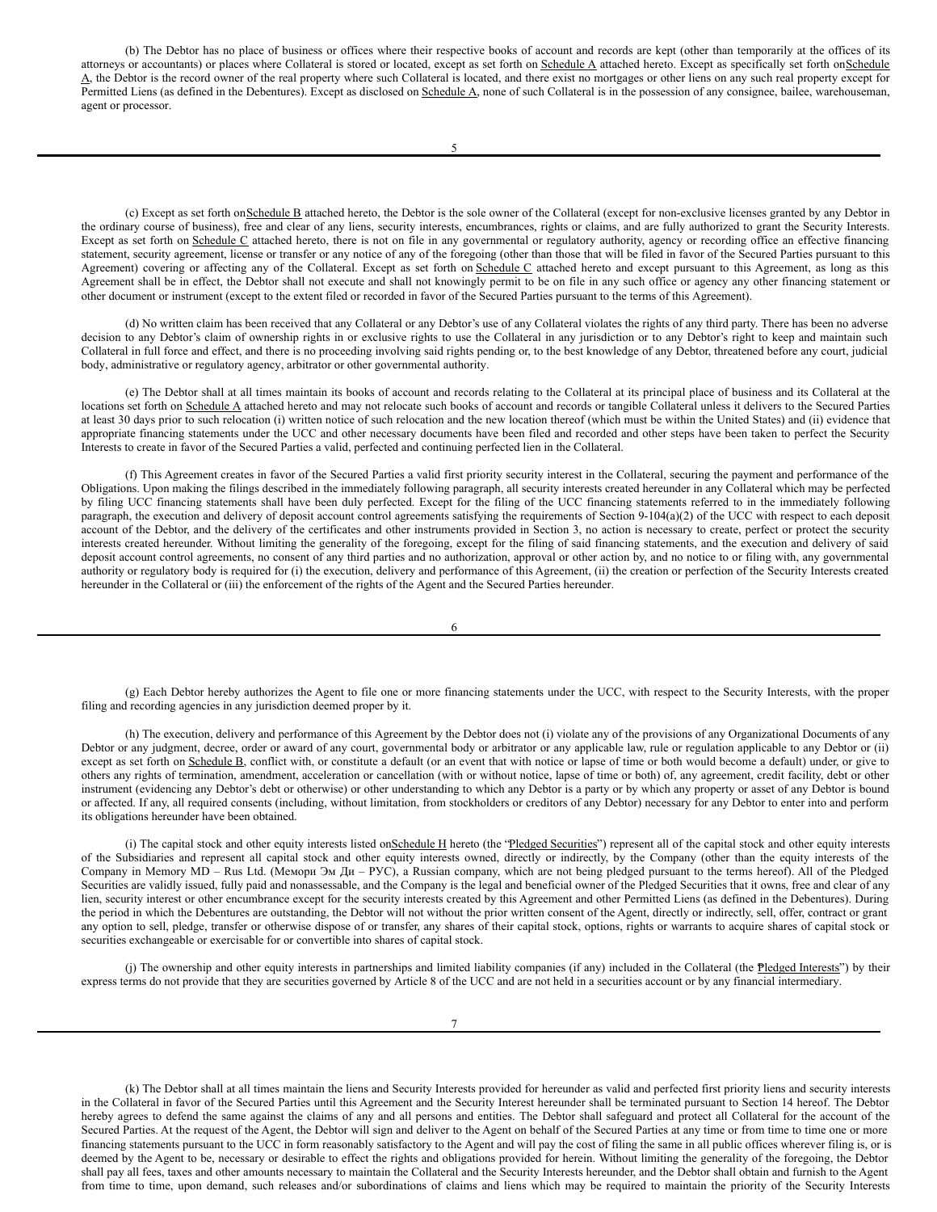(b) The Debtor has no place of business or offices where their respective books of account and records are kept (other than temporarily at the offices of its attorneys or accountants) or places where Collateral is stored or located, except as set forth on Schedule A attached hereto. Except as specifically set forth on Schedule A, the Debtor is the record owner of the real property where such Collateral is located, and there exist no mortgages or other liens on any such real property except for Permitted Liens (as defined in the Debentures). Except as disclosed on Schedule A, none of such Collateral is in the possession of any consignee, bailee, warehouseman, agent or processor.

(c) Except as set forth onSchedule B attached hereto, the Debtor is the sole owner of the Collateral (except for non-exclusive licenses granted by any Debtor in the ordinary course of business), free and clear of any liens, security interests, encumbrances, rights or claims, and are fully authorized to grant the Security Interests. Except as set forth on Schedule C attached hereto, there is not on file in any governmental or regulatory authority, agency or recording office an effective financing statement, security agreement, license or transfer or any notice of any of the foregoing (other than those that will be filed in favor of the Secured Parties pursuant to this Agreement) covering or affecting any of the Collateral. Except as set forth on Schedule C attached hereto and except pursuant to this Agreement, as long as this Agreement shall be in effect, the Debtor shall not execute and shall not knowingly permit to be on file in any such office or agency any other financing statement or other document or instrument (except to the extent filed or recorded in favor of the Secured Parties pursuant to the terms of this Agreement).

(d) No written claim has been received that any Collateral or any Debtor's use of any Collateral violates the rights of any third party. There has been no adverse decision to any Debtor's claim of ownership rights in or exclusive rights to use the Collateral in any jurisdiction or to any Debtor's right to keep and maintain such Collateral in full force and effect, and there is no proceeding involving said rights pending or, to the best knowledge of any Debtor, threatened before any court, judicial body, administrative or regulatory agency, arbitrator or other governmental authority.

(e) The Debtor shall at all times maintain its books of account and records relating to the Collateral at its principal place of business and its Collateral at the locations set forth on Schedule A attached hereto and may not relocate such books of account and records or tangible Collateral unless it delivers to the Secured Parties at least 30 days prior to such relocation (i) written notice of such relocation and the new location thereof (which must be within the United States) and (ii) evidence that appropriate financing statements under the UCC and other necessary documents have been filed and recorded and other steps have been taken to perfect the Security Interests to create in favor of the Secured Parties a valid, perfected and continuing perfected lien in the Collateral.

(f) This Agreement creates in favor of the Secured Parties a valid first priority security interest in the Collateral, securing the payment and performance of the Obligations. Upon making the filings described in the immediately following paragraph, all security interests created hereunder in any Collateral which may be perfected by filing UCC financing statements shall have been duly perfected. Except for the filing of the UCC financing statements referred to in the immediately following paragraph, the execution and delivery of deposit account control agreements satisfying the requirements of Section 9-104(a)(2) of the UCC with respect to each deposit account of the Debtor, and the delivery of the certificates and other instruments provided in Section 3, no action is necessary to create, perfect or protect the security interests created hereunder. Without limiting the generality of the foregoing, except for the filing of said financing statements, and the execution and delivery of said deposit account control agreements, no consent of any third parties and no authorization, approval or other action by, and no notice to or filing with, any governmental authority or regulatory body is required for (i) the execution, delivery and performance of this Agreement, (ii) the creation or perfection of the Security Interests created hereunder in the Collateral or (iii) the enforcement of the rights of the Agent and the Secured Parties hereunder.

6

(g) Each Debtor hereby authorizes the Agent to file one or more financing statements under the UCC, with respect to the Security Interests, with the proper filing and recording agencies in any jurisdiction deemed proper by it.

(h) The execution, delivery and performance of this Agreement by the Debtor does not (i) violate any of the provisions of any Organizational Documents of any Debtor or any judgment, decree, order or award of any court, governmental body or arbitrator or any applicable law, rule or regulation applicable to any Debtor or (ii) except as set forth on Schedule B, conflict with, or constitute a default (or an event that with notice or lapse of time or both would become a default) under, or give to others any rights of termination, amendment, acceleration or cancellation (with or without notice, lapse of time or both) of, any agreement, credit facility, debt or other instrument (evidencing any Debtor's debt or otherwise) or other understanding to which any Debtor is a party or by which any property or asset of any Debtor is bound or affected. If any, all required consents (including, without limitation, from stockholders or creditors of any Debtor) necessary for any Debtor to enter into and perform its obligations hereunder have been obtained.

(i) The capital stock and other equity interests listed onSchedule H hereto (the "Pledged Securities") represent all of the capital stock and other equity interests of the Subsidiaries and represent all capital stock and other equity interests owned, directly or indirectly, by the Company (other than the equity interests of the Company in Memory MD – Rus Ltd. (Мемори Эм Ди – РУС), a Russian company, which are not being pledged pursuant to the terms hereof). All of the Pledged Securities are validly issued, fully paid and nonassessable, and the Company is the legal and beneficial owner of the Pledged Securities that it owns, free and clear of any lien, security interest or other encumbrance except for the security interests created by this Agreement and other Permitted Liens (as defined in the Debentures). During the period in which the Debentures are outstanding, the Debtor will not without the prior written consent of the Agent, directly or indirectly, sell, offer, contract or grant any option to sell, pledge, transfer or otherwise dispose of or transfer, any shares of their capital stock, options, rights or warrants to acquire shares of capital stock or securities exchangeable or exercisable for or convertible into shares of capital stock.

(j) The ownership and other equity interests in partnerships and limited liability companies (if any) included in the Collateral (the Pledged Interests") by their express terms do not provide that they are securities governed by Article 8 of the UCC and are not held in a securities account or by any financial intermediary.

(k) The Debtor shall at all times maintain the liens and Security Interests provided for hereunder as valid and perfected first priority liens and security interests in the Collateral in favor of the Secured Parties until this Agreement and the Security Interest hereunder shall be terminated pursuant to Section 14 hereof. The Debtor hereby agrees to defend the same against the claims of any and all persons and entities. The Debtor shall safeguard and protect all Collateral for the account of the Secured Parties. At the request of the Agent, the Debtor will sign and deliver to the Agent on behalf of the Secured Parties at any time or from time to time one or more financing statements pursuant to the UCC in form reasonably satisfactory to the Agent and will pay the cost of filing the same in all public offices wherever filing is, or is deemed by the Agent to be, necessary or desirable to effect the rights and obligations provided for herein. Without limiting the generality of the foregoing, the Debtor shall pay all fees, taxes and other amounts necessary to maintain the Collateral and the Security Interests hereunder, and the Debtor shall obtain and furnish to the Agent from time to time, upon demand, such releases and/or subordinations of claims and liens which may be required to maintain the priority of the Security Interests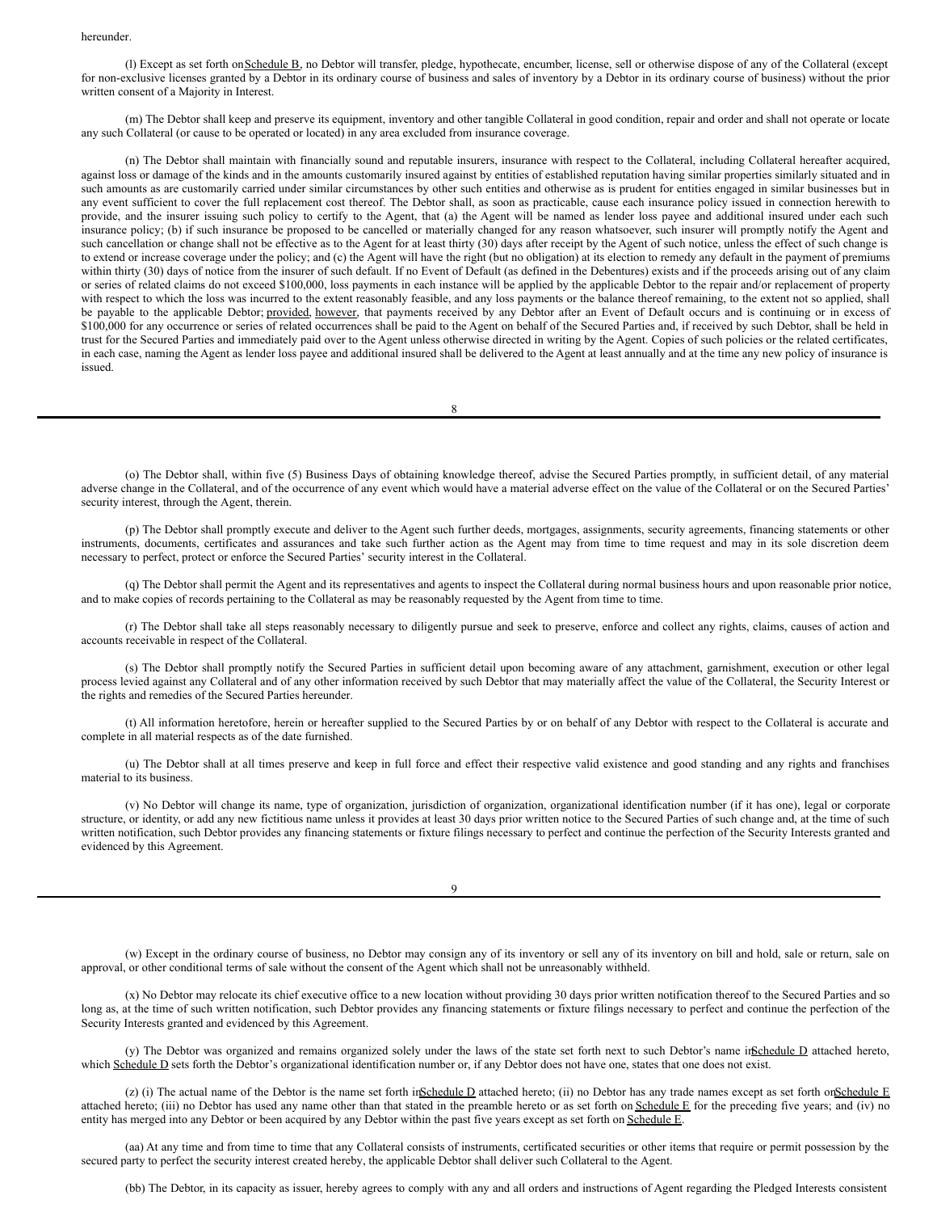#### hereunder.

(I) Except as set forth on Schedule B, no Debtor will transfer, pledge, hypothecate, encumber, license, sell or otherwise dispose of any of the Collateral (except for non-exclusive licenses granted by a Debtor in its ordinary course of business and sales of inventory by a Debtor in its ordinary course of business) without the prior written consent of a Majority in Interest.

(m) The Debtor shall keep and preserve its equipment, inventory and other tangible Collateral in good condition, repair and order and shall not operate or locate any such Collateral (or cause to be operated or located) in any area excluded from insurance coverage.

(n) The Debtor shall maintain with financially sound and reputable insurers, insurance with respect to the Collateral, including Collateral hereafter acquired, against loss or damage of the kinds and in the amounts customarily insured against by entities of established reputation having similar properties similarly situated and in such amounts as are customarily carried under similar circumstances by other such entities and otherwise as is prudent for entities engaged in similar businesses but in any event sufficient to cover the full replacement cost thereof. The Debtor shall, as soon as practicable, cause each insurance policy issued in connection herewith to provide, and the insurer issuing such policy to certify to the Agent, that (a) the Agent will be named as lender loss payee and additional insured under each such insurance policy; (b) if such insurance be proposed to be cancelled or materially changed for any reason whatsoever, such insurer will promptly notify the Agent and such cancellation or change shall not be effective as to the Agent for at least thirty (30) days after receipt by the Agent of such notice, unless the effect of such change is to extend or increase coverage under the policy; and (c) the Agent will have the right (but no obligation) at its election to remedy any default in the payment of premiums within thirty (30) days of notice from the insurer of such default. If no Event of Default (as defined in the Debentures) exists and if the proceeds arising out of any claim or series of related claims do not exceed \$100,000, loss payments in each instance will be applied by the applicable Debtor to the repair and/or replacement of property with respect to which the loss was incurred to the extent reasonably feasible, and any loss payments or the balance thereof remaining, to the extent not so applied, shall be payable to the applicable Debtor; provided, however, that payments received by any Debtor after an Event of Default occurs and is continuing or in excess of \$100,000 for any occurrence or series of related occurrences shall be paid to the Agent on behalf of the Secured Parties and, if received by such Debtor, shall be held in trust for the Secured Parties and immediately paid over to the Agent unless otherwise directed in writing by the Agent. Copies of such policies or the related certificates, in each case, naming the Agent as lender loss payee and additional insured shall be delivered to the Agent at least annually and at the time any new policy of insurance is issued.

8

(o) The Debtor shall, within five (5) Business Days of obtaining knowledge thereof, advise the Secured Parties promptly, in sufficient detail, of any material adverse change in the Collateral, and of the occurrence of any event which would have a material adverse effect on the value of the Collateral or on the Secured Parties' security interest, through the Agent, therein.

(p) The Debtor shall promptly execute and deliver to the Agent such further deeds, mortgages, assignments, security agreements, financing statements or other instruments, documents, certificates and assurances and take such further action as the Agent may from time to time request and may in its sole discretion deem necessary to perfect, protect or enforce the Secured Parties' security interest in the Collateral.

(q) The Debtor shall permit the Agent and its representatives and agents to inspect the Collateral during normal business hours and upon reasonable prior notice, and to make copies of records pertaining to the Collateral as may be reasonably requested by the Agent from time to time.

(r) The Debtor shall take all steps reasonably necessary to diligently pursue and seek to preserve, enforce and collect any rights, claims, causes of action and accounts receivable in respect of the Collateral.

(s) The Debtor shall promptly notify the Secured Parties in sufficient detail upon becoming aware of any attachment, garnishment, execution or other legal process levied against any Collateral and of any other information received by such Debtor that may materially affect the value of the Collateral, the Security Interest or the rights and remedies of the Secured Parties hereunder.

(t) All information heretofore, herein or hereafter supplied to the Secured Parties by or on behalf of any Debtor with respect to the Collateral is accurate and complete in all material respects as of the date furnished.

(u) The Debtor shall at all times preserve and keep in full force and effect their respective valid existence and good standing and any rights and franchises material to its business.

(v) No Debtor will change its name, type of organization, jurisdiction of organization, organizational identification number (if it has one), legal or corporate structure, or identity, or add any new fictitious name unless it provides at least 30 days prior written notice to the Secured Parties of such change and, at the time of such written notification, such Debtor provides any financing statements or fixture filings necessary to perfect and continue the perfection of the Security Interests granted and evidenced by this Agreement.

9

(w) Except in the ordinary course of business, no Debtor may consign any of its inventory or sell any of its inventory on bill and hold, sale or return, sale on approval, or other conditional terms of sale without the consent of the Agent which shall not be unreasonably withheld.

(x) No Debtor may relocate its chief executive office to a new location without providing 30 days prior written notification thereof to the Secured Parties and so long as, at the time of such written notification, such Debtor provides any financing statements or fixture filings necessary to perfect and continue the perfection of the Security Interests granted and evidenced by this Agreement.

(y) The Debtor was organized and remains organized solely under the laws of the state set forth next to such Debtor's name in Schedule D attached hereto, which Schedule D sets forth the Debtor's organizational identification number or, if any Debtor does not have one, states that one does not exist.

(z) (i) The actual name of the Debtor is the name set forth inSchedule D attached hereto; (ii) no Debtor has any trade names except as set forth onSchedule E attached hereto; (iii) no Debtor has used any name other than that stated in the preamble hereto or as set forth on Schedule E for the preceding five years; and (iv) no entity has merged into any Debtor or been acquired by any Debtor within the past five years except as set forth on Schedule E.

(aa) At any time and from time to time that any Collateral consists of instruments, certificated securities or other items that require or permit possession by the secured party to perfect the security interest created hereby, the applicable Debtor shall deliver such Collateral to the Agent.

(bb) The Debtor, in its capacity as issuer, hereby agrees to comply with any and all orders and instructions of Agent regarding the Pledged Interests consistent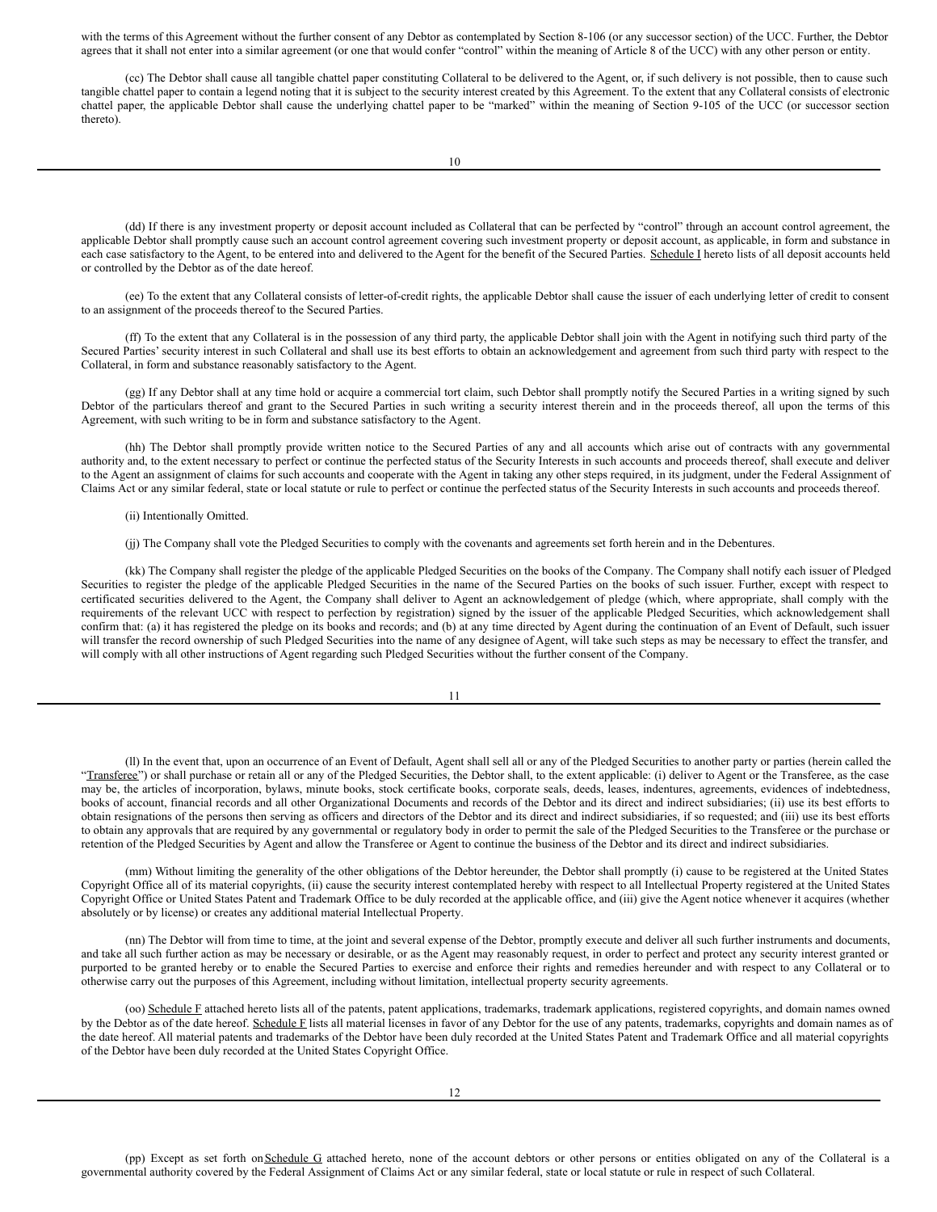with the terms of this Agreement without the further consent of any Debtor as contemplated by Section 8-106 (or any successor section) of the UCC. Further, the Debtor agrees that it shall not enter into a similar agreement (or one that would confer "control" within the meaning of Article 8 of the UCC) with any other person or entity.

(cc) The Debtor shall cause all tangible chattel paper constituting Collateral to be delivered to the Agent, or, if such delivery is not possible, then to cause such tangible chattel paper to contain a legend noting that it is subject to the security interest created by this Agreement. To the extent that any Collateral consists of electronic chattel paper, the applicable Debtor shall cause the underlying chattel paper to be "marked" within the meaning of Section 9-105 of the UCC (or successor section thereto).

(dd) If there is any investment property or deposit account included as Collateral that can be perfected by "control" through an account control agreement, the applicable Debtor shall promptly cause such an account control agreement covering such investment property or deposit account, as applicable, in form and substance in each case satisfactory to the Agent, to be entered into and delivered to the Agent for the benefit of the Secured Parties. Schedule I hereto lists of all deposit accounts held or controlled by the Debtor as of the date hereof.

(ee) To the extent that any Collateral consists of letter-of-credit rights, the applicable Debtor shall cause the issuer of each underlying letter of credit to consent to an assignment of the proceeds thereof to the Secured Parties.

(ff) To the extent that any Collateral is in the possession of any third party, the applicable Debtor shall join with the Agent in notifying such third party of the Secured Parties' security interest in such Collateral and shall use its best efforts to obtain an acknowledgement and agreement from such third party with respect to the Collateral, in form and substance reasonably satisfactory to the Agent.

(gg) If any Debtor shall at any time hold or acquire a commercial tort claim, such Debtor shall promptly notify the Secured Parties in a writing signed by such Debtor of the particulars thereof and grant to the Secured Parties in such writing a security interest therein and in the proceeds thereof, all upon the terms of this Agreement, with such writing to be in form and substance satisfactory to the Agent.

(hh) The Debtor shall promptly provide written notice to the Secured Parties of any and all accounts which arise out of contracts with any governmental authority and, to the extent necessary to perfect or continue the perfected status of the Security Interests in such accounts and proceeds thereof, shall execute and deliver to the Agent an assignment of claims for such accounts and cooperate with the Agent in taking any other steps required, in its judgment, under the Federal Assignment of Claims Act or any similar federal, state or local statute or rule to perfect or continue the perfected status of the Security Interests in such accounts and proceeds thereof.

#### (ii) Intentionally Omitted.

(jj) The Company shall vote the Pledged Securities to comply with the covenants and agreements set forth herein and in the Debentures.

(kk) The Company shall register the pledge of the applicable Pledged Securities on the books of the Company. The Company shall notify each issuer of Pledged Securities to register the pledge of the applicable Pledged Securities in the name of the Secured Parties on the books of such issuer. Further, except with respect to certificated securities delivered to the Agent, the Company shall deliver to Agent an acknowledgement of pledge (which, where appropriate, shall comply with the requirements of the relevant UCC with respect to perfection by registration) signed by the issuer of the applicable Pledged Securities, which acknowledgement shall confirm that: (a) it has registered the pledge on its books and records; and (b) at any time directed by Agent during the continuation of an Event of Default, such issuer will transfer the record ownership of such Pledged Securities into the name of any designee of Agent, will take such steps as may be necessary to effect the transfer, and will comply with all other instructions of Agent regarding such Pledged Securities without the further consent of the Company.

(ll) In the event that, upon an occurrence of an Event of Default, Agent shall sell all or any of the Pledged Securities to another party or parties (herein called the "Transferee") or shall purchase or retain all or any of the Pledged Securities, the Debtor shall, to the extent applicable: (i) deliver to Agent or the Transferee, as the case may be, the articles of incorporation, bylaws, minute books, stock certificate books, corporate seals, deeds, leases, indentures, agreements, evidences of indebtedness, books of account, financial records and all other Organizational Documents and records of the Debtor and its direct and indirect subsidiaries; (ii) use its best efforts to obtain resignations of the persons then serving as officers and directors of the Debtor and its direct and indirect subsidiaries, if so requested; and (iii) use its best efforts to obtain any approvals that are required by any governmental or regulatory body in order to permit the sale of the Pledged Securities to the Transferee or the purchase or retention of the Pledged Securities by Agent and allow the Transferee or Agent to continue the business of the Debtor and its direct and indirect subsidiaries.

(mm) Without limiting the generality of the other obligations of the Debtor hereunder, the Debtor shall promptly (i) cause to be registered at the United States Copyright Office all of its material copyrights, (ii) cause the security interest contemplated hereby with respect to all Intellectual Property registered at the United States Copyright Office or United States Patent and Trademark Office to be duly recorded at the applicable office, and (iii) give the Agent notice whenever it acquires (whether absolutely or by license) or creates any additional material Intellectual Property.

(nn) The Debtor will from time to time, at the joint and several expense of the Debtor, promptly execute and deliver all such further instruments and documents, and take all such further action as may be necessary or desirable, or as the Agent may reasonably request, in order to perfect and protect any security interest granted or purported to be granted hereby or to enable the Secured Parties to exercise and enforce their rights and remedies hereunder and with respect to any Collateral or to otherwise carry out the purposes of this Agreement, including without limitation, intellectual property security agreements.

(oo) Schedule F attached hereto lists all of the patents, patent applications, trademarks, trademark applications, registered copyrights, and domain names owned by the Debtor as of the date hereof. Schedule F lists all material licenses in favor of any Debtor for the use of any patents, trademarks, copyrights and domain names as of the date hereof. All material patents and trademarks of the Debtor have been duly recorded at the United States Patent and Trademark Office and all material copyrights of the Debtor have been duly recorded at the United States Copyright Office.

(pp) Except as set forth on Schedule G attached hereto, none of the account debtors or other persons or entities obligated on any of the Collateral is a governmental authority covered by the Federal Assignment of Claims Act or any similar federal, state or local statute or rule in respect of such Collateral.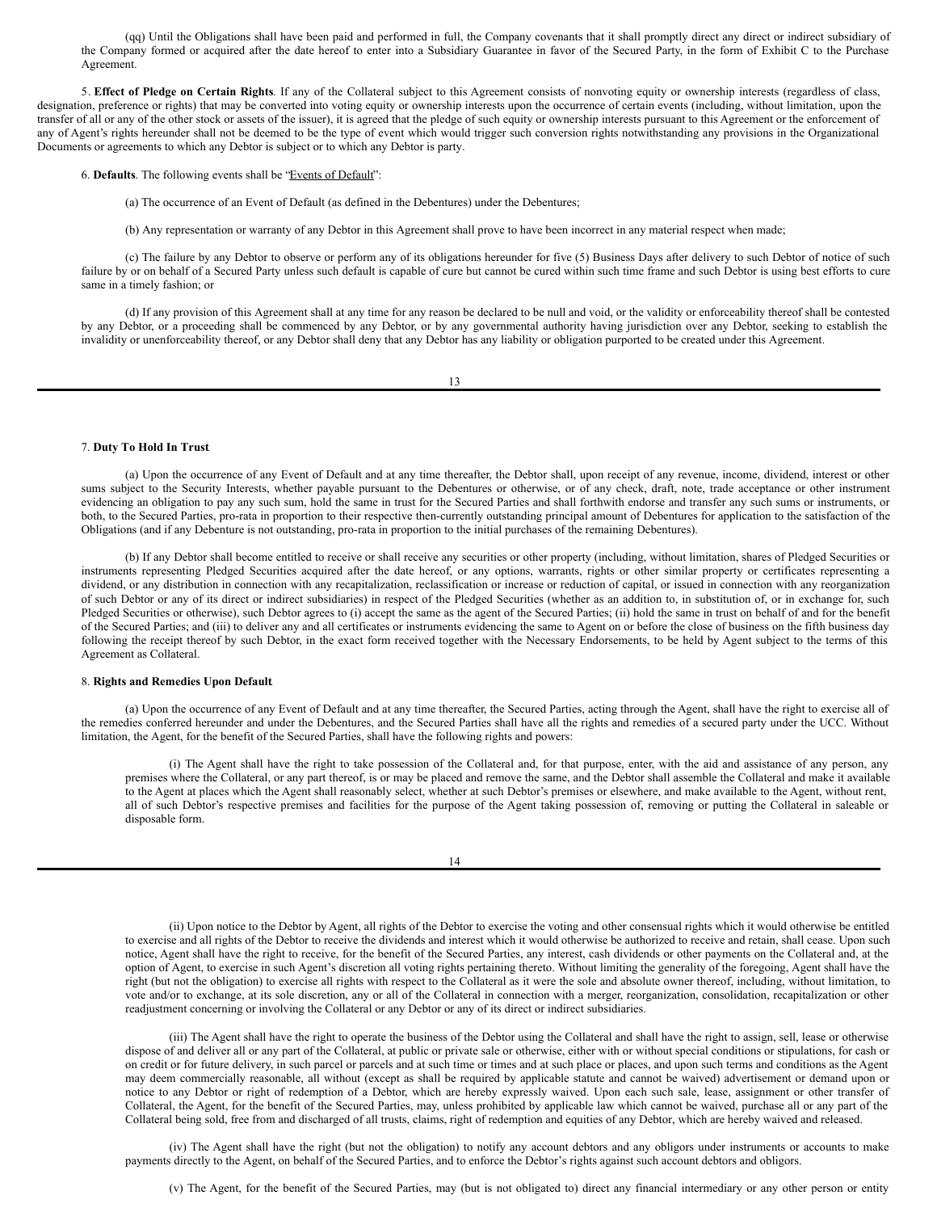(qq) Until the Obligations shall have been paid and performed in full, the Company covenants that it shall promptly direct any direct or indirect subsidiary of the Company formed or acquired after the date hereof to enter into a Subsidiary Guarantee in favor of the Secured Party, in the form of Exhibit C to the Purchase Agreement.

5. **Effect of Pledge on Certain Rights**. If any of the Collateral subject to this Agreement consists of nonvoting equity or ownership interests (regardless of class, designation, preference or rights) that may be converted into voting equity or ownership interests upon the occurrence of certain events (including, without limitation, upon the transfer of all or any of the other stock or assets of the issuer), it is agreed that the pledge of such equity or ownership interests pursuant to this Agreement or the enforcement of any of Agent's rights hereunder shall not be deemed to be the type of event which would trigger such conversion rights notwithstanding any provisions in the Organizational Documents or agreements to which any Debtor is subject or to which any Debtor is party.

6. **Defaults**. The following events shall be "Events of Default":

(a) The occurrence of an Event of Default (as defined in the Debentures) under the Debentures;

(b) Any representation or warranty of any Debtor in this Agreement shall prove to have been incorrect in any material respect when made;

(c) The failure by any Debtor to observe or perform any of its obligations hereunder for five (5) Business Days after delivery to such Debtor of notice of such failure by or on behalf of a Secured Party unless such default is capable of cure but cannot be cured within such time frame and such Debtor is using best efforts to cure same in a timely fashion; or

(d) If any provision of this Agreement shall at any time for any reason be declared to be null and void, or the validity or enforceability thereof shall be contested by any Debtor, or a proceeding shall be commenced by any Debtor, or by any governmental authority having jurisdiction over any Debtor, seeking to establish the invalidity or unenforceability thereof, or any Debtor shall deny that any Debtor has any liability or obligation purported to be created under this Agreement.

13

#### 7. **Duty To Hold In Trust**.

(a) Upon the occurrence of any Event of Default and at any time thereafter, the Debtor shall, upon receipt of any revenue, income, dividend, interest or other sums subject to the Security Interests, whether payable pursuant to the Debentures or otherwise, or of any check, draft, note, trade acceptance or other instrument evidencing an obligation to pay any such sum, hold the same in trust for the Secured Parties and shall forthwith endorse and transfer any such sums or instruments, or both, to the Secured Parties, pro-rata in proportion to their respective then-currently outstanding principal amount of Debentures for application to the satisfaction of the Obligations (and if any Debenture is not outstanding, pro-rata in proportion to the initial purchases of the remaining Debentures).

(b) If any Debtor shall become entitled to receive or shall receive any securities or other property (including, without limitation, shares of Pledged Securities or instruments representing Pledged Securities acquired after the date hereof, or any options, warrants, rights or other similar property or certificates representing a dividend, or any distribution in connection with any recapitalization, reclassification or increase or reduction of capital, or issued in connection with any reorganization of such Debtor or any of its direct or indirect subsidiaries) in respect of the Pledged Securities (whether as an addition to, in substitution of, or in exchange for, such Pledged Securities or otherwise), such Debtor agrees to (i) accept the same as the agent of the Secured Parties; (ii) hold the same in trust on behalf of and for the benefit of the Secured Parties; and (iii) to deliver any and all certificates or instruments evidencing the same to Agent on or before the close of business on the fifth business day following the receipt thereof by such Debtor, in the exact form received together with the Necessary Endorsements, to be held by Agent subject to the terms of this Agreement as Collateral.

#### 8. **Rights and Remedies Upon Default**.

(a) Upon the occurrence of any Event of Default and at any time thereafter, the Secured Parties, acting through the Agent, shall have the right to exercise all of the remedies conferred hereunder and under the Debentures, and the Secured Parties shall have all the rights and remedies of a secured party under the UCC. Without limitation, the Agent, for the benefit of the Secured Parties, shall have the following rights and powers:

(i) The Agent shall have the right to take possession of the Collateral and, for that purpose, enter, with the aid and assistance of any person, any premises where the Collateral, or any part thereof, is or may be placed and remove the same, and the Debtor shall assemble the Collateral and make it available to the Agent at places which the Agent shall reasonably select, whether at such Debtor's premises or elsewhere, and make available to the Agent, without rent, all of such Debtor's respective premises and facilities for the purpose of the Agent taking possession of, removing or putting the Collateral in saleable or disposable form.

| I |  |
|---|--|
|---|--|

(ii) Upon notice to the Debtor by Agent, all rights of the Debtor to exercise the voting and other consensual rights which it would otherwise be entitled to exercise and all rights of the Debtor to receive the dividends and interest which it would otherwise be authorized to receive and retain, shall cease. Upon such notice, Agent shall have the right to receive, for the benefit of the Secured Parties, any interest, cash dividends or other payments on the Collateral and, at the option of Agent, to exercise in such Agent's discretion all voting rights pertaining thereto. Without limiting the generality of the foregoing, Agent shall have the right (but not the obligation) to exercise all rights with respect to the Collateral as it were the sole and absolute owner thereof, including, without limitation, to vote and/or to exchange, at its sole discretion, any or all of the Collateral in connection with a merger, reorganization, consolidation, recapitalization or other readjustment concerning or involving the Collateral or any Debtor or any of its direct or indirect subsidiaries.

(iii) The Agent shall have the right to operate the business of the Debtor using the Collateral and shall have the right to assign, sell, lease or otherwise dispose of and deliver all or any part of the Collateral, at public or private sale or otherwise, either with or without special conditions or stipulations, for cash or on credit or for future delivery, in such parcel or parcels and at such time or times and at such place or places, and upon such terms and conditions as the Agent may deem commercially reasonable, all without (except as shall be required by applicable statute and cannot be waived) advertisement or demand upon or notice to any Debtor or right of redemption of a Debtor, which are hereby expressly waived. Upon each such sale, lease, assignment or other transfer of Collateral, the Agent, for the benefit of the Secured Parties, may, unless prohibited by applicable law which cannot be waived, purchase all or any part of the Collateral being sold, free from and discharged of all trusts, claims, right of redemption and equities of any Debtor, which are hereby waived and released.

(iv) The Agent shall have the right (but not the obligation) to notify any account debtors and any obligors under instruments or accounts to make payments directly to the Agent, on behalf of the Secured Parties, and to enforce the Debtor's rights against such account debtors and obligors.

(v) The Agent, for the benefit of the Secured Parties, may (but is not obligated to) direct any financial intermediary or any other person or entity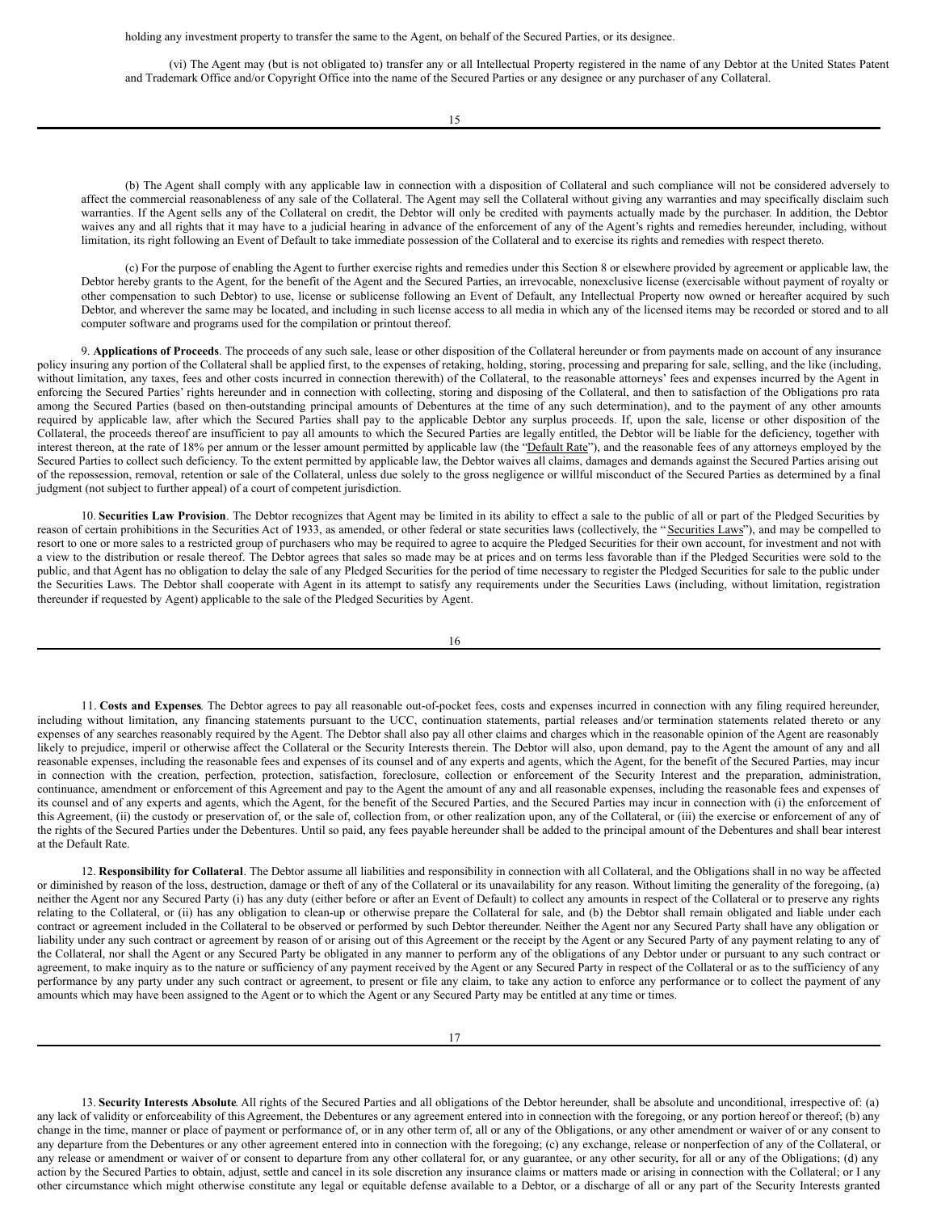holding any investment property to transfer the same to the Agent, on behalf of the Secured Parties, or its designee.

(vi) The Agent may (but is not obligated to) transfer any or all Intellectual Property registered in the name of any Debtor at the United States Patent and Trademark Office and/or Copyright Office into the name of the Secured Parties or any designee or any purchaser of any Collateral.

15

(b) The Agent shall comply with any applicable law in connection with a disposition of Collateral and such compliance will not be considered adversely to affect the commercial reasonableness of any sale of the Collateral. The Agent may sell the Collateral without giving any warranties and may specifically disclaim such warranties. If the Agent sells any of the Collateral on credit, the Debtor will only be credited with payments actually made by the purchaser. In addition, the Debtor waives any and all rights that it may have to a judicial hearing in advance of the enforcement of any of the Agent's rights and remedies hereunder, including, without limitation, its right following an Event of Default to take immediate possession of the Collateral and to exercise its rights and remedies with respect thereto.

(c) For the purpose of enabling the Agent to further exercise rights and remedies under this Section 8 or elsewhere provided by agreement or applicable law, the Debtor hereby grants to the Agent, for the benefit of the Agent and the Secured Parties, an irrevocable, nonexclusive license (exercisable without payment of royalty or other compensation to such Debtor) to use, license or sublicense following an Event of Default, any Intellectual Property now owned or hereafter acquired by such Debtor, and wherever the same may be located, and including in such license access to all media in which any of the licensed items may be recorded or stored and to all computer software and programs used for the compilation or printout thereof.

9. **Applications of Proceeds**. The proceeds of any such sale, lease or other disposition of the Collateral hereunder or from payments made on account of any insurance policy insuring any portion of the Collateral shall be applied first, to the expenses of retaking, holding, storing, processing and preparing for sale, selling, and the like (including, without limitation, any taxes, fees and other costs incurred in connection therewith) of the Collateral, to the reasonable attorneys' fees and expenses incurred by the Agent in enforcing the Secured Parties' rights hereunder and in connection with collecting, storing and disposing of the Collateral, and then to satisfaction of the Obligations pro rata among the Secured Parties (based on then-outstanding principal amounts of Debentures at the time of any such determination), and to the payment of any other amounts required by applicable law, after which the Secured Parties shall pay to the applicable Debtor any surplus proceeds. If, upon the sale, license or other disposition of the Collateral, the proceeds thereof are insufficient to pay all amounts to which the Secured Parties are legally entitled, the Debtor will be liable for the deficiency, together with interest thereon, at the rate of 18% per annum or the lesser amount permitted by applicable law (the "Default Rate"), and the reasonable fees of any attorneys employed by the Secured Parties to collect such deficiency. To the extent permitted by applicable law, the Debtor waives all claims, damages and demands against the Secured Parties arising out of the repossession, removal, retention or sale of the Collateral, unless due solely to the gross negligence or willful misconduct of the Secured Parties as determined by a final judgment (not subject to further appeal) of a court of competent jurisdiction.

10. **Securities Law Provision**. The Debtor recognizes that Agent may be limited in its ability to effect a sale to the public of all or part of the Pledged Securities by reason of certain prohibitions in the Securities Act of 1933, as amended, or other federal or state securities laws (collectively, the "Securities Laws"), and may be compelled to resort to one or more sales to a restricted group of purchasers who may be required to agree to acquire the Pledged Securities for their own account, for investment and not with a view to the distribution or resale thereof. The Debtor agrees that sales so made may be at prices and on terms less favorable than if the Pledged Securities were sold to the public, and that Agent has no obligation to delay the sale of any Pledged Securities for the period of time necessary to register the Pledged Securities for sale to the public under the Securities Laws. The Debtor shall cooperate with Agent in its attempt to satisfy any requirements under the Securities Laws (including, without limitation, registration thereunder if requested by Agent) applicable to the sale of the Pledged Securities by Agent.

16

11. **Costs and Expenses**. The Debtor agrees to pay all reasonable out-of-pocket fees, costs and expenses incurred in connection with any filing required hereunder, including without limitation, any financing statements pursuant to the UCC, continuation statements, partial releases and/or termination statements related thereto or any expenses of any searches reasonably required by the Agent. The Debtor shall also pay all other claims and charges which in the reasonable opinion of the Agent are reasonably likely to prejudice, imperil or otherwise affect the Collateral or the Security Interests therein. The Debtor will also, upon demand, pay to the Agent the amount of any and all reasonable expenses, including the reasonable fees and expenses of its counsel and of any experts and agents, which the Agent, for the benefit of the Secured Parties, may incur in connection with the creation, perfection, protection, satisfaction, foreclosure, collection or enforcement of the Security Interest and the preparation, administration, continuance, amendment or enforcement of this Agreement and pay to the Agent the amount of any and all reasonable expenses, including the reasonable fees and expenses of its counsel and of any experts and agents, which the Agent, for the benefit of the Secured Parties, and the Secured Parties may incur in connection with (i) the enforcement of this Agreement, (ii) the custody or preservation of, or the sale of, collection from, or other realization upon, any of the Collateral, or (iii) the exercise or enforcement of any of the rights of the Secured Parties under the Debentures. Until so paid, any fees payable hereunder shall be added to the principal amount of the Debentures and shall bear interest at the Default Rate.

12. **Responsibility for Collateral**. The Debtor assume all liabilities and responsibility in connection with all Collateral, and the Obligations shall in no way be affected or diminished by reason of the loss, destruction, damage or theft of any of the Collateral or its unavailability for any reason. Without limiting the generality of the foregoing, (a) neither the Agent nor any Secured Party (i) has any duty (either before or after an Event of Default) to collect any amounts in respect of the Collateral or to preserve any rights relating to the Collateral, or (ii) has any obligation to clean-up or otherwise prepare the Collateral for sale, and (b) the Debtor shall remain obligated and liable under each contract or agreement included in the Collateral to be observed or performed by such Debtor thereunder. Neither the Agent nor any Secured Party shall have any obligation or liability under any such contract or agreement by reason of or arising out of this Agreement or the receipt by the Agent or any Secured Party of any payment relating to any of the Collateral, nor shall the Agent or any Secured Party be obligated in any manner to perform any of the obligations of any Debtor under or pursuant to any such contract or agreement, to make inquiry as to the nature or sufficiency of any payment received by the Agent or any Secured Party in respect of the Collateral or as to the sufficiency of any performance by any party under any such contract or agreement, to present or file any claim, to take any action to enforce any performance or to collect the payment of any amounts which may have been assigned to the Agent or to which the Agent or any Secured Party may be entitled at any time or times.

13. **Security Interests Absolute**. All rights of the Secured Parties and all obligations of the Debtor hereunder, shall be absolute and unconditional, irrespective of: (a) any lack of validity or enforceability of this Agreement, the Debentures or any agreement entered into in connection with the foregoing, or any portion hereof or thereof; (b) any change in the time, manner or place of payment or performance of, or in any other term of, all or any of the Obligations, or any other amendment or waiver of or any consent to any departure from the Debentures or any other agreement entered into in connection with the foregoing; (c) any exchange, release or nonperfection of any of the Collateral, or any release or amendment or waiver of or consent to departure from any other collateral for, or any guarantee, or any other security, for all or any of the Obligations; (d) any action by the Secured Parties to obtain, adjust, settle and cancel in its sole discretion any insurance claims or matters made or arising in connection with the Collateral; or I any other circumstance which might otherwise constitute any legal or equitable defense available to a Debtor, or a discharge of all or any part of the Security Interests granted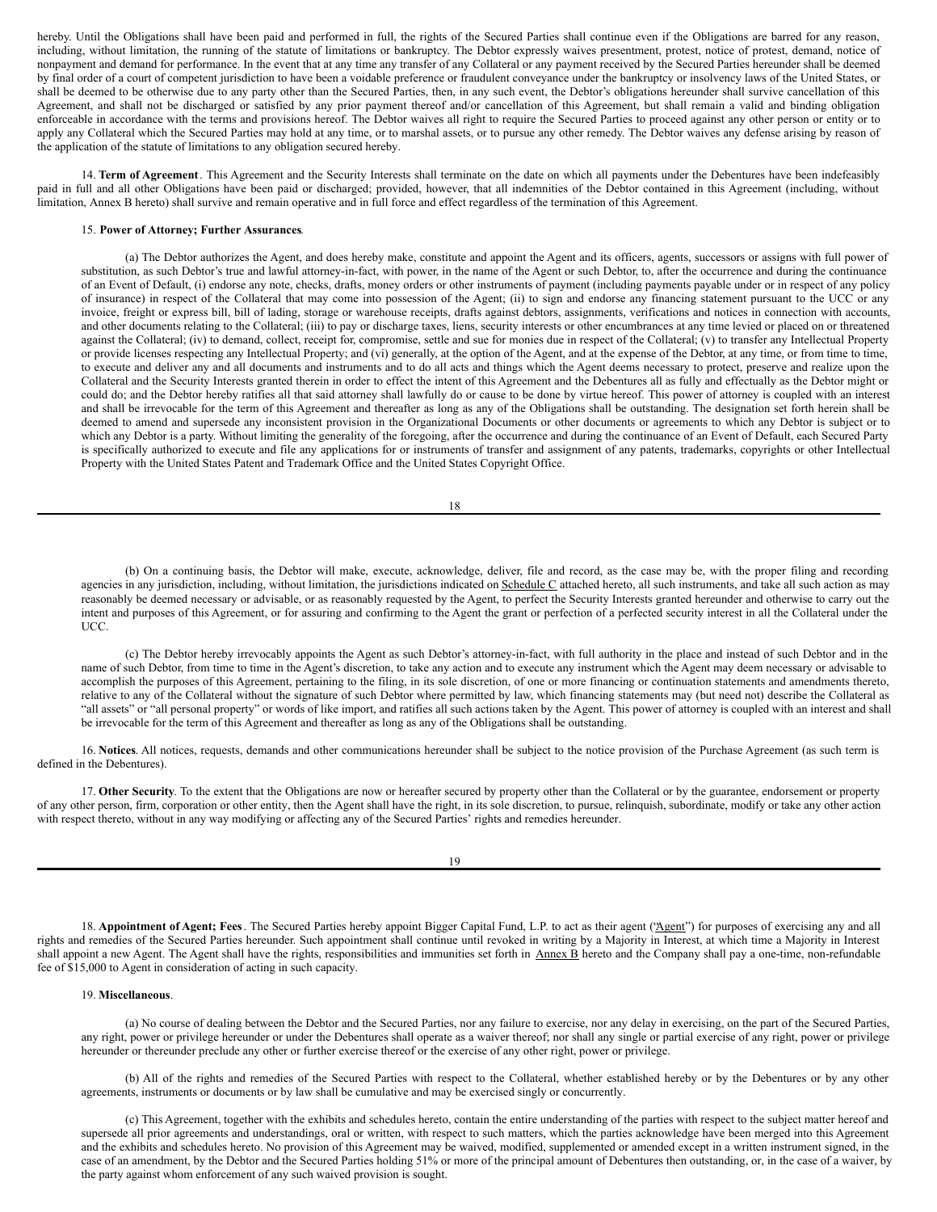<span id="page-55-0"></span>hereby. Until the Obligations shall have been paid and performed in full, the rights of the Secured Parties shall continue even if the Obligations are barred for any reason, including, without limitation, the running of the statute of limitations or bankruptcy. The Debtor expressly waives presentment, protest, notice of protest, demand, notice of nonpayment and demand for performance. In the event that at any time any transfer of any Collateral or any payment received by the Secured Parties hereunder shall be deemed by final order of a court of competent jurisdiction to have been a voidable preference or fraudulent conveyance under the bankruptcy or insolvency laws of the United States, or shall be deemed to be otherwise due to any party other than the Secured Parties, then, in any such event, the Debtor's obligations hereunder shall survive cancellation of this Agreement, and shall not be discharged or satisfied by any prior payment thereof and/or cancellation of this Agreement, but shall remain a valid and binding obligation enforceable in accordance with the terms and provisions hereof. The Debtor waives all right to require the Secured Parties to proceed against any other person or entity or to apply any Collateral which the Secured Parties may hold at any time, or to marshal assets, or to pursue any other remedy. The Debtor waives any defense arising by reason of the application of the statute of limitations to any obligation secured hereby.

14. **Term of Agreement**. This Agreement and the Security Interests shall terminate on the date on which all payments under the Debentures have been indefeasibly paid in full and all other Obligations have been paid or discharged; provided, however, that all indemnities of the Debtor contained in this Agreement (including, without limitation, Annex B hereto) shall survive and remain operative and in full force and effect regardless of the termination of this Agreement.

### 15. **Power of Attorney; Further Assurances**.

(a) The Debtor authorizes the Agent, and does hereby make, constitute and appoint the Agent and its officers, agents, successors or assigns with full power of substitution, as such Debtor's true and lawful attorney-in-fact, with power, in the name of the Agent or such Debtor, to, after the occurrence and during the continuance of an Event of Default, (i) endorse any note, checks, drafts, money orders or other instruments of payment (including payments payable under or in respect of any policy of insurance) in respect of the Collateral that may come into possession of the Agent; (ii) to sign and endorse any financing statement pursuant to the UCC or any invoice, freight or express bill, bill of lading, storage or warehouse receipts, drafts against debtors, assignments, verifications and notices in connection with accounts, and other documents relating to the Collateral; (iii) to pay or discharge taxes, liens, security interests or other encumbrances at any time levied or placed on or threatened against the Collateral; (iv) to demand, collect, receipt for, compromise, settle and sue for monies due in respect of the Collateral; (v) to transfer any Intellectual Property or provide licenses respecting any Intellectual Property; and (vi) generally, at the option of the Agent, and at the expense of the Debtor, at any time, or from time to time, to execute and deliver any and all documents and instruments and to do all acts and things which the Agent deems necessary to protect, preserve and realize upon the Collateral and the Security Interests granted therein in order to effect the intent of this Agreement and the Debentures all as fully and effectually as the Debtor might or could do; and the Debtor hereby ratifies all that said attorney shall lawfully do or cause to be done by virtue hereof. This power of attorney is coupled with an interest and shall be irrevocable for the term of this Agreement and thereafter as long as any of the Obligations shall be outstanding. The designation set forth herein shall be deemed to amend and supersede any inconsistent provision in the Organizational Documents or other documents or agreements to which any Debtor is subject or to which any Debtor is a party. Without limiting the generality of the foregoing, after the occurrence and during the continuance of an Event of Default, each Secured Party is specifically authorized to execute and file any applications for or instruments of transfer and assignment of any patents, trademarks, copyrights or other Intellectual Property with the United States Patent and Trademark Office and the United States Copyright Office.

| I<br>×<br>w<br>۹ |
|------------------|

(b) On a continuing basis, the Debtor will make, execute, acknowledge, deliver, file and record, as the case may be, with the proper filing and recording agencies in any jurisdiction, including, without limitation, the jurisdictions indicated on Schedule C attached hereto, all such instruments, and take all such action as may reasonably be deemed necessary or advisable, or as reasonably requested by the Agent, to perfect the Security Interests granted hereunder and otherwise to carry out the intent and purposes of this Agreement, or for assuring and confirming to the Agent the grant or perfection of a perfected security interest in all the Collateral under the UCC.

(c) The Debtor hereby irrevocably appoints the Agent as such Debtor's attorney-in-fact, with full authority in the place and instead of such Debtor and in the name of such Debtor, from time to time in the Agent's discretion, to take any action and to execute any instrument which the Agent may deem necessary or advisable to accomplish the purposes of this Agreement, pertaining to the filing, in its sole discretion, of one or more financing or continuation statements and amendments thereto, relative to any of the Collateral without the signature of such Debtor where permitted by law, which financing statements may (but need not) describe the Collateral as "all assets" or "all personal property" or words of like import, and ratifies all such actions taken by the Agent. This power of attorney is coupled with an interest and shall be irrevocable for the term of this Agreement and thereafter as long as any of the Obligations shall be outstanding.

16. **Notices**. All notices, requests, demands and other communications hereunder shall be subject to the notice provision of the Purchase Agreement (as such term is defined in the Debentures).

17. **Other Security**. To the extent that the Obligations are now or hereafter secured by property other than the Collateral or by the guarantee, endorsement or property of any other person, firm, corporation or other entity, then the Agent shall have the right, in its sole discretion, to pursue, relinquish, subordinate, modify or take any other action with respect thereto, without in any way modifying or affecting any of the Secured Parties' rights and remedies hereunder.

| ۰.<br>۰, |
|----------|
|----------|

18. **Appointment of Agent; Fees**. The Secured Parties hereby appoint Bigger Capital Fund, L.P. to act as their agent ("Agent") for purposes of exercising any and all rights and remedies of the Secured Parties hereunder. Such appointment shall continue until revoked in writing by a Majority in Interest, at which time a Majority in Interest shall appoint a new Agent. The Agent shall have the rights, responsibilities and immunities set forth in Annex B hereto and the Company shall pay a one-time, non-refundable fee of \$15,000 to Agent in consideration of acting in such capacity.

## 19. **Miscellaneous**.

(a) No course of dealing between the Debtor and the Secured Parties, nor any failure to exercise, nor any delay in exercising, on the part of the Secured Parties, any right, power or privilege hereunder or under the Debentures shall operate as a waiver thereof; nor shall any single or partial exercise of any right, power or privilege hereunder or thereunder preclude any other or further exercise thereof or the exercise of any other right, power or privilege.

(b) All of the rights and remedies of the Secured Parties with respect to the Collateral, whether established hereby or by the Debentures or by any other agreements, instruments or documents or by law shall be cumulative and may be exercised singly or concurrently.

(c) This Agreement, together with the exhibits and schedules hereto, contain the entire understanding of the parties with respect to the subject matter hereof and supersede all prior agreements and understandings, oral or written, with respect to such matters, which the parties acknowledge have been merged into this Agreement and the exhibits and schedules hereto. No provision of this Agreement may be waived, modified, supplemented or amended except in a written instrument signed, in the case of an amendment, by the Debtor and the Secured Parties holding 51% or more of the principal amount of Debentures then outstanding, or, in the case of a waiver, by the party against whom enforcement of any such waived provision is sought.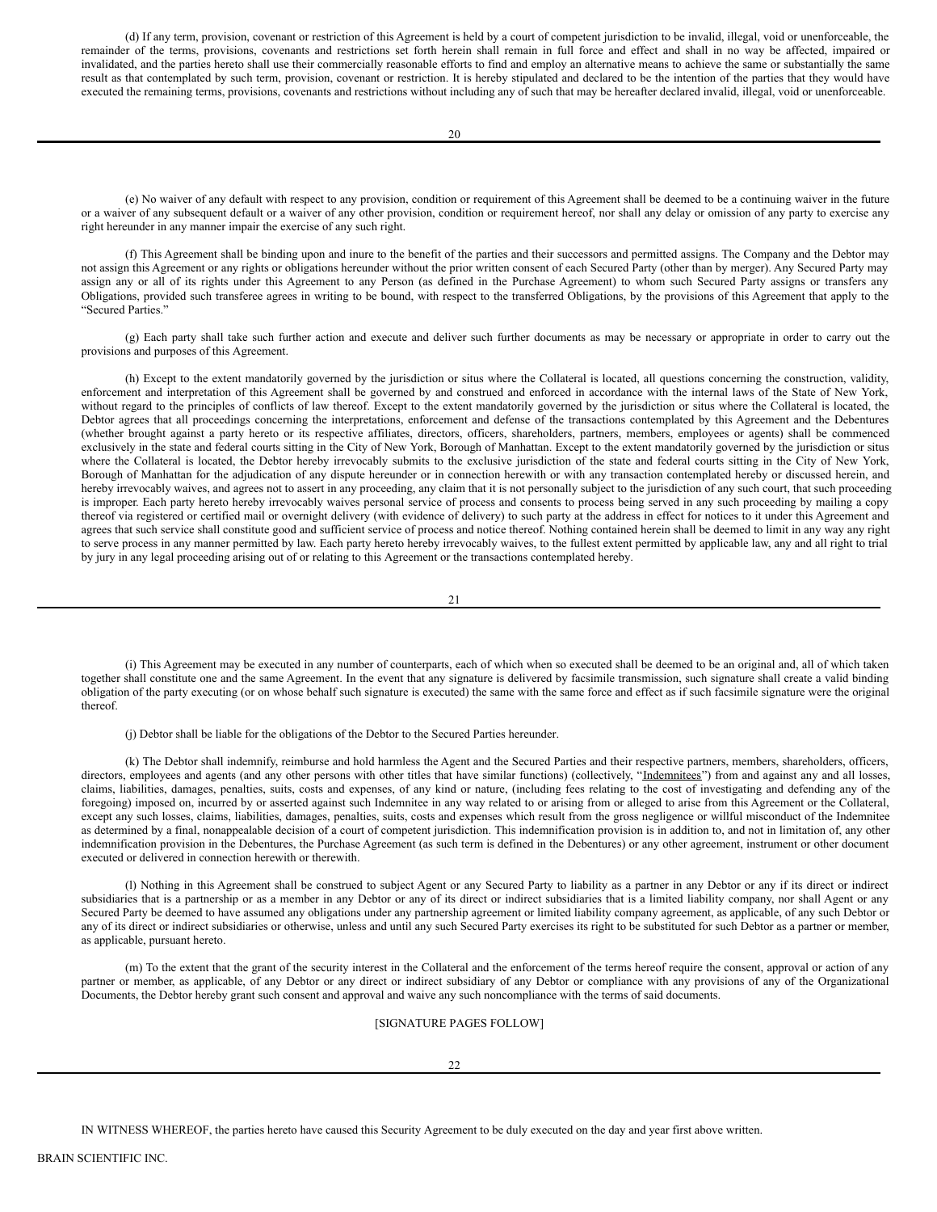(d) If any term, provision, covenant or restriction of this Agreement is held by a court of competent jurisdiction to be invalid, illegal, void or unenforceable, the remainder of the terms, provisions, covenants and restrictions set forth herein shall remain in full force and effect and shall in no way be affected, impaired or invalidated, and the parties hereto shall use their commercially reasonable efforts to find and employ an alternative means to achieve the same or substantially the same result as that contemplated by such term, provision, covenant or restriction. It is hereby stipulated and declared to be the intention of the parties that they would have executed the remaining terms, provisions, covenants and restrictions without including any of such that may be hereafter declared invalid, illegal, void or unenforceable.

(e) No waiver of any default with respect to any provision, condition or requirement of this Agreement shall be deemed to be a continuing waiver in the future or a waiver of any subsequent default or a waiver of any other provision, condition or requirement hereof, nor shall any delay or omission of any party to exercise any right hereunder in any manner impair the exercise of any such right.

(f) This Agreement shall be binding upon and inure to the benefit of the parties and their successors and permitted assigns. The Company and the Debtor may not assign this Agreement or any rights or obligations hereunder without the prior written consent of each Secured Party (other than by merger). Any Secured Party may assign any or all of its rights under this Agreement to any Person (as defined in the Purchase Agreement) to whom such Secured Party assigns or transfers any Obligations, provided such transferee agrees in writing to be bound, with respect to the transferred Obligations, by the provisions of this Agreement that apply to the "Secured Parties."

(g) Each party shall take such further action and execute and deliver such further documents as may be necessary or appropriate in order to carry out the provisions and purposes of this Agreement.

(h) Except to the extent mandatorily governed by the jurisdiction or situs where the Collateral is located, all questions concerning the construction, validity, enforcement and interpretation of this Agreement shall be governed by and construed and enforced in accordance with the internal laws of the State of New York, without regard to the principles of conflicts of law thereof. Except to the extent mandatorily governed by the jurisdiction or situs where the Collateral is located, the Debtor agrees that all proceedings concerning the interpretations, enforcement and defense of the transactions contemplated by this Agreement and the Debentures (whether brought against a party hereto or its respective affiliates, directors, officers, shareholders, partners, members, employees or agents) shall be commenced exclusively in the state and federal courts sitting in the City of New York, Borough of Manhattan. Except to the extent mandatorily governed by the jurisdiction or situs where the Collateral is located, the Debtor hereby irrevocably submits to the exclusive jurisdiction of the state and federal courts sitting in the City of New York, Borough of Manhattan for the adjudication of any dispute hereunder or in connection herewith or with any transaction contemplated hereby or discussed herein, and hereby irrevocably waives, and agrees not to assert in any proceeding, any claim that it is not personally subject to the jurisdiction of any such court, that such proceeding is improper. Each party hereto hereby irrevocably waives personal service of process and consents to process being served in any such proceeding by mailing a copy thereof via registered or certified mail or overnight delivery (with evidence of delivery) to such party at the address in effect for notices to it under this Agreement and agrees that such service shall constitute good and sufficient service of process and notice thereof. Nothing contained herein shall be deemed to limit in any way any right to serve process in any manner permitted by law. Each party hereto hereby irrevocably waives, to the fullest extent permitted by applicable law, any and all right to trial by jury in any legal proceeding arising out of or relating to this Agreement or the transactions contemplated hereby.

21

(i) This Agreement may be executed in any number of counterparts, each of which when so executed shall be deemed to be an original and, all of which taken together shall constitute one and the same Agreement. In the event that any signature is delivered by facsimile transmission, such signature shall create a valid binding obligation of the party executing (or on whose behalf such signature is executed) the same with the same force and effect as if such facsimile signature were the original thereof.

(j) Debtor shall be liable for the obligations of the Debtor to the Secured Parties hereunder.

(k) The Debtor shall indemnify, reimburse and hold harmless the Agent and the Secured Parties and their respective partners, members, shareholders, officers, directors, employees and agents (and any other persons with other titles that have similar functions) (collectively, "Indemnitees") from and against any and all losses, claims, liabilities, damages, penalties, suits, costs and expenses, of any kind or nature, (including fees relating to the cost of investigating and defending any of the foregoing) imposed on, incurred by or asserted against such Indemnitee in any way related to or arising from or alleged to arise from this Agreement or the Collateral, except any such losses, claims, liabilities, damages, penalties, suits, costs and expenses which result from the gross negligence or willful misconduct of the Indemnitee as determined by a final, nonappealable decision of a court of competent jurisdiction. This indemnification provision is in addition to, and not in limitation of, any other indemnification provision in the Debentures, the Purchase Agreement (as such term is defined in the Debentures) or any other agreement, instrument or other document executed or delivered in connection herewith or therewith.

(l) Nothing in this Agreement shall be construed to subject Agent or any Secured Party to liability as a partner in any Debtor or any if its direct or indirect subsidiaries that is a partnership or as a member in any Debtor or any of its direct or indirect subsidiaries that is a limited liability company, nor shall Agent or any Secured Party be deemed to have assumed any obligations under any partnership agreement or limited liability company agreement, as applicable, of any such Debtor or any of its direct or indirect subsidiaries or otherwise, unless and until any such Secured Party exercises its right to be substituted for such Debtor as a partner or member, as applicable, pursuant hereto.

(m) To the extent that the grant of the security interest in the Collateral and the enforcement of the terms hereof require the consent, approval or action of any partner or member, as applicable, of any Debtor or any direct or indirect subsidiary of any Debtor or compliance with any provisions of any of the Organizational Documents, the Debtor hereby grant such consent and approval and waive any such noncompliance with the terms of said documents.

## [SIGNATURE PAGES FOLLOW]

IN WITNESS WHEREOF, the parties hereto have caused this Security Agreement to be duly executed on the day and year first above written.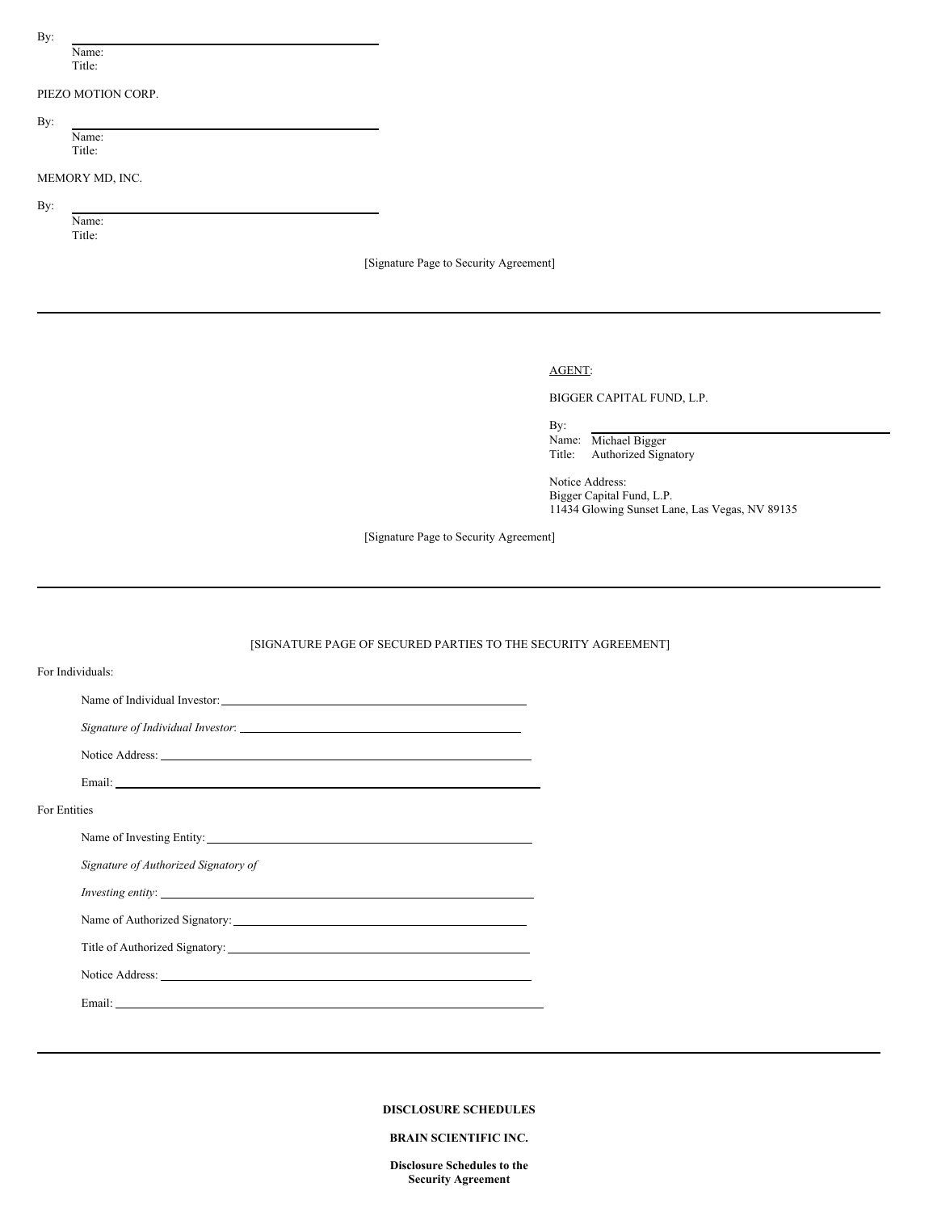By:

Name: Title:

## PIEZO MOTION CORP.

By:

Name: Title:

MEMORY MD, INC.

By:

Name: Title:

[Signature Page to Security Agreement]

# AGENT:

BIGGER CAPITAL FUND, L.P.

By: Name: Michael Bigger Title: Authorized Signatory

Notice Address: Bigger Capital Fund, L.P. 11434 Glowing Sunset Lane, Las Vegas, NV 89135

[Signature Page to Security Agreement]

# [SIGNATURE PAGE OF SECURED PARTIES TO THE SECURITY AGREEMENT]

|              | For Individuals:                     |
|--------------|--------------------------------------|
|              |                                      |
|              |                                      |
|              |                                      |
|              |                                      |
| For Entities |                                      |
|              |                                      |
|              | Signature of Authorized Signatory of |
|              | <i>Investing entity:</i>             |
|              |                                      |
|              |                                      |
|              |                                      |
|              |                                      |

## **DISCLOSURE SCHEDULES**

## **BRAIN SCIENTIFIC INC.**

**Disclosure Schedules to the Security Agreement**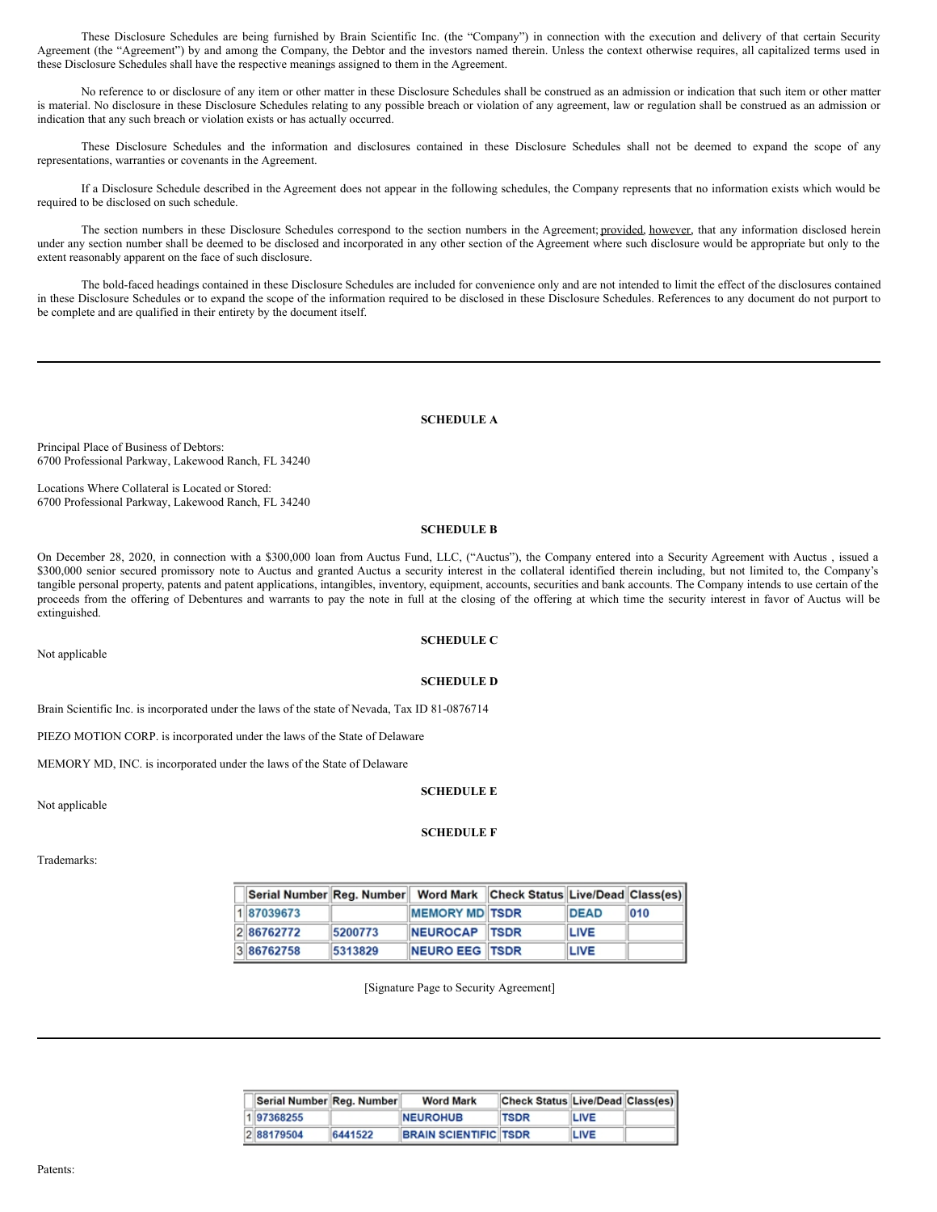These Disclosure Schedules are being furnished by Brain Scientific Inc. (the "Company") in connection with the execution and delivery of that certain Security Agreement (the "Agreement") by and among the Company, the Debtor and the investors named therein. Unless the context otherwise requires, all capitalized terms used in these Disclosure Schedules shall have the respective meanings assigned to them in the Agreement.

No reference to or disclosure of any item or other matter in these Disclosure Schedules shall be construed as an admission or indication that such item or other matter is material. No disclosure in these Disclosure Schedules relating to any possible breach or violation of any agreement, law or regulation shall be construed as an admission or indication that any such breach or violation exists or has actually occurred.

These Disclosure Schedules and the information and disclosures contained in these Disclosure Schedules shall not be deemed to expand the scope of any representations, warranties or covenants in the Agreement.

If a Disclosure Schedule described in the Agreement does not appear in the following schedules, the Company represents that no information exists which would be required to be disclosed on such schedule.

The section numbers in these Disclosure Schedules correspond to the section numbers in the Agreement; provided, however, that any information disclosed herein under any section number shall be deemed to be disclosed and incorporated in any other section of the Agreement where such disclosure would be appropriate but only to the extent reasonably apparent on the face of such disclosure.

The bold-faced headings contained in these Disclosure Schedules are included for convenience only and are not intended to limit the effect of the disclosures contained in these Disclosure Schedules or to expand the scope of the information required to be disclosed in these Disclosure Schedules. References to any document do not purport to be complete and are qualified in their entirety by the document itself.

## **SCHEDULE A**

Principal Place of Business of Debtors: 6700 Professional Parkway, Lakewood Ranch, FL 34240

Locations Where Collateral is Located or Stored: 6700 Professional Parkway, Lakewood Ranch, FL 34240

## **SCHEDULE B**

On December 28, 2020, in connection with a \$300,000 loan from Auctus Fund, LLC, ("Auctus"), the Company entered into a Security Agreement with Auctus , issued a \$300,000 senior secured promissory note to Auctus and granted Auctus a security interest in the collateral identified therein including, but not limited to, the Company's tangible personal property, patents and patent applications, intangibles, inventory, equipment, accounts, securities and bank accounts. The Company intends to use certain of the proceeds from the offering of Debentures and warrants to pay the note in full at the closing of the offering at which time the security interest in favor of Auctus will be extinguished.

Not applicable

# **SCHEDULE C**

## **SCHEDULE D**

Brain Scientific Inc. is incorporated under the laws of the state of Nevada, Tax ID 81-0876714

PIEZO MOTION CORP. is incorporated under the laws of the State of Delaware

MEMORY MD, INC. is incorporated under the laws of the State of Delaware

## **SCHEDULE E**

Not applicable

# **SCHEDULE F**

Trademarks:

| Serial Number Reg. Number   Word Mark   Check Status Live/Dead Class(es) |         |                       |             |     |
|--------------------------------------------------------------------------|---------|-----------------------|-------------|-----|
| 187039673                                                                |         | <b>MEMORY MD TSDR</b> | <b>DEAD</b> | 010 |
| 286762772                                                                | 5200773 | NEUROCAP TSDR         | <b>LIVE</b> |     |
| 386762758                                                                | 5313829 | NEURO EEG TSDR        | LIVE        |     |

[Signature Page to Security Agreement]

| Serial Number Reg. Number |         | <b>Word Mark</b>             | Check Status Live/Dead Class(es) |             |  |
|---------------------------|---------|------------------------------|----------------------------------|-------------|--|
| 197368255                 |         | <b>NEUROHUB</b>              | <b>TSDR</b>                      | <b>LIVE</b> |  |
| 288179504                 | 6441522 | <b>BRAIN SCIENTIFIC TSDR</b> |                                  | LIVE        |  |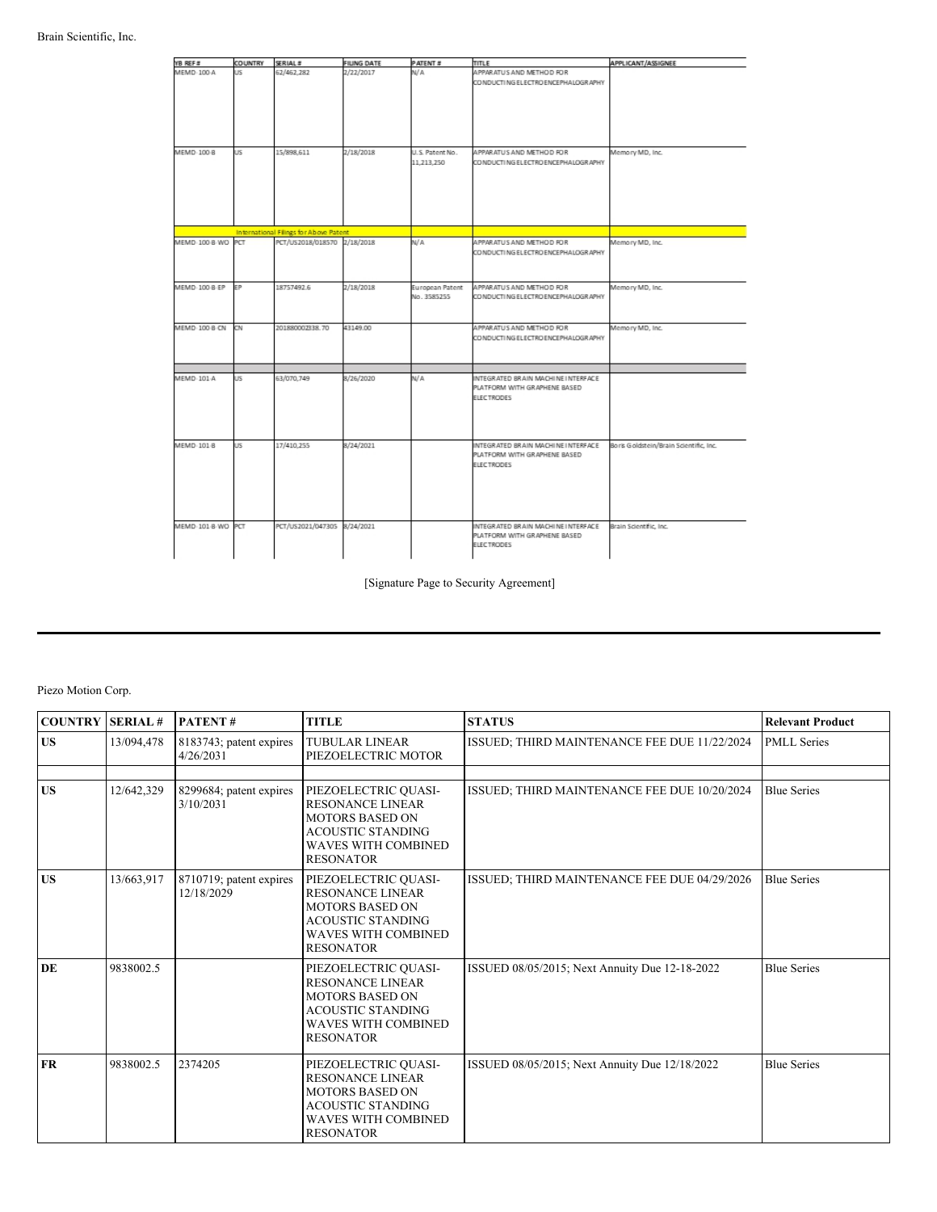| YB REF #          | <b>COUNTRY</b> | SERIAL #                               | FILING DATE | PATENT #                       | TITLE                                                                                   | APPLICANT/ASSIGNEE                     |
|-------------------|----------------|----------------------------------------|-------------|--------------------------------|-----------------------------------------------------------------------------------------|----------------------------------------|
| MEMD-100-A        | US.            | 62/462.282                             | 2/22/2017   | N/A                            | APPARATUS AND METHOD FOR<br>CO NDUCTI NG ELECTRO ENCEPHALOGR APHY                       |                                        |
| MEMD-100-8        | US.            | 15/898.611                             | 2/18/2018   | U.S. Patent No.<br>11.213.250  | APPARATUS AND METHOD FOR<br>CO NDUCTI NG ELECTRO ENCEPHALOGRAPHY                        | Memory MD, Inc.                        |
|                   |                | International Filings for Above Patent |             |                                |                                                                                         |                                        |
| MEMD-100-8-WO PCT |                | PCT/US2018/018570 2/18/2018            |             | N/A                            | APPARATUS AND METHOD FOR<br>CO NDUCTI NG ELECTRO ENCEPHALOGRAPHY                        | Memory MD, Inc.                        |
| MEMD 100 B EP     | EP             | 18757492.6                             | 2/18/2018   | European Patent<br>No. 3585255 | APPARATUS AND METHOD FOR<br>CO NDUCTI NG ELECTRO ENCEPHALOGRAPHY                        | Memory MD, Inc.                        |
| MEMD-100 B-CN     | CN             | 201880002338.70                        | 43149.00    |                                | APPARATUS AND METHOD FOR<br>CO NDUCTI NG ELECTRO ENCEPHALOGRAPHY                        | Memory MD, Inc.                        |
| MEMD-101-A        | US.            | 63/070,749                             | 8/26/2020   | N/A                            | INTEGRATED BRAIN MACHINE INTERFACE<br>PLATFORM WITH GRAPHENE BASED<br><b>ELECTRODES</b> |                                        |
| MEMD-101-8        | US.            | 17/410.255                             | 8/24/2021   |                                | INTEGRATED BRAIN MACHINE INTERFACE<br>PLATFORM WITH GRAPHENE BASED<br><b>ELECTRODES</b> | Boris Goldstein/Brain Scientific, Inc. |
| MEMD-101-B-WO PCT |                | PCT/US2021/047305 8/24/2021            |             |                                | INTEGRATED BRAIN MACHINE INTERFACE<br>PLATFORM WITH GRAPHENE BASED<br><b>ELECTRODES</b> | Brain Scientific, Inc.                 |

[Signature Page to Security Agreement]

# Piezo Motion Corp.

| <b>COUNTRY</b> | <b>SERIAL#</b> | <b>PATENT#</b>                        | <b>TITLE</b>                                                                                                                                            | <b>STATUS</b>                                  | <b>Relevant Product</b> |
|----------------|----------------|---------------------------------------|---------------------------------------------------------------------------------------------------------------------------------------------------------|------------------------------------------------|-------------------------|
| <b>US</b>      | 13/094,478     | 8183743; patent expires<br>4/26/2031  | <b>TUBULAR LINEAR</b><br>PIEZOELECTRIC MOTOR                                                                                                            | ISSUED; THIRD MAINTENANCE FEE DUE 11/22/2024   | <b>PMLL Series</b>      |
| <b>US</b>      | 12/642.329     | 8299684; patent expires<br>3/10/2031  | PIEZOELECTRIC QUASI-<br><b>RESONANCE LINEAR</b><br><b>MOTORS BASED ON</b><br><b>ACOUSTIC STANDING</b><br><b>WAVES WITH COMBINED</b><br><b>RESONATOR</b> | ISSUED; THIRD MAINTENANCE FEE DUE 10/20/2024   | <b>Blue Series</b>      |
| <b>US</b>      | 13/663,917     | 8710719; patent expires<br>12/18/2029 | PIEZOELECTRIC QUASI-<br><b>RESONANCE LINEAR</b><br><b>MOTORS BASED ON</b><br><b>ACOUSTIC STANDING</b><br><b>WAVES WITH COMBINED</b><br><b>RESONATOR</b> | ISSUED; THIRD MAINTENANCE FEE DUE 04/29/2026   | <b>Blue Series</b>      |
| DE             | 9838002.5      |                                       | PIEZOELECTRIC QUASI-<br><b>RESONANCE LINEAR</b><br><b>MOTORS BASED ON</b><br><b>ACOUSTIC STANDING</b><br><b>WAVES WITH COMBINED</b><br><b>RESONATOR</b> | ISSUED 08/05/2015; Next Annuity Due 12-18-2022 | <b>Blue Series</b>      |
| <b>FR</b>      | 9838002.5      | 2374205                               | PIEZOELECTRIC QUASI-<br><b>RESONANCE LINEAR</b><br><b>MOTORS BASED ON</b><br><b>ACOUSTIC STANDING</b><br><b>WAVES WITH COMBINED</b><br><b>RESONATOR</b> | ISSUED 08/05/2015; Next Annuity Due 12/18/2022 | <b>Blue Series</b>      |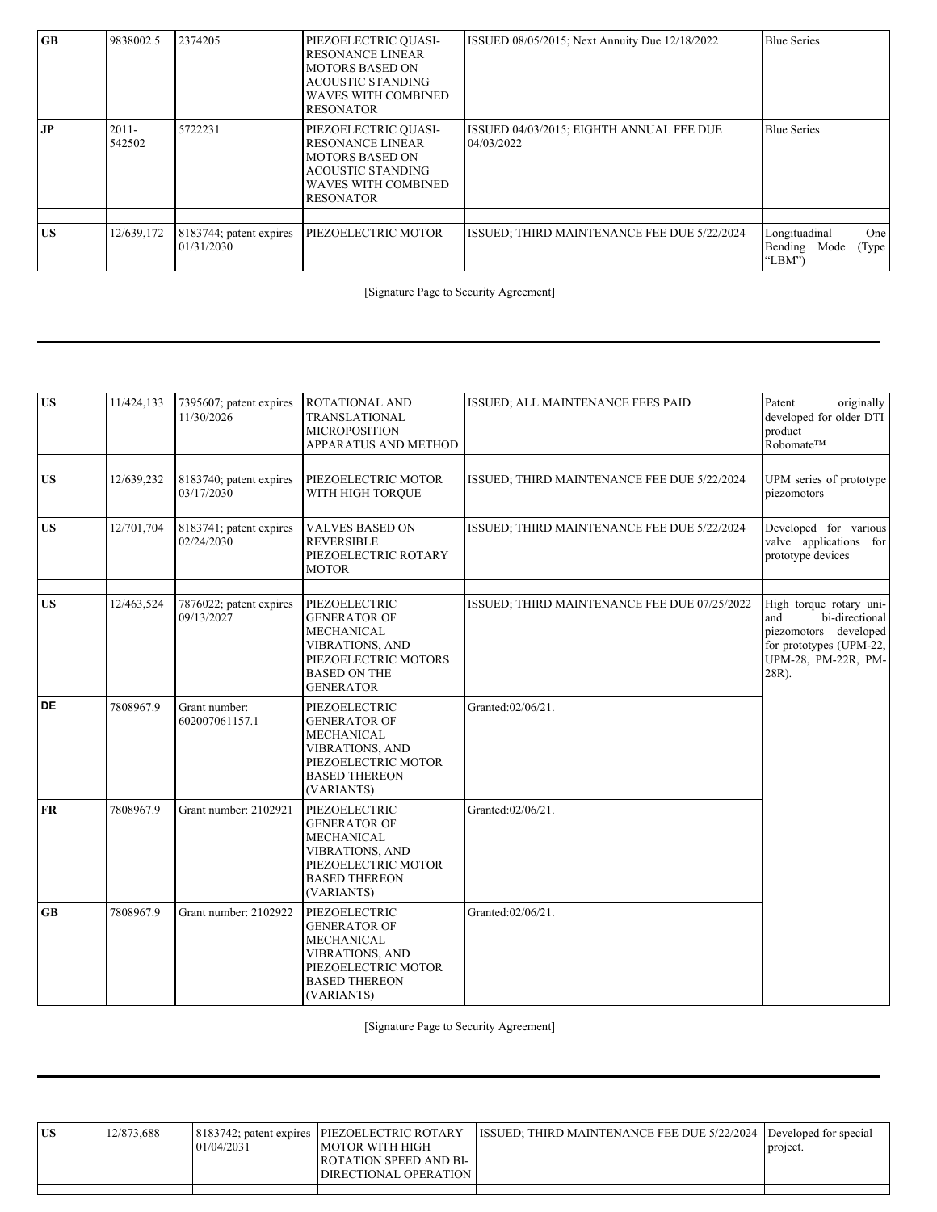| GB  | 9838002.5          | 2374205                               | PIEZOELECTRIC QUASI-<br><b>RESONANCE LINEAR</b><br><b>MOTORS BASED ON</b><br><b>ACOUSTIC STANDING</b><br><b>WAVES WITH COMBINED</b><br><b>RESONATOR</b> | ISSUED 08/05/2015; Next Annuity Due 12/18/2022         | <b>Blue Series</b>                                         |
|-----|--------------------|---------------------------------------|---------------------------------------------------------------------------------------------------------------------------------------------------------|--------------------------------------------------------|------------------------------------------------------------|
| JP. | $2011 -$<br>542502 | 5722231                               | PIEZOELECTRIC QUASI-<br><b>RESONANCE LINEAR</b><br><b>MOTORS BASED ON</b><br><b>ACOUSTIC STANDING</b><br><b>WAVES WITH COMBINED</b><br><b>RESONATOR</b> | ISSUED 04/03/2015; EIGHTH ANNUAL FEE DUE<br>04/03/2022 | <b>Blue Series</b>                                         |
|     |                    |                                       |                                                                                                                                                         |                                                        |                                                            |
| US  | 12/639,172         | 8183744; patent expires<br>01/31/2030 | PIEZOELECTRIC MOTOR                                                                                                                                     | ISSUED; THIRD MAINTENANCE FEE DUE 5/22/2024            | Longituadinal<br>One<br>Bending<br>Mode<br>(Type<br>"LBM") |

[Signature Page to Security Agreement]

| <b>US</b> | 11/424,133 | 7395607; patent expires<br>11/30/2026 | ROTATIONAL AND<br><b>TRANSLATIONAL</b><br><b>MICROPOSITION</b><br>APPARATUS AND METHOD                                                           | ISSUED; ALL MAINTENANCE FEES PAID            | originally<br>Patent<br>developed for older DTI<br>product<br>Robomate™                                                              |
|-----------|------------|---------------------------------------|--------------------------------------------------------------------------------------------------------------------------------------------------|----------------------------------------------|--------------------------------------------------------------------------------------------------------------------------------------|
| <b>US</b> | 12/639,232 | 8183740; patent expires<br>03/17/2030 | PIEZOELECTRIC MOTOR<br>WITH HIGH TORQUE                                                                                                          | ISSUED; THIRD MAINTENANCE FEE DUE 5/22/2024  | UPM series of prototype<br>piezomotors                                                                                               |
| <b>US</b> | 12/701,704 | 8183741; patent expires<br>02/24/2030 | <b>VALVES BASED ON</b><br><b>REVERSIBLE</b><br>PIEZOELECTRIC ROTARY<br><b>MOTOR</b>                                                              | ISSUED; THIRD MAINTENANCE FEE DUE 5/22/2024  | Developed for various<br>valve applications for<br>prototype devices                                                                 |
| <b>US</b> | 12/463,524 | 7876022; patent expires<br>09/13/2027 | PIEZOELECTRIC<br><b>GENERATOR OF</b><br>MECHANICAL<br><b>VIBRATIONS, AND</b><br>PIEZOELECTRIC MOTORS<br><b>BASED ON THE</b><br><b>GENERATOR</b>  | ISSUED; THIRD MAINTENANCE FEE DUE 07/25/2022 | High torque rotary uni-<br>bi-directional<br>and<br>piezomotors developed<br>for prototypes (UPM-22,<br>UPM-28, PM-22R, PM-<br>28R). |
| DE        | 7808967.9  | Grant number:<br>602007061157.1       | PIEZOELECTRIC<br><b>GENERATOR OF</b><br><b>MECHANICAL</b><br><b>VIBRATIONS, AND</b><br>PIEZOELECTRIC MOTOR<br><b>BASED THEREON</b><br>(VARIANTS) | Granted:02/06/21.                            |                                                                                                                                      |
| <b>FR</b> | 7808967.9  | Grant number: 2102921                 | PIEZOELECTRIC<br><b>GENERATOR OF</b><br>MECHANICAL<br><b>VIBRATIONS, AND</b><br>PIEZOELECTRIC MOTOR<br><b>BASED THEREON</b><br>(VARIANTS)        | Granted:02/06/21.                            |                                                                                                                                      |
| GB        | 7808967.9  | Grant number: 2102922                 | PIEZOELECTRIC<br><b>GENERATOR OF</b><br>MECHANICAL<br><b>VIBRATIONS, AND</b><br>PIEZOELECTRIC MOTOR<br><b>BASED THEREON</b><br>(VARIANTS)        | Granted:02/06/21.                            |                                                                                                                                      |

[Signature Page to Security Agreement]

| <b>US</b> | 12/873.688 | 01/04/2031 | 8183742; patent expires PIEZOELECTRIC ROTARY<br><b>IMOTOR WITH HIGH</b><br><b>ROTATION SPEED AND BI-</b><br>DIRECTIONAL OPERATION | <b>ISSUED:</b> THIRD MAINTENANCE FEE DUE 5/22/2024 Developed for special | project. |
|-----------|------------|------------|-----------------------------------------------------------------------------------------------------------------------------------|--------------------------------------------------------------------------|----------|
|           |            |            |                                                                                                                                   |                                                                          |          |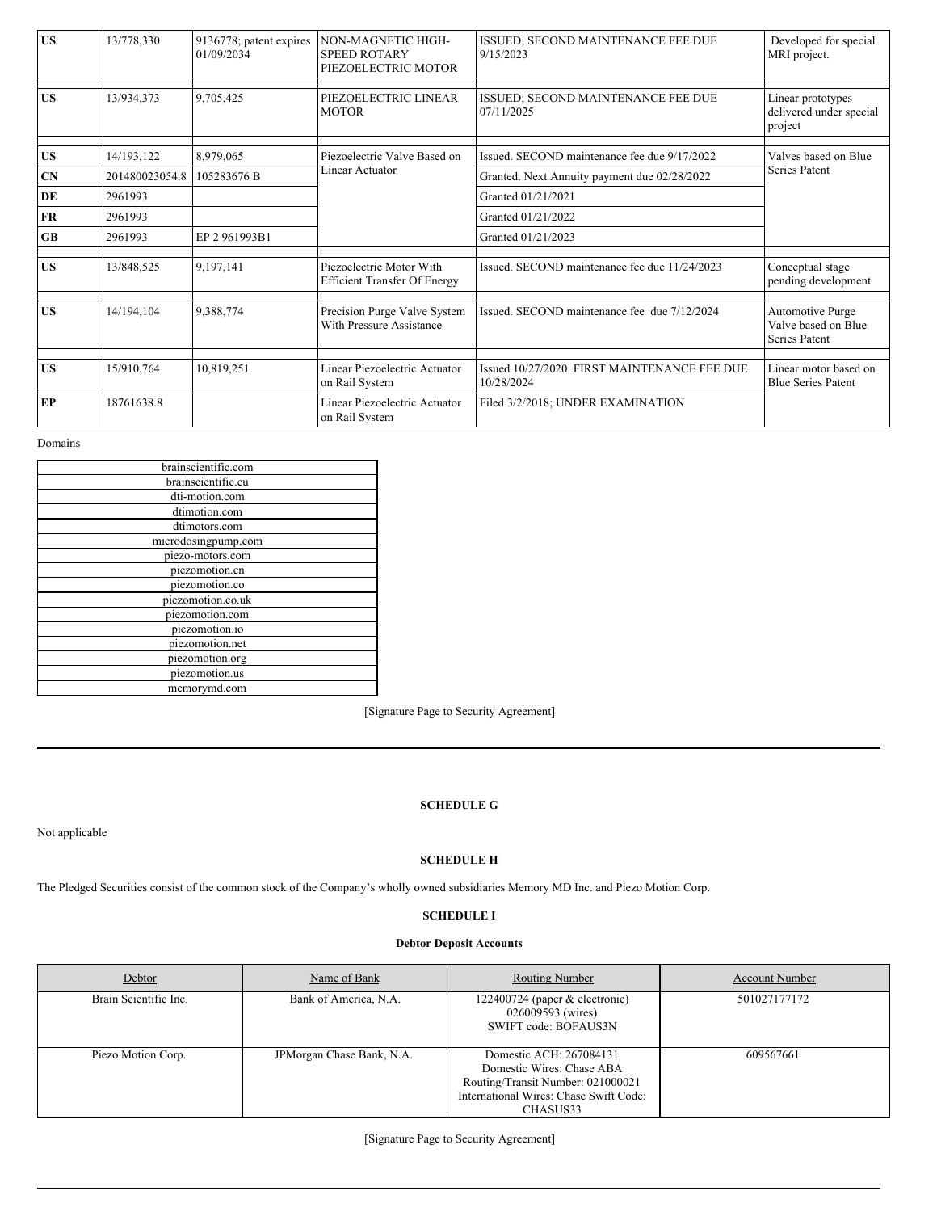| <b>US</b> | 13/778,330     | 9136778; patent expires<br>01/09/2034 | NON-MAGNETIC HIGH-<br><b>SPEED ROTARY</b><br>PIEZOELECTRIC MOTOR | ISSUED; SECOND MAINTENANCE FEE DUE<br>9/15/2023            | Developed for special<br>MRI project.                    |  |
|-----------|----------------|---------------------------------------|------------------------------------------------------------------|------------------------------------------------------------|----------------------------------------------------------|--|
|           |                |                                       |                                                                  |                                                            |                                                          |  |
| <b>US</b> | 13/934,373     | 9,705,425                             | PIEZOELECTRIC LINEAR<br><b>MOTOR</b>                             | ISSUED; SECOND MAINTENANCE FEE DUE<br>07/11/2025           | Linear prototypes<br>delivered under special<br>project  |  |
| <b>US</b> | 14/193,122     | 8,979,065                             | Piezoelectric Valve Based on                                     | Issued. SECOND maintenance fee due 9/17/2022               | Valves based on Blue                                     |  |
| CN        | 201480023054.8 | 105283676 B                           | Linear Actuator                                                  | Granted. Next Annuity payment due 02/28/2022               | Series Patent                                            |  |
| DE        | 2961993        |                                       |                                                                  | Granted 01/21/2021                                         |                                                          |  |
| <b>FR</b> | 2961993        |                                       |                                                                  | Granted 01/21/2022                                         |                                                          |  |
| <b>GB</b> | 2961993        | EP 2 961993B1                         |                                                                  | Granted 01/21/2023                                         |                                                          |  |
|           |                |                                       |                                                                  |                                                            |                                                          |  |
| <b>US</b> | 13/848.525     | 9,197,141                             | Piezoelectric Motor With<br><b>Efficient Transfer Of Energy</b>  | Issued. SECOND maintenance fee due 11/24/2023              | Conceptual stage<br>pending development                  |  |
|           |                |                                       |                                                                  |                                                            |                                                          |  |
| <b>US</b> | 14/194,104     | 9,388,774                             | Precision Purge Valve System<br>With Pressure Assistance         | Issued, SECOND maintenance fee due 7/12/2024               | Automotive Purge<br>Valve based on Blue<br>Series Patent |  |
|           |                |                                       |                                                                  |                                                            |                                                          |  |
| <b>US</b> | 15/910,764     | 10,819,251                            | Linear Piezoelectric Actuator<br>on Rail System                  | Issued 10/27/2020. FIRST MAINTENANCE FEE DUE<br>10/28/2024 | Linear motor based on<br><b>Blue Series Patent</b>       |  |
| EP        | 18761638.8     |                                       | Linear Piezoelectric Actuator<br>on Rail System                  | Filed 3/2/2018; UNDER EXAMINATION                          |                                                          |  |

Domains

| brainscientific.com |  |  |  |  |  |
|---------------------|--|--|--|--|--|
| brainscientific.eu  |  |  |  |  |  |
| dti-motion.com      |  |  |  |  |  |
| dtimotion.com       |  |  |  |  |  |
| dtimotors.com       |  |  |  |  |  |
| microdosingpump.com |  |  |  |  |  |
| piezo-motors.com    |  |  |  |  |  |
| piezomotion.cn      |  |  |  |  |  |
| piezomotion.co      |  |  |  |  |  |
| piezomotion.co.uk   |  |  |  |  |  |
| piezomotion.com     |  |  |  |  |  |
| piezomotion.io      |  |  |  |  |  |
| piezomotion.net     |  |  |  |  |  |
| piezomotion.org     |  |  |  |  |  |
| piezomotion.us      |  |  |  |  |  |
| memorymd.com        |  |  |  |  |  |

[Signature Page to Security Agreement]

**SCHEDULE G**

Not applicable

# **SCHEDULE H**

The Pledged Securities consist of the common stock of the Company's wholly owned subsidiaries Memory MD Inc. and Piezo Motion Corp.

# **SCHEDULE I**

# **Debtor Deposit Accounts**

| Debtor                | Name of Bank              | <b>Routing Number</b>                                                                                                                           | <b>Account Number</b> |
|-----------------------|---------------------------|-------------------------------------------------------------------------------------------------------------------------------------------------|-----------------------|
| Brain Scientific Inc. | Bank of America, N.A.     | 122400724 (paper $&$ electronic)<br>026009593 (wires)<br>SWIFT code: BOFAUS3N                                                                   | 501027177172          |
| Piezo Motion Corp.    | JPMorgan Chase Bank, N.A. | Domestic ACH: 267084131<br>Domestic Wires: Chase ABA<br>Routing/Transit Number: 021000021<br>International Wires: Chase Swift Code:<br>CHASUS33 | 609567661             |

[Signature Page to Security Agreement]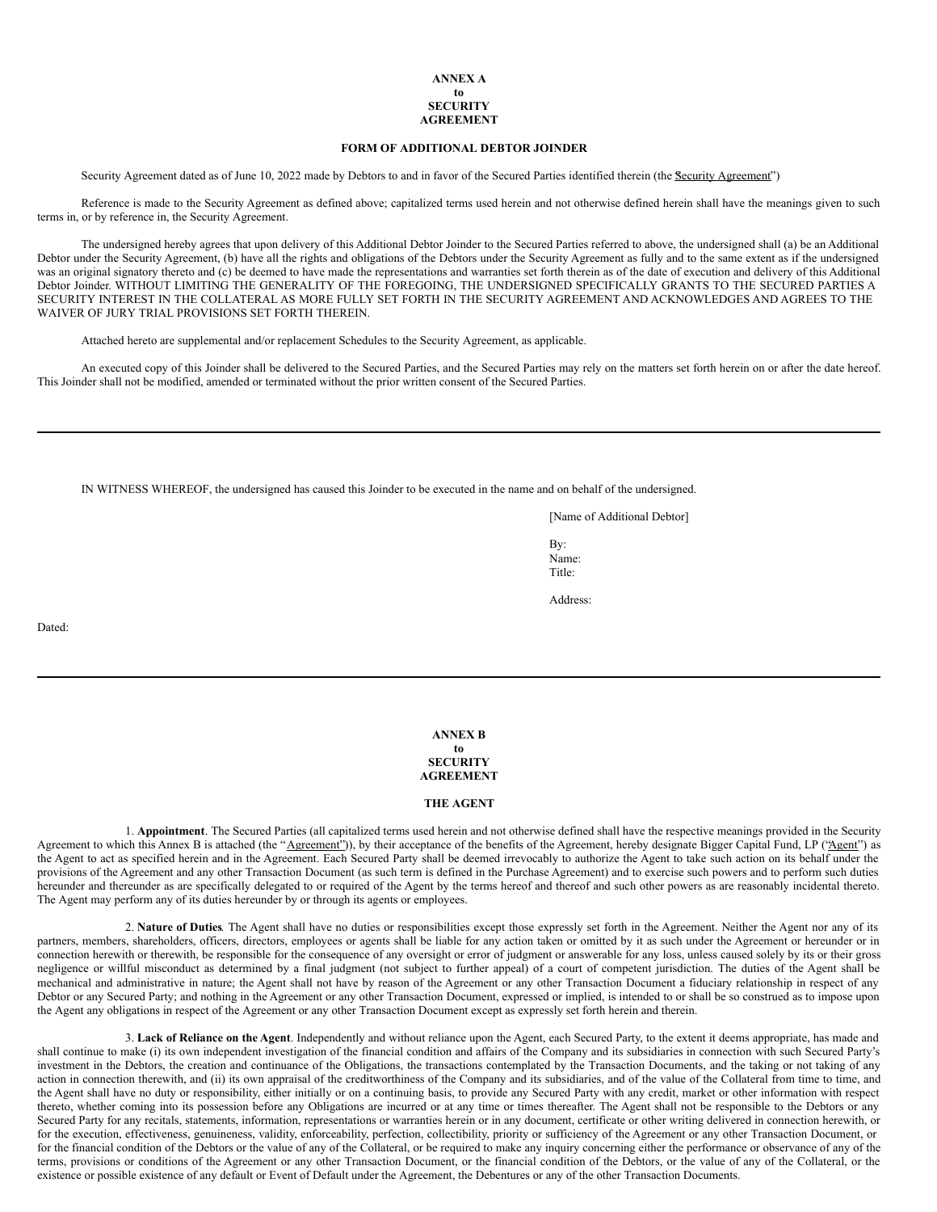#### **ANNEX A to SECURITY AGREEMENT**

### **FORM OF ADDITIONAL DEBTOR JOINDER**

Security Agreement dated as of June 10, 2022 made by Debtors to and in favor of the Secured Parties identified therein (the Security Agreement")

Reference is made to the Security Agreement as defined above; capitalized terms used herein and not otherwise defined herein shall have the meanings given to such terms in, or by reference in, the Security Agreement.

The undersigned hereby agrees that upon delivery of this Additional Debtor Joinder to the Secured Parties referred to above, the undersigned shall (a) be an Additional Debtor under the Security Agreement, (b) have all the rights and obligations of the Debtors under the Security Agreement as fully and to the same extent as if the undersigned was an original signatory thereto and (c) be deemed to have made the representations and warranties set forth therein as of the date of execution and delivery of this Additional Debtor Joinder. WITHOUT LIMITING THE GENERALITY OF THE FOREGOING, THE UNDERSIGNED SPECIFICALLY GRANTS TO THE SECURED PARTIES A SECURITY INTEREST IN THE COLLATERAL AS MORE FULLY SET FORTH IN THE SECURITY AGREEMENT AND ACKNOWLEDGES AND AGREES TO THE WAIVER OF JURY TRIAL PROVISIONS SET FORTH THEREIN.

Attached hereto are supplemental and/or replacement Schedules to the Security Agreement, as applicable.

An executed copy of this Joinder shall be delivered to the Secured Parties, and the Secured Parties may rely on the matters set forth herein on or after the date hereof. This Joinder shall not be modified, amended or terminated without the prior written consent of the Secured Parties.

IN WITNESS WHEREOF, the undersigned has caused this Joinder to be executed in the name and on behalf of the undersigned.

[Name of Additional Debtor]

By: Name: Title:

Address:

Dated:

**ANNEX B to SECURITY AGREEMENT**

#### **THE AGENT**

1. **Appointment**. The Secured Parties (all capitalized terms used herein and not otherwise defined shall have the respective meanings provided in the Security Agreement to which this Annex B is attached (the "Agreement")), by their acceptance of the benefits of the Agreement, hereby designate Bigger Capital Fund, LP ("Agent") as the Agent to act as specified herein and in the Agreement. Each Secured Party shall be deemed irrevocably to authorize the Agent to take such action on its behalf under the provisions of the Agreement and any other Transaction Document (as such term is defined in the Purchase Agreement) and to exercise such powers and to perform such duties hereunder and thereunder as are specifically delegated to or required of the Agent by the terms hereof and thereof and such other powers as are reasonably incidental thereto. The Agent may perform any of its duties hereunder by or through its agents or employees.

2. **Nature of Duties***.* The Agent shall have no duties or responsibilities except those expressly set forth in the Agreement. Neither the Agent nor any of its partners, members, shareholders, officers, directors, employees or agents shall be liable for any action taken or omitted by it as such under the Agreement or hereunder or in connection herewith or therewith, be responsible for the consequence of any oversight or error of judgment or answerable for any loss, unless caused solely by its or their gross negligence or willful misconduct as determined by a final judgment (not subject to further appeal) of a court of competent jurisdiction. The duties of the Agent shall be mechanical and administrative in nature; the Agent shall not have by reason of the Agreement or any other Transaction Document a fiduciary relationship in respect of any Debtor or any Secured Party; and nothing in the Agreement or any other Transaction Document, expressed or implied, is intended to or shall be so construed as to impose upon the Agent any obligations in respect of the Agreement or any other Transaction Document except as expressly set forth herein and therein.

3. **Lack of Reliance on the Agent**. Independently and without reliance upon the Agent, each Secured Party, to the extent it deems appropriate, has made and shall continue to make (i) its own independent investigation of the financial condition and affairs of the Company and its subsidiaries in connection with such Secured Party's investment in the Debtors, the creation and continuance of the Obligations, the transactions contemplated by the Transaction Documents, and the taking or not taking of any action in connection therewith, and (ii) its own appraisal of the creditworthiness of the Company and its subsidiaries, and of the value of the Collateral from time to time, and the Agent shall have no duty or responsibility, either initially or on a continuing basis, to provide any Secured Party with any credit, market or other information with respect thereto, whether coming into its possession before any Obligations are incurred or at any time or times thereafter. The Agent shall not be responsible to the Debtors or any Secured Party for any recitals, statements, information, representations or warranties herein or in any document, certificate or other writing delivered in connection herewith, or for the execution, effectiveness, genuineness, validity, enforceability, perfection, collectibility, priority or sufficiency of the Agreement or any other Transaction Document, or for the financial condition of the Debtors or the value of any of the Collateral, or be required to make any inquiry concerning either the performance or observance of any of the terms, provisions or conditions of the Agreement or any other Transaction Document, or the financial condition of the Debtors, or the value of any of the Collateral, or the existence or possible existence of any default or Event of Default under the Agreement, the Debentures or any of the other Transaction Documents.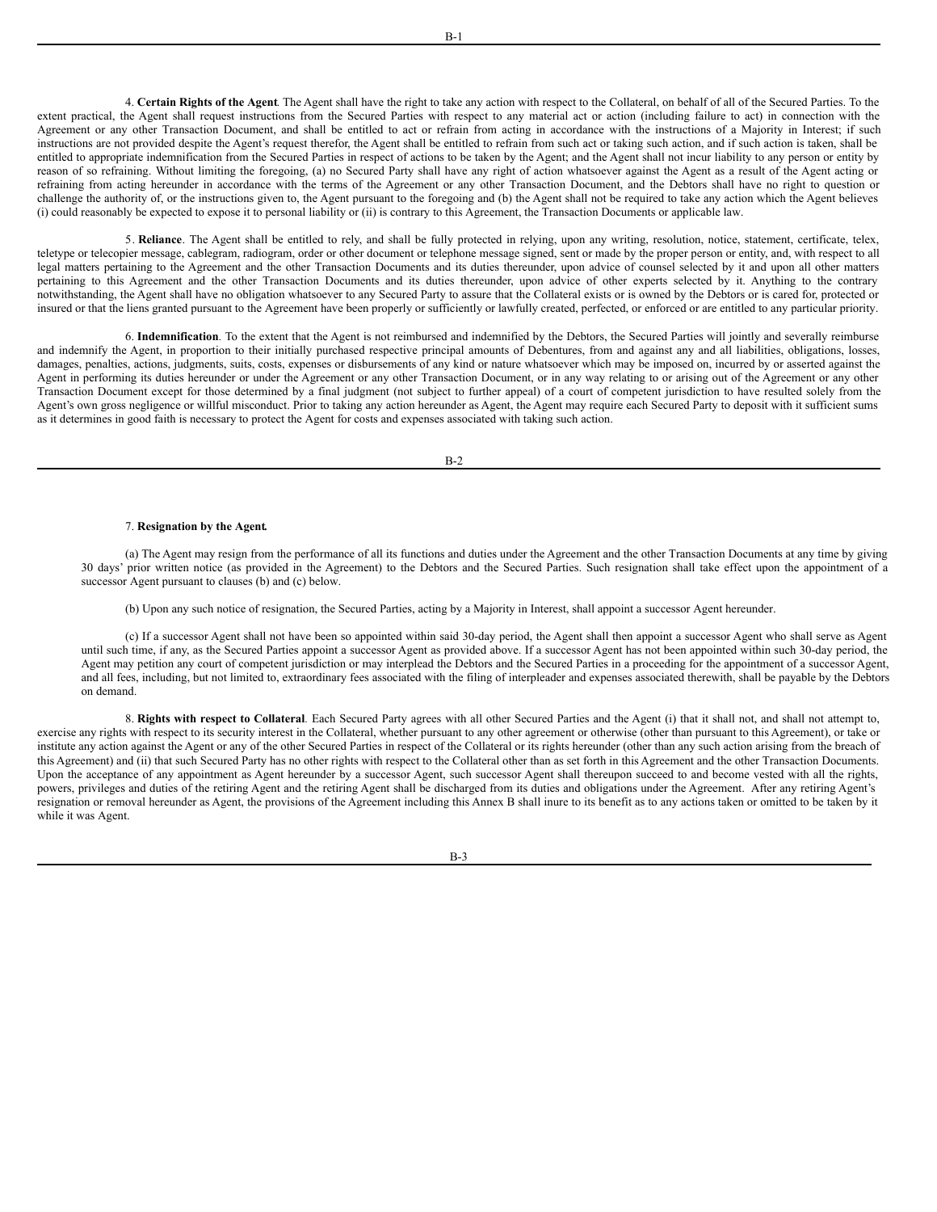4. **Certain Rights of the Agent**. The Agent shall have the right to take any action with respect to the Collateral, on behalf of all of the Secured Parties. To the extent practical, the Agent shall request instructions from the Secured Parties with respect to any material act or action (including failure to act) in connection with the Agreement or any other Transaction Document, and shall be entitled to act or refrain from acting in accordance with the instructions of a Majority in Interest; if such instructions are not provided despite the Agent's request therefor, the Agent shall be entitled to refrain from such act or taking such action, and if such action is taken, shall be entitled to appropriate indemnification from the Secured Parties in respect of actions to be taken by the Agent; and the Agent shall not incur liability to any person or entity by reason of so refraining. Without limiting the foregoing, (a) no Secured Party shall have any right of action whatsoever against the Agent as a result of the Agent acting or refraining from acting hereunder in accordance with the terms of the Agreement or any other Transaction Document, and the Debtors shall have no right to question or challenge the authority of, or the instructions given to, the Agent pursuant to the foregoing and (b) the Agent shall not be required to take any action which the Agent believes (i) could reasonably be expected to expose it to personal liability or (ii) is contrary to this Agreement, the Transaction Documents or applicable law.

5. **Reliance**. The Agent shall be entitled to rely, and shall be fully protected in relying, upon any writing, resolution, notice, statement, certificate, telex, teletype or telecopier message, cablegram, radiogram, order or other document or telephone message signed, sent or made by the proper person or entity, and, with respect to all legal matters pertaining to the Agreement and the other Transaction Documents and its duties thereunder, upon advice of counsel selected by it and upon all other matters pertaining to this Agreement and the other Transaction Documents and its duties thereunder, upon advice of other experts selected by it. Anything to the contrary notwithstanding, the Agent shall have no obligation whatsoever to any Secured Party to assure that the Collateral exists or is owned by the Debtors or is cared for, protected or insured or that the liens granted pursuant to the Agreement have been properly or sufficiently or lawfully created, perfected, or enforced or are entitled to any particular priority.

6. **Indemnification***.* To the extent that the Agent is not reimbursed and indemnified by the Debtors, the Secured Parties will jointly and severally reimburse and indemnify the Agent, in proportion to their initially purchased respective principal amounts of Debentures, from and against any and all liabilities, obligations, losses, damages, penalties, actions, judgments, suits, costs, expenses or disbursements of any kind or nature whatsoever which may be imposed on, incurred by or asserted against the Agent in performing its duties hereunder or under the Agreement or any other Transaction Document, or in any way relating to or arising out of the Agreement or any other Transaction Document except for those determined by a final judgment (not subject to further appeal) of a court of competent jurisdiction to have resulted solely from the Agent's own gross negligence or willful misconduct. Prior to taking any action hereunder as Agent, the Agent may require each Secured Party to deposit with it sufficient sums as it determines in good faith is necessary to protect the Agent for costs and expenses associated with taking such action.

B-2

#### 7. **Resignation by the Agent***.*

(a) The Agent may resign from the performance of all its functions and duties under the Agreement and the other Transaction Documents at any time by giving 30 days' prior written notice (as provided in the Agreement) to the Debtors and the Secured Parties. Such resignation shall take effect upon the appointment of a successor Agent pursuant to clauses (b) and (c) below.

(b) Upon any such notice of resignation, the Secured Parties, acting by a Majority in Interest, shall appoint a successor Agent hereunder.

(c) If a successor Agent shall not have been so appointed within said 30-day period, the Agent shall then appoint a successor Agent who shall serve as Agent until such time, if any, as the Secured Parties appoint a successor Agent as provided above. If a successor Agent has not been appointed within such 30-day period, the Agent may petition any court of competent jurisdiction or may interplead the Debtors and the Secured Parties in a proceeding for the appointment of a successor Agent, and all fees, including, but not limited to, extraordinary fees associated with the filing of interpleader and expenses associated therewith, shall be payable by the Debtors on demand.

8. **Rights with respect to Collateral***.* Each Secured Party agrees with all other Secured Parties and the Agent (i) that it shall not, and shall not attempt to, exercise any rights with respect to its security interest in the Collateral, whether pursuant to any other agreement or otherwise (other than pursuant to this Agreement), or take or institute any action against the Agent or any of the other Secured Parties in respect of the Collateral or its rights hereunder (other than any such action arising from the breach of this Agreement) and (ii) that such Secured Party has no other rights with respect to the Collateral other than as set forth in this Agreement and the other Transaction Documents. Upon the acceptance of any appointment as Agent hereunder by a successor Agent, such successor Agent shall thereupon succeed to and become vested with all the rights, powers, privileges and duties of the retiring Agent and the retiring Agent shall be discharged from its duties and obligations under the Agreement. After any retiring Agent's resignation or removal hereunder as Agent, the provisions of the Agreement including this Annex B shall inure to its benefit as to any actions taken or omitted to be taken by it while it was Agent.